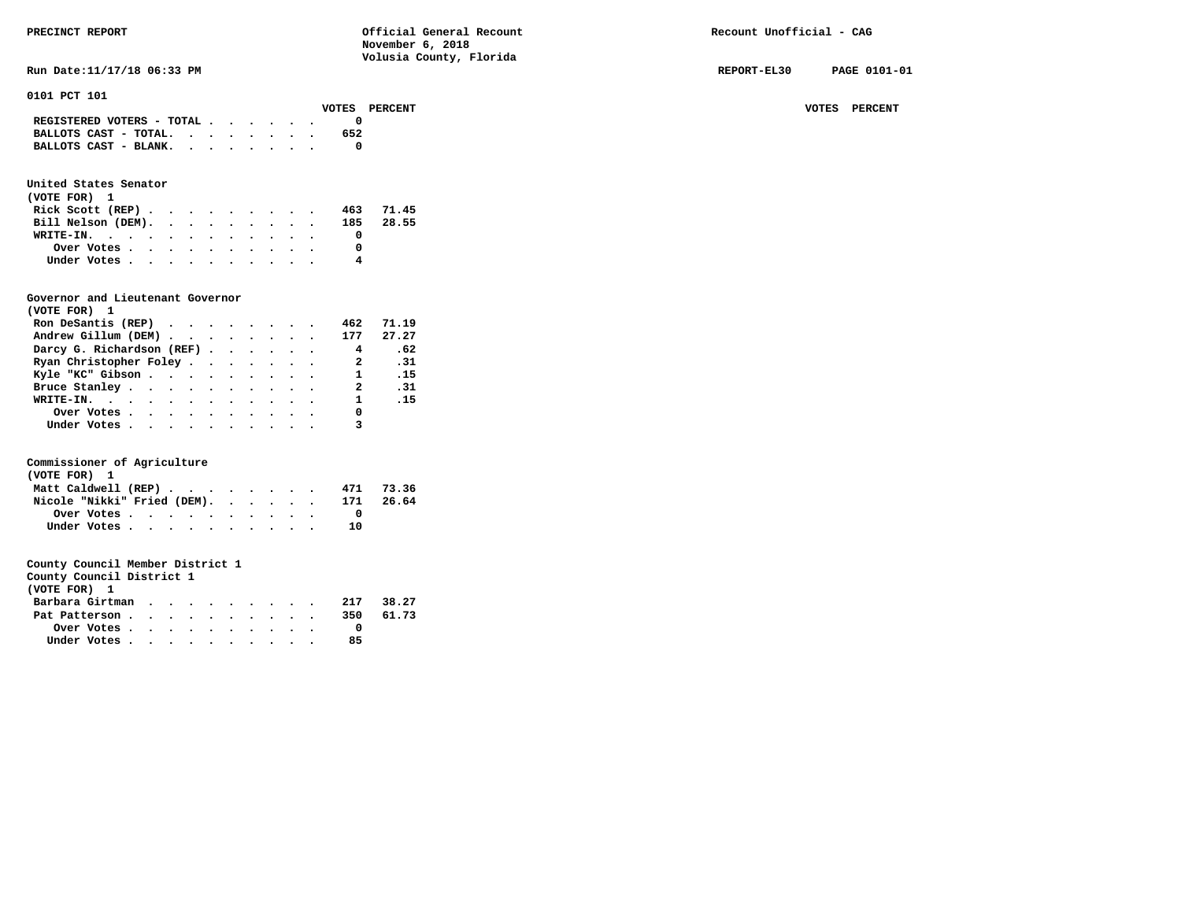**Run Date:11/17/18 06:33 PM REPORT-EL30 PAGE 0101-01 REPORT-EL30 PAGE 0101-01** 

| 0101 PCT 101                                                              |              |         |
|---------------------------------------------------------------------------|--------------|---------|
| <b>PERCENT</b><br>VOTES                                                   | <b>VOTES</b> | PERCENT |
| REGISTERED VOTERS - TOTAL $\cdot$ $\cdot$ $\cdot$ $\cdot$ $\cdot$ $\cdot$ |              |         |
| BALLOTS CAST - TOTAL.<br>652                                              |              |         |
| BALLOTS CAST - BLANK. $\cdot$                                             |              |         |

# **United States Senator**

| (VOTE FOR) 1                                |  |  |  |  |           |
|---------------------------------------------|--|--|--|--|-----------|
| Rick Scott (REP) $\cdots$ $\cdots$ $\cdots$ |  |  |  |  | 463 71.45 |
| Bill Nelson (DEM). 185 28.55                |  |  |  |  |           |
| WRITE-IN.                                   |  |  |  |  |           |
| Over Votes                                  |  |  |  |  |           |
| Under Votes                                 |  |  |  |  |           |

# **Governor and Lieutenant Governor**

| (VOTE FOR) 1                                  |  |  |  |                         |            |
|-----------------------------------------------|--|--|--|-------------------------|------------|
| Ron DeSantis (REP) $\cdots$ $\cdots$ $\cdots$ |  |  |  | 462                     | 71.19      |
| Andrew Gillum (DEM) 177                       |  |  |  |                         | 27.27      |
| Darcy G. Richardson (REF)                     |  |  |  | $\overline{4}$          | .62        |
| Ryan Christopher Foley                        |  |  |  | $\overline{\mathbf{a}}$ | $\cdot$ 31 |
| Kyle "KC" Gibson                              |  |  |  | $\mathbf{1}$            | .15        |
| Bruce Stanley.                                |  |  |  | 2                       | .31        |
| WRITE-IN.                                     |  |  |  | $\mathbf{1}$            | $\ldots$   |
| Over Votes                                    |  |  |  | 0                       |            |
| Under Votes, , , , , , , , , , ,              |  |  |  |                         |            |

# **Commissioner of Agriculture**

| (VOTE FOR) 1                |  |  |  |  |  |     |       |
|-----------------------------|--|--|--|--|--|-----|-------|
| Matt Caldwell (REP)         |  |  |  |  |  | 471 | 73.36 |
| Nicole "Nikki" Fried (DEM). |  |  |  |  |  | 171 | 26.64 |
| Over Votes.                 |  |  |  |  |  |     |       |
| Under Votes                 |  |  |  |  |  | 10  |       |

|  | County Council District 1 |  |
|--|---------------------------|--|
|  |                           |  |

| (VOTE FOR) 1    |  |  |  |  |     |       |
|-----------------|--|--|--|--|-----|-------|
| Barbara Girtman |  |  |  |  | 217 | 38.27 |
| Pat Patterson   |  |  |  |  | 350 | 61.73 |
| Over Votes      |  |  |  |  |     |       |
| Under Votes     |  |  |  |  | 85  |       |
|                 |  |  |  |  |     |       |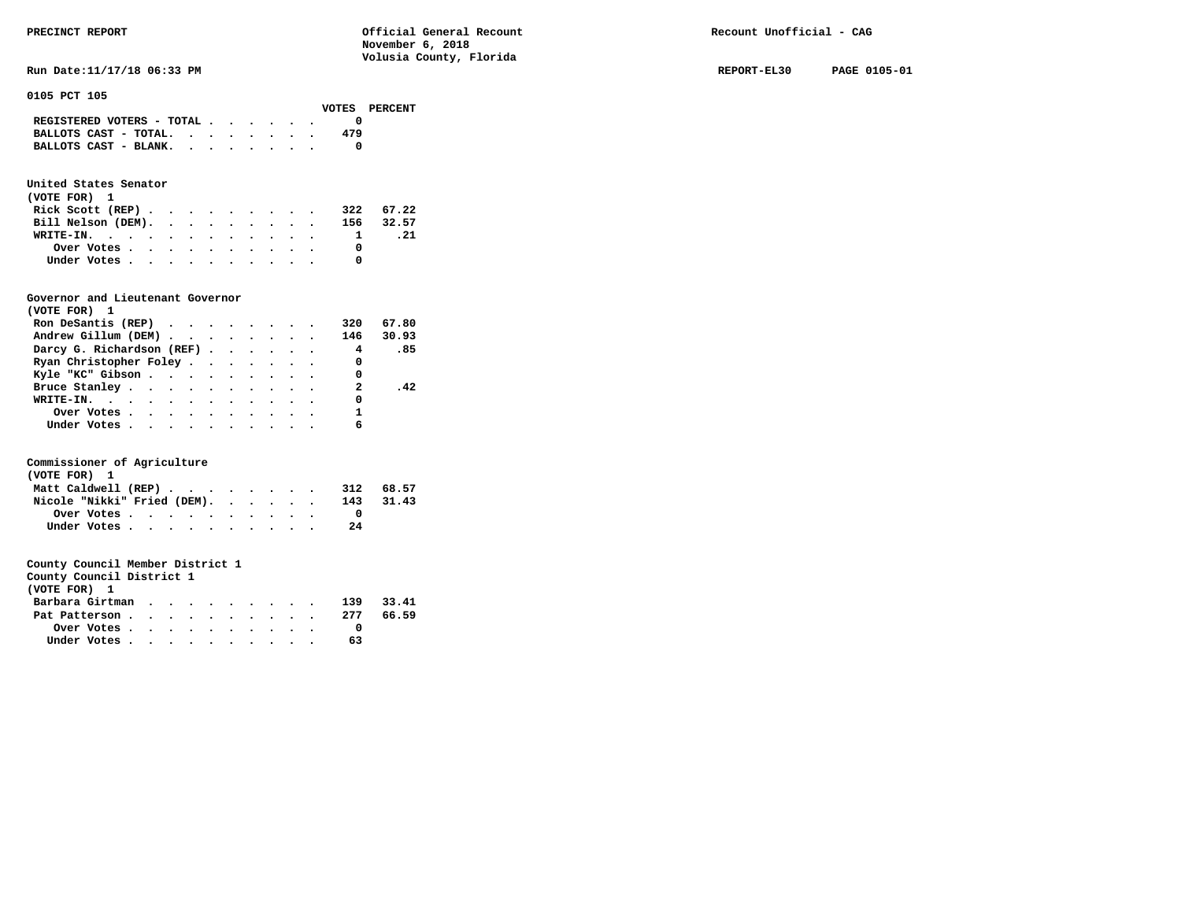| PRECINCT REPORT                           | Official General Recount<br>November 6, 2018<br>Volusia County, Florida | Recount Unofficial - CAG |              |
|-------------------------------------------|-------------------------------------------------------------------------|--------------------------|--------------|
| Run Date: 11/17/18 06:33 PM               |                                                                         | REPORT-EL30              | PAGE 0105-01 |
| 0105 PCT 105<br>VOTES                     | PERCENT                                                                 |                          |              |
| REGISTERED VOTERS - TOTAL                 | 0                                                                       |                          |              |
| BALLOTS CAST - TOTAL. $\cdot$             | 479                                                                     |                          |              |
| BALLOTS CAST - BLANK. $\cdot$ , , , , , . | 0                                                                       |                          |              |

### **United States Senator**

| (VOTE FOR) 1                                            |  |  |  |  |           |      |
|---------------------------------------------------------|--|--|--|--|-----------|------|
| Rick Scott $(REP)$                                      |  |  |  |  | 322 67.22 |      |
| Bill Nelson (DEM). 156 32.57                            |  |  |  |  |           |      |
| WRITE-IN.                                               |  |  |  |  |           | . 21 |
| Over Votes $\cdots$ $\cdots$ $\cdots$ $\cdots$ $\cdots$ |  |  |  |  |           |      |
| Under Votes                                             |  |  |  |  |           |      |

# **Governor and Lieutenant Governor**

| (VOTE FOR) 1                                  |  |  |  |     |       |
|-----------------------------------------------|--|--|--|-----|-------|
| Ron DeSantis (REP) $\cdots$ $\cdots$ $\cdots$ |  |  |  | 320 | 67.80 |
| Andrew Gillum (DEM) 146                       |  |  |  |     | 30.93 |
| Darcy G. Richardson (REF)                     |  |  |  |     | 4.85  |
| Ryan Christopher Foley                        |  |  |  | 0   |       |
| Kyle "KC" Gibson                              |  |  |  | 0   |       |
| Bruce Stanley                                 |  |  |  | 2   | .42   |
| WRITE-IN.                                     |  |  |  | 0   |       |
| Over Votes                                    |  |  |  |     |       |
| Under Votes                                   |  |  |  | 6   |       |

# **Commissioner of Agriculture**

| (VOTE FOR) 1                |             |  |  |  |  |  |           |       |
|-----------------------------|-------------|--|--|--|--|--|-----------|-------|
| Matt Caldwell (REP)         |             |  |  |  |  |  | 312 68.57 |       |
| Nicole "Nikki" Fried (DEM). |             |  |  |  |  |  | 143       | 31.43 |
|                             |             |  |  |  |  |  |           |       |
|                             | Under Votes |  |  |  |  |  | 2.4       |       |

| County Council District 1 |  |  |  |  |     |       |
|---------------------------|--|--|--|--|-----|-------|
| (VOTE FOR) 1              |  |  |  |  |     |       |
| Barbara Girtman           |  |  |  |  | 139 | 33.41 |
| Pat Patterson 277         |  |  |  |  |     | 66.59 |
| Over Votes                |  |  |  |  |     |       |
| Under Votes               |  |  |  |  | 63  |       |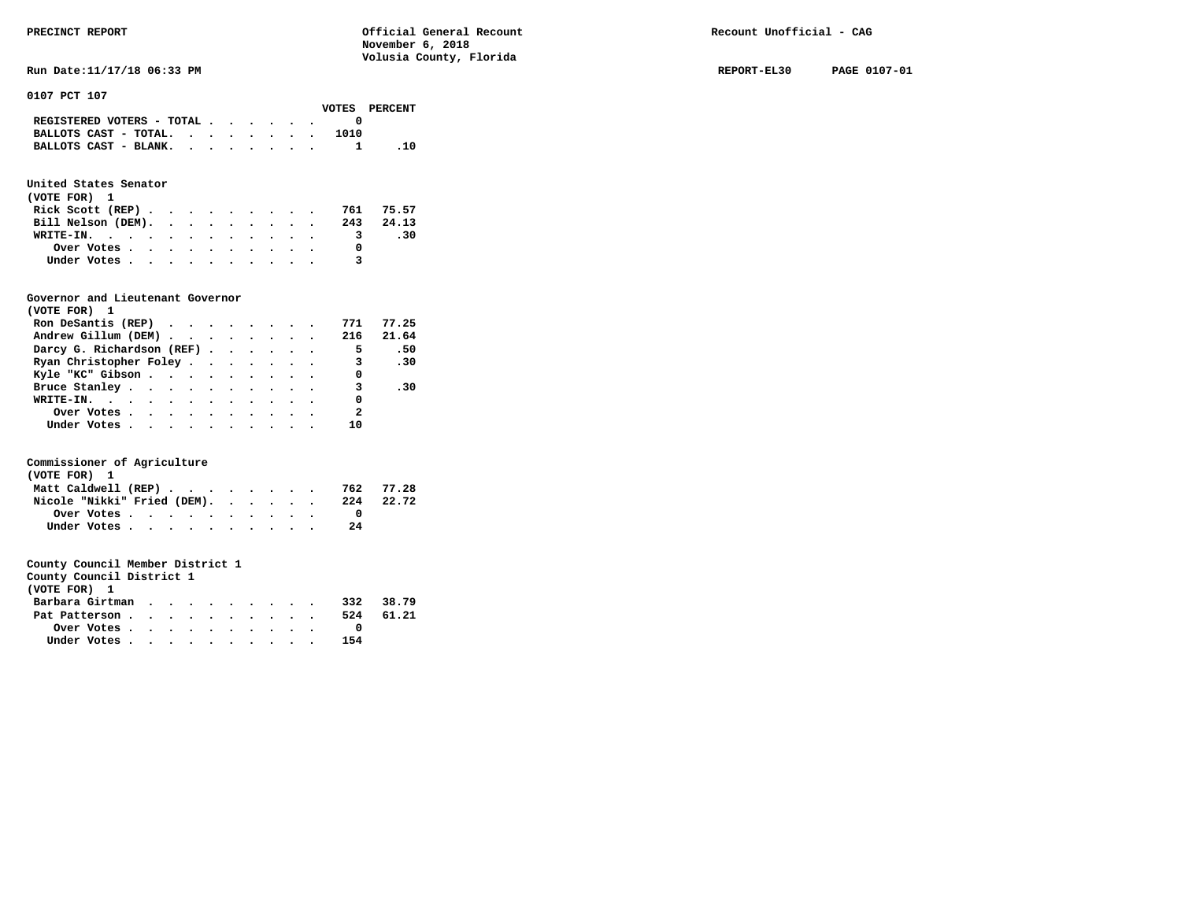**Run Date:11/17/18 06:33 PM REPORT-EL30** PAGE 0107-01

**0107 PCT 107** 

|                                                           |  |  |  |      | VOTES PERCENT |
|-----------------------------------------------------------|--|--|--|------|---------------|
| REGISTERED VOTERS - TOTAL $\cdot \cdot \cdot \cdot \cdot$ |  |  |  |      |               |
| BALLOTS CAST - TOTAL.                                     |  |  |  | 1010 |               |
| BALLOTS CAST - BLANK.                                     |  |  |  |      | .10           |

# **United States Senator**

| (VOTE FOR) 1                                            |  |  |  |  |  |     |           |
|---------------------------------------------------------|--|--|--|--|--|-----|-----------|
| Rick Scott (REP) $\cdots$ $\cdots$ $\cdots$             |  |  |  |  |  |     | 761 75.57 |
| Bill Nelson (DEM).                                      |  |  |  |  |  |     | 243 24.13 |
| WRITE-IN.                                               |  |  |  |  |  | - 3 | .30       |
| Over Votes $\cdots$ $\cdots$ $\cdots$ $\cdots$ $\cdots$ |  |  |  |  |  |     |           |
| Under Votes                                             |  |  |  |  |  | 3   |           |

# **Governor and Lieutenant Governor**

| (VOTE FOR) 1                                                        |  |  |  |                          |       |
|---------------------------------------------------------------------|--|--|--|--------------------------|-------|
| Ron DeSantis (REP) $\cdots$ $\cdots$ $\cdots$                       |  |  |  | 771                      | 77.25 |
| Andrew Gillum (DEM) $\cdot \cdot \cdot \cdot \cdot \cdot \cdot$ 216 |  |  |  |                          | 21.64 |
| Darcy G. Richardson (REF)                                           |  |  |  | $\sqrt{5}$               | .50   |
| Ryan Christopher Foley                                              |  |  |  | 3 .30                    |       |
| Kyle "KC" Gibson                                                    |  |  |  | $\overline{\phantom{0}}$ |       |
| Bruce Stanley                                                       |  |  |  | 3                        | .30   |
| WRITE-IN.                                                           |  |  |  | $\overline{\phantom{0}}$ |       |
| Over Votes.                                                         |  |  |  | $\overline{\phantom{a}}$ |       |
| Under Votes                                                         |  |  |  | 10                       |       |

# **Commissioner of Agriculture**

| (VOTE FOR) 1                |  |  |  |     |           |
|-----------------------------|--|--|--|-----|-----------|
| Matt Caldwell (REP)         |  |  |  | 762 | 77.28     |
| Nicole "Nikki" Fried (DEM). |  |  |  |     | 224 22.72 |
| Over Votes                  |  |  |  |     |           |
| Under Votes                 |  |  |  | 2.4 |           |

| County Council District 1 |  |  |  |  |     |       |
|---------------------------|--|--|--|--|-----|-------|
| (VOTE FOR) 1              |  |  |  |  |     |       |
| Barbara Girtman           |  |  |  |  | 332 | 38.79 |
| Pat Patterson             |  |  |  |  | 524 | 61.21 |
|                           |  |  |  |  |     |       |

| Under Votes |  |  |  |  |  | 154 |
|-------------|--|--|--|--|--|-----|
|             |  |  |  |  |  |     |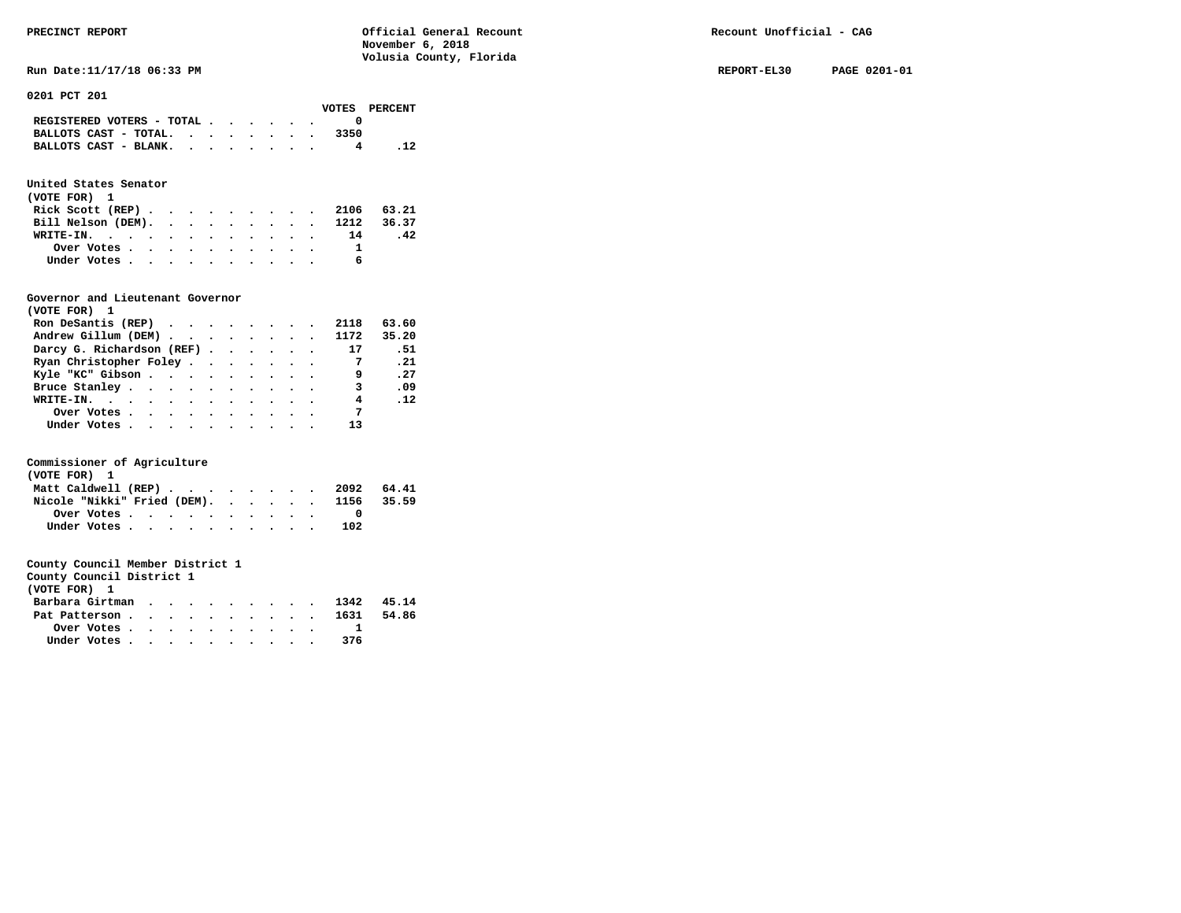**Run Date:11/17/18 06:33 PM REPORT-EL30 PAGE 0201-01** 

**0201 PCT 201** 

|                                             |  |  |  |      | VOTES PERCENT |
|---------------------------------------------|--|--|--|------|---------------|
| REGISTERED VOTERS - TOTAL $\cdot$ , , , , . |  |  |  |      |               |
| BALLOTS CAST - TOTAL.                       |  |  |  | 3350 |               |
| BALLOTS CAST - BLANK.                       |  |  |  |      |               |

# **United States Senator**

| (VOTE FOR) 1 |                                                         |  |  |  |  |  |                               |     |
|--------------|---------------------------------------------------------|--|--|--|--|--|-------------------------------|-----|
|              |                                                         |  |  |  |  |  | Rick Scott (REP) 2106 63.21   |     |
|              |                                                         |  |  |  |  |  | Bill Nelson (DEM). 1212 36.37 |     |
|              |                                                         |  |  |  |  |  | WRITE-IN. 14                  | .42 |
|              | Over Votes $\cdots$ $\cdots$ $\cdots$ $\cdots$ $\cdots$ |  |  |  |  |  |                               |     |
|              | Under Votes                                             |  |  |  |  |  |                               |     |

# **Governor and Lieutenant Governor**

| (VOTE FOR) 1                                  |  |  |  |                |            |
|-----------------------------------------------|--|--|--|----------------|------------|
| Ron DeSantis (REP) $\cdots$ $\cdots$ $\cdots$ |  |  |  | 2118           | 63.60      |
| Andrew Gillum (DEM) 1172                      |  |  |  |                | 35.20      |
| Darcy G. Richardson (REF)                     |  |  |  | 17             | . 51       |
| Ryan Christopher Foley                        |  |  |  | $\overline{7}$ | .21        |
| Kyle "KC" Gibson                              |  |  |  | 9              | .27        |
| Bruce Stanley.                                |  |  |  | 3              | .09        |
| WRITE-IN.                                     |  |  |  | 4              | $\cdot$ 12 |
| Over Votes.                                   |  |  |  | $\overline{7}$ |            |
| Under Votes, , , , , , , , , , ,              |  |  |  |                |            |

# **Commissioner of Agriculture**

| (VOTE FOR) 1 |  |  |  |                                                         |  |  |  |                                        |  |
|--------------|--|--|--|---------------------------------------------------------|--|--|--|----------------------------------------|--|
|              |  |  |  |                                                         |  |  |  | Matt Caldwell (REP) 2092 64.41         |  |
|              |  |  |  |                                                         |  |  |  | Nicole "Nikki" Fried (DEM). 1156 35.59 |  |
|              |  |  |  | Over Votes $\cdots$ $\cdots$ $\cdots$ $\cdots$ $\cdots$ |  |  |  |                                        |  |
|              |  |  |  | Under Votes                                             |  |  |  | 102                                    |  |

|            |                 | County Council District 1 |  |
|------------|-----------------|---------------------------|--|
| (VOTE FOR) |                 |                           |  |
|            | Backway Alatman |                           |  |

| Barbara Girtman 1342 45.14 |  |  |  |  |     |  |
|----------------------------|--|--|--|--|-----|--|
| Pat Patterson 1631 54.86   |  |  |  |  |     |  |
| Over Votes                 |  |  |  |  |     |  |
| Under Votes                |  |  |  |  | 376 |  |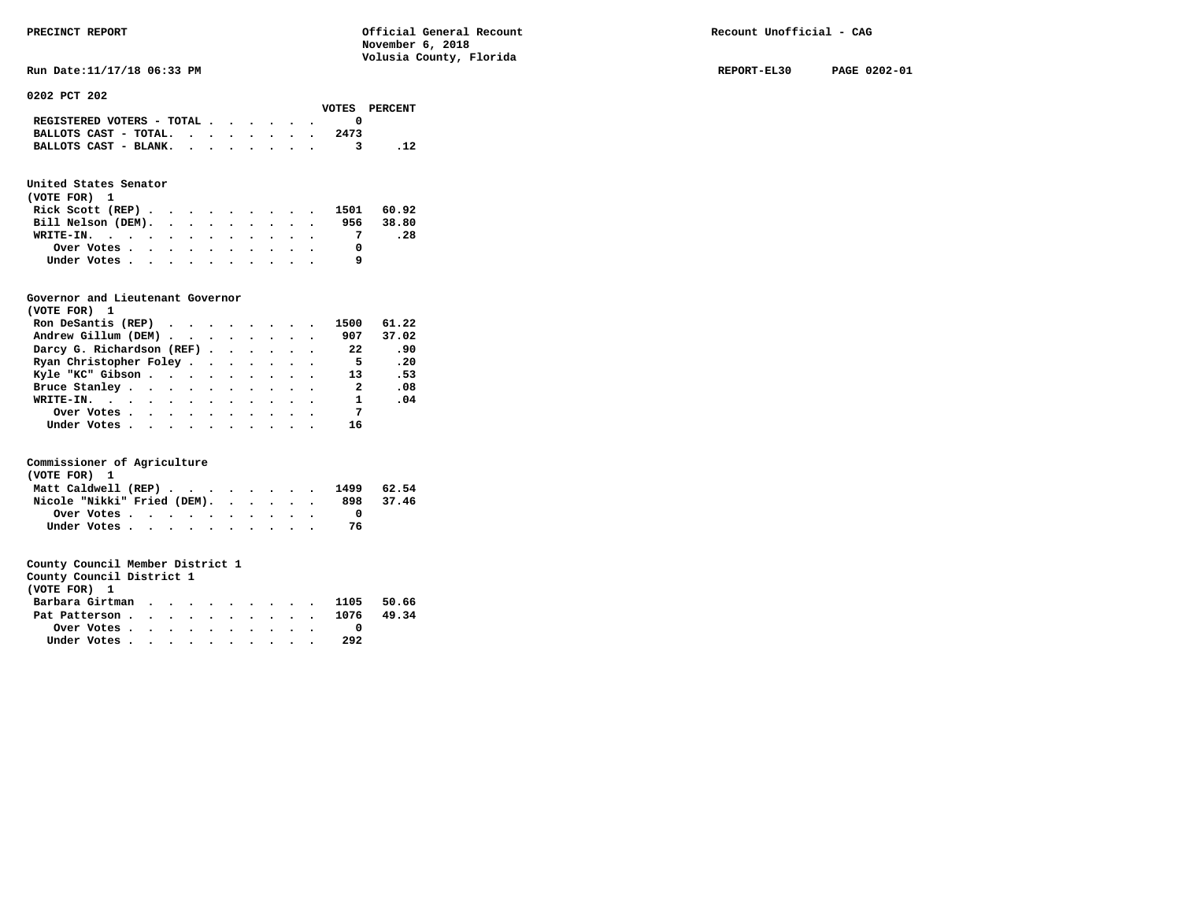**Run Date:11/17/18 06:33 PM REPORT-EL30 PAGE 0202-01** 

**0202 PCT 202** 

|                                                                           |  |  |  |      | VOTES PERCENT |
|---------------------------------------------------------------------------|--|--|--|------|---------------|
| REGISTERED VOTERS - TOTAL $\cdot$ $\cdot$ $\cdot$ $\cdot$ $\cdot$ $\cdot$ |  |  |  |      |               |
| BALLOTS CAST - TOTAL. $\cdot$ , , , , , , ,                               |  |  |  | 2473 |               |
| BALLOTS CAST - BLANK.                                                     |  |  |  |      |               |

# **United States Senator**

| (VOTE FOR) 1                       |  |  |  |  |  |           |
|------------------------------------|--|--|--|--|--|-----------|
| Rick Scott (REP) 1501 60.92        |  |  |  |  |  |           |
| Bill Nelson (DEM), , , , , , , , , |  |  |  |  |  | 956 38.80 |
| WRITE-IN.                          |  |  |  |  |  | .28       |
| Over Votes                         |  |  |  |  |  |           |
| Under Votes                        |  |  |  |  |  |           |

# **Governor and Lieutenant Governor**

| (VOTE FOR) 1                                  |  |  |  |                          |       |
|-----------------------------------------------|--|--|--|--------------------------|-------|
| Ron DeSantis (REP) $\cdots$ $\cdots$ $\cdots$ |  |  |  | 1500                     | 61.22 |
| Andrew Gillum (DEM)                           |  |  |  | 907                      | 37.02 |
| Darcy G. Richardson (REF)                     |  |  |  | 22                       | .90   |
| Ryan Christopher Foley                        |  |  |  | - 5                      | .20   |
| Kyle "KC" Gibson                              |  |  |  | 13                       | .53   |
| Bruce Stanley                                 |  |  |  | $\overline{\phantom{a}}$ | .08   |
| WRITE-IN.                                     |  |  |  | $\mathbf{1}$             | .04   |
| Over Votes                                    |  |  |  | $\overline{7}$           |       |
| Under Votes, , , , , , , , , , ,              |  |  |  | 16                       |       |

# **Commissioner of Agriculture**

| (VOTE FOR) 1                   |  |  |  |     |       |
|--------------------------------|--|--|--|-----|-------|
| Matt Caldwell (REP) 1499 62.54 |  |  |  |     |       |
| Nicole "Nikki" Fried (DEM).    |  |  |  | 898 | 37.46 |
| Over Votes                     |  |  |  |     |       |
| Under Votes                    |  |  |  |     |       |

| County Council District 1                               |  |  |  |  |  |     |  |
|---------------------------------------------------------|--|--|--|--|--|-----|--|
| (VOTE FOR) 1                                            |  |  |  |  |  |     |  |
| Barbara Girtman 1105 50.66                              |  |  |  |  |  |     |  |
| Pat Patterson 1076 49.34                                |  |  |  |  |  |     |  |
| Over Votes $\cdots$ $\cdots$ $\cdots$ $\cdots$ $\cdots$ |  |  |  |  |  |     |  |
| Under Votes                                             |  |  |  |  |  | 292 |  |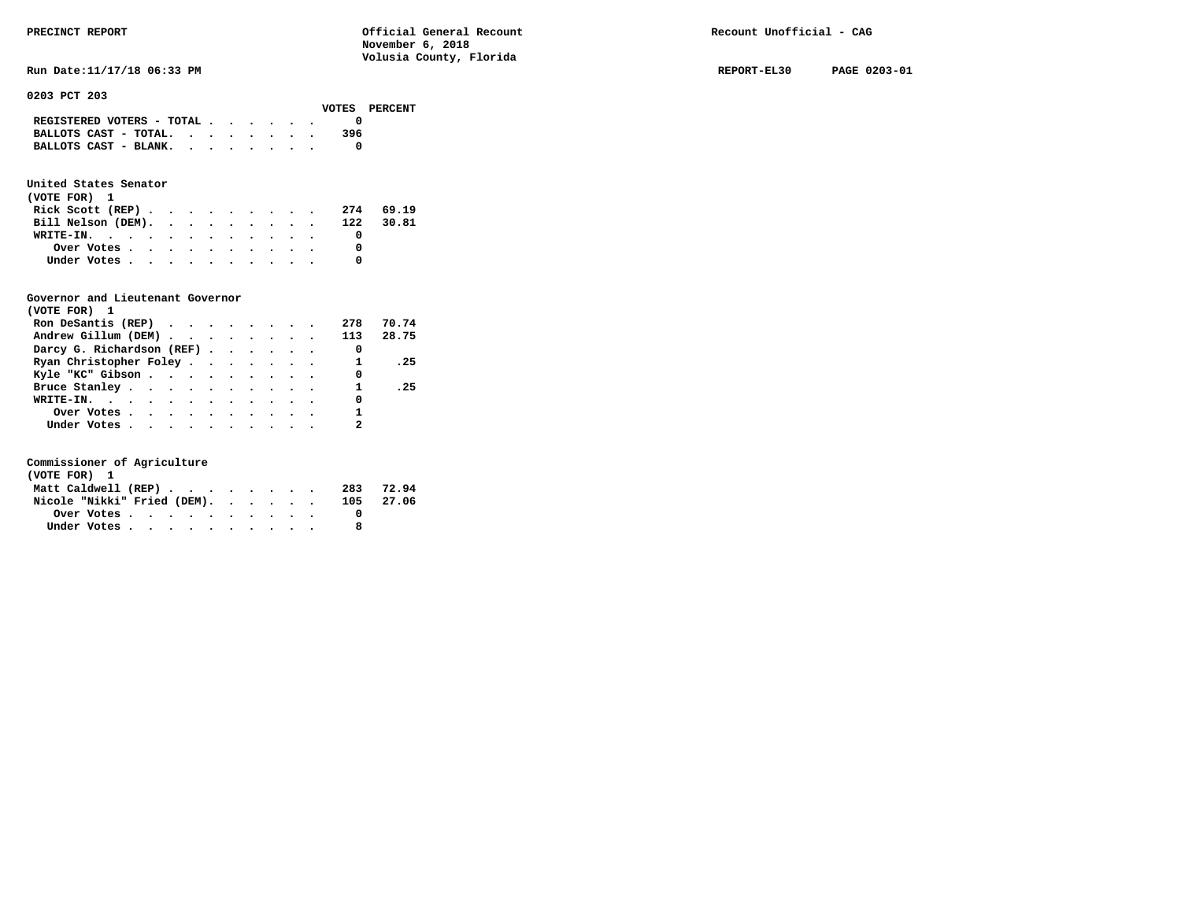# **BALLOTS CAST - TOTAL. . . . . . . . 396 BALLOTS CAST - BLANK. . . . . . . . 0**

# **United States Senator**

| (VOTE FOR) 1                                |  |  |  |  |     |       |
|---------------------------------------------|--|--|--|--|-----|-------|
| Rick Scott (REP) $\cdots$ $\cdots$ $\cdots$ |  |  |  |  | 274 | 69.19 |
| Bill Nelson (DEM). 122 30.81                |  |  |  |  |     |       |
| WRITE-IN.                                   |  |  |  |  |     |       |
| Over Votes                                  |  |  |  |  |     |       |
| Under Votes                                 |  |  |  |  |     |       |

# **Governor and Lieutenant Governor**

| (VOTE FOR) 1                                  |  |  |  |                          |       |
|-----------------------------------------------|--|--|--|--------------------------|-------|
| Ron DeSantis (REP) $\cdots$ $\cdots$ $\cdots$ |  |  |  | 278                      | 70.74 |
| Andrew Gillum (DEM) 113 28.75                 |  |  |  |                          |       |
| Darcy G. Richardson (REF)                     |  |  |  | $\overline{\phantom{0}}$ |       |
| Ryan Christopher Foley                        |  |  |  | $\overline{\phantom{a}}$ | .25   |
| Kyle "KC" Gibson                              |  |  |  | 0                        |       |
| Bruce Stanley                                 |  |  |  | $\mathbf{1}$             | .25   |
| WRITE-IN.                                     |  |  |  | 0                        |       |
| Over Votes                                    |  |  |  |                          |       |
| Under Votes                                   |  |  |  |                          |       |

| (VOTE FOR) 1                |  |  |  |  |  |  |           |
|-----------------------------|--|--|--|--|--|--|-----------|
| Matt Caldwell (REP)         |  |  |  |  |  |  | 283 72.94 |
| Nicole "Nikki" Fried (DEM). |  |  |  |  |  |  | 105 27.06 |
| Over Votes                  |  |  |  |  |  |  |           |
| Under Votes                 |  |  |  |  |  |  |           |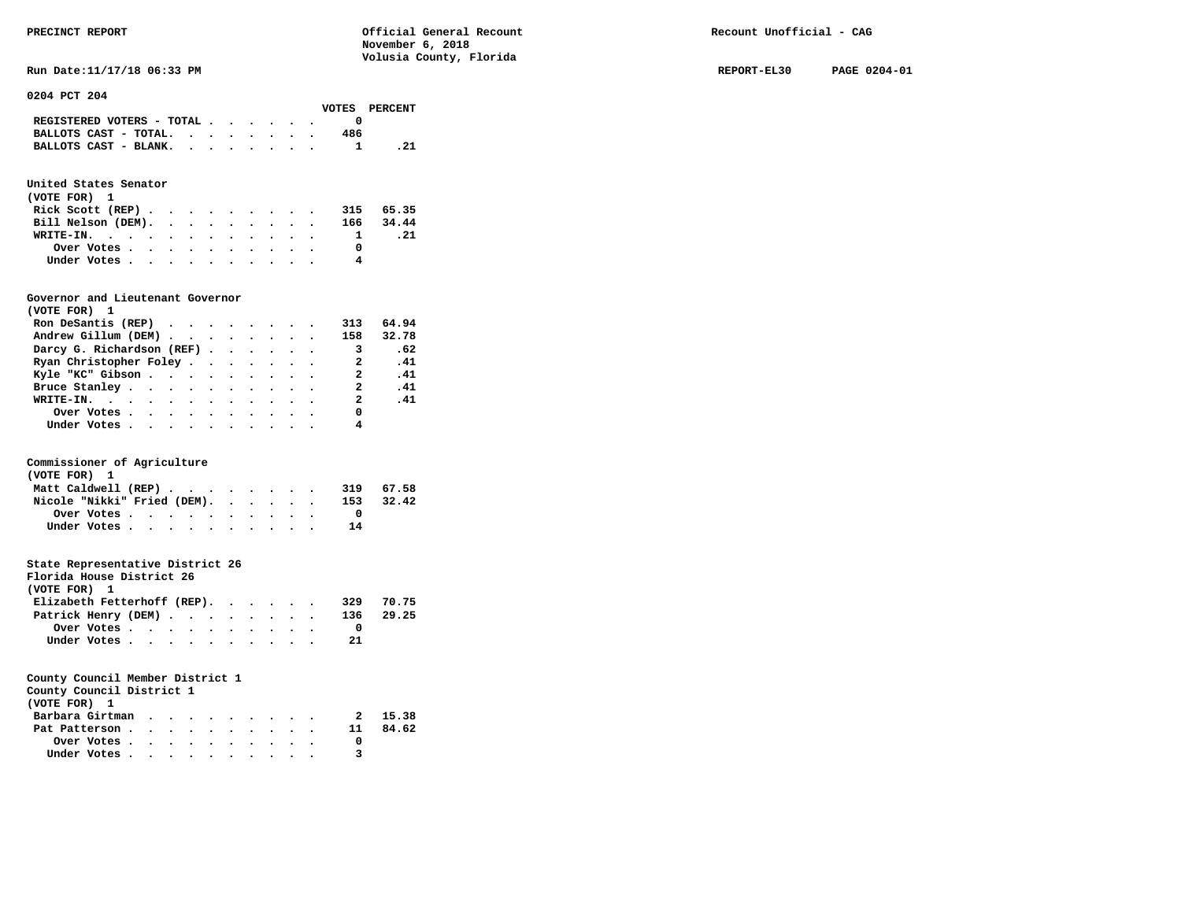**Run Date:11/17/18 06:33 PM REPORT-EL30 PAGE 0204-01** 

| 0204 PCT 204 |  |  |
|--------------|--|--|
|--------------|--|--|

|                                             |  |  |  |     | VOTES PERCENT |
|---------------------------------------------|--|--|--|-----|---------------|
| REGISTERED VOTERS - TOTAL $\cdot$ , , , , , |  |  |  |     |               |
| BALLOTS CAST - TOTAL. $\cdot$               |  |  |  | 486 |               |
| BALLOTS CAST - BLANK.                       |  |  |  |     | . 21          |
|                                             |  |  |  |     |               |

# **United States Senator**

| (VOTE FOR) 1                 |  |  |  |  |              |      |
|------------------------------|--|--|--|--|--------------|------|
| Rick Scott (REP) 315 65.35   |  |  |  |  |              |      |
| Bill Nelson (DEM). 166 34.44 |  |  |  |  |              |      |
| WRITE-IN.                    |  |  |  |  | $\mathbf{1}$ | . 21 |
| Over Votes                   |  |  |  |  |              |      |
| Under Votes                  |  |  |  |  | 4            |      |

# **Governor and Lieutenant Governor**

| (VOTE FOR) 1                                                   |  |  |  |                            |       |
|----------------------------------------------------------------|--|--|--|----------------------------|-------|
| Ron DeSantis (REP) $\cdot \cdot \cdot \cdot \cdot \cdot \cdot$ |  |  |  | 313                        | 64.94 |
| Andrew Gillum (DEM)                                            |  |  |  | 158                        | 32.78 |
| Darcy G. Richardson (REF)                                      |  |  |  | $\overline{\phantom{a}}$ 3 | .62   |
| Ryan Christopher Foley                                         |  |  |  | $\overline{a}$             | .41   |
| Kyle "KC" Gibson                                               |  |  |  | 2                          | .41   |
| Bruce Stanley                                                  |  |  |  | 2                          | .41   |
| WRITE-IN.                                                      |  |  |  | $\overline{2}$             | .41   |
| Over Votes                                                     |  |  |  | 0                          |       |
| Under Votes                                                    |  |  |  | 4                          |       |

# **Commissioner of Agriculture**

| (VOTE FOR) 1                |  |  |  |  |  |     |           |
|-----------------------------|--|--|--|--|--|-----|-----------|
| Matt Caldwell (REP)         |  |  |  |  |  |     | 319 67.58 |
| Nicole "Nikki" Fried (DEM). |  |  |  |  |  | 153 | 32.42     |
| Over Votes                  |  |  |  |  |  |     |           |
| Under Votes                 |  |  |  |  |  | 14  |           |

# **State Representative District 26**

| Florida House District 26   |                                                         |  |  |  |  |     |           |
|-----------------------------|---------------------------------------------------------|--|--|--|--|-----|-----------|
| (VOTE FOR) 1                |                                                         |  |  |  |  |     |           |
| Elizabeth Fetterhoff (REP). |                                                         |  |  |  |  | 329 | 70.75     |
| Patrick Henry (DEM)         |                                                         |  |  |  |  |     | 136 29.25 |
|                             | Over Votes $\cdots$ $\cdots$ $\cdots$ $\cdots$ $\cdots$ |  |  |  |  |     |           |
|                             | Under Votes                                             |  |  |  |  | 21  |           |

| County Council District 1 |  |  |  |  |    |         |
|---------------------------|--|--|--|--|----|---------|
| (VOTE FOR) 1              |  |  |  |  |    |         |
| Barbara Girtman           |  |  |  |  |    | 2 15.38 |
| Pat Patterson             |  |  |  |  | 11 | 84.62   |

| .            | .         |               |  |   |  |  | --- |
|--------------|-----------|---------------|--|---|--|--|-----|
| Over Votes.  | $\bullet$ |               |  | . |  |  | 0   |
| Under Votes. | $\bullet$ | $\sim$ $\sim$ |  | . |  |  | 3   |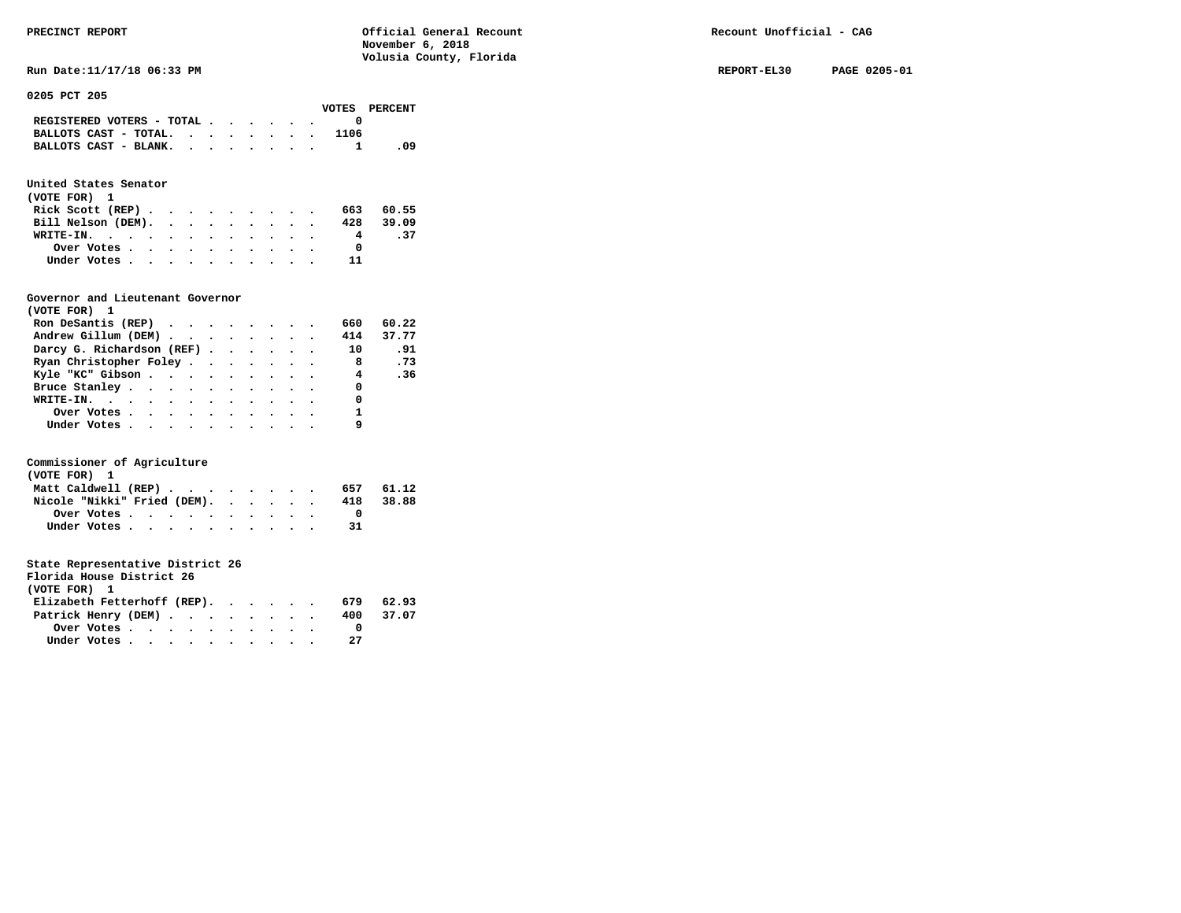**Run Date:11/17/18 06:33 PM REPORT-EL30 PAGE 0205-01** 

**0205 PCT 205** 

|                                             |  |  |  |      | VOTES PERCENT |
|---------------------------------------------|--|--|--|------|---------------|
| REGISTERED VOTERS - TOTAL $\cdot$ , , , , . |  |  |  |      |               |
| BALLOTS CAST - TOTAL. $\cdot$               |  |  |  | 1106 |               |
| BALLOTS CAST - BLANK.                       |  |  |  |      | - 09          |
|                                             |  |  |  |      |               |

# **United States Senator**

| (VOTE FOR) 1       |  |  |  |  |           |     |
|--------------------|--|--|--|--|-----------|-----|
| Rick Scott (REP)   |  |  |  |  | 663 60.55 |     |
| Bill Nelson (DEM). |  |  |  |  | 428 39.09 |     |
| WRITE-IN.          |  |  |  |  | 4         | .37 |
| Over Votes         |  |  |  |  |           |     |
| Under Votes        |  |  |  |  | 11        |     |

# **Governor and Lieutenant Governor**

| (VOTE FOR) 1                                  |  |  |  |                |       |
|-----------------------------------------------|--|--|--|----------------|-------|
| Ron DeSantis (REP) $\cdots$ $\cdots$ $\cdots$ |  |  |  | 660            | 60.22 |
| Andrew Gillum (DEM) 414 37.77                 |  |  |  |                |       |
| Darcy G. Richardson (REF)                     |  |  |  | 10             | .91   |
| Ryan Christopher Foley                        |  |  |  | $_{\rm 8}$     | .73   |
| Kyle "KC" Gibson                              |  |  |  | $\overline{4}$ | .36   |
| Bruce Stanley                                 |  |  |  | 0              |       |
| WRITE-IN.                                     |  |  |  | 0              |       |
| Over Votes                                    |  |  |  |                |       |
| Under Votes, , , , , , , , , , ,              |  |  |  |                |       |

# **Commissioner of Agriculture**

| (VOTE FOR) 1        |                             |  |  |  |  |  |     |       |
|---------------------|-----------------------------|--|--|--|--|--|-----|-------|
| Matt Caldwell (REP) |                             |  |  |  |  |  | 657 | 61.12 |
|                     | Nicole "Nikki" Fried (DEM). |  |  |  |  |  | 418 | 38.88 |
|                     | Over Votes.                 |  |  |  |  |  |     |       |
|                     | Under Votes                 |  |  |  |  |  |     |       |

# **State Representative District 26**

| Florida House District 26   |                                                         |  |  |  |  |     |           |
|-----------------------------|---------------------------------------------------------|--|--|--|--|-----|-----------|
| (VOTE FOR) 1                |                                                         |  |  |  |  |     |           |
| Elizabeth Fetterhoff (REP). |                                                         |  |  |  |  | 679 | 62.93     |
| Patrick Henry (DEM)         |                                                         |  |  |  |  |     | 400 37.07 |
|                             | Over Votes $\cdots$ $\cdots$ $\cdots$ $\cdots$ $\cdots$ |  |  |  |  |     |           |
|                             | Under Votes                                             |  |  |  |  | 27  |           |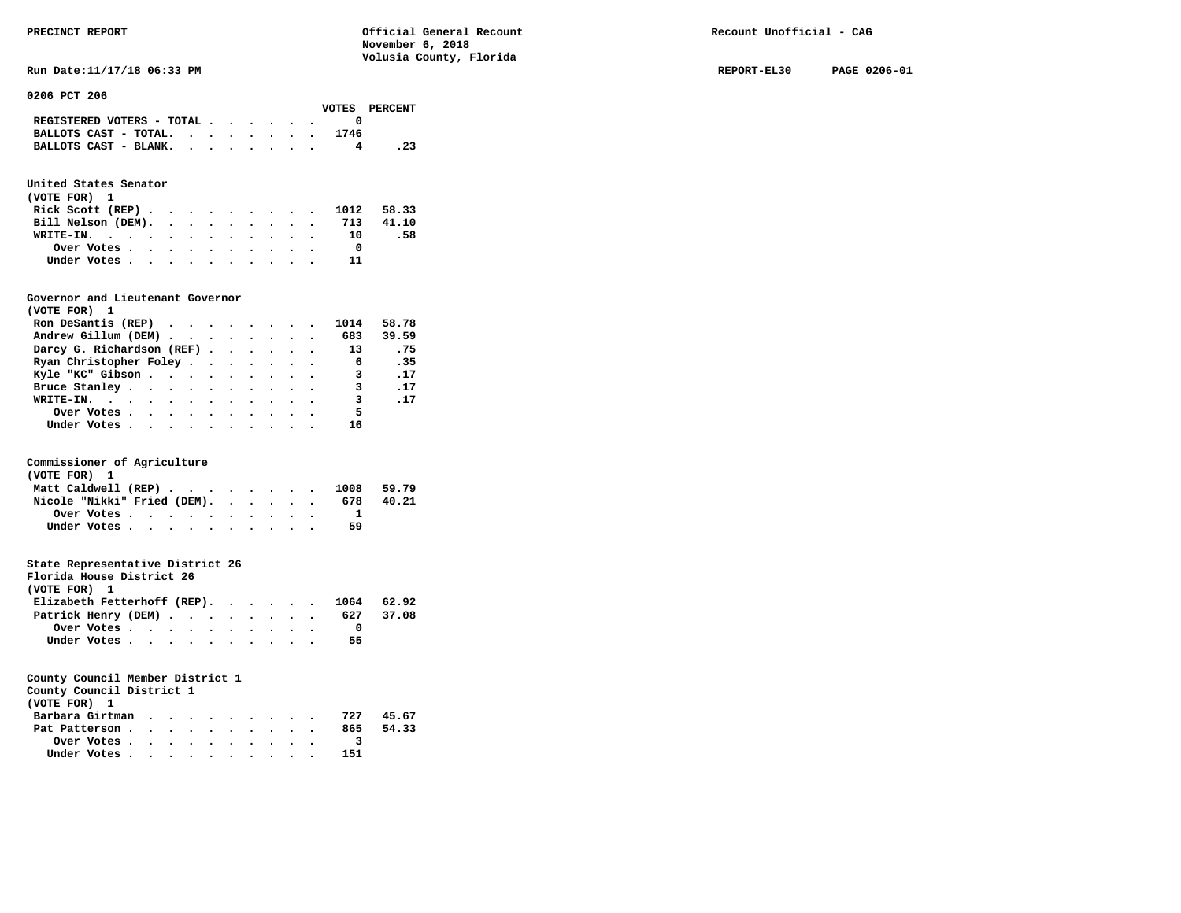**Run Date:11/17/18 06:33 PM REPORT-EL30 PAGE 0206-01** 

| 0206 PCT 206 |  |
|--------------|--|
|              |  |

|                                                                           |  |  |  |      | VOTES PERCENT |
|---------------------------------------------------------------------------|--|--|--|------|---------------|
| REGISTERED VOTERS - TOTAL $\cdot$ $\cdot$ $\cdot$ $\cdot$ $\cdot$ $\cdot$ |  |  |  |      |               |
| BALLOTS CAST - TOTAL.                                                     |  |  |  | 1746 |               |
| BALLOTS CAST - BLANK.                                                     |  |  |  |      | . 23          |

# **United States Senator**

| (VOTE FOR) 1                |  |  |  |  |           |     |
|-----------------------------|--|--|--|--|-----------|-----|
| Rick Scott (REP) 1012 58.33 |  |  |  |  |           |     |
| Bill Nelson (DEM).          |  |  |  |  | 713 41.10 |     |
| WRITE-IN. $\blacksquare$    |  |  |  |  | - 10      | .58 |
| Over Votes                  |  |  |  |  |           |     |
| Under Votes                 |  |  |  |  |           |     |

### **Governor and Lieutenant Governor**

| (VOTE FOR) 1                                  |  |  |  |                         |             |
|-----------------------------------------------|--|--|--|-------------------------|-------------|
| Ron DeSantis (REP) $\cdots$ $\cdots$ $\cdots$ |  |  |  | 1014                    | 58.78       |
| Andrew Gillum (DEM) 683 39.59                 |  |  |  |                         |             |
| Darcy G. Richardson (REF) 13                  |  |  |  |                         | .75         |
| Ryan Christopher Foley                        |  |  |  | 6                       | .35         |
| Kyle "KC" Gibson                              |  |  |  | $\overline{\mathbf{3}}$ | $\cdot$ 17  |
| Bruce Stanley                                 |  |  |  | 3                       | .17         |
| WRITE-IN.                                     |  |  |  | $\overline{\mathbf{3}}$ | $\ldots$ 17 |
| Over Votes.                                   |  |  |  | 5.                      |             |
| Under Votes, , , , , , , , , , ,              |  |  |  | 16                      |             |

### **Commissioner of Agriculture**

| (VOTE FOR) 1                                                               |  |  |  |  |  |     |       |
|----------------------------------------------------------------------------|--|--|--|--|--|-----|-------|
| Matt Caldwell (REP) $\cdot \cdot \cdot \cdot \cdot \cdot \cdot \cdot 1008$ |  |  |  |  |  |     | 59.79 |
| Nicole "Nikki" Fried (DEM).                                                |  |  |  |  |  | 678 | 40.21 |
|                                                                            |  |  |  |  |  |     |       |
| Under Votes                                                                |  |  |  |  |  | 59  |       |

# **State Representative District 26**

| Florida House District 26              |                                                         |  |  |  |  |    |           |
|----------------------------------------|---------------------------------------------------------|--|--|--|--|----|-----------|
| (VOTE FOR) 1                           |                                                         |  |  |  |  |    |           |
| Elizabeth Fetterhoff (REP). 1064 62.92 |                                                         |  |  |  |  |    |           |
| Patrick Henry (DEM)                    |                                                         |  |  |  |  |    | 627 37.08 |
|                                        | Over Votes $\cdots$ $\cdots$ $\cdots$ $\cdots$ $\cdots$ |  |  |  |  |    |           |
|                                        | Under Votes                                             |  |  |  |  | 55 |           |

| County Council District 1<br>(VOTE FOR) 1 |  |  |  |  |     |       |
|-------------------------------------------|--|--|--|--|-----|-------|
|                                           |  |  |  |  |     |       |
| Barbara Girtman                           |  |  |  |  | 727 | 45.67 |
| Pat Patterson                             |  |  |  |  | 865 | 54.33 |
| Over Votes                                |  |  |  |  |     |       |

|  | Under Votes |  |  |  |  |  | 151 |
|--|-------------|--|--|--|--|--|-----|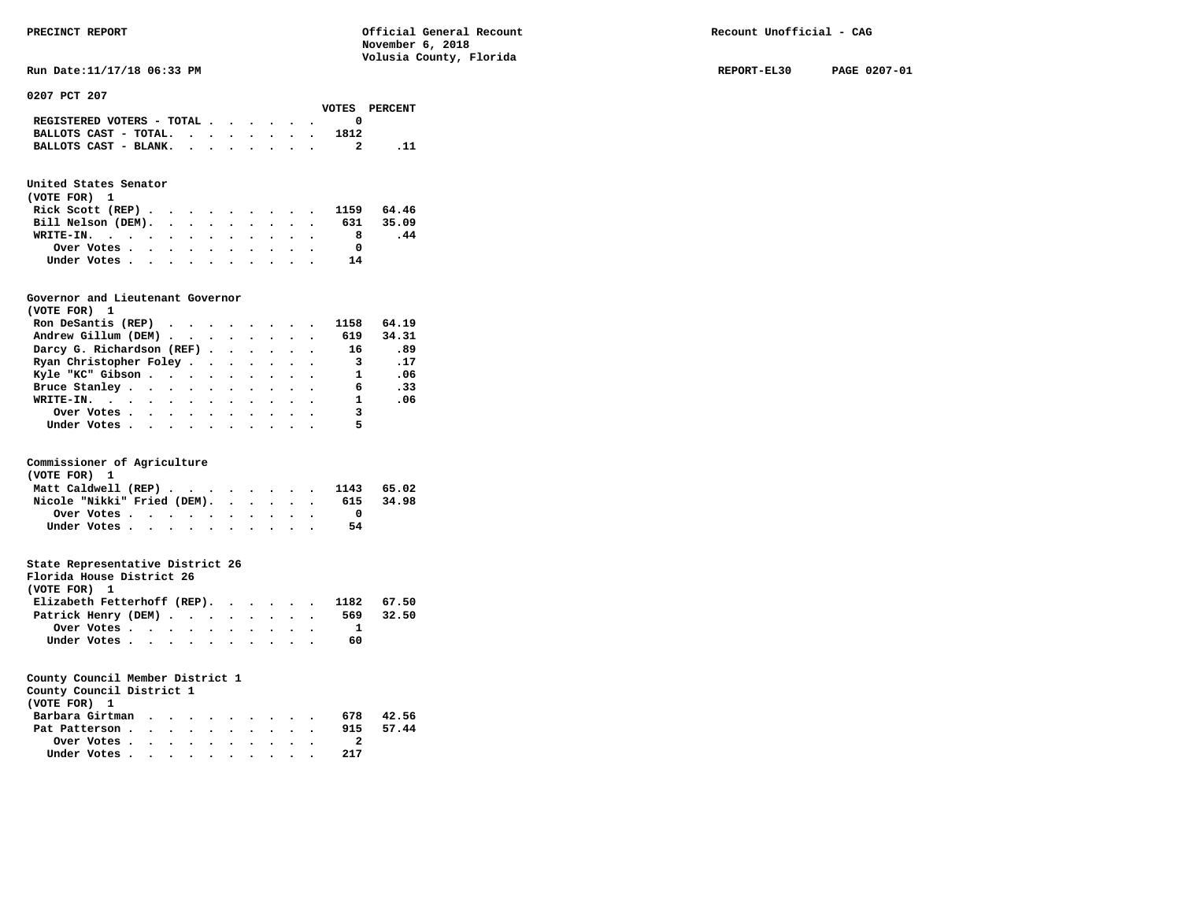**Run Date:11/17/18 06:33 PM REPORT-EL30 PAGE 0207-01** 

**0207 PCT 207** 

|  |  |  |      | VOTES PERCENT                                                                                                     |
|--|--|--|------|-------------------------------------------------------------------------------------------------------------------|
|  |  |  |      |                                                                                                                   |
|  |  |  | 1812 |                                                                                                                   |
|  |  |  |      |                                                                                                                   |
|  |  |  |      | REGISTERED VOTERS - TOTAL $\cdot$ , $\cdot$ , $\cdot$ , $\cdot$<br>BALLOTS CAST - TOTAL.<br>BALLOTS CAST - BLANK. |

# **United States Senator**

| (VOTE FOR) 1                 |  |  |  |  |    |     |
|------------------------------|--|--|--|--|----|-----|
| Rick Scott (REP) 1159 64.46  |  |  |  |  |    |     |
| Bill Nelson (DEM). 631 35.09 |  |  |  |  |    |     |
| WRITE-IN.                    |  |  |  |  |    | .44 |
| Over Votes                   |  |  |  |  |    |     |
| Under Votes                  |  |  |  |  | 14 |     |

### **Governor and Lieutenant Governor**

| (VOTE FOR) 1                                  |  |  |  |                            |       |
|-----------------------------------------------|--|--|--|----------------------------|-------|
| Ron DeSantis (REP) $\cdots$ $\cdots$ $\cdots$ |  |  |  | 1158                       | 64.19 |
| Andrew Gillum (DEM) 619                       |  |  |  |                            | 34.31 |
| Darcy G. Richardson (REF)                     |  |  |  | 16                         | -89.  |
| Ryan Christopher Foley                        |  |  |  | $\overline{\phantom{a}}$ 3 | .17   |
| Kyle "KC" Gibson                              |  |  |  | $\mathbf{1}$               | .06   |
| Bruce Stanley                                 |  |  |  | 6                          | .33   |
| WRITE-IN.                                     |  |  |  | $\mathbf{1}$               | .06   |
| Over Votes                                    |  |  |  | 3                          |       |
| Under Votes, , , , , , , , , , ,              |  |  |  | 5                          |       |

# **Commissioner of Agriculture**

| (VOTE FOR) 1 |                             |  |  |  |  |  |                                |       |
|--------------|-----------------------------|--|--|--|--|--|--------------------------------|-------|
|              |                             |  |  |  |  |  | Matt Caldwell (REP) 1143 65.02 |       |
|              | Nicole "Nikki" Fried (DEM). |  |  |  |  |  | 615                            | 34.98 |
|              | Over Votes                  |  |  |  |  |  |                                |       |
|              | Under Votes                 |  |  |  |  |  | 54                             |       |

# **State Representative District 26**

| Florida House District 26                |             |  |  |  |  |     |       |
|------------------------------------------|-------------|--|--|--|--|-----|-------|
| (VOTE FOR) 1                             |             |  |  |  |  |     |       |
| Elizabeth Fetterhoff (REP). 1182 $67.50$ |             |  |  |  |  |     |       |
| Patrick Henry (DEM)                      |             |  |  |  |  | 569 | 32.50 |
|                                          | Over Votes  |  |  |  |  |     |       |
|                                          | Under Votes |  |  |  |  | 60  |       |

# **County Council Member District 1**

**County Council District 1** 

| (VOTE FOR) 1    |  |  |  |  |     |       |
|-----------------|--|--|--|--|-----|-------|
| Barbara Girtman |  |  |  |  | 678 | 42.56 |
| Pat Patterson   |  |  |  |  | 915 | 57.44 |
| Over Votes      |  |  |  |  |     |       |
| Under Votes     |  |  |  |  | 217 |       |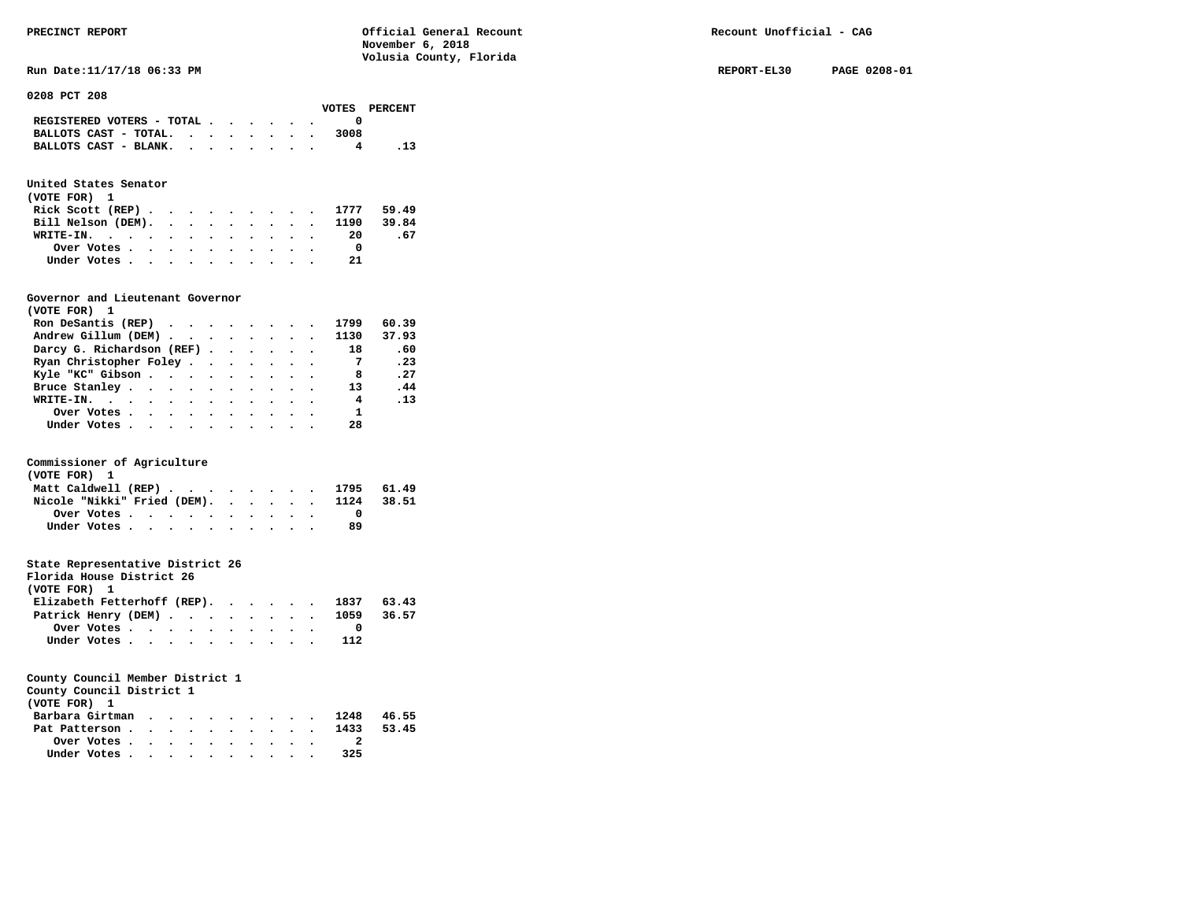**Run Date:11/17/18 06:33 PM REPORT-EL30 PAGE 0208-01** 

**0208 PCT 208** 

| VOTES PERCENT |      |  |  |  |                                                                           |
|---------------|------|--|--|--|---------------------------------------------------------------------------|
|               |      |  |  |  | REGISTERED VOTERS - TOTAL $\cdot$ $\cdot$ $\cdot$ $\cdot$ $\cdot$ $\cdot$ |
|               | 3008 |  |  |  | BALLOTS CAST - TOTAL. $\cdot$                                             |
|               |      |  |  |  | BALLOTS CAST - BLANK.                                                     |
|               |      |  |  |  |                                                                           |

# **United States Senator**

| (VOTE FOR) 1 |  |  |  |  |  |                               |      |
|--------------|--|--|--|--|--|-------------------------------|------|
|              |  |  |  |  |  | Rick Scott (REP) 1777 59.49   |      |
|              |  |  |  |  |  | Bill Nelson (DEM). 1190 39.84 |      |
|              |  |  |  |  |  | WRITE-IN. 20                  | - 67 |
| Over Votes   |  |  |  |  |  |                               |      |
| Under Votes  |  |  |  |  |  | -21                           |      |

### **Governor and Lieutenant Governor**

| (VOTE FOR) 1                                  |  |  |  |                         |          |
|-----------------------------------------------|--|--|--|-------------------------|----------|
| Ron DeSantis (REP) $\cdots$ $\cdots$ $\cdots$ |  |  |  | 1799                    | 60.39    |
| Andrew Gillum (DEM) 1130                      |  |  |  |                         | 37.93    |
| Darcy G. Richardson (REF)                     |  |  |  | 18                      | .60      |
| Ryan Christopher Foley                        |  |  |  | $\overline{7}$          | .23      |
| Kyle "KC" Gibson                              |  |  |  | - 8                     | .27      |
| Bruce Stanley                                 |  |  |  | 13                      | .44      |
| WRITE-IN.                                     |  |  |  | $\overline{\mathbf{4}}$ | $\ldots$ |
| Over Votes.                                   |  |  |  | $\mathbf{1}$            |          |
| Under Votes                                   |  |  |  | 28                      |          |

# **Commissioner of Agriculture**

| (VOTE FOR) 1                           |  |  |  |    |  |
|----------------------------------------|--|--|--|----|--|
| Matt Caldwell (REP) 1795 61.49         |  |  |  |    |  |
| Nicole "Nikki" Fried (DEM). 1124 38.51 |  |  |  |    |  |
| Over Votes                             |  |  |  |    |  |
| Under Votes                            |  |  |  | 89 |  |

# **State Representative District 26**

| Florida House District 26                               |  |  |  |  |  |     |  |
|---------------------------------------------------------|--|--|--|--|--|-----|--|
| (VOTE FOR) 1                                            |  |  |  |  |  |     |  |
| Elizabeth Fetterhoff (REP). 1837 $63.43$                |  |  |  |  |  |     |  |
| Patrick Henry (DEM) 1059 36.57                          |  |  |  |  |  |     |  |
| Over Votes $\cdots$ $\cdots$ $\cdots$ $\cdots$ $\cdots$ |  |  |  |  |  |     |  |
| Under Votes                                             |  |  |  |  |  | 112 |  |

| County Council District 1                               |  |  |  |  |     |  |
|---------------------------------------------------------|--|--|--|--|-----|--|
| (VOTE FOR) 1                                            |  |  |  |  |     |  |
| Barbara Girtman 1248 46.55                              |  |  |  |  |     |  |
| Pat Patterson 1433 53.45                                |  |  |  |  |     |  |
| Over Votes $\cdots$ $\cdots$ $\cdots$ $\cdots$ $\cdots$ |  |  |  |  |     |  |
| Under Votes                                             |  |  |  |  | 325 |  |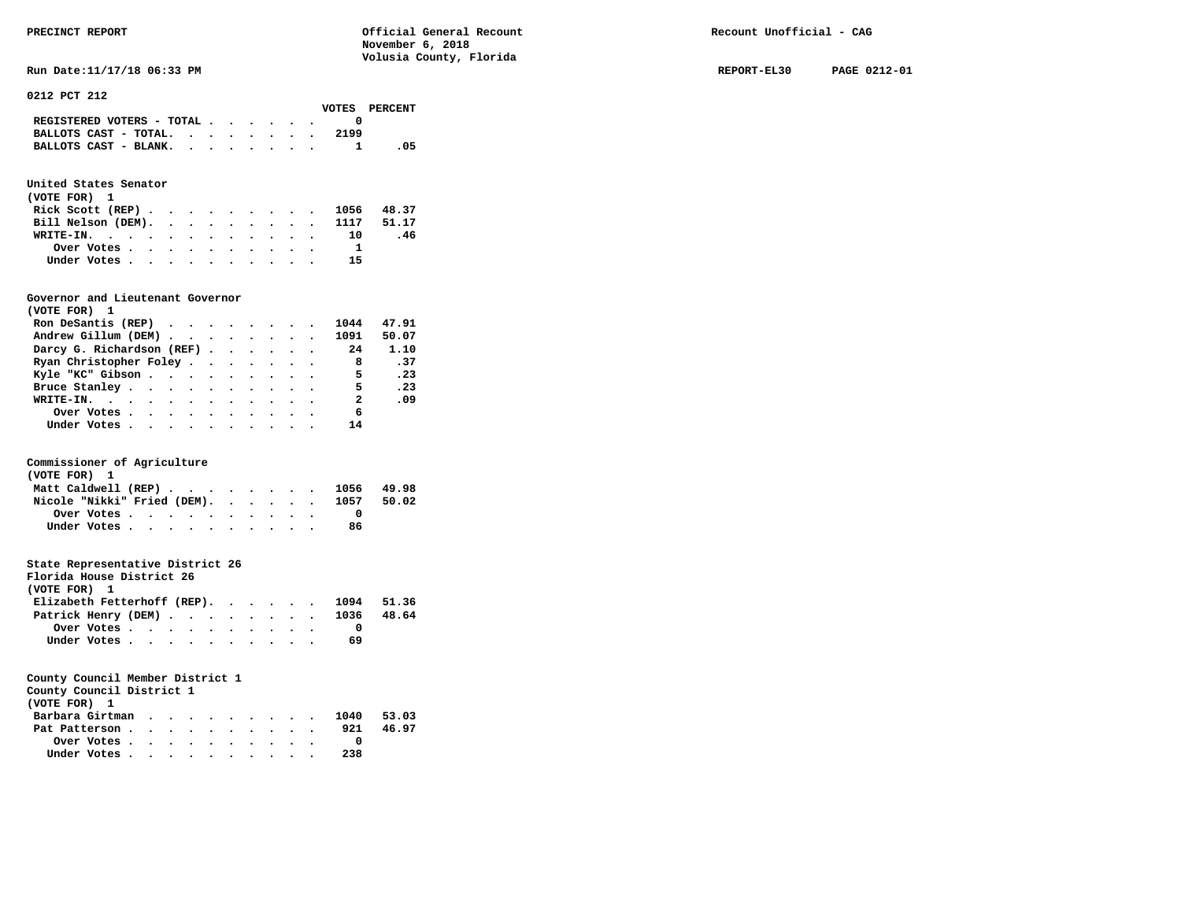**Run Date:11/17/18 06:33 PM REPORT-EL30 PAGE 0212-01** 

**0212 PCT 212** 

|                                                                           |  |  |  |      | VOTES PERCENT |
|---------------------------------------------------------------------------|--|--|--|------|---------------|
| REGISTERED VOTERS - TOTAL $\cdot$ $\cdot$ $\cdot$ $\cdot$ $\cdot$ $\cdot$ |  |  |  |      |               |
| BALLOTS CAST - TOTAL. $\cdot$ , , , , , , ,                               |  |  |  | 2199 |               |
| BALLOTS CAST - BLANK.                                                     |  |  |  |      | .05           |

# **United States Senator**

| (VOTE FOR) 1 |  |  |  |  |  |                               |     |  |
|--------------|--|--|--|--|--|-------------------------------|-----|--|
|              |  |  |  |  |  | Rick Scott (REP) 1056 48.37   |     |  |
|              |  |  |  |  |  | Bill Nelson (DEM). 1117 51.17 |     |  |
| WRITE-IN. 10 |  |  |  |  |  |                               | .46 |  |
| Over Votes   |  |  |  |  |  |                               |     |  |
| Under Votes  |  |  |  |  |  | 15                            |     |  |

# **Governor and Lieutenant Governor**

| (VOTE FOR) 1                                  |  |  |  |                            |       |
|-----------------------------------------------|--|--|--|----------------------------|-------|
| Ron DeSantis (REP) $\cdots$ $\cdots$ $\cdots$ |  |  |  | 1044                       | 47.91 |
| Andrew Gillum (DEM) 1091                      |  |  |  |                            | 50.07 |
| Darcy G. Richardson (REF)                     |  |  |  | 24                         | 1.10  |
| Ryan Christopher Foley                        |  |  |  | $\overline{\phantom{a}}$ 8 | .37   |
| Kyle "KC" Gibson                              |  |  |  | $\overline{\phantom{0}}$   | .23   |
| Bruce Stanley                                 |  |  |  | 5.                         | .23   |
| WRITE-IN.                                     |  |  |  | 2                          | .09   |
| Over Votes                                    |  |  |  | 6                          |       |
| Under Votes                                   |  |  |  | 14                         |       |

### **Commissioner of Agriculture**

| (VOTE FOR) 1                           |  |  |  |    |  |
|----------------------------------------|--|--|--|----|--|
| Matt Caldwell (REP) 1056 49.98         |  |  |  |    |  |
| Nicole "Nikki" Fried (DEM). 1057 50.02 |  |  |  |    |  |
| Over Votes                             |  |  |  |    |  |
| Under Votes                            |  |  |  | 86 |  |

# **State Representative District 26**

| Florida House District 26              |                                                         |  |  |  |  |    |  |
|----------------------------------------|---------------------------------------------------------|--|--|--|--|----|--|
| (VOTE FOR) 1                           |                                                         |  |  |  |  |    |  |
| Elizabeth Fetterhoff (REP). 1094 51.36 |                                                         |  |  |  |  |    |  |
| Patrick Henry (DEM) 1036 48.64         |                                                         |  |  |  |  |    |  |
|                                        | Over Votes $\cdots$ $\cdots$ $\cdots$ $\cdots$ $\cdots$ |  |  |  |  |    |  |
|                                        | Under Votes                                             |  |  |  |  | 69 |  |

| County Council District 1  |  |  |  |  |     |       |
|----------------------------|--|--|--|--|-----|-------|
| (VOTE FOR) 1               |  |  |  |  |     |       |
| Barbara Girtman 1040 53.03 |  |  |  |  |     |       |
| Pat Patterson              |  |  |  |  | 921 | 46.97 |
| Over Votes.                |  |  |  |  |     |       |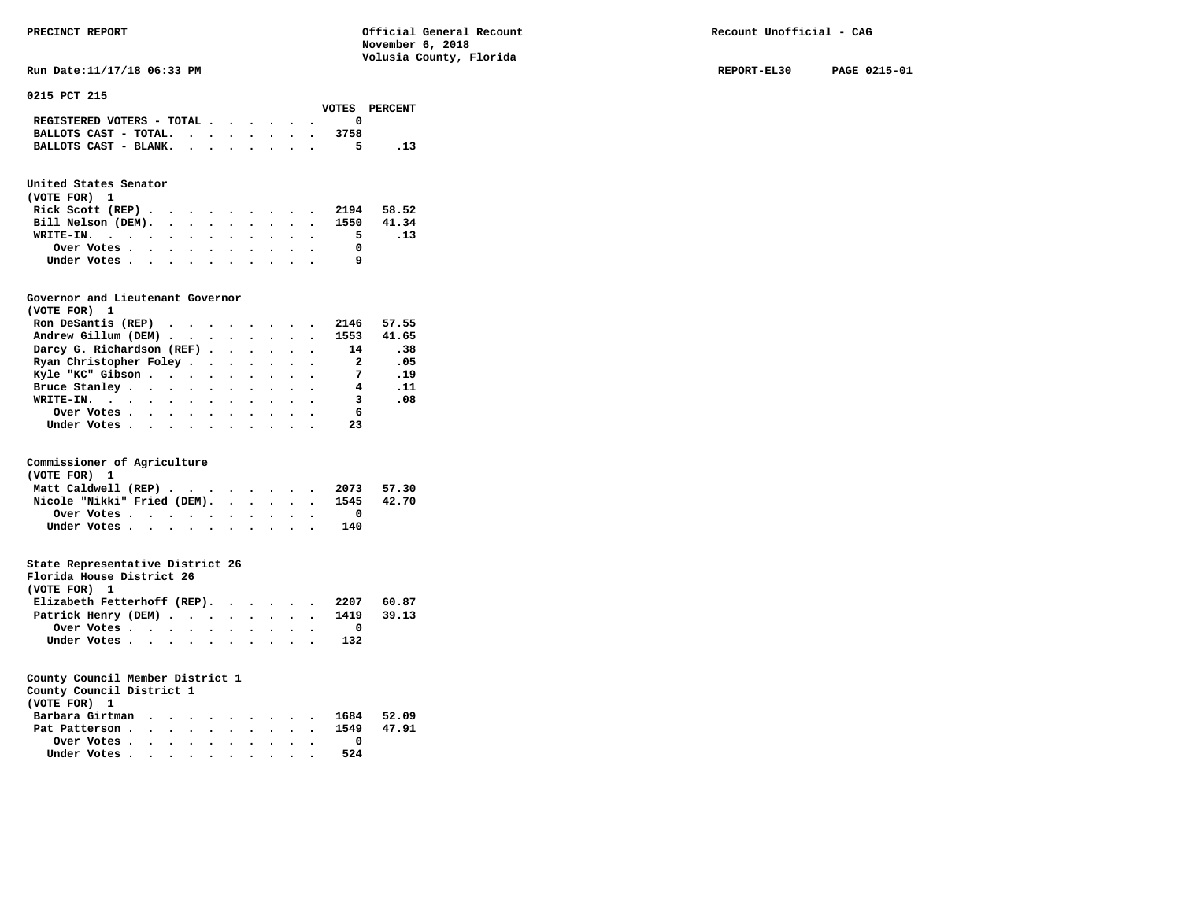**Run Date:11/17/18 06:33 PM REPORT-EL30 PAGE 0215-01** 

**0215 PCT 215** 

|                                                                           |  |  |  |      | VOTES PERCENT |
|---------------------------------------------------------------------------|--|--|--|------|---------------|
| REGISTERED VOTERS - TOTAL $\cdot$ $\cdot$ $\cdot$ $\cdot$ $\cdot$ $\cdot$ |  |  |  |      |               |
| BALLOTS CAST - TOTAL. $\cdot$                                             |  |  |  | 3758 |               |
| BALLOTS CAST - BLANK.                                                     |  |  |  | 5.   |               |

# **United States Senator**

| (VOTE FOR) 1 |  |  |  |  |  |                               |     |
|--------------|--|--|--|--|--|-------------------------------|-----|
|              |  |  |  |  |  | Rick Scott (REP) 2194 58.52   |     |
|              |  |  |  |  |  | Bill Nelson (DEM). 1550 41.34 |     |
| WRITE-IN.    |  |  |  |  |  | 5.                            | .13 |
| Over Votes   |  |  |  |  |  |                               |     |
| Under Votes  |  |  |  |  |  | q                             |     |

# **Governor and Lieutenant Governor**

| (VOTE FOR) 1                                  |  |  |  |                          |       |
|-----------------------------------------------|--|--|--|--------------------------|-------|
| Ron DeSantis (REP) $\cdots$ $\cdots$ $\cdots$ |  |  |  | 2146                     | 57.55 |
| Andrew Gillum (DEM) 1553                      |  |  |  |                          | 41.65 |
| Darcy G. Richardson (REF)                     |  |  |  | 14                       | .38   |
| Ryan Christopher Foley                        |  |  |  | $\overline{\phantom{a}}$ | .05   |
| Kyle "KC" Gibson                              |  |  |  | $\overline{7}$           | .19   |
| Bruce Stanley                                 |  |  |  | 4                        | . 11  |
| WRITE-IN.                                     |  |  |  | $\overline{\mathbf{3}}$  | .08   |
| Over Votes                                    |  |  |  | - 6                      |       |
| Under Votes                                   |  |  |  | 23                       |       |

# **Commissioner of Agriculture**

| (VOTE FOR) 1                           |  |  |  |     |  |
|----------------------------------------|--|--|--|-----|--|
| Matt Caldwell (REP) 2073 57.30         |  |  |  |     |  |
| Nicole "Nikki" Fried (DEM). 1545 42.70 |  |  |  |     |  |
|                                        |  |  |  |     |  |
| Under Votes                            |  |  |  | 140 |  |

# **State Representative District 26**

| Florida House District 26              |             |  |  |  |  |     |  |
|----------------------------------------|-------------|--|--|--|--|-----|--|
| (VOTE FOR) 1                           |             |  |  |  |  |     |  |
| Elizabeth Fetterhoff (REP). 2207 60.87 |             |  |  |  |  |     |  |
| Patrick Henry (DEM) 1419 39.13         |             |  |  |  |  |     |  |
|                                        |             |  |  |  |  |     |  |
|                                        | Under Votes |  |  |  |  | 132 |  |

| County Council District 1                               |  |  |  |  |     |  |
|---------------------------------------------------------|--|--|--|--|-----|--|
| (VOTE FOR) 1                                            |  |  |  |  |     |  |
| Barbara Girtman 1684 52.09                              |  |  |  |  |     |  |
| Pat Patterson 1549 47.91                                |  |  |  |  |     |  |
| Over Votes $\cdots$ $\cdots$ $\cdots$ $\cdots$ $\cdots$ |  |  |  |  |     |  |
| Under Votes                                             |  |  |  |  | 524 |  |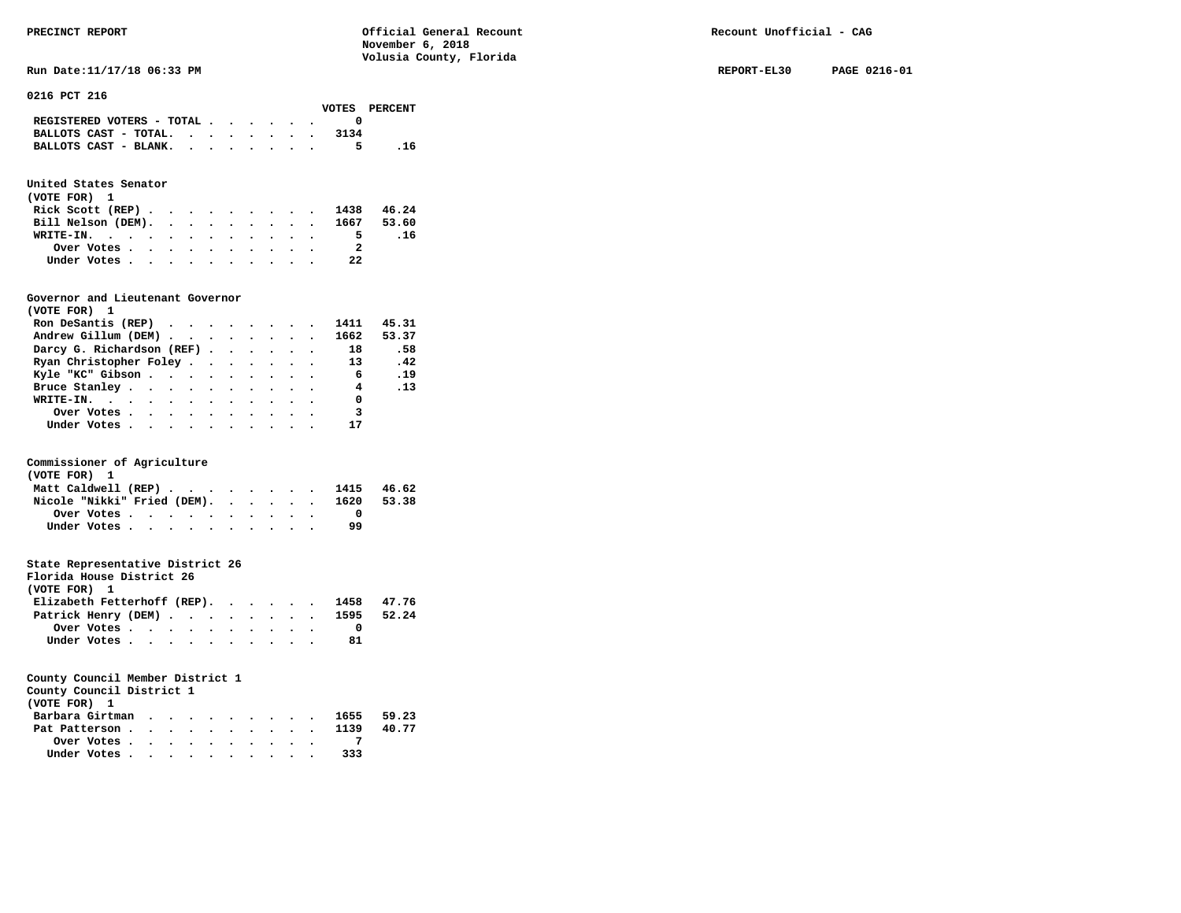**Run Date:11/17/18 06:33 PM REPORT-EL30 PAGE 0216-01 REPORT-EL30 PAGE 0216-01** 

**0216 PCT 216** 

|                                             |  |  |  |      | VOTES PERCENT |
|---------------------------------------------|--|--|--|------|---------------|
| REGISTERED VOTERS - TOTAL $\cdot$ , , , , . |  |  |  |      |               |
| BALLOTS CAST - TOTAL.                       |  |  |  | 3134 |               |
| BALLOTS CAST - BLANK.                       |  |  |  | 5.   | . 16          |

# **United States Senator**

| (VOTE FOR) 1 |             |  |  |  |  |  |                               |     |  |
|--------------|-------------|--|--|--|--|--|-------------------------------|-----|--|
|              |             |  |  |  |  |  | Rick Scott (REP) 1438 46.24   |     |  |
|              |             |  |  |  |  |  | Bill Nelson (DEM). 1667 53.60 |     |  |
|              | WRITE-IN.   |  |  |  |  |  | 5.                            | .16 |  |
|              | Over Votes  |  |  |  |  |  |                               |     |  |
|              | Under Votes |  |  |  |  |  | 22                            |     |  |

### **Governor and Lieutenant Governor**

| (VOTE FOR) 1                                                        |  |  |  |                            |          |
|---------------------------------------------------------------------|--|--|--|----------------------------|----------|
| Ron DeSantis (REP) $\cdot \cdot \cdot \cdot \cdot \cdot \cdot 1411$ |  |  |  |                            | 45.31    |
| Andrew Gillum (DEM) 1662 53.37                                      |  |  |  |                            |          |
| Darcy G. Richardson (REF) 18                                        |  |  |  |                            | .58      |
| Ryan Christopher Foley 13 . 42                                      |  |  |  |                            |          |
| Kyle "KC" Gibson 6 . 19                                             |  |  |  |                            |          |
| Bruce Stanley.                                                      |  |  |  | $\overline{\mathbf{4}}$    | $\ldots$ |
| WRITE-IN. 0                                                         |  |  |  |                            |          |
| Over Votes.                                                         |  |  |  | $\overline{\phantom{a}}$ 3 |          |
| Under Votes                                                         |  |  |  | 17                         |          |

# **Commissioner of Agriculture**

| (VOTE FOR) 1                     |  |  |  |  |  |    |       |
|----------------------------------|--|--|--|--|--|----|-------|
| Matt Caldwell (REP) 1415 46.62   |  |  |  |  |  |    |       |
| Nicole "Nikki" Fried (DEM). 1620 |  |  |  |  |  |    | 53.38 |
| Over Votes                       |  |  |  |  |  |    |       |
| Under Votes                      |  |  |  |  |  | 99 |       |

# **State Representative District 26**

| Florida House District 26              |                                                         |  |  |  |  |    |  |
|----------------------------------------|---------------------------------------------------------|--|--|--|--|----|--|
| (VOTE FOR) 1                           |                                                         |  |  |  |  |    |  |
| Elizabeth Fetterhoff (REP). 1458 47.76 |                                                         |  |  |  |  |    |  |
| Patrick Henry (DEM) 1595 52.24         |                                                         |  |  |  |  |    |  |
|                                        | Over Votes $\cdots$ $\cdots$ $\cdots$ $\cdots$ $\cdots$ |  |  |  |  |    |  |
|                                        | Under Votes                                             |  |  |  |  | 81 |  |

| County Council District 1                                                        |  |  |  |  |  |  |
|----------------------------------------------------------------------------------|--|--|--|--|--|--|
| (VOTE FOR) 1                                                                     |  |  |  |  |  |  |
| Barbara Girtman 1655 59.23                                                       |  |  |  |  |  |  |
| Pat Patterson 1139 40.77                                                         |  |  |  |  |  |  |
|                                                                                  |  |  |  |  |  |  |
| Under Votes, $\cdot$ , $\cdot$ , $\cdot$ , $\cdot$ , $\cdot$ , $\cdot$ , $\cdot$ |  |  |  |  |  |  |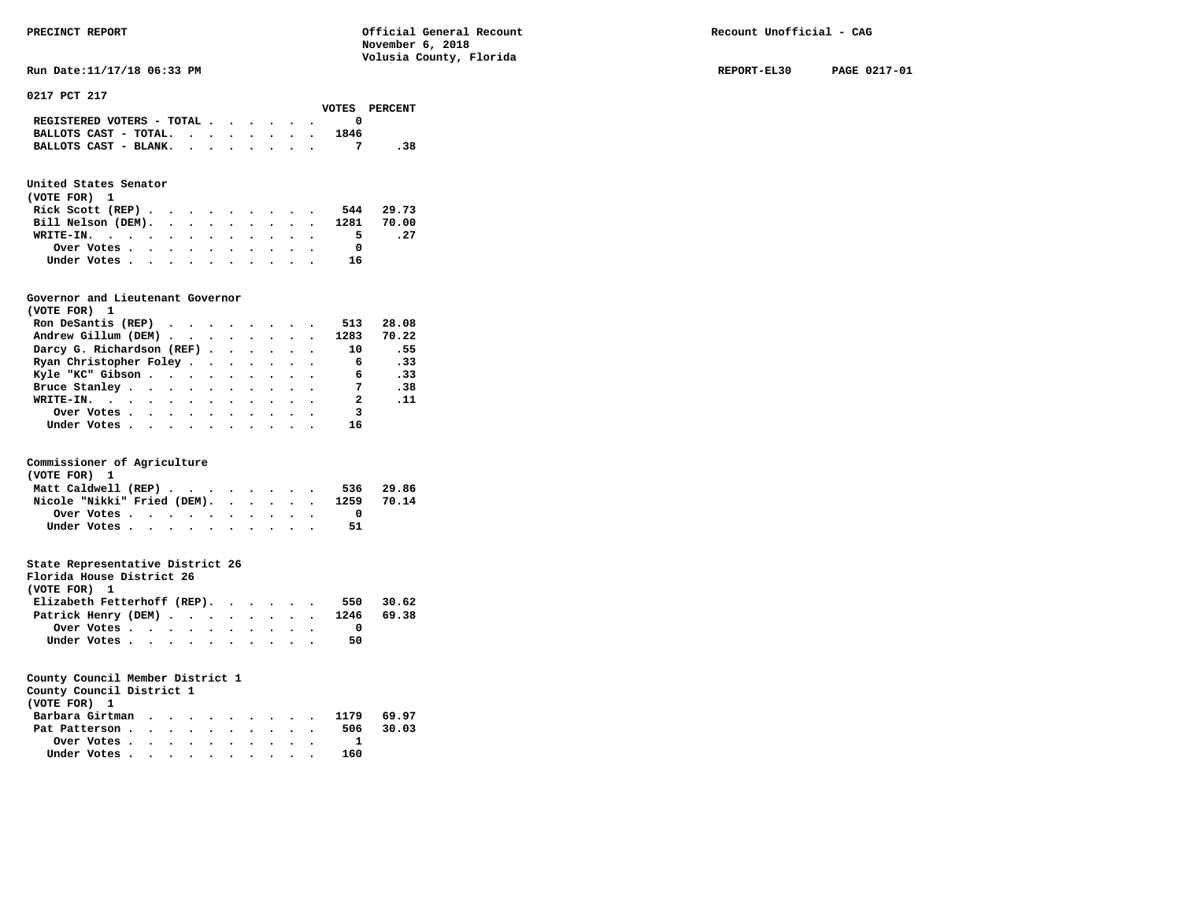**Run Date:11/17/18 06:33 PM REPORT-EL30 PAGE 0217-01** 

**0217 PCT 217** 

|                                                                           |  |  |  |      | VOTES PERCENT |
|---------------------------------------------------------------------------|--|--|--|------|---------------|
| REGISTERED VOTERS - TOTAL $\cdot$ $\cdot$ $\cdot$ $\cdot$ $\cdot$ $\cdot$ |  |  |  |      |               |
| BALLOTS CAST - TOTAL. $\cdot$                                             |  |  |  | 1846 |               |
| BALLOTS CAST - BLANK.                                                     |  |  |  |      | .38           |
|                                                                           |  |  |  |      |               |

# **United States Senator**

| (VOTE FOR) 1                                |  |  |  |  |    |           |
|---------------------------------------------|--|--|--|--|----|-----------|
| Rick Scott (REP) $\cdots$ $\cdots$ $\cdots$ |  |  |  |  |    | 544 29.73 |
| Bill Nelson (DEM). 1281 70.00               |  |  |  |  |    |           |
| WRITE-IN.                                   |  |  |  |  | 5. | . 27      |
| Over Votes                                  |  |  |  |  |    |           |
| Under Votes                                 |  |  |  |  | 16 |           |

### **Governor and Lieutenant Governor**

| (VOTE FOR) 1                                      |  |  |  |                         |            |
|---------------------------------------------------|--|--|--|-------------------------|------------|
| Ron DeSantis (REP) $\cdots$ $\cdots$ $\cdots$ 513 |  |  |  |                         | 28.08      |
| Andrew Gillum (DEM) 1283                          |  |  |  |                         | 70.22      |
| Darcy G. Richardson (REF)                         |  |  |  | 10                      | .55        |
| Ryan Christopher Foley                            |  |  |  | 6                       | .33        |
| Kyle "KC" Gibson                                  |  |  |  | $6\overline{6}$         | .33        |
| Bruce Stanley                                     |  |  |  | $\overline{7}$          | .38        |
| WRITE-IN.                                         |  |  |  | 2                       | $\cdot$ 11 |
| Over Votes                                        |  |  |  | $\overline{\mathbf{3}}$ |            |
| Under Votes                                       |  |  |  | 16                      |            |

# **Commissioner of Agriculture**

| (VOTE FOR) 1        |             |  |  |  |  |  |                                        |           |
|---------------------|-------------|--|--|--|--|--|----------------------------------------|-----------|
| Matt Caldwell (REP) |             |  |  |  |  |  |                                        | 536 29.86 |
|                     |             |  |  |  |  |  | Nicole "Nikki" Fried (DEM). 1259 70.14 |           |
|                     | Over Votes  |  |  |  |  |  |                                        |           |
|                     | Under Votes |  |  |  |  |  | 51.                                    |           |

# **State Representative District 26**

| Florida House District 26      |                                                         |  |  |  |  |     |       |
|--------------------------------|---------------------------------------------------------|--|--|--|--|-----|-------|
| (VOTE FOR) 1                   |                                                         |  |  |  |  |     |       |
| Elizabeth Fetterhoff (REP).    |                                                         |  |  |  |  | 550 | 30.62 |
| Patrick Henry (DEM) 1246 69.38 |                                                         |  |  |  |  |     |       |
|                                | Over Votes $\cdots$ $\cdots$ $\cdots$ $\cdots$ $\cdots$ |  |  |  |  |     |       |
|                                | Under Votes                                             |  |  |  |  | 50  |       |

# **County Council Member District 1**

**County Council District 1** 

| (VOTE FOR) 1                                            |  |  |  |  |     |           |
|---------------------------------------------------------|--|--|--|--|-----|-----------|
| Barbara Girtman 1179 69.97                              |  |  |  |  |     |           |
| Pat Patterson                                           |  |  |  |  |     | 506 30.03 |
| Over Votes $\cdots$ $\cdots$ $\cdots$ $\cdots$ $\cdots$ |  |  |  |  |     |           |
| Under Votes                                             |  |  |  |  | 160 |           |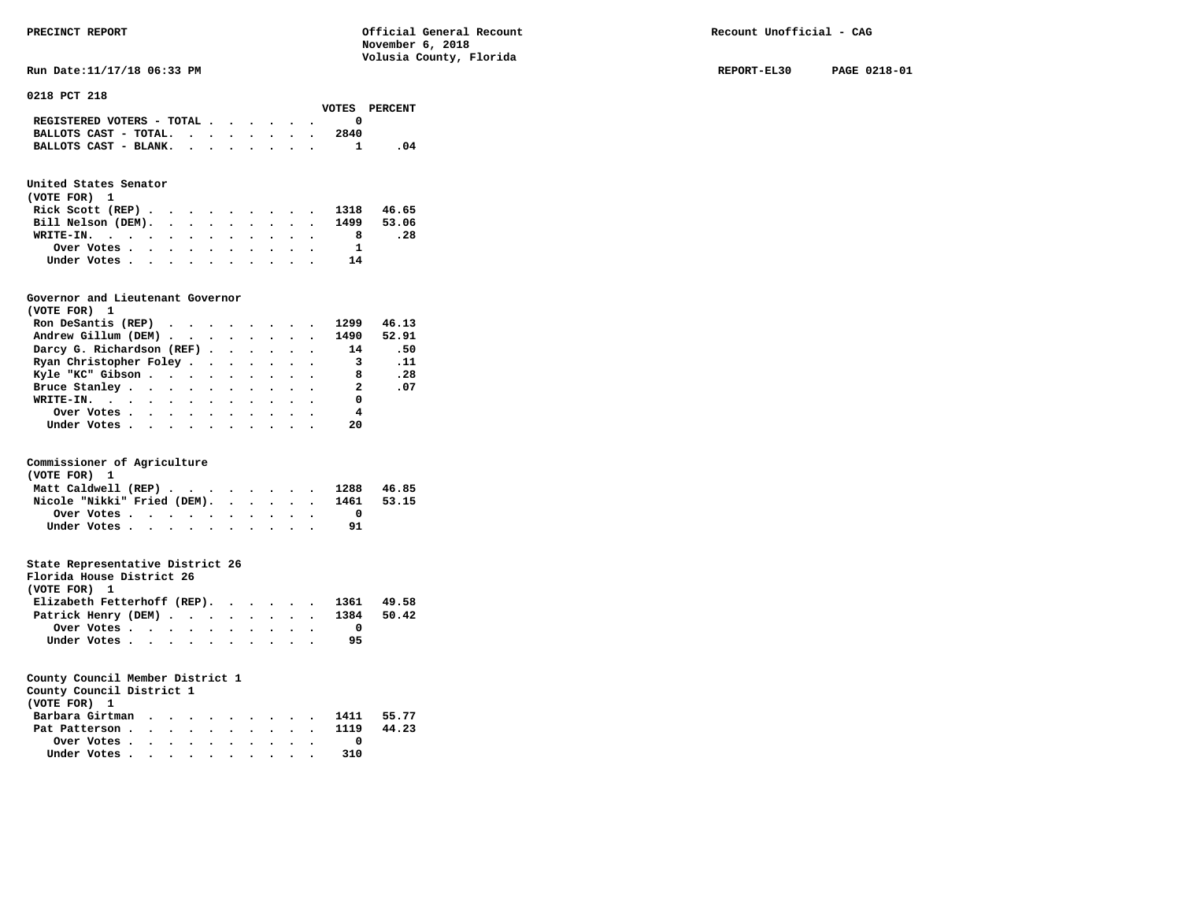**Run Date:11/17/18 06:33 PM REPORT-EL30 PAGE 0218-01** 

**0218 PCT 218** 

|                                                                           |  |  |  |      | VOTES PERCENT |
|---------------------------------------------------------------------------|--|--|--|------|---------------|
| REGISTERED VOTERS - TOTAL $\cdot$ $\cdot$ $\cdot$ $\cdot$ $\cdot$ $\cdot$ |  |  |  |      |               |
| BALLOTS CAST - TOTAL. $\cdot$                                             |  |  |  | 2840 |               |
| BALLOTS CAST - BLANK.                                                     |  |  |  |      |               |

# **United States Senator**

| (VOTE FOR) 1 |  |  |  |  |  |                               |     |  |
|--------------|--|--|--|--|--|-------------------------------|-----|--|
|              |  |  |  |  |  | Rick Scott (REP) 1318 46.65   |     |  |
|              |  |  |  |  |  | Bill Nelson (DEM). 1499 53.06 |     |  |
| WRITE-IN.    |  |  |  |  |  |                               | .28 |  |
| Over Votes   |  |  |  |  |  |                               |     |  |
| Under Votes  |  |  |  |  |  | 14                            |     |  |

# **Governor and Lieutenant Governor**

| (VOTE FOR) 1                   |  |  |  |                          |          |
|--------------------------------|--|--|--|--------------------------|----------|
| Ron DeSantis (REP)             |  |  |  | 1299                     | 46.13    |
| Andrew Gillum (DEM) 1490 52.91 |  |  |  |                          |          |
| Darcy G. Richardson (REF) 14   |  |  |  |                          | .50      |
| Ryan Christopher Foley 3       |  |  |  |                          | $\ldots$ |
| Kyle "KC" Gibson 8             |  |  |  |                          | .28      |
| Bruce Stanley.                 |  |  |  | $\overline{\phantom{a}}$ | .07      |
| WRITE-IN. 0                    |  |  |  |                          |          |
| Over Votes.                    |  |  |  | 4                        |          |
| Under Votes                    |  |  |  | 20                       |          |

# **Commissioner of Agriculture**

| (VOTE FOR) 1                           |  |  |  |  |  |  |
|----------------------------------------|--|--|--|--|--|--|
| Matt Caldwell (REP) 1288 46.85         |  |  |  |  |  |  |
| Nicole "Nikki" Fried (DEM). 1461 53.15 |  |  |  |  |  |  |
| Over Votes                             |  |  |  |  |  |  |
| Under Votes                            |  |  |  |  |  |  |

# **State Representative District 26**

| Florida House District 26              |                                                         |  |  |  |  |    |  |
|----------------------------------------|---------------------------------------------------------|--|--|--|--|----|--|
| (VOTE FOR) 1                           |                                                         |  |  |  |  |    |  |
| Elizabeth Fetterhoff (REP). 1361 49.58 |                                                         |  |  |  |  |    |  |
| Patrick Henry (DEM) 1384 50.42         |                                                         |  |  |  |  |    |  |
|                                        | Over Votes $\cdots$ $\cdots$ $\cdots$ $\cdots$ $\cdots$ |  |  |  |  |    |  |
|                                        | Under Votes                                             |  |  |  |  | 95 |  |

| County Council District 1<br>(VOTE FOR) 1               |  |  |  |  |  |     |  |
|---------------------------------------------------------|--|--|--|--|--|-----|--|
| Barbara Girtman 1411 55.77                              |  |  |  |  |  |     |  |
|                                                         |  |  |  |  |  |     |  |
| Pat Patterson 1119 44.23                                |  |  |  |  |  |     |  |
| Over Votes $\cdots$ $\cdots$ $\cdots$ $\cdots$ $\cdots$ |  |  |  |  |  |     |  |
| Under Votes                                             |  |  |  |  |  | 310 |  |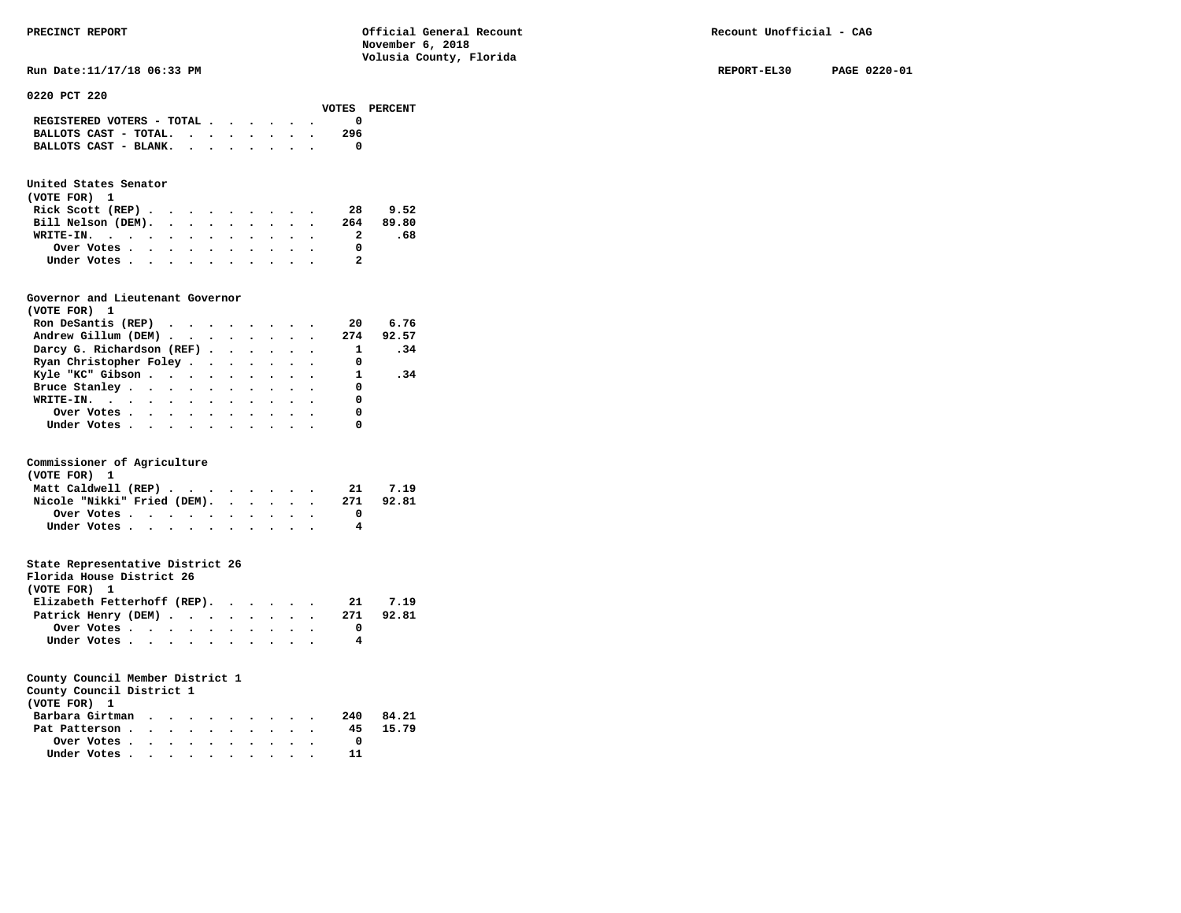| PRECINCT REPORT                                                           | Official General Recount<br>November 6, 2018<br>Volusia County, Florida | Recount Unofficial - CAG |              |
|---------------------------------------------------------------------------|-------------------------------------------------------------------------|--------------------------|--------------|
| Run Date: 11/17/18 06:33 PM                                               |                                                                         | REPORT-EL30              | PAGE 0220-01 |
| 0220 PCT 220<br>VOTES                                                     | PERCENT                                                                 |                          |              |
| REGISTERED VOTERS - TOTAL $\cdot$ $\cdot$ $\cdot$ $\cdot$ $\cdot$ $\cdot$ |                                                                         |                          |              |
| 296<br>BALLOTS CAST - TOTAL.                                              |                                                                         |                          |              |
| BALLOTS CAST - BLANK. $\cdot$ , $\cdot$ , $\cdot$ , $\cdot$               | 0                                                                       |                          |              |
| United States Senator                                                     |                                                                         |                          |              |

| (VOTE FOR) 1                                            |  |  |  |  |     |           |
|---------------------------------------------------------|--|--|--|--|-----|-----------|
| Rick Scott $(REP)$                                      |  |  |  |  | -28 | 9.52      |
| Bill Nelson (DEM).                                      |  |  |  |  |     | 264 89.80 |
| WRITE-IN.                                               |  |  |  |  |     | .68       |
| Over Votes $\cdots$ $\cdots$ $\cdots$ $\cdots$ $\cdots$ |  |  |  |  |     |           |
| Under Votes                                             |  |  |  |  |     |           |

### **Governor and Lieutenant Governor**

| (VOTE FOR) 1                                              |  |  |  |              |      |
|-----------------------------------------------------------|--|--|--|--------------|------|
| Ron DeSantis (REP) $\cdots$ $\cdots$ $\cdots$ $\cdots$ 20 |  |  |  |              | 6.76 |
| Andrew Gillum (DEM) 274 92.57                             |  |  |  |              |      |
| Darcy G. Richardson (REF)                                 |  |  |  | $\mathbf{1}$ | .34  |
| Ryan Christopher Foley                                    |  |  |  | 0            |      |
| Kyle "KC" Gibson 1                                        |  |  |  |              | .34  |
| Bruce Stanley                                             |  |  |  | 0            |      |
| WRITE-IN. $\blacksquare$                                  |  |  |  | 0            |      |
| Over Votes.                                               |  |  |  | 0            |      |
| Under Votes                                               |  |  |  |              |      |

# **Commissioner of Agriculture**

| (VOTE FOR) 1                |            |  |  |  |  |  |     |       |
|-----------------------------|------------|--|--|--|--|--|-----|-------|
| Matt Caldwell (REP)         |            |  |  |  |  |  | 21  | 7.19  |
| Nicole "Nikki" Fried (DEM). |            |  |  |  |  |  | 271 | 92.81 |
|                             | Over Votes |  |  |  |  |  |     |       |
| Under Votes                 |            |  |  |  |  |  |     |       |

# **State Representative District 26**

| 7.19  |
|-------|
| 92.81 |
|       |
|       |
|       |

| County Council District 1                               |  |  |  |  |     |       |
|---------------------------------------------------------|--|--|--|--|-----|-------|
| (VOTE FOR) 1                                            |  |  |  |  |     |       |
| Barbara Girtman                                         |  |  |  |  | 240 | 84.21 |
| Pat Patterson                                           |  |  |  |  | 45  | 15.79 |
| Over Votes $\cdots$ $\cdots$ $\cdots$ $\cdots$ $\cdots$ |  |  |  |  |     |       |
| Under Votes                                             |  |  |  |  |     |       |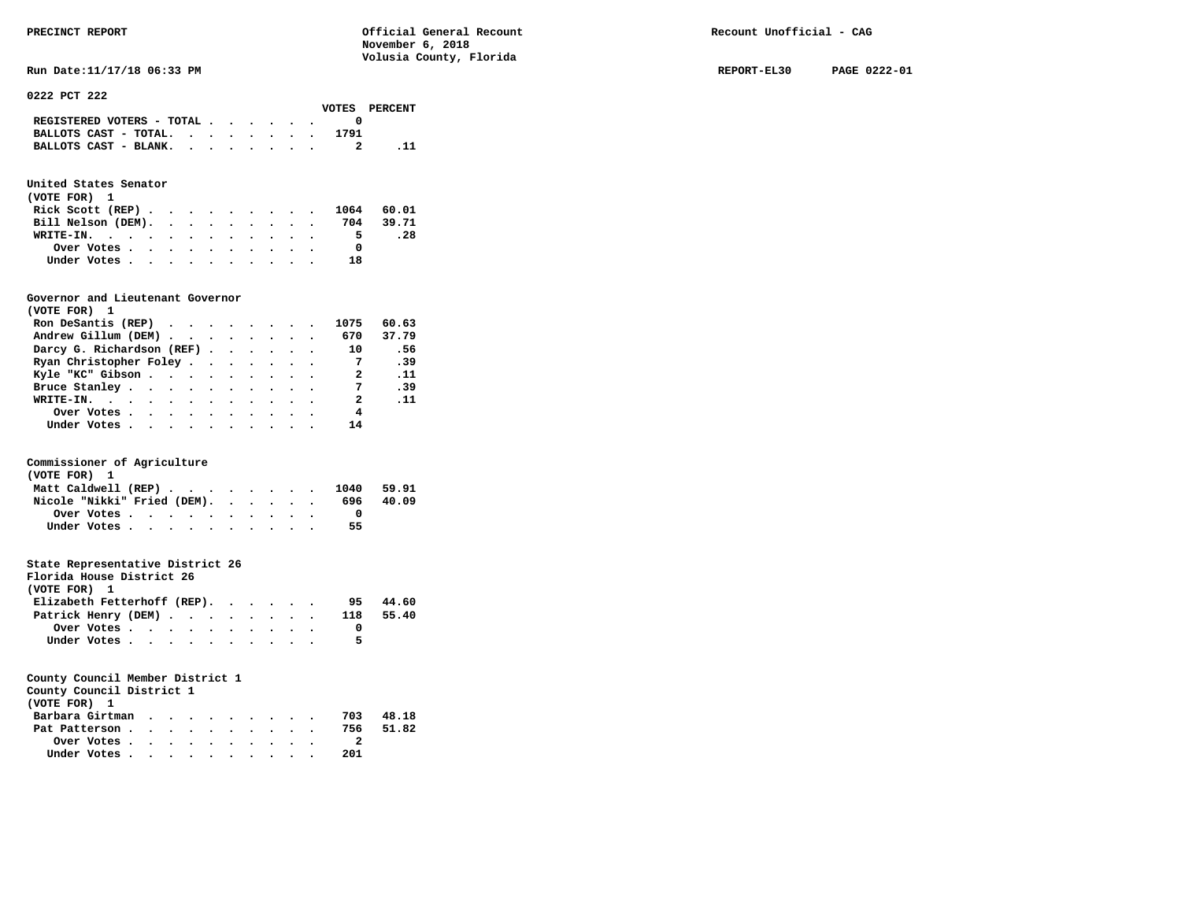**Run Date:11/17/18 06:33 PM REPORT-EL30 PAGE 0222-01** 

**0222 PCT 222** 

|                                             |  |  |  |      | VOTES PERCENT |
|---------------------------------------------|--|--|--|------|---------------|
| REGISTERED VOTERS - TOTAL $\cdot$ , , , , . |  |  |  |      |               |
| BALLOTS CAST - TOTAL.                       |  |  |  | 1791 |               |
| BALLOTS CAST - BLANK.                       |  |  |  |      |               |
|                                             |  |  |  |      |               |

# **United States Senator**

| (VOTE FOR) 1                                            |  |  |  |  |    |           |
|---------------------------------------------------------|--|--|--|--|----|-----------|
| Rick Scott (REP) 1064 60.01                             |  |  |  |  |    |           |
| Bill Nelson (DEM).                                      |  |  |  |  |    | 704 39.71 |
| WRITE-IN.                                               |  |  |  |  | 5. | .28       |
| Over Votes $\cdots$ $\cdots$ $\cdots$ $\cdots$ $\cdots$ |  |  |  |  |    |           |
| Under Votes                                             |  |  |  |  | 18 |           |

### **Governor and Lieutenant Governor**

| (VOTE FOR) 1                                  |  |  |  |                |       |
|-----------------------------------------------|--|--|--|----------------|-------|
| Ron DeSantis (REP) $\cdots$ $\cdots$ $\cdots$ |  |  |  | 1075           | 60.63 |
| Andrew Gillum (DEM) 670                       |  |  |  |                | 37.79 |
| Darcy G. Richardson (REF)                     |  |  |  | 10             | - 56  |
| Ryan Christopher Foley                        |  |  |  |                | .39   |
| Kyle "KC" Gibson                              |  |  |  | 2              | . 11  |
| Bruce Stanley                                 |  |  |  | $\overline{7}$ | .39   |
| WRITE-IN.                                     |  |  |  | 2              | . 11  |
| Over Votes                                    |  |  |  | 4              |       |
| Under Votes, , , , , , , , , , ,              |  |  |  | 14             |       |

# **Commissioner of Agriculture**

| (VOTE FOR) 1                                                               |  |  |  |  |  |     |       |
|----------------------------------------------------------------------------|--|--|--|--|--|-----|-------|
| Matt Caldwell (REP) $\cdot \cdot \cdot \cdot \cdot \cdot \cdot \cdot 1040$ |  |  |  |  |  |     | 59.91 |
| Nicole "Nikki" Fried (DEM).                                                |  |  |  |  |  | 696 | 40.09 |
| Over Votes                                                                 |  |  |  |  |  |     |       |
| Under Votes                                                                |  |  |  |  |  | 55  |       |

# **State Representative District 26**

| Florida House District 26   |            |  |  |  |  |     |       |
|-----------------------------|------------|--|--|--|--|-----|-------|
| (VOTE FOR) 1                |            |  |  |  |  |     |       |
| Elizabeth Fetterhoff (REP). |            |  |  |  |  | 95  | 44.60 |
| Patrick Henry (DEM)         |            |  |  |  |  | 118 | 55.40 |
|                             | Over Votes |  |  |  |  |     |       |
| Under Votes                 |            |  |  |  |  | 5   |       |

# **County Council Member District 1**

**County Council District 1** 

| (VOTE FOR) 1    |  |  |  |  |     |       |
|-----------------|--|--|--|--|-----|-------|
| Barbara Girtman |  |  |  |  | 703 | 48.18 |
| Pat Patterson   |  |  |  |  | 756 | 51.82 |
| Over Votes      |  |  |  |  |     |       |
| Under Votes     |  |  |  |  | 201 |       |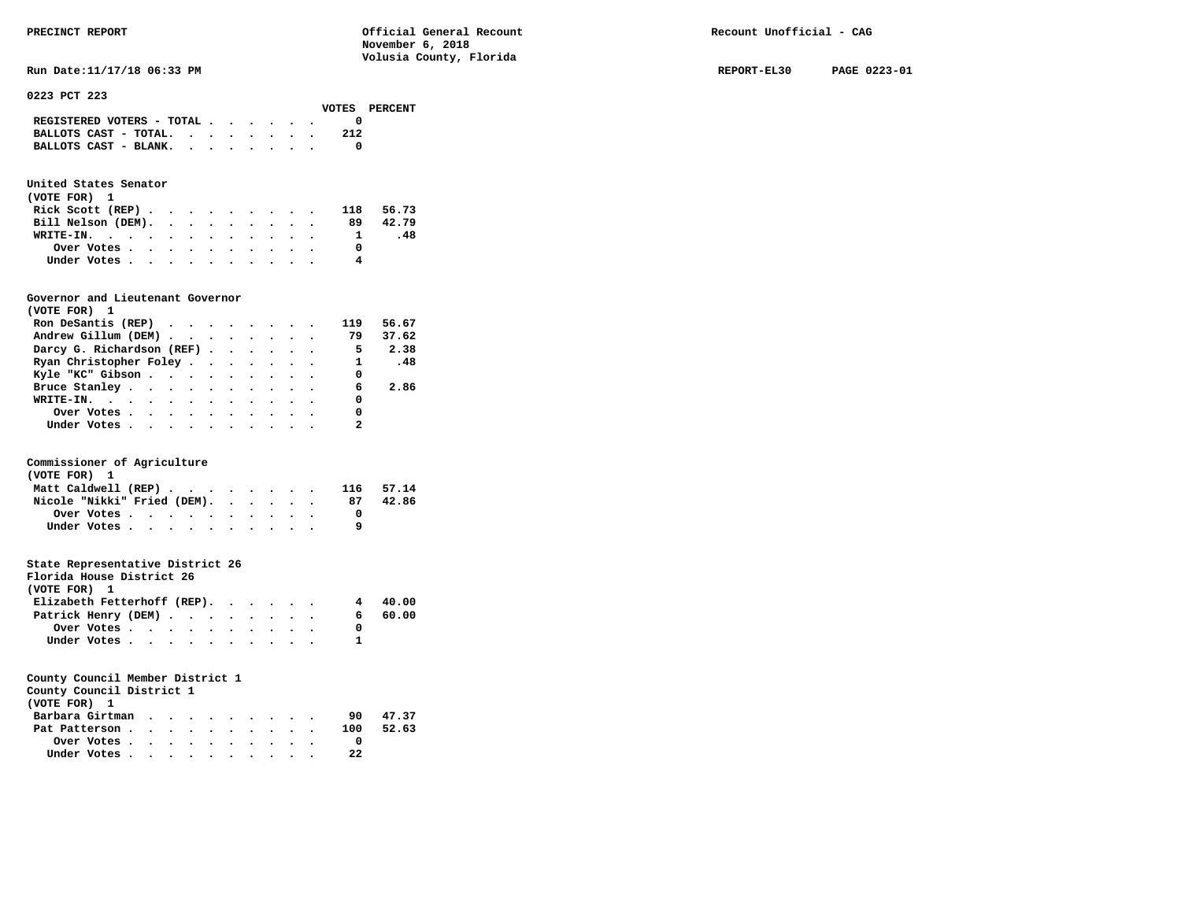# **United States Senator**

| (VOTE FOR) 1       |  |  |  |  |    |           |
|--------------------|--|--|--|--|----|-----------|
| Rick Scott $(REP)$ |  |  |  |  |    | 118 56.73 |
| Bill Nelson (DEM). |  |  |  |  | 89 | 42.79     |
| WRITE-IN.          |  |  |  |  |    | -48       |
| Over Votes         |  |  |  |  |    |           |
| Under Votes        |  |  |  |  | 4  |           |

### **Governor and Lieutenant Governor**

| (VOTE FOR) 1                                  |  |  |  |                          |       |
|-----------------------------------------------|--|--|--|--------------------------|-------|
| Ron DeSantis (REP) $\cdots$ $\cdots$ $\cdots$ |  |  |  | 119                      | 56.67 |
| Andrew Gillum (DEM)                           |  |  |  | 79                       | 37.62 |
| Darcy G. Richardson (REF)                     |  |  |  | $\overline{\phantom{0}}$ | 2.38  |
| Ryan Christopher Foley                        |  |  |  | 1 .48                    |       |
| Kyle "KC" Gibson                              |  |  |  | 0                        |       |
| Bruce Stanley.                                |  |  |  | 6                        | 2.86  |
| WRITE-IN.                                     |  |  |  | 0                        |       |
| Over Votes                                    |  |  |  | 0                        |       |
| Under Votes                                   |  |  |  |                          |       |

### **Commissioner of Agriculture**

| (VOTE FOR) 1                                            |  |  |  |  |  |    |           |
|---------------------------------------------------------|--|--|--|--|--|----|-----------|
| Matt Caldwell (REP)                                     |  |  |  |  |  |    | 116 57.14 |
| Nicole "Nikki" Fried (DEM).                             |  |  |  |  |  | 87 | 42.86     |
| Over Votes $\cdots$ $\cdots$ $\cdots$ $\cdots$ $\cdots$ |  |  |  |  |  |    |           |
| Under Votes                                             |  |  |  |  |  |    |           |

# **State Representative District 26**

| Florida House District 26                               |  |  |  |    |         |
|---------------------------------------------------------|--|--|--|----|---------|
| (VOTE FOR) 1                                            |  |  |  |    |         |
| Elizabeth Fetterhoff (REP).                             |  |  |  |    | 4 40.00 |
| Patrick Henry (DEM)                                     |  |  |  | 6. | 60.00   |
| Over Votes $\cdots$ $\cdots$ $\cdots$ $\cdots$ $\cdots$ |  |  |  |    |         |
| Under Votes                                             |  |  |  |    |         |

| County Council District 1 |  |  |  |  |     |       |
|---------------------------|--|--|--|--|-----|-------|
| (VOTE FOR) 1              |  |  |  |  |     |       |
| Barbara Girtman           |  |  |  |  | 90  | 47.37 |
| Pat Patterson             |  |  |  |  | 100 | 52.63 |
| Over Votes.               |  |  |  |  |     |       |

| Under Votes, , , , , , , , , , , 22 |  |  |  |  |  |
|-------------------------------------|--|--|--|--|--|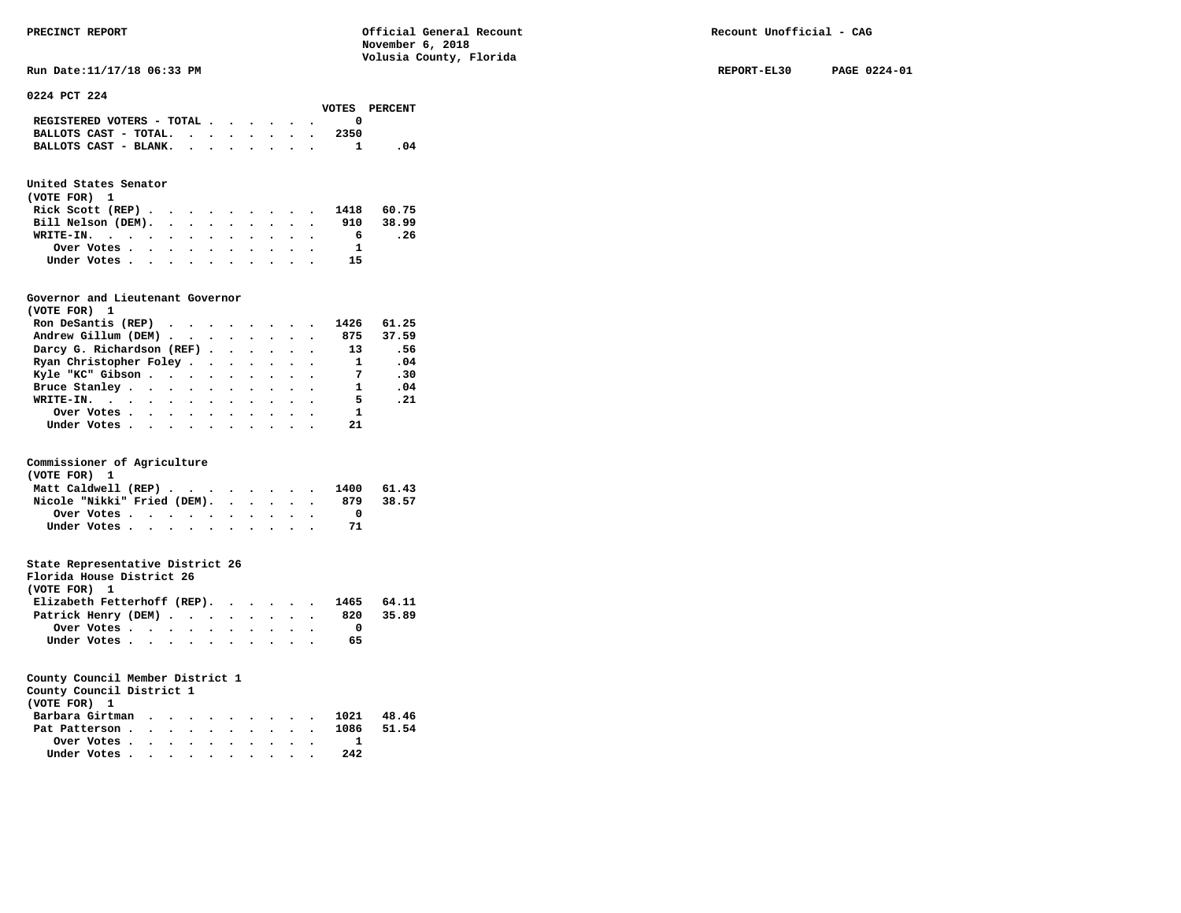**Run Date:11/17/18 06:33 PM REPORT-EL30 PAGE 0224-01** 

|  | 0224 PCT 224 |  |  |  |
|--|--------------|--|--|--|
|--|--------------|--|--|--|

|                                                                           |  |  |  |      | VOTES PERCENT |
|---------------------------------------------------------------------------|--|--|--|------|---------------|
| REGISTERED VOTERS - TOTAL $\cdot$ $\cdot$ $\cdot$ $\cdot$ $\cdot$ $\cdot$ |  |  |  |      |               |
| BALLOTS CAST - TOTAL.                                                     |  |  |  | 2350 |               |
|                                                                           |  |  |  |      |               |

# **United States Senator**

| (VOTE FOR) 1                |  |  |  |  |  |    |           |
|-----------------------------|--|--|--|--|--|----|-----------|
| Rick Scott (REP) 1418 60.75 |  |  |  |  |  |    |           |
| Bill Nelson (DEM).          |  |  |  |  |  |    | 910 38.99 |
| WRITE-IN.                   |  |  |  |  |  | 6  | . 26      |
| Over Votes                  |  |  |  |  |  |    |           |
| Under Votes                 |  |  |  |  |  | 15 |           |

# **Governor and Lieutenant Governor**

| (VOTE FOR) 1                                  |  |  |  |              |       |
|-----------------------------------------------|--|--|--|--------------|-------|
| Ron DeSantis (REP) $\cdots$ $\cdots$ $\cdots$ |  |  |  | 1426         | 61.25 |
| Andrew Gillum (DEM) 875 37.59                 |  |  |  |              |       |
| Darcy G. Richardson (REF) 13                  |  |  |  |              | .56   |
| Ryan Christopher Foley                        |  |  |  | $\mathbf{1}$ | .04   |
| Kyle "KC" Gibson                              |  |  |  | - 7          | .30   |
| Bruce Stanley                                 |  |  |  | $\mathbf{1}$ | .04   |
| WRITE-IN.                                     |  |  |  | 5.           | .21   |
| Over Votes                                    |  |  |  | $\mathbf{1}$ |       |
| Under Votes                                   |  |  |  | 21           |       |

# **Commissioner of Agriculture**

| (VOTE FOR) 1                   |  |  |  |  |     |       |
|--------------------------------|--|--|--|--|-----|-------|
| Matt Caldwell (REP) 1400 61.43 |  |  |  |  |     |       |
| Nicole "Nikki" Fried (DEM).    |  |  |  |  | 879 | 38.57 |
| Over Votes                     |  |  |  |  |     |       |
| Under Votes                    |  |  |  |  |     |       |

# **State Representative District 26**

| Florida House District 26              |                                                         |  |  |  |  |    |       |
|----------------------------------------|---------------------------------------------------------|--|--|--|--|----|-------|
| (VOTE FOR) 1                           |                                                         |  |  |  |  |    |       |
| Elizabeth Fetterhoff (REP). 1465 64.11 |                                                         |  |  |  |  |    |       |
| Patrick Henry (DEM) 820                |                                                         |  |  |  |  |    | 35.89 |
|                                        | Over Votes $\cdots$ $\cdots$ $\cdots$ $\cdots$ $\cdots$ |  |  |  |  |    |       |
|                                        | Under Votes                                             |  |  |  |  | 65 |       |

| County Council District 1<br>(VOTE FOR) 1               |  |  |  |  |  |      |  |
|---------------------------------------------------------|--|--|--|--|--|------|--|
| Barbara Girtman 1021 48.46                              |  |  |  |  |  |      |  |
| Pat Patterson 1086 51.54                                |  |  |  |  |  |      |  |
| Over Votes $\cdots$ $\cdots$ $\cdots$ $\cdots$ $\cdots$ |  |  |  |  |  |      |  |
| Under Votes                                             |  |  |  |  |  | 2.42 |  |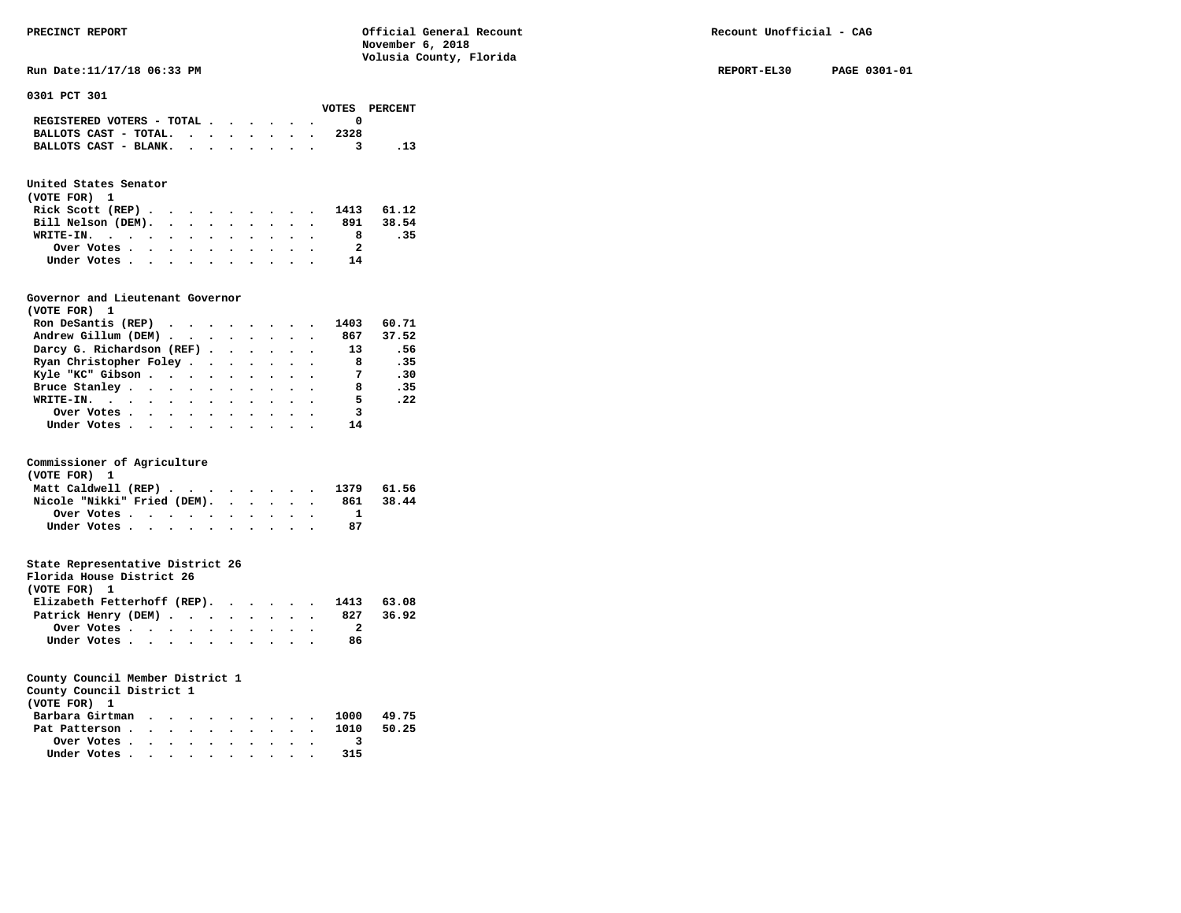**Run Date:11/17/18 06:33 PM REPORT-EL30 PAGE 0301-01** 

**0301 PCT 301** 

|                                                                           |  |  |  |      | VOTES PERCENT |
|---------------------------------------------------------------------------|--|--|--|------|---------------|
| REGISTERED VOTERS - TOTAL $\cdot$ $\cdot$ $\cdot$ $\cdot$ $\cdot$ $\cdot$ |  |  |  |      |               |
| BALLOTS CAST - TOTAL. $\cdot$                                             |  |  |  | 2328 |               |
| BALLOTS CAST - BLANK.                                                     |  |  |  |      |               |

# **United States Senator**

| (VOTE FOR) 1                |  |  |  |  |    |           |
|-----------------------------|--|--|--|--|----|-----------|
| Rick Scott (REP) 1413 61.12 |  |  |  |  |    |           |
| Bill Nelson (DEM).          |  |  |  |  |    | 891 38.54 |
| WRITE-IN.                   |  |  |  |  |    | .35       |
| Over Votes                  |  |  |  |  | 2  |           |
| Under Votes                 |  |  |  |  | 14 |           |

# **Governor and Lieutenant Governor**

| (VOTE FOR) 1                                  |  |  |  |                            |       |
|-----------------------------------------------|--|--|--|----------------------------|-------|
| Ron DeSantis (REP) $\cdots$ $\cdots$ $\cdots$ |  |  |  | 1403                       | 60.71 |
| Andrew Gillum (DEM) 867                       |  |  |  |                            | 37.52 |
| Darcy G. Richardson (REF) 13                  |  |  |  |                            | .56   |
| Ryan Christopher Foley                        |  |  |  | $\overline{\phantom{a}}$ 8 | .35   |
| Kyle "KC" Gibson                              |  |  |  | $\overline{7}$             | .30   |
| Bruce Stanley                                 |  |  |  | 8                          | .35   |
| WRITE-IN.                                     |  |  |  | 5.                         | .22   |
| Over Votes                                    |  |  |  | $\overline{\mathbf{3}}$    |       |
| Under Votes                                   |  |  |  | 14                         |       |

# **Commissioner of Agriculture**

| (VOTE FOR) 1                |  |  |  |  |  |                                |       |
|-----------------------------|--|--|--|--|--|--------------------------------|-------|
|                             |  |  |  |  |  | Matt Caldwell (REP) 1379 61.56 |       |
| Nicole "Nikki" Fried (DEM). |  |  |  |  |  | 861                            | 38.44 |
| Over Votes                  |  |  |  |  |  |                                |       |
| Under Votes                 |  |  |  |  |  |                                |       |

# **State Representative District 26**

| Florida House District 26                |                                                         |  |  |  |  |    |       |
|------------------------------------------|---------------------------------------------------------|--|--|--|--|----|-------|
| (VOTE FOR) 1                             |                                                         |  |  |  |  |    |       |
| Elizabeth Fetterhoff (REP). 1413 $63.08$ |                                                         |  |  |  |  |    |       |
| Patrick Henry (DEM) 827                  |                                                         |  |  |  |  |    | 36.92 |
|                                          | Over Votes $\cdots$ $\cdots$ $\cdots$ $\cdots$ $\cdots$ |  |  |  |  |    |       |
| Under Votes                              |                                                         |  |  |  |  | 86 |       |

| County Council District 1 |  |  |  |  |
|---------------------------|--|--|--|--|
| (VOTE FOR) 1              |  |  |  |  |
| Barbara Girtman           |  |  |  |  |

|  |  |  |  |                           | 1000 49.75                                  |
|--|--|--|--|---------------------------|---------------------------------------------|
|  |  |  |  |                           |                                             |
|  |  |  |  |                           |                                             |
|  |  |  |  | 315                       |                                             |
|  |  |  |  | Over Votes<br>Under Votes | Barbara Girtman<br>Pat Patterson 1010 50.25 |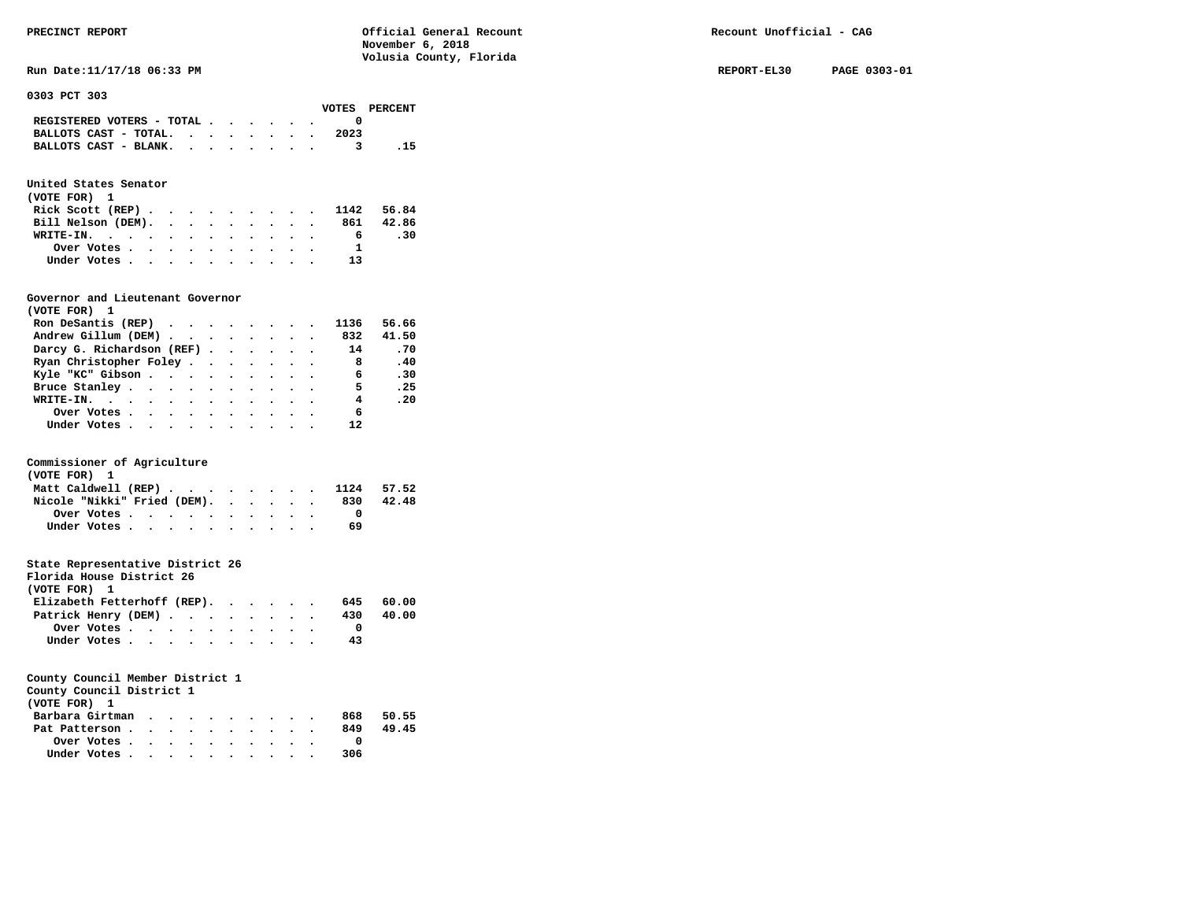**Run Date:11/17/18 06:33 PM REPORT-EL30 PAGE 0303-01** 

**0303 PCT 303** 

|                                             |  |  |  |      | VOTES PERCENT |
|---------------------------------------------|--|--|--|------|---------------|
| REGISTERED VOTERS - TOTAL $\cdot$ , , , , . |  |  |  |      |               |
| BALLOTS CAST - TOTAL. $\cdot$ , , , , , .   |  |  |  | 2023 |               |
| BALLOTS CAST - BLANK.                       |  |  |  |      | .15           |
|                                             |  |  |  |      |               |

# **United States Senator**

| (VOTE FOR) 1                |  |  |  |  |  |    |           |
|-----------------------------|--|--|--|--|--|----|-----------|
| Rick Scott (REP) 1142 56.84 |  |  |  |  |  |    |           |
| Bill Nelson (DEM).          |  |  |  |  |  |    | 861 42.86 |
| WRITE-IN.                   |  |  |  |  |  | 6. | -30       |
| Over Votes                  |  |  |  |  |  | -1 |           |
| Under Votes                 |  |  |  |  |  | 13 |           |

# **Governor and Lieutenant Governor**

| (VOTE FOR) 1                                                   |  |  |  |                            |       |
|----------------------------------------------------------------|--|--|--|----------------------------|-------|
| Ron DeSantis (REP) $\cdot \cdot \cdot \cdot \cdot \cdot \cdot$ |  |  |  | 1136                       | 56.66 |
| Andrew Gillum (DEM) 832                                        |  |  |  |                            | 41.50 |
| Darcy G. Richardson (REF) 14                                   |  |  |  |                            | .70   |
| Ryan Christopher Foley                                         |  |  |  | $\overline{\phantom{a}}$ 8 | .40   |
| Kyle "KC" Gibson                                               |  |  |  | 6                          | .30   |
| Bruce Stanley                                                  |  |  |  | -5                         | .25   |
| WRITE-IN.                                                      |  |  |  | 4                          | .20   |
| Over Votes                                                     |  |  |  | 6                          |       |
| Under Votes                                                    |  |  |  | 12                         |       |

# **Commissioner of Agriculture**

| (VOTE FOR) 1                   |  |  |  |  |  |     |       |
|--------------------------------|--|--|--|--|--|-----|-------|
| Matt Caldwell (REP) 1124 57.52 |  |  |  |  |  |     |       |
| Nicole "Nikki" Fried (DEM).    |  |  |  |  |  | 830 | 42.48 |
| Over Votes.                    |  |  |  |  |  |     |       |
| Under Votes                    |  |  |  |  |  | 69  |       |

# **State Representative District 26**

| Florida House District 26   |            |  |  |  |  |     |       |
|-----------------------------|------------|--|--|--|--|-----|-------|
| (VOTE FOR) 1                |            |  |  |  |  |     |       |
| Elizabeth Fetterhoff (REP). |            |  |  |  |  | 645 | 60.00 |
| Patrick Henry (DEM)         |            |  |  |  |  | 430 | 40.00 |
|                             | Over Votes |  |  |  |  |     |       |
| Under Votes                 |            |  |  |  |  | 43  |       |

# **County Council Member District 1**

**County Council District 1** 

| (VOTE FOR) 1    |  |  |  |  |     |       |
|-----------------|--|--|--|--|-----|-------|
| Barbara Girtman |  |  |  |  | 868 | 50.55 |
| Pat Patterson   |  |  |  |  | 849 | 49.45 |
| Over Votes      |  |  |  |  |     |       |
| Under Votes     |  |  |  |  | 306 |       |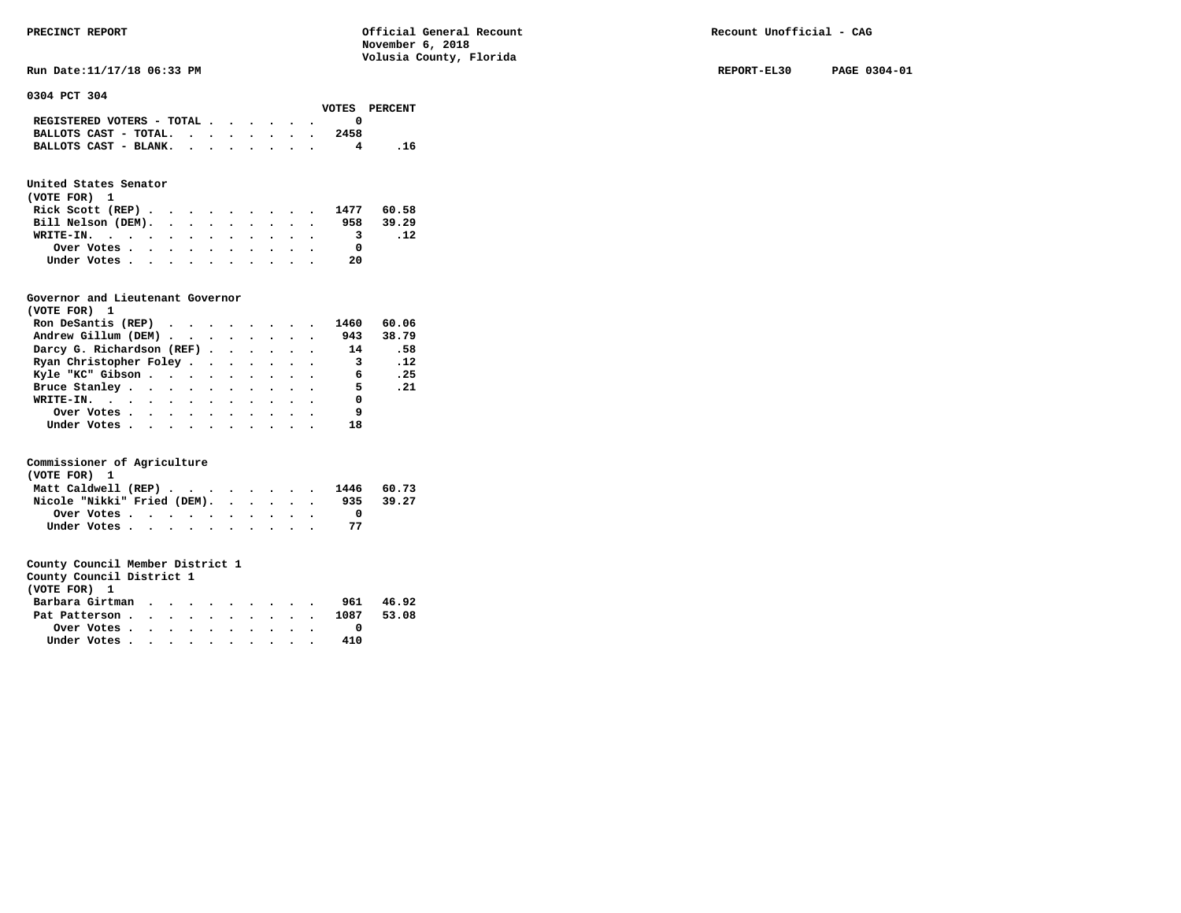**Run Date:11/17/18 06:33 PM REPORT-EL30 PAGE 0304-01** 

**0304 PCT 304** 

|                                                             |  |  |  |      | VOTES PERCENT |
|-------------------------------------------------------------|--|--|--|------|---------------|
| REGISTERED VOTERS - TOTAL $\cdot$ , , , , ,                 |  |  |  |      |               |
| BALLOTS CAST - TOTAL. $\cdot$ , $\cdot$ , $\cdot$ , $\cdot$ |  |  |  | 2458 |               |
| BALLOTS CAST - BLANK.                                       |  |  |  |      | . 16          |

# **United States Senator**

| (VOTE FOR) 1                                            |  |  |  |  |  |                         |           |
|---------------------------------------------------------|--|--|--|--|--|-------------------------|-----------|
| Rick Scott (REP) 1477 60.58                             |  |  |  |  |  |                         |           |
| Bill Nelson (DEM).                                      |  |  |  |  |  |                         | 958 39.29 |
| WRITE-IN.                                               |  |  |  |  |  | $\overline{\mathbf{3}}$ | .12       |
| Over Votes $\cdots$ $\cdots$ $\cdots$ $\cdots$ $\cdots$ |  |  |  |  |  |                         |           |
| Under Votes                                             |  |  |  |  |  | 20                      |           |

# **Governor and Lieutenant Governor**

| (VOTE FOR) 1                                  |  |  |  |                         |                 |
|-----------------------------------------------|--|--|--|-------------------------|-----------------|
| Ron DeSantis (REP) $\cdots$ $\cdots$ $\cdots$ |  |  |  | 1460                    | 60.06           |
| Andrew Gillum (DEM)                           |  |  |  |                         | 943 38.79       |
| Darcy G. Richardson (REF) 14                  |  |  |  |                         | .58             |
| Ryan Christopher Foley                        |  |  |  | $\overline{\mathbf{3}}$ | $\overline{12}$ |
| Kyle "KC" Gibson                              |  |  |  | $\overline{6}$          | .25             |
| Bruce Stanley                                 |  |  |  | 5.                      | .21             |
| WRITE-IN.                                     |  |  |  | 0                       |                 |
| Over Votes                                    |  |  |  | و.                      |                 |
| Under Votes                                   |  |  |  | 18                      |                 |

# **Commissioner of Agriculture**

| (VOTE FOR) 1 |                                                         |  |  |  |  |  |                                |       |
|--------------|---------------------------------------------------------|--|--|--|--|--|--------------------------------|-------|
|              |                                                         |  |  |  |  |  | Matt Caldwell (REP) 1446 60.73 |       |
|              | Nicole "Nikki" Fried (DEM).                             |  |  |  |  |  | 935                            | 39.27 |
|              | Over Votes $\cdots$ $\cdots$ $\cdots$ $\cdots$ $\cdots$ |  |  |  |  |  |                                |       |
|              | Under Votes                                             |  |  |  |  |  |                                |       |

| County Council District 1 |  |  |  |  |     |       |
|---------------------------|--|--|--|--|-----|-------|
| (VOTE FOR) 1              |  |  |  |  |     |       |
| Barbara Girtman           |  |  |  |  | 961 | 46.92 |
|                           |  |  |  |  |     |       |

| Pat Patterson                                           |  |  |  |  |  |     | 1087 53.08 |
|---------------------------------------------------------|--|--|--|--|--|-----|------------|
| Over Votes $\cdots$ $\cdots$ $\cdots$ $\cdots$ $\cdots$ |  |  |  |  |  |     |            |
| Under Votes                                             |  |  |  |  |  | 410 |            |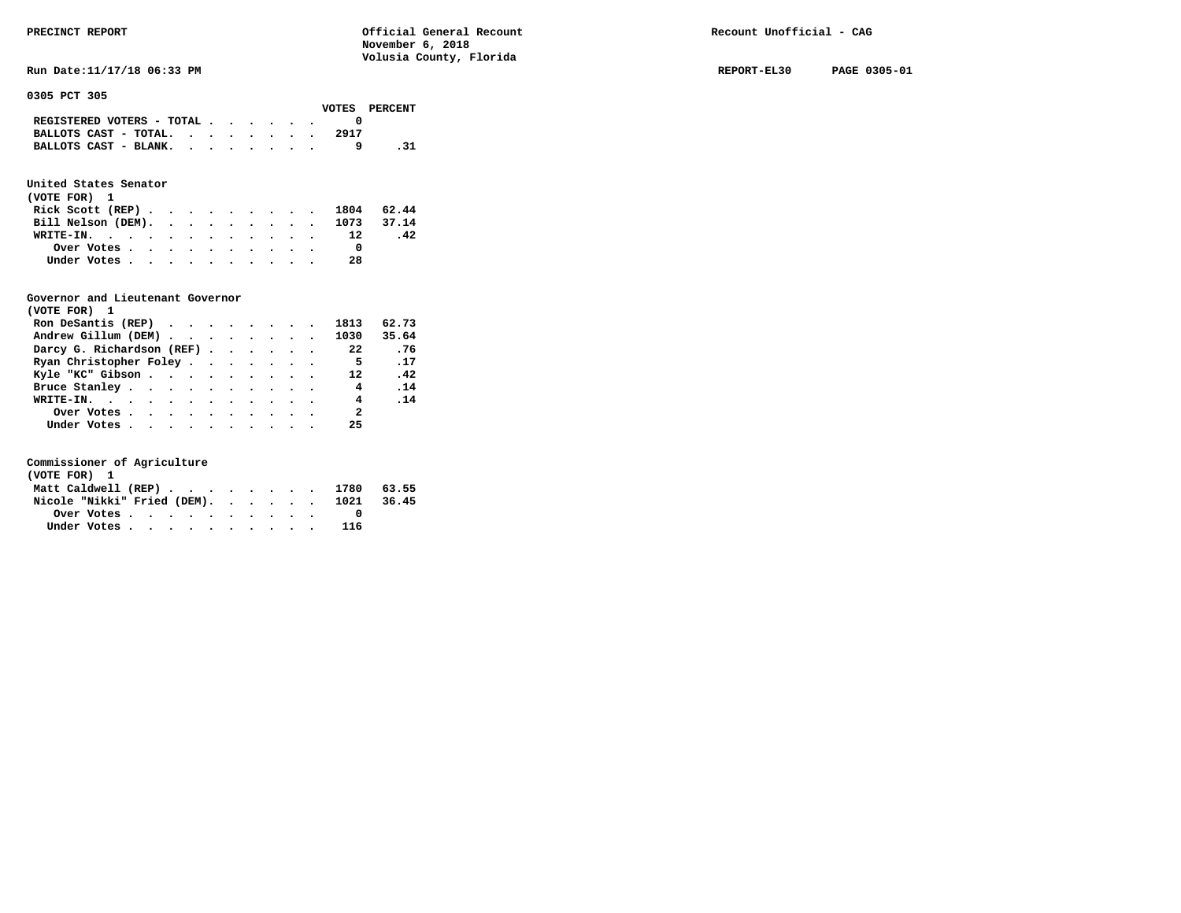**Run Date:11/17/18 06:33 PM REPORT-EL30 PAGE 0305-01** 

**0305 PCT 305** 

|                                             |  |  |  |      | VOTES PERCENT |
|---------------------------------------------|--|--|--|------|---------------|
| REGISTERED VOTERS - TOTAL $\cdot$ , , , , . |  |  |  |      |               |
| BALLOTS CAST - TOTAL. $\cdot$ , , , , , , , |  |  |  | 2917 |               |
| BALLOTS CAST - BLANK.                       |  |  |  |      |               |

# **United States Senator**

| (VOTE FOR) 1                  |  |  |  |  |    |     |
|-------------------------------|--|--|--|--|----|-----|
| Rick Scott (REP) 1804 62.44   |  |  |  |  |    |     |
| Bill Nelson (DEM). 1073 37.14 |  |  |  |  |    |     |
| WRITE-IN. 12                  |  |  |  |  |    | .42 |
| Over Votes                    |  |  |  |  |    |     |
| Under Votes                   |  |  |  |  | 28 |     |

# **Governor and Lieutenant Governor**

| (VOTE FOR) 1                                  |  |  |  |                |                              |
|-----------------------------------------------|--|--|--|----------------|------------------------------|
| Ron DeSantis (REP) $\cdots$ $\cdots$ $\cdots$ |  |  |  | 1813           | 62.73                        |
| Andrew Gillum (DEM) 1030                      |  |  |  |                | 35.64                        |
| Darcy G. Richardson (REF)                     |  |  |  | 22             | .76                          |
| Ryan Christopher Foley                        |  |  |  | - 5            | .17                          |
| Kyle "KC" Gibson                              |  |  |  | 12             | $\overline{\phantom{0}}$ .42 |
| Bruce Stanley.                                |  |  |  | 4              | .14                          |
| WRITE-IN.                                     |  |  |  | $\overline{4}$ | .14                          |
| Over Votes                                    |  |  |  | - 2            |                              |
| Under Votes, , , , , , , , , , ,              |  |  |  | 25             |                              |

| (VOTE FOR) 1 |             |  |  |  |  |  |                                        |  |
|--------------|-------------|--|--|--|--|--|----------------------------------------|--|
|              |             |  |  |  |  |  | Matt Caldwell (REP) 1780 63.55         |  |
|              |             |  |  |  |  |  | Nicole "Nikki" Fried (DEM). 1021 36.45 |  |
|              |             |  |  |  |  |  |                                        |  |
|              | Under Votes |  |  |  |  |  | 116                                    |  |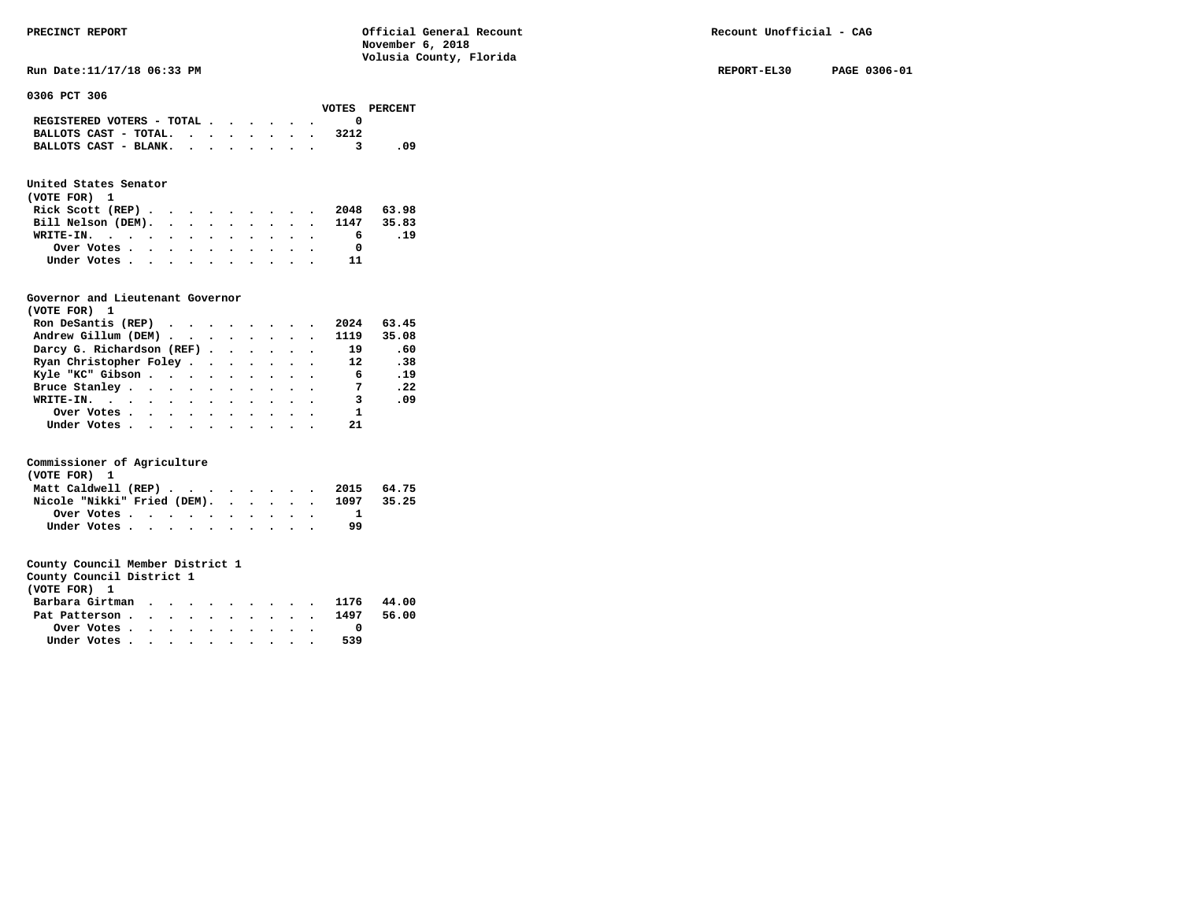**Run Date:11/17/18 06:33 PM REPORT-EL30 PAGE 0306-01** 

**0306 PCT 306** 

|                                             |  |  |  |      | VOTES PERCENT |
|---------------------------------------------|--|--|--|------|---------------|
| REGISTERED VOTERS - TOTAL $\cdot$ , , , , . |  |  |  |      |               |
| BALLOTS CAST - TOTAL.                       |  |  |  | 3212 |               |
| BALLOTS CAST - BLANK.                       |  |  |  |      | - 09          |

# **United States Senator**

| (VOTE FOR) 1 |  |  |  |  |  |                               |     |
|--------------|--|--|--|--|--|-------------------------------|-----|
|              |  |  |  |  |  | Rick Scott (REP) 2048 63.98   |     |
|              |  |  |  |  |  | Bill Nelson (DEM). 1147 35.83 |     |
|              |  |  |  |  |  | 6                             | .19 |
| Over Votes   |  |  |  |  |  |                               |     |
| Under Votes  |  |  |  |  |  |                               |     |

# **Governor and Lieutenant Governor**

| (VOTE FOR) 1                                  |  |  |  |                         |       |
|-----------------------------------------------|--|--|--|-------------------------|-------|
| Ron DeSantis (REP) $\cdots$ $\cdots$ $\cdots$ |  |  |  | 2024                    | 63.45 |
| Andrew Gillum (DEM)                           |  |  |  | 1119                    | 35.08 |
| Darcy G. Richardson (REF)                     |  |  |  | 19                      | .60   |
| Ryan Christopher Foley                        |  |  |  | $12 \overline{ }$       | .38   |
| Kyle "KC" Gibson                              |  |  |  | 6                       | .19   |
| Bruce Stanley.                                |  |  |  | $\overline{7}$          | .22   |
| WRITE-IN.                                     |  |  |  | $\overline{\mathbf{3}}$ | .09   |
| Over Votes                                    |  |  |  | $\mathbf{1}$            |       |
| Under Votes, , , , , , , , , , ,              |  |  |  | 21                      |       |

# **Commissioner of Agriculture**

| (VOTE FOR) 1 |                                                         |  |  |  |  |  |                                        |  |
|--------------|---------------------------------------------------------|--|--|--|--|--|----------------------------------------|--|
|              |                                                         |  |  |  |  |  | Matt Caldwell (REP) 2015 64.75         |  |
|              |                                                         |  |  |  |  |  | Nicole "Nikki" Fried (DEM). 1097 35.25 |  |
|              | Over Votes $\cdots$ $\cdots$ $\cdots$ $\cdots$ $\cdots$ |  |  |  |  |  |                                        |  |
|              | Under Votes                                             |  |  |  |  |  | 99                                     |  |

| County Council District 1  |  |  |  |  |  |       |
|----------------------------|--|--|--|--|--|-------|
| (VOTE FOR) 1               |  |  |  |  |  |       |
| Barbara Girtman 1176 44.00 |  |  |  |  |  |       |
| Pat Patterson 1497         |  |  |  |  |  | 56.00 |
| Over Votes.                |  |  |  |  |  |       |

| Under Votes |  |  |  |  |  | 539 |
|-------------|--|--|--|--|--|-----|
|             |  |  |  |  |  |     |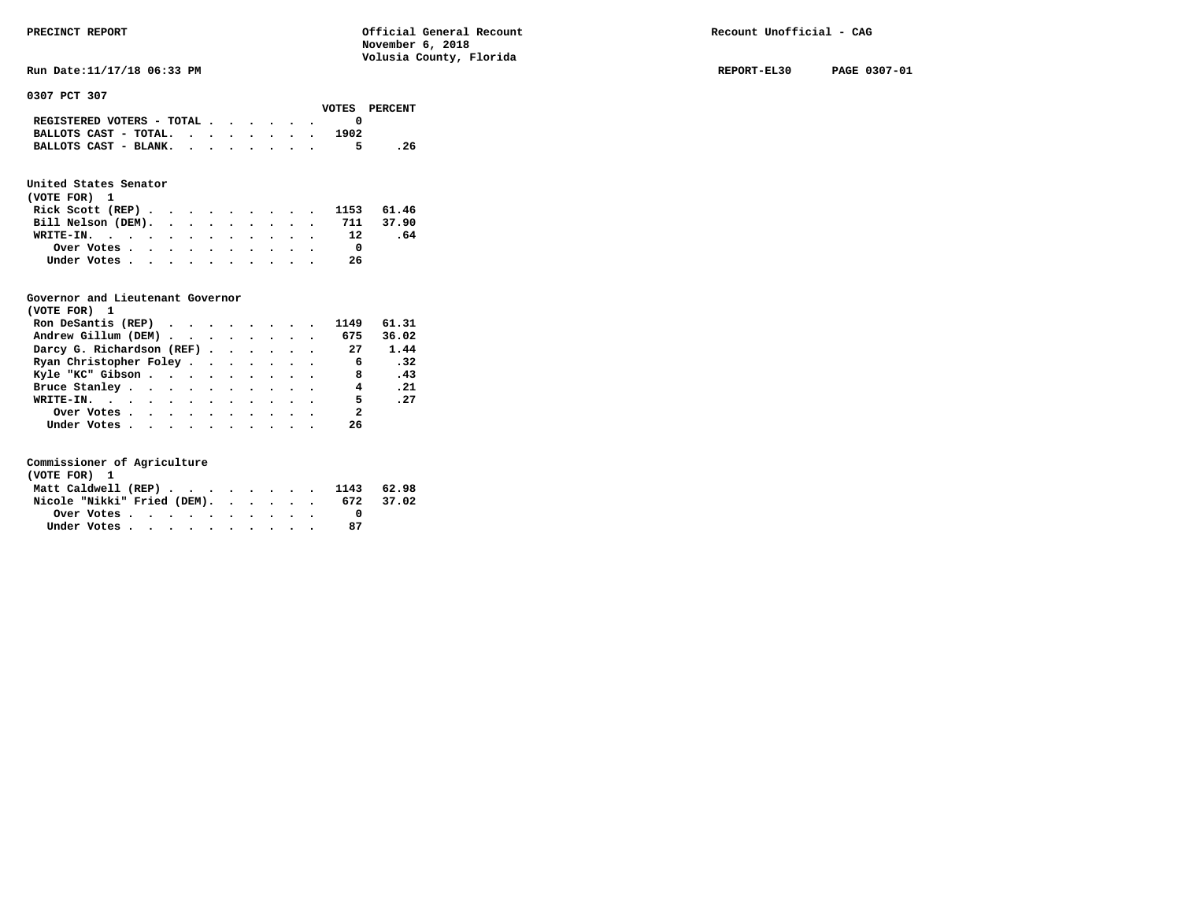Run Date:11/17/18 06:33 PM REPORT-EL30 PAGE 0307-01

**0307 PCT 307** 

|                                                             |  |  |  |      | VOTES PERCENT |
|-------------------------------------------------------------|--|--|--|------|---------------|
| REGISTERED VOTERS - TOTAL $\cdot$ , , , , .                 |  |  |  |      |               |
| BALLOTS CAST - TOTAL. $\cdot$ , $\cdot$ , $\cdot$ , $\cdot$ |  |  |  | 1902 |               |
| BALLOTS CAST - BLANK.                                       |  |  |  | 5.   | . 26          |

# **United States Senator**

| (VOTE FOR) 1                 |  |  |  |  |  |    |     |  |
|------------------------------|--|--|--|--|--|----|-----|--|
| Rick Scott (REP) 1153 61.46  |  |  |  |  |  |    |     |  |
| Bill Nelson (DEM). 711 37.90 |  |  |  |  |  |    |     |  |
| WRITE-IN. 12                 |  |  |  |  |  |    | .64 |  |
| Over Votes                   |  |  |  |  |  |    |     |  |
| Under Votes                  |  |  |  |  |  | 26 |     |  |

# **Governor and Lieutenant Governor**

| (VOTE FOR) 1                                  |  |  |  |                         |            |
|-----------------------------------------------|--|--|--|-------------------------|------------|
| Ron DeSantis (REP) $\cdots$ $\cdots$ $\cdots$ |  |  |  | 1149                    | 61.31      |
| Andrew Gillum (DEM) 675                       |  |  |  |                         | 36.02      |
| Darcy G. Richardson (REF) 27                  |  |  |  |                         | 1.44       |
| Ryan Christopher Foley                        |  |  |  | 6                       | $\cdot$ 32 |
| Kyle "KC" Gibson                              |  |  |  | $\overline{\mathbf{8}}$ | .43        |
| Bruce Stanley.                                |  |  |  | $\overline{4}$          | .21        |
| WRITE-IN.                                     |  |  |  | 5 <sub>5</sub>          | .27        |
| Over Votes                                    |  |  |  | $\overline{\mathbf{2}}$ |            |
| Under Votes, , , , , , , , , , ,              |  |  |  | 26                      |            |

| (VOTE FOR) 1                |  |  |  |  |  |                                |           |
|-----------------------------|--|--|--|--|--|--------------------------------|-----------|
|                             |  |  |  |  |  | Matt Caldwell (REP) 1143 62.98 |           |
| Nicole "Nikki" Fried (DEM). |  |  |  |  |  |                                | 672 37.02 |
|                             |  |  |  |  |  |                                |           |
| Under Votes                 |  |  |  |  |  |                                |           |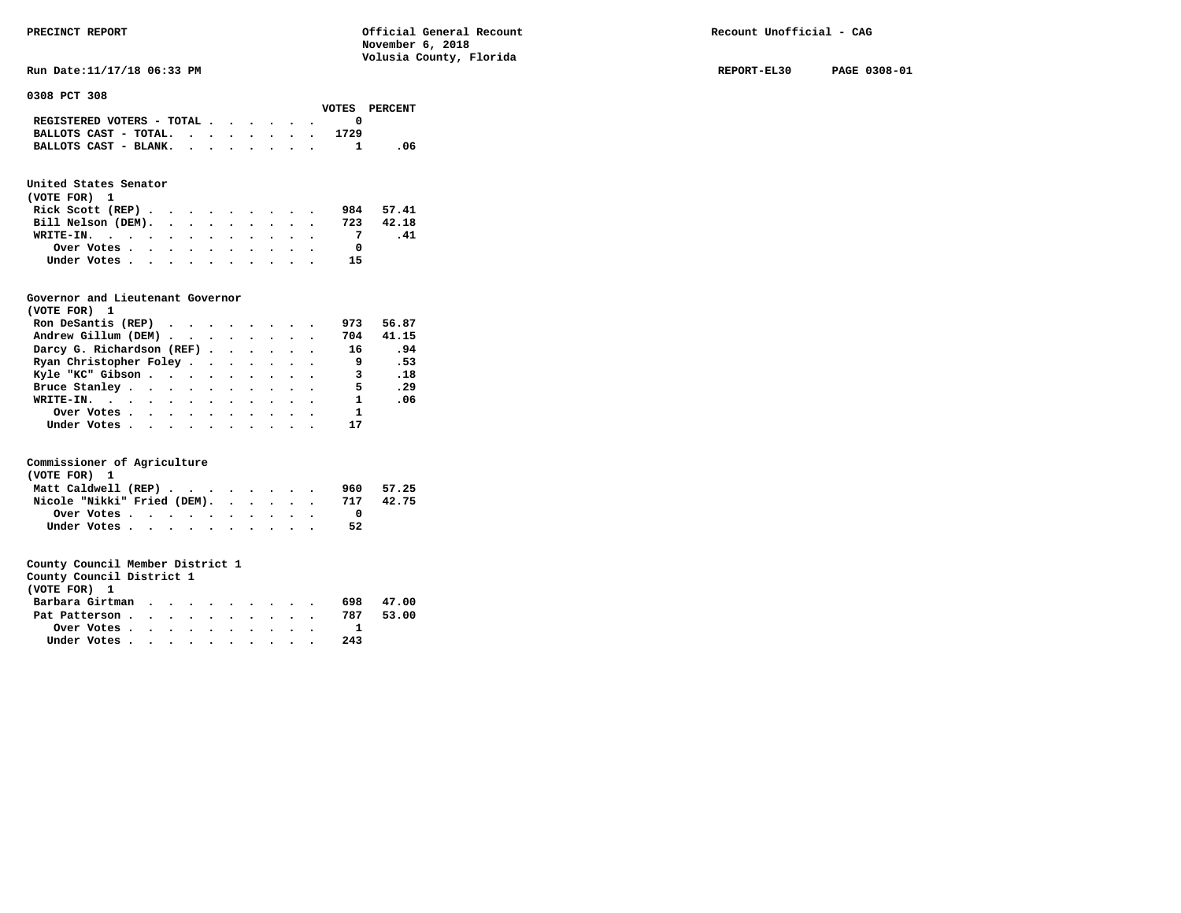**Run Date:11/17/18 06:33 PM REPORT-EL30 PAGE 0308-01** 

**0308 PCT 308** 

|                                             |  |  |  |      | VOTES PERCENT |
|---------------------------------------------|--|--|--|------|---------------|
| REGISTERED VOTERS - TOTAL $\cdot$ , , , , . |  |  |  |      |               |
| BALLOTS CAST - TOTAL. $\cdot$               |  |  |  | 1729 |               |
| BALLOTS CAST - BLANK.                       |  |  |  |      | -06           |

# **United States Senator**

| (VOTE FOR) 1                                |  |  |  |  |    |           |
|---------------------------------------------|--|--|--|--|----|-----------|
| Rick Scott (REP) $\cdots$ $\cdots$ $\cdots$ |  |  |  |  |    | 984 57.41 |
| Bill Nelson (DEM).                          |  |  |  |  |    | 723 42.18 |
| WRITE-IN.                                   |  |  |  |  |    | -41       |
| Over Votes                                  |  |  |  |  |    |           |
| Under Votes                                 |  |  |  |  | 15 |           |

# **Governor and Lieutenant Governor**

| (VOTE FOR) 1                                                   |  |  |  |                         |                              |
|----------------------------------------------------------------|--|--|--|-------------------------|------------------------------|
| Ron DeSantis (REP) $\cdot \cdot \cdot \cdot \cdot \cdot \cdot$ |  |  |  | 973                     | 56.87                        |
| Andrew Gillum (DEM)                                            |  |  |  | 704                     | 41.15                        |
| Darcy G. Richardson (REF)                                      |  |  |  | 16                      | .94                          |
| Ryan Christopher Foley                                         |  |  |  | و ۔                     | .53                          |
| Kyle "KC" Gibson                                               |  |  |  | $\overline{\mathbf{3}}$ | $\overline{\phantom{0}}$ .18 |
| Bruce Stanley                                                  |  |  |  | -5                      | .29                          |
| WRITE-IN.                                                      |  |  |  | $\mathbf{1}$            | .06                          |
| Over Votes                                                     |  |  |  | $\mathbf{1}$            |                              |
| Under Votes                                                    |  |  |  | 17                      |                              |

# **Commissioner of Agriculture**

| (VOTE FOR) 1                |  |  |  |     |       |
|-----------------------------|--|--|--|-----|-------|
| Matt Caldwell (REP)         |  |  |  | 960 | 57.25 |
| Nicole "Nikki" Fried (DEM). |  |  |  | 717 | 42.75 |
| Over Votes                  |  |  |  |     |       |
| Under Votes                 |  |  |  | 52  |       |

| County Council District 1 |  |
|---------------------------|--|
|---------------------------|--|

| (VOTE FOR) 1    |  |  |  |  |     |       |
|-----------------|--|--|--|--|-----|-------|
| Barbara Girtman |  |  |  |  | 698 | 47.00 |
| Pat Patterson   |  |  |  |  | 787 | 53.00 |
| Over Votes      |  |  |  |  |     |       |
| Under Votes     |  |  |  |  | 243 |       |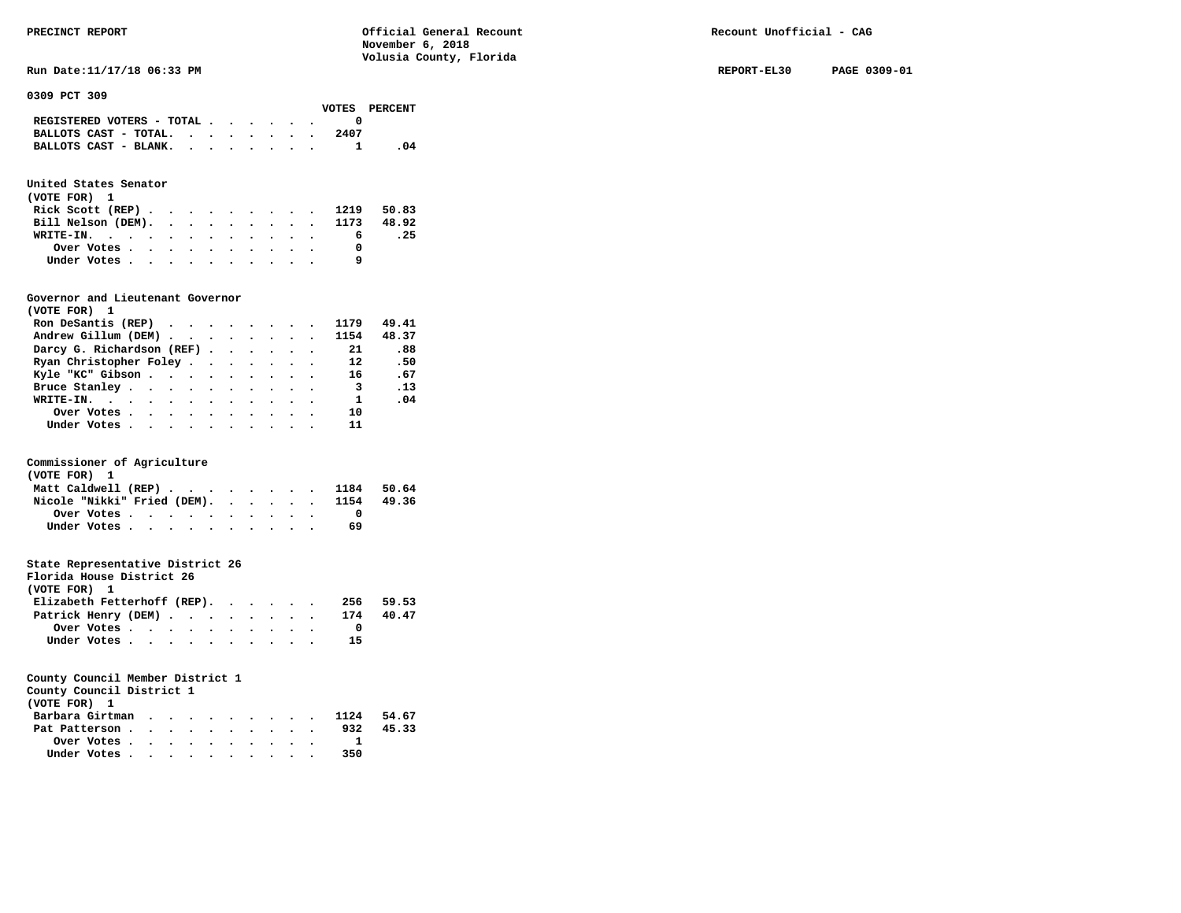**Run Date:11/17/18 06:33 PM REPORT-EL30 PAGE 0309-01** 

**0309 PCT 309** 

|                                                                           |  |  |  |      | VOTES PERCENT |
|---------------------------------------------------------------------------|--|--|--|------|---------------|
| REGISTERED VOTERS - TOTAL $\cdot$ $\cdot$ $\cdot$ $\cdot$ $\cdot$ $\cdot$ |  |  |  |      |               |
| BALLOTS CAST - TOTAL.                                                     |  |  |  | 2407 |               |
| BALLOTS CAST - BLANK.                                                     |  |  |  |      |               |
|                                                                           |  |  |  |      |               |

# **United States Senator**

| (VOTE FOR) 1 |  |  |  |  |  |                               |      |
|--------------|--|--|--|--|--|-------------------------------|------|
|              |  |  |  |  |  | Rick Scott (REP) 1219 50.83   |      |
|              |  |  |  |  |  | Bill Nelson (DEM). 1173 48.92 |      |
| WRITE-IN.    |  |  |  |  |  | - 6                           | . 25 |
| Over Votes   |  |  |  |  |  |                               |      |
| Under Votes  |  |  |  |  |  |                               |      |

### **Governor and Lieutenant Governor**

| (VOTE FOR) 1                 |  |  |  |                         |       |
|------------------------------|--|--|--|-------------------------|-------|
| Ron DeSantis (REP)           |  |  |  | 1179                    | 49.41 |
| Andrew Gillum (DEM) 1154     |  |  |  |                         | 48.37 |
| Darcy G. Richardson (REF) 21 |  |  |  |                         | .88   |
| Ryan Christopher Foley       |  |  |  | 12                      | .50   |
| Kyle "KC" Gibson 16          |  |  |  |                         | .67   |
| Bruce Stanley                |  |  |  | $\overline{\mathbf{3}}$ | .13   |
| WRITE-IN.                    |  |  |  | $\overline{\mathbf{1}}$ | .04   |
| Over Votes                   |  |  |  | 10                      |       |
| Under Votes                  |  |  |  | 11                      |       |

# **Commissioner of Agriculture**

| (VOTE FOR) 1                           |  |  |  |    |  |
|----------------------------------------|--|--|--|----|--|
| Matt Caldwell (REP) 1184 50.64         |  |  |  |    |  |
| Nicole "Nikki" Fried (DEM). 1154 49.36 |  |  |  |    |  |
| Over Votes                             |  |  |  |    |  |
| Under Votes                            |  |  |  | 69 |  |

# **State Representative District 26**

| Florida House District 26   |                                                         |  |  |  |  |     |       |
|-----------------------------|---------------------------------------------------------|--|--|--|--|-----|-------|
| (VOTE FOR) 1                |                                                         |  |  |  |  |     |       |
| Elizabeth Fetterhoff (REP). |                                                         |  |  |  |  | 256 | 59.53 |
| Patrick Henry (DEM) 174     |                                                         |  |  |  |  |     | 40.47 |
|                             | Over Votes $\cdots$ $\cdots$ $\cdots$ $\cdots$ $\cdots$ |  |  |  |  |     |       |
|                             | Under Votes                                             |  |  |  |  | 15  |       |

|  | County Council District 1 |  |  |
|--|---------------------------|--|--|
|  |                           |  |  |

|  |  |  |  | 932                       | 45.33                                       |
|--|--|--|--|---------------------------|---------------------------------------------|
|  |  |  |  |                           |                                             |
|  |  |  |  | 350                       |                                             |
|  |  |  |  | Over Votes<br>Under Votes | Barbara Girtman 1124 54.67<br>Pat Patterson |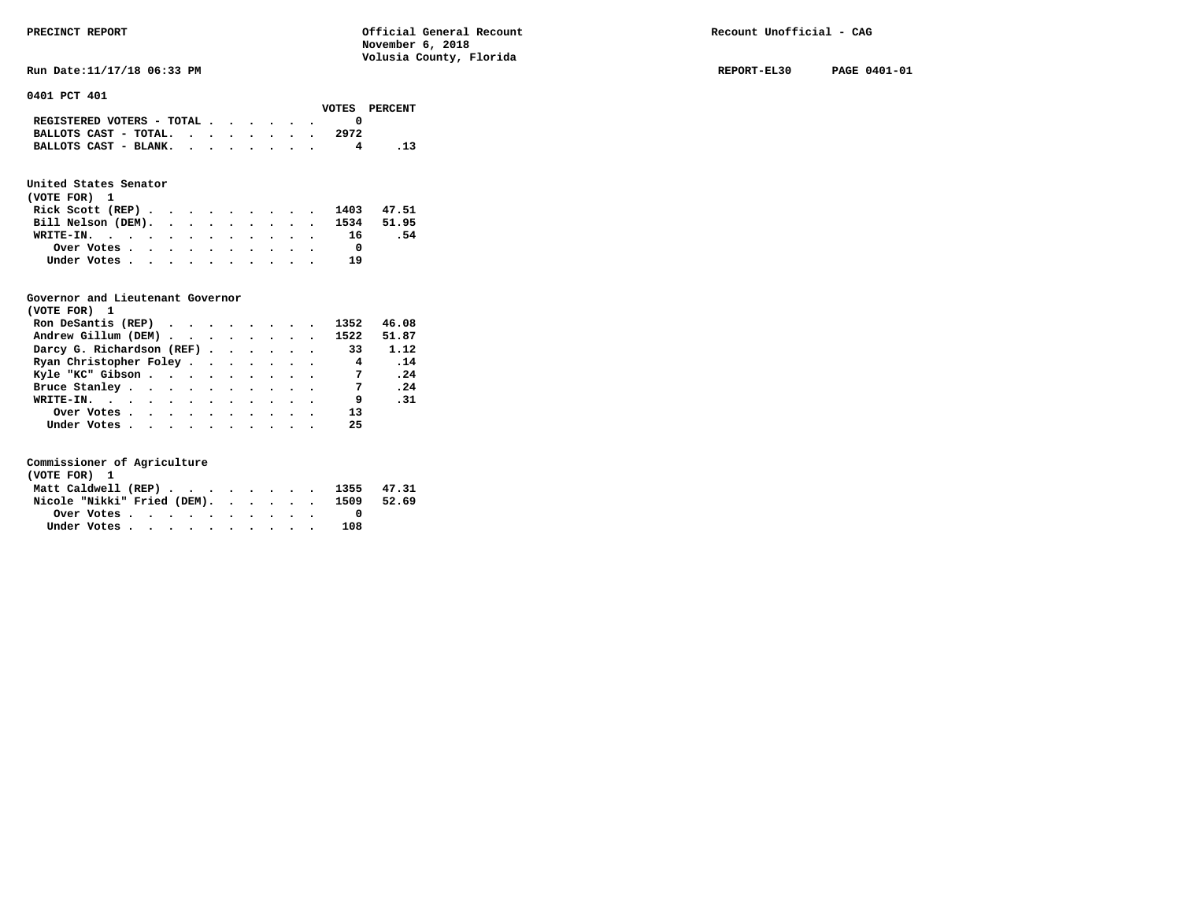**Run Date:11/17/18 06:33 PM REPORT-EL30 PAGE 0401-01** 

**0401 PCT 401** 

|                                                                           |  |  |  |      | VOTES PERCENT |
|---------------------------------------------------------------------------|--|--|--|------|---------------|
| REGISTERED VOTERS - TOTAL $\cdot$ $\cdot$ $\cdot$ $\cdot$ $\cdot$ $\cdot$ |  |  |  |      |               |
| BALLOTS CAST - TOTAL.                                                     |  |  |  | 2972 |               |
| BALLOTS CAST - BLANK.                                                     |  |  |  |      |               |

# **United States Senator**

| (VOTE FOR) 1                  |  |  |  |  |    |      |
|-------------------------------|--|--|--|--|----|------|
| Rick Scott (REP) 1403 47.51   |  |  |  |  |    |      |
| Bill Nelson (DEM). 1534 51.95 |  |  |  |  |    |      |
| WRITE-IN. 16                  |  |  |  |  |    | - 54 |
| Over Votes                    |  |  |  |  |    |      |
| Under Votes                   |  |  |  |  | 19 |      |

# **Governor and Lieutenant Governor**

| (VOTE FOR) 1                   |  |  |  |                |       |
|--------------------------------|--|--|--|----------------|-------|
| Ron DeSantis (REP)             |  |  |  | 1352           | 46.08 |
| Andrew Gillum (DEM) 1522 51.87 |  |  |  |                |       |
| Darcy G. Richardson (REF) 33   |  |  |  |                | 1.12  |
| Ryan Christopher Foley 4       |  |  |  |                | .14   |
| Kyle "KC" Gibson               |  |  |  | $\overline{7}$ | .24   |
| Bruce Stanley                  |  |  |  | $\overline{7}$ | .24   |
| WRITE-IN.                      |  |  |  | 9              | .31   |
| Over Votes.                    |  |  |  | 13             |       |
| Under Votes                    |  |  |  | 25             |       |

| (VOTE FOR) 1                           |  |  |  |  |  |     |  |
|----------------------------------------|--|--|--|--|--|-----|--|
| Matt Caldwell (REP) 1355 47.31         |  |  |  |  |  |     |  |
| Nicole "Nikki" Fried (DEM). 1509 52.69 |  |  |  |  |  |     |  |
|                                        |  |  |  |  |  |     |  |
| Under Votes                            |  |  |  |  |  | 108 |  |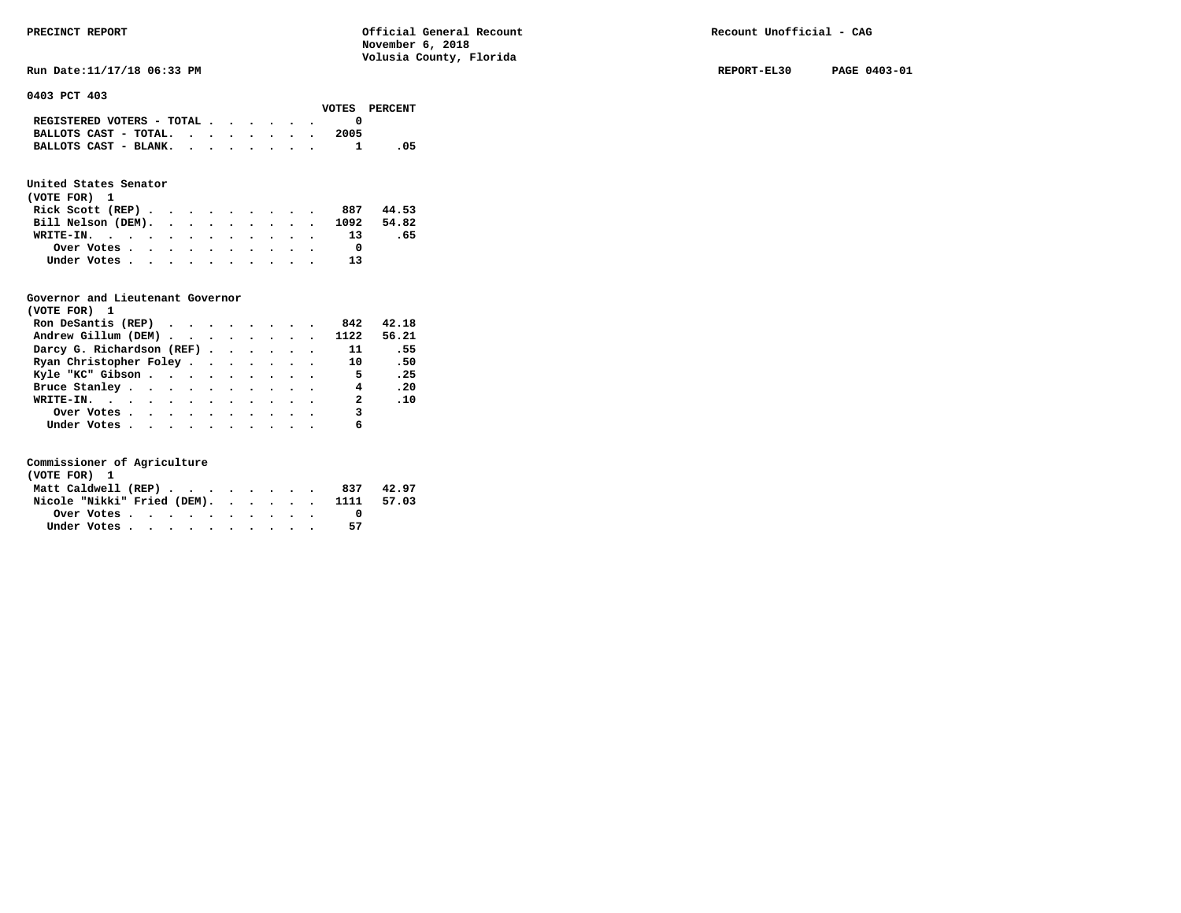**Run Date:11/17/18 06:33 PM REPORT-EL30 PAGE 0403-01** 

**0403 PCT 403** 

|                                                                           |  |  |  |      | VOTES PERCENT |
|---------------------------------------------------------------------------|--|--|--|------|---------------|
| REGISTERED VOTERS - TOTAL $\cdot$ $\cdot$ $\cdot$ $\cdot$ $\cdot$ $\cdot$ |  |  |  |      |               |
| BALLOTS CAST - TOTAL. $\cdot$                                             |  |  |  | 2005 |               |
| BALLOTS CAST - BLANK. 1                                                   |  |  |  |      | .05           |

# **United States Senator**

| (VOTE FOR) 1       |  |  |  |  |  |                               |       |  |
|--------------------|--|--|--|--|--|-------------------------------|-------|--|
| Rick Scott $(REP)$ |  |  |  |  |  | 887                           | 44.53 |  |
|                    |  |  |  |  |  | Bill Nelson (DEM). 1092 54.82 |       |  |
| WRITE-IN. 13       |  |  |  |  |  |                               | .65   |  |
| Over Votes         |  |  |  |  |  |                               |       |  |
| Under Votes        |  |  |  |  |  | 13                            |       |  |

# **Governor and Lieutenant Governor**

| (VOTE FOR) 1                                      |  |  |  |                          |          |
|---------------------------------------------------|--|--|--|--------------------------|----------|
| Ron DeSantis (REP) $\cdots$ $\cdots$ $\cdots$ 842 |  |  |  |                          | 42.18    |
| Andrew Gillum (DEM) 1122 56.21                    |  |  |  |                          |          |
| Darcy G. Richardson (REF)                         |  |  |  | $\overline{11}$          | .55      |
| Ryan Christopher Foley                            |  |  |  | 10                       | .50      |
| Kyle "KC" Gibson                                  |  |  |  | $-5$                     | .25      |
| Bruce Stanley                                     |  |  |  | 4                        | .20      |
| WRITE-IN.                                         |  |  |  | $\overline{\mathbf{a}}$  | $\ldots$ |
| Over Votes                                        |  |  |  | $\overline{\phantom{a}}$ |          |
| Under Votes                                       |  |  |  | 6                        |          |

| (VOTE FOR) 1        |             |  |  |  |  |  |                                        |       |
|---------------------|-------------|--|--|--|--|--|----------------------------------------|-------|
| Matt Caldwell (REP) |             |  |  |  |  |  | 837                                    | 42.97 |
|                     |             |  |  |  |  |  | Nicole "Nikki" Fried (DEM). 1111 57.03 |       |
|                     |             |  |  |  |  |  |                                        |       |
|                     | Under Votes |  |  |  |  |  | 57                                     |       |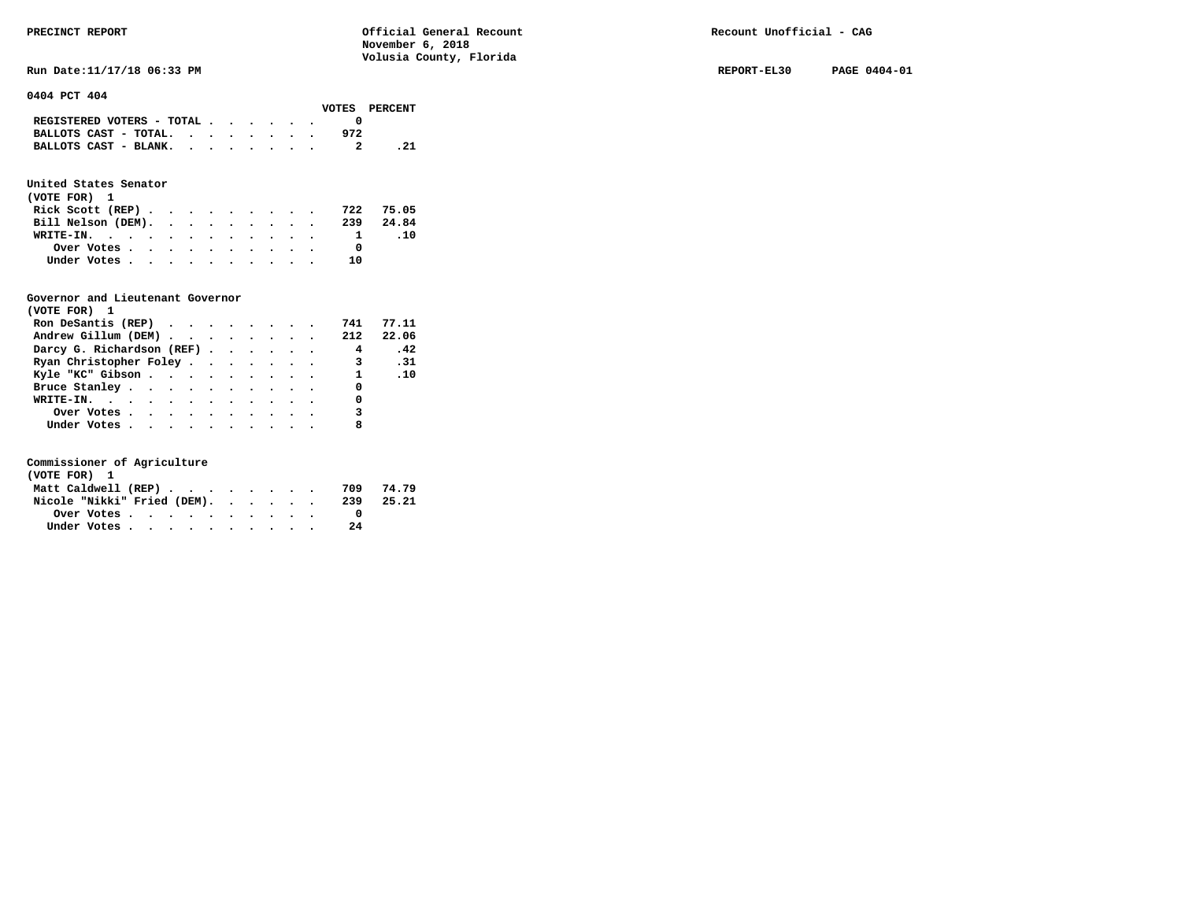**Run Date:11/17/18 06:33 PM REPORT-EL30 PAGE 0404-01** 

**0404 PCT 404** 

|                                                                           |  |  |  |     | VOTES PERCENT |
|---------------------------------------------------------------------------|--|--|--|-----|---------------|
| REGISTERED VOTERS - TOTAL $\cdot$ $\cdot$ $\cdot$ $\cdot$ $\cdot$ $\cdot$ |  |  |  |     |               |
| BALLOTS CAST - TOTAL. $\cdot$                                             |  |  |  | 972 |               |
| BALLOTS CAST - BLANK.                                                     |  |  |  |     | . 21          |
|                                                                           |  |  |  |     |               |

# **United States Senator**

| (VOTE FOR) 1                 |  |  |  |  |           |     |
|------------------------------|--|--|--|--|-----------|-----|
| Rick Scott (REP)             |  |  |  |  | 722 75.05 |     |
| Bill Nelson (DEM). 239 24.84 |  |  |  |  |           |     |
| WRITE-IN.                    |  |  |  |  |           | .10 |
| Over Votes                   |  |  |  |  |           |     |
| Under Votes                  |  |  |  |  | 10        |     |

# **Governor and Lieutenant Governor**

| (VOTE FOR) 1                                                        |  |  |  |                |       |
|---------------------------------------------------------------------|--|--|--|----------------|-------|
| Ron DeSantis (REP) $\cdots$ $\cdots$ $\cdots$                       |  |  |  | 741            | 77.11 |
| Andrew Gillum (DEM) $\cdot \cdot \cdot \cdot \cdot \cdot \cdot 212$ |  |  |  |                | 22.06 |
| Darcy G. Richardson (REF)                                           |  |  |  | $\overline{4}$ | .42   |
| Ryan Christopher Foley                                              |  |  |  | 3.31           |       |
| Kyle "KC" Gibson                                                    |  |  |  | $1 \quad .10$  |       |
| Bruce Stanley.                                                      |  |  |  | $\Omega$       |       |
| WRITE-IN. $\qquad$                                                  |  |  |  | 0              |       |
| Over Votes                                                          |  |  |  | 3              |       |
| Under Votes                                                         |  |  |  | 8              |       |

| (VOTE FOR) 1                |  |  |  |  |  |     |       |
|-----------------------------|--|--|--|--|--|-----|-------|
| Matt Caldwell (REP)         |  |  |  |  |  | 709 | 74.79 |
| Nicole "Nikki" Fried (DEM). |  |  |  |  |  | 239 | 25.21 |
| Over Votes.                 |  |  |  |  |  |     |       |
| Under Votes                 |  |  |  |  |  | 2.4 |       |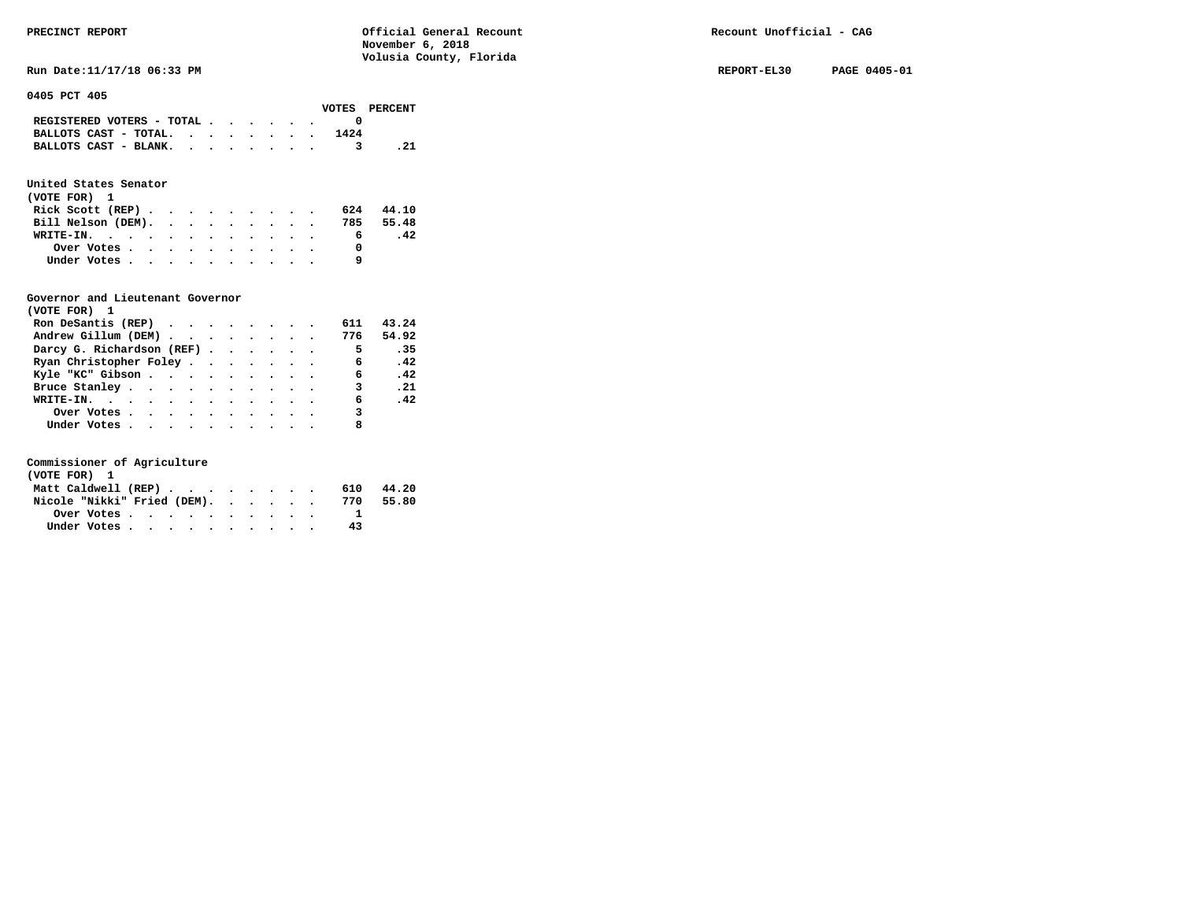**RUN Date:11/17/18 06:33 PM REPORT-EL30 PAGE 0405-01 REPORT-EL30 PAGE 0405-01** 

**0405 PCT 405** 

|                                                                           |  |  |  |      | VOTES PERCENT |
|---------------------------------------------------------------------------|--|--|--|------|---------------|
| REGISTERED VOTERS - TOTAL $\cdot$ $\cdot$ $\cdot$ $\cdot$ $\cdot$ $\cdot$ |  |  |  |      |               |
| BALLOTS CAST - TOTAL. $\cdot$                                             |  |  |  | 1424 |               |
| BALLOTS CAST - BLANK.                                                     |  |  |  |      |               |

# **United States Senator**

| (VOTE FOR) 1     |  |  |  |  |  |                              |       |  |
|------------------|--|--|--|--|--|------------------------------|-------|--|
| Rick Scott (REP) |  |  |  |  |  | 624                          | 44.10 |  |
|                  |  |  |  |  |  | Bill Nelson (DEM). 785 55.48 |       |  |
| WRITE-IN.        |  |  |  |  |  | 6.                           | .42   |  |
| Over Votes       |  |  |  |  |  |                              |       |  |
| Under Votes      |  |  |  |  |  |                              |       |  |

# **Governor and Lieutenant Governor**

| (VOTE FOR) 1                                  |  |  |  |                |       |
|-----------------------------------------------|--|--|--|----------------|-------|
| Ron DeSantis (REP) $\cdots$ $\cdots$ $\cdots$ |  |  |  | 611            | 43.24 |
| Andrew Gillum (DEM) 776                       |  |  |  |                | 54.92 |
| Darcy G. Richardson (REF)                     |  |  |  | $\overline{5}$ | .35   |
| Ryan Christopher Foley                        |  |  |  | 6              | .42   |
| Kyle "KC" Gibson                              |  |  |  | 6.             | .42   |
| Bruce Stanley.                                |  |  |  | 3              | .21   |
| WRITE-IN.                                     |  |  |  | 6              | .42   |
| Over Votes                                    |  |  |  | 3              |       |
| Under Votes, , , , , , , , , , ,              |  |  |  |                |       |

| (VOTE FOR) 1                |  |  |  |  |  |     |       |
|-----------------------------|--|--|--|--|--|-----|-------|
| Matt Caldwell (REP)         |  |  |  |  |  | 610 | 44.20 |
| Nicole "Nikki" Fried (DEM). |  |  |  |  |  | 770 | 55.80 |
|                             |  |  |  |  |  |     |       |
| Under Votes                 |  |  |  |  |  | 43  |       |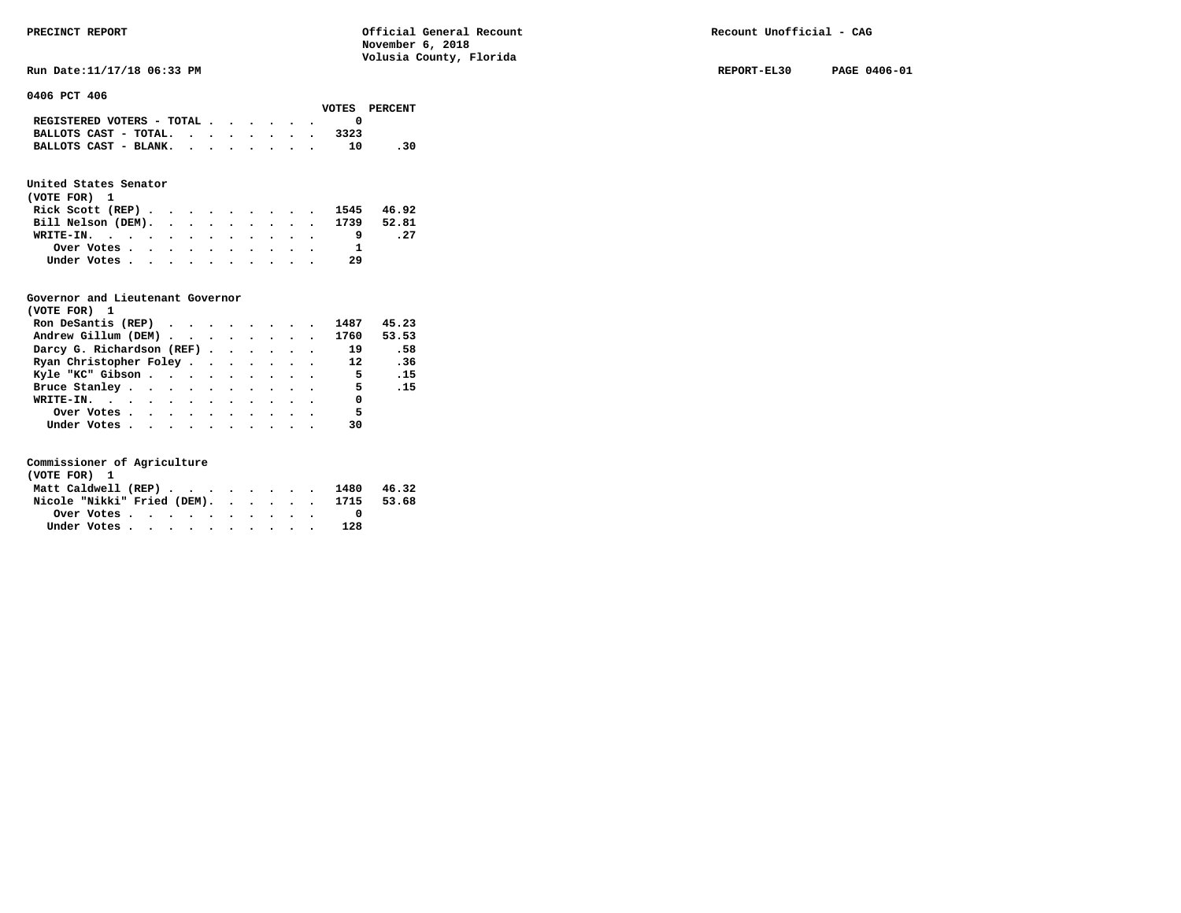**RUN Date:11/17/18 06:33 PM REPORT-EL30 PAGE 0406-01 REPORT-EL30 PAGE 0406-01** 

**0406 PCT 406** 

|                                             |  |  |  |      | VOTES PERCENT |
|---------------------------------------------|--|--|--|------|---------------|
| REGISTERED VOTERS - TOTAL $\cdot$ , , , , . |  |  |  |      |               |
| BALLOTS CAST - TOTAL.                       |  |  |  | 3323 |               |
| BALLOTS CAST - BLANK.                       |  |  |  | 10   | .30           |
|                                             |  |  |  |      |               |

# **United States Senator**

| (VOTE FOR) 1                  |  |  |  |  |    |      |
|-------------------------------|--|--|--|--|----|------|
| Rick Scott (REP) 1545 46.92   |  |  |  |  |    |      |
| Bill Nelson (DEM). 1739 52.81 |  |  |  |  |    |      |
| WRITE-IN.                     |  |  |  |  |    | . 27 |
| Over Votes                    |  |  |  |  |    |      |
| Under Votes                   |  |  |  |  | 29 |      |

# **Governor and Lieutenant Governor**

| (VOTE FOR) 1                                  |  |  |  |                          |            |
|-----------------------------------------------|--|--|--|--------------------------|------------|
| Ron DeSantis (REP) $\cdots$ $\cdots$ $\cdots$ |  |  |  | 1487                     | 45.23      |
| Andrew Gillum (DEM)                           |  |  |  | 1760 53.53               |            |
| Darcy G. Richardson (REF)                     |  |  |  | 19                       | .58        |
| Ryan Christopher Foley 12                     |  |  |  |                          | .36        |
| Kyle "KC" Gibson                              |  |  |  | $\overline{\phantom{0}}$ | $\cdot$ 15 |
| Bruce Stanley                                 |  |  |  | - 5                      | .15        |
| WRITE-IN.                                     |  |  |  | $\sim$ 0                 |            |
| Over Votes                                    |  |  |  | 5 <sub>5</sub>           |            |
| Under Votes                                   |  |  |  | 30                       |            |

| (VOTE FOR) 1                           |  |  |  |  |  |     |  |
|----------------------------------------|--|--|--|--|--|-----|--|
| Matt Caldwell (REP) 1480 46.32         |  |  |  |  |  |     |  |
| Nicole "Nikki" Fried (DEM). 1715 53.68 |  |  |  |  |  |     |  |
| Over Votes                             |  |  |  |  |  |     |  |
| Under Votes                            |  |  |  |  |  | 128 |  |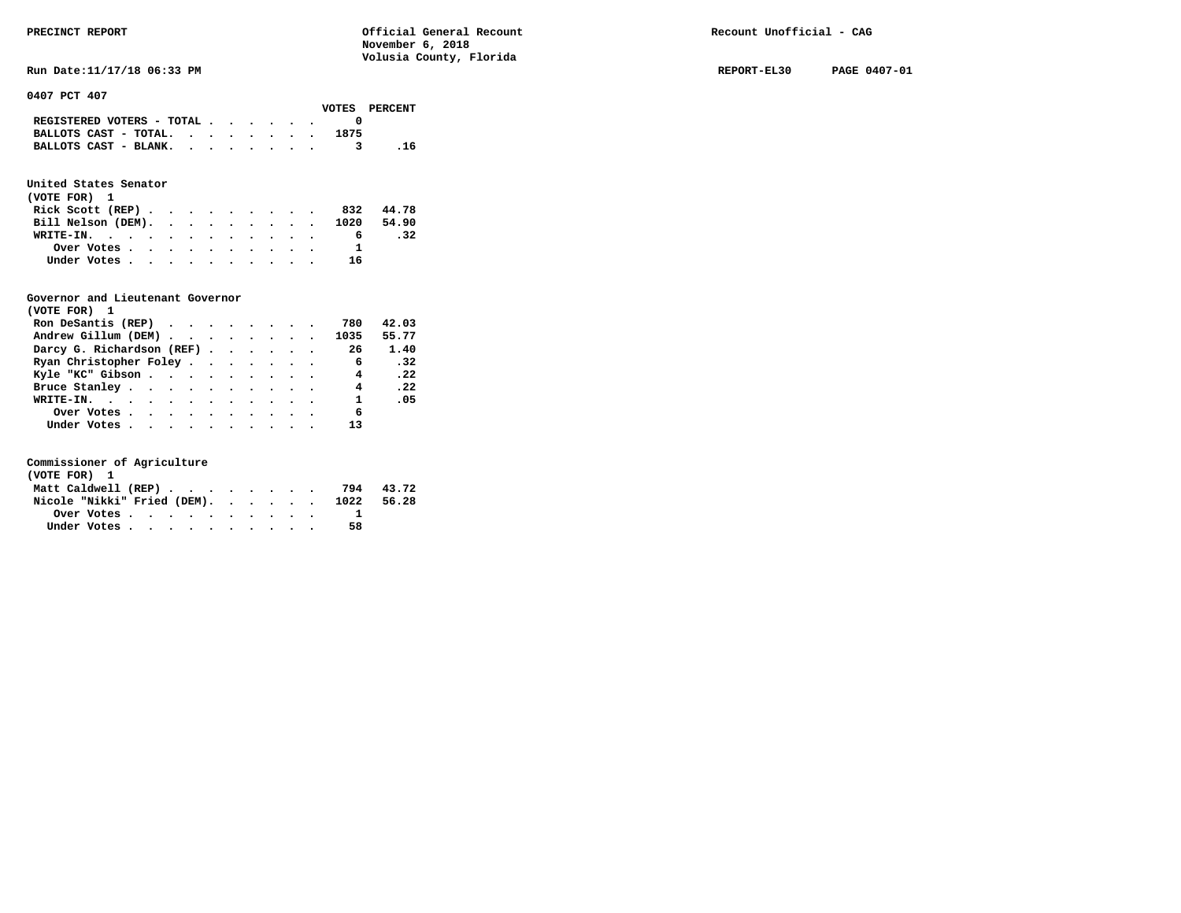**RUN Date:11/17/18 06:33 PM REPORT-EL30 PAGE 0407-01 REPORT-EL30 PAGE 0407-01** 

**0407 PCT 407** 

|                                                                           |  |  |  |      | VOTES PERCENT |
|---------------------------------------------------------------------------|--|--|--|------|---------------|
| REGISTERED VOTERS - TOTAL $\cdot$ $\cdot$ $\cdot$ $\cdot$ $\cdot$ $\cdot$ |  |  |  |      |               |
| BALLOTS CAST - TOTAL. $\cdot$ , , , , , , ,                               |  |  |  | 1875 |               |
| BALLOTS CAST - BLANK.                                                     |  |  |  |      | .16           |

# **United States Senator**

| (VOTE FOR) 1       |  |  |  |  |  |                               |       |
|--------------------|--|--|--|--|--|-------------------------------|-------|
| Rick Scott $(REP)$ |  |  |  |  |  | 832                           | 44.78 |
|                    |  |  |  |  |  | Bill Nelson (DEM). 1020 54.90 |       |
| WRITE-IN.          |  |  |  |  |  | 6                             | .32   |
| Over Votes         |  |  |  |  |  |                               |       |
| Under Votes        |  |  |  |  |  | 16                            |       |

# **Governor and Lieutenant Governor**

| (VOTE FOR) 1                                  |  |  |  |                            |              |
|-----------------------------------------------|--|--|--|----------------------------|--------------|
| Ron DeSantis (REP) $\cdots$ $\cdots$ $\cdots$ |  |  |  | 780                        | 42.03        |
| Andrew Gillum (DEM)                           |  |  |  | 1035                       | 55.77        |
| Darcy G. Richardson (REF) 26                  |  |  |  |                            | 1.40         |
| Ryan Christopher Foley                        |  |  |  | $\overline{\phantom{0}}$ 6 | $\cdot$ 32   |
| Kyle "KC" Gibson                              |  |  |  | $\overline{\mathbf{4}}$    | $\cdot$ . 22 |
| Bruce Stanley.                                |  |  |  | $\overline{4}$             | .22          |
| WRITE-IN.                                     |  |  |  | $\mathbf{1}$               | .05          |
| Over Votes                                    |  |  |  | 6                          |              |
| Under Votes                                   |  |  |  | 13                         |              |

| (VOTE FOR) 1        |  |  |  |  |  |                                        |           |
|---------------------|--|--|--|--|--|----------------------------------------|-----------|
| Matt Caldwell (REP) |  |  |  |  |  |                                        | 794 43.72 |
|                     |  |  |  |  |  | Nicole "Nikki" Fried (DEM). 1022 56.28 |           |
|                     |  |  |  |  |  |                                        |           |
| Under Votes         |  |  |  |  |  | 58                                     |           |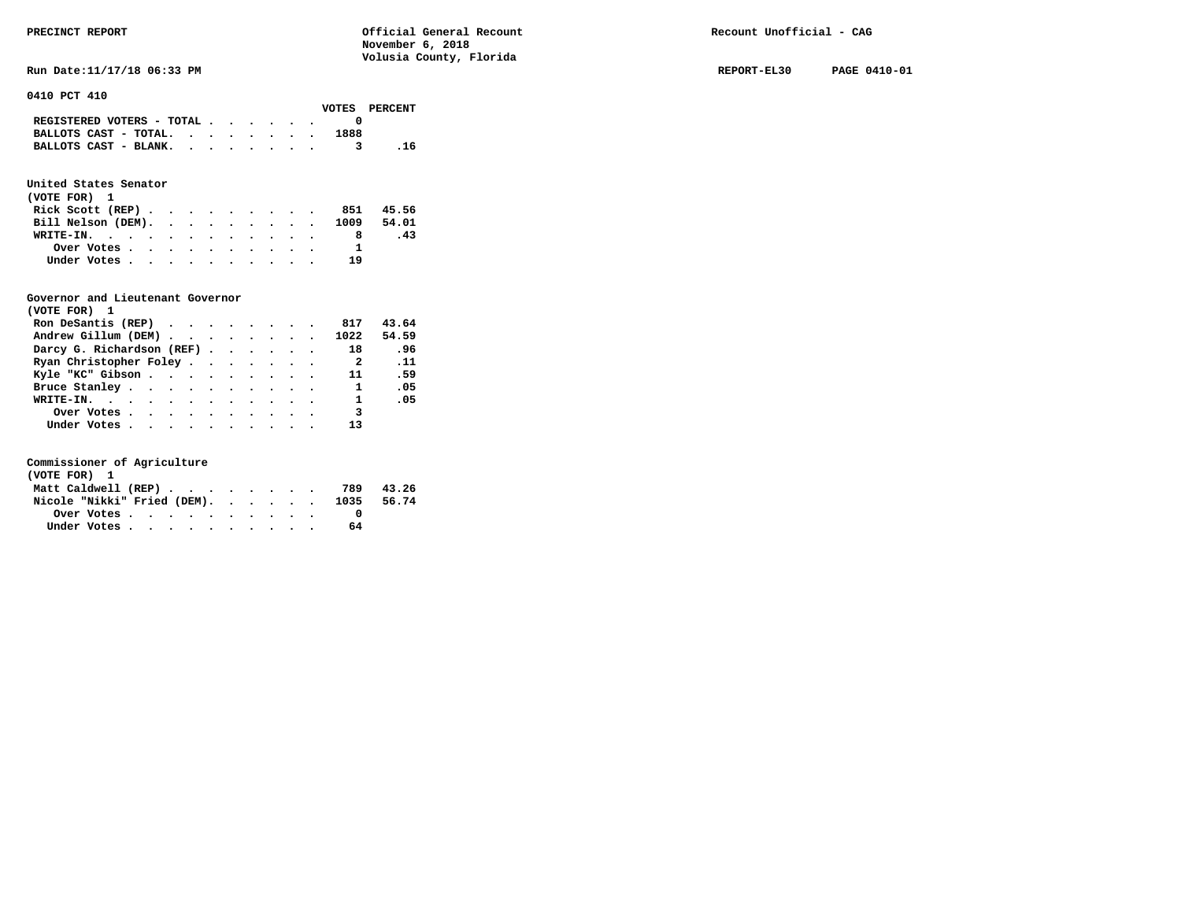**Run Date:11/17/18 06:33 PM REPORT-EL30 PAGE 0410-01** 

**0410 PCT 410** 

|                                                                           |  |  |  |      | VOTES PERCENT |
|---------------------------------------------------------------------------|--|--|--|------|---------------|
| REGISTERED VOTERS - TOTAL $\cdot$ $\cdot$ $\cdot$ $\cdot$ $\cdot$ $\cdot$ |  |  |  |      |               |
| BALLOTS CAST - TOTAL. $\cdot$ , , , , , .                                 |  |  |  | 1888 |               |
| BALLOTS CAST - BLANK.                                                     |  |  |  |      | . 16          |

# **United States Senator**

| (VOTE FOR) 1                  |  |  |  |  |    |     |
|-------------------------------|--|--|--|--|----|-----|
| Rick Scott (REP) 851 45.56    |  |  |  |  |    |     |
| Bill Nelson (DEM). 1009 54.01 |  |  |  |  |    |     |
| WRITE-IN.                     |  |  |  |  |    | -43 |
| Over Votes                    |  |  |  |  |    |     |
| Under Votes                   |  |  |  |  | 19 |     |

# **Governor and Lieutenant Governor**

| (VOTE FOR) 1                                      |  |  |  |                          |             |
|---------------------------------------------------|--|--|--|--------------------------|-------------|
| Ron DeSantis (REP) $\cdots$ $\cdots$ $\cdots$ 817 |  |  |  |                          | 43.64       |
| Andrew Gillum (DEM) 1022                          |  |  |  |                          | 54.59       |
| Darcy G. Richardson (REF)                         |  |  |  | 18                       | .96         |
| Ryan Christopher Foley                            |  |  |  | $\overline{\phantom{a}}$ | $\ldots$ 11 |
| Kyle "KC" Gibson                                  |  |  |  | 11                       | .59         |
| Bruce Stanley                                     |  |  |  | $\mathbf{1}$             | .05         |
| WRITE-IN.                                         |  |  |  | $\mathbf{1}$             | .05         |
| Over Votes                                        |  |  |  | $\overline{\mathbf{3}}$  |             |
| Under Votes                                       |  |  |  | 13                       |             |

| (VOTE FOR) 1                           |  |  |  |  |  |    |           |
|----------------------------------------|--|--|--|--|--|----|-----------|
| Matt Caldwell (REP)                    |  |  |  |  |  |    | 789 43.26 |
| Nicole "Nikki" Fried (DEM). 1035 56.74 |  |  |  |  |  |    |           |
|                                        |  |  |  |  |  |    |           |
| Under Votes                            |  |  |  |  |  | 64 |           |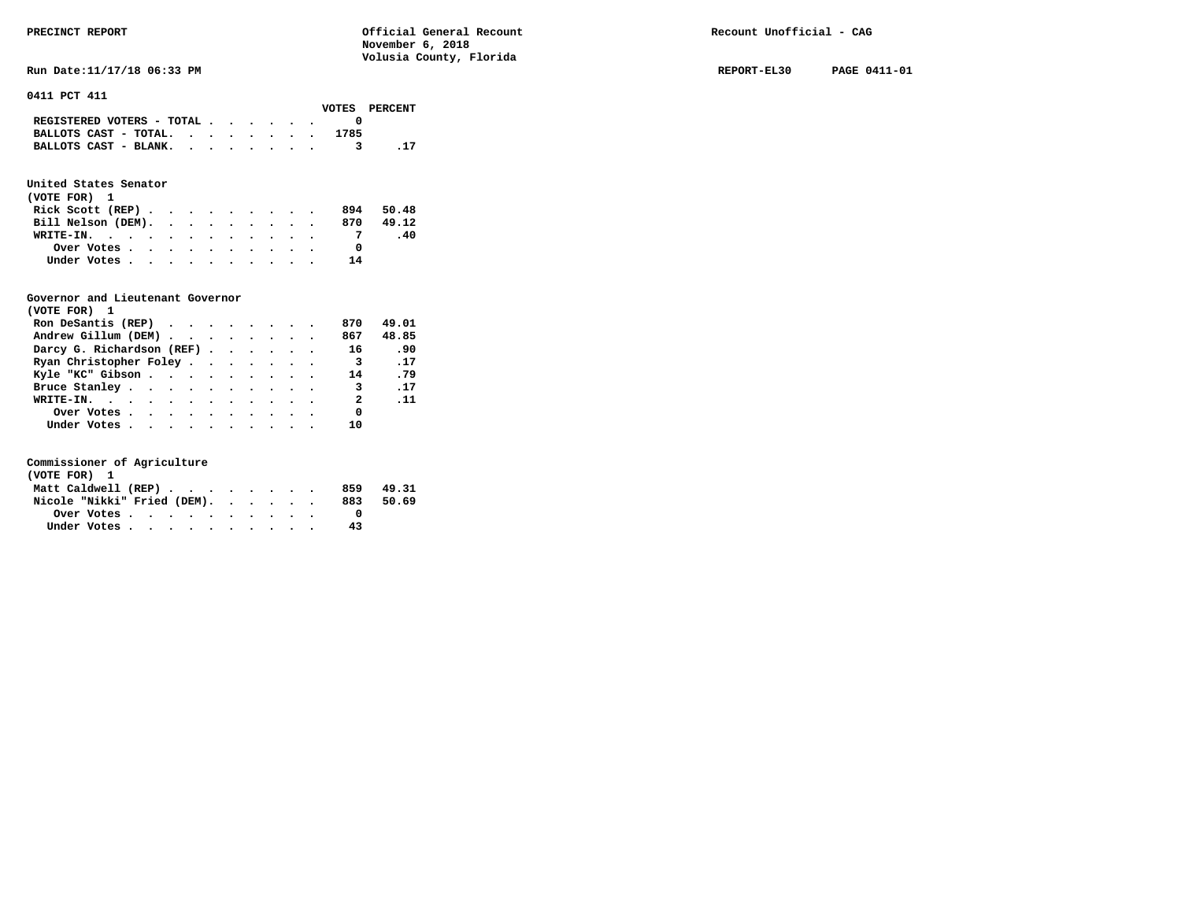**RUN DATE:11/17/18 06:33 PM REPORT-EL30 PAGE 0411-01 REPORT-EL30 PAGE 0411-01** 

**0411 PCT 411** 

|                                                                           |  |  |  |      | VOTES PERCENT |
|---------------------------------------------------------------------------|--|--|--|------|---------------|
| REGISTERED VOTERS - TOTAL $\cdot$ $\cdot$ $\cdot$ $\cdot$ $\cdot$ $\cdot$ |  |  |  |      |               |
| BALLOTS CAST - TOTAL.                                                     |  |  |  | 1785 |               |
| BALLOTS CAST - BLANK.                                                     |  |  |  |      |               |
|                                                                           |  |  |  |      |               |

# **United States Senator**

| (VOTE FOR) 1       |  |  |  |  |     |       |
|--------------------|--|--|--|--|-----|-------|
| Rick Scott (REP)   |  |  |  |  | 894 | 50.48 |
| Bill Nelson (DEM). |  |  |  |  | 870 | 49.12 |
| WRITE-IN.          |  |  |  |  |     | -40   |
| Over Votes         |  |  |  |  |     |       |
| Under Votes        |  |  |  |  | 14  |       |

# **Governor and Lieutenant Governor**

| (VOTE FOR) 1                                  |  |  |  |                         |             |
|-----------------------------------------------|--|--|--|-------------------------|-------------|
| Ron DeSantis (REP) $\cdots$ $\cdots$ $\cdots$ |  |  |  | 870                     | 49.01       |
| Andrew Gillum (DEM)                           |  |  |  | 867                     | 48.85       |
| Darcy G. Richardson (REF)                     |  |  |  | 16                      | .90         |
| Ryan Christopher Foley                        |  |  |  | $\overline{\mathbf{3}}$ | .17         |
| Kyle "KC" Gibson                              |  |  |  | 14                      | .79         |
| Bruce Stanley.                                |  |  |  | 3                       | .17         |
| WRITE-IN.                                     |  |  |  | $\overline{\mathbf{2}}$ | $\ldots$ 11 |
| Over Votes                                    |  |  |  | 0                       |             |
| Under Votes, , , , , , , , , , ,              |  |  |  |                         |             |

| (VOTE FOR) 1                |  |  |  |  |  |     |       |
|-----------------------------|--|--|--|--|--|-----|-------|
| Matt Caldwell (REP)         |  |  |  |  |  | 859 | 49.31 |
| Nicole "Nikki" Fried (DEM). |  |  |  |  |  | 883 | 50.69 |
| Over Votes                  |  |  |  |  |  |     |       |
| Under Votes                 |  |  |  |  |  | 43  |       |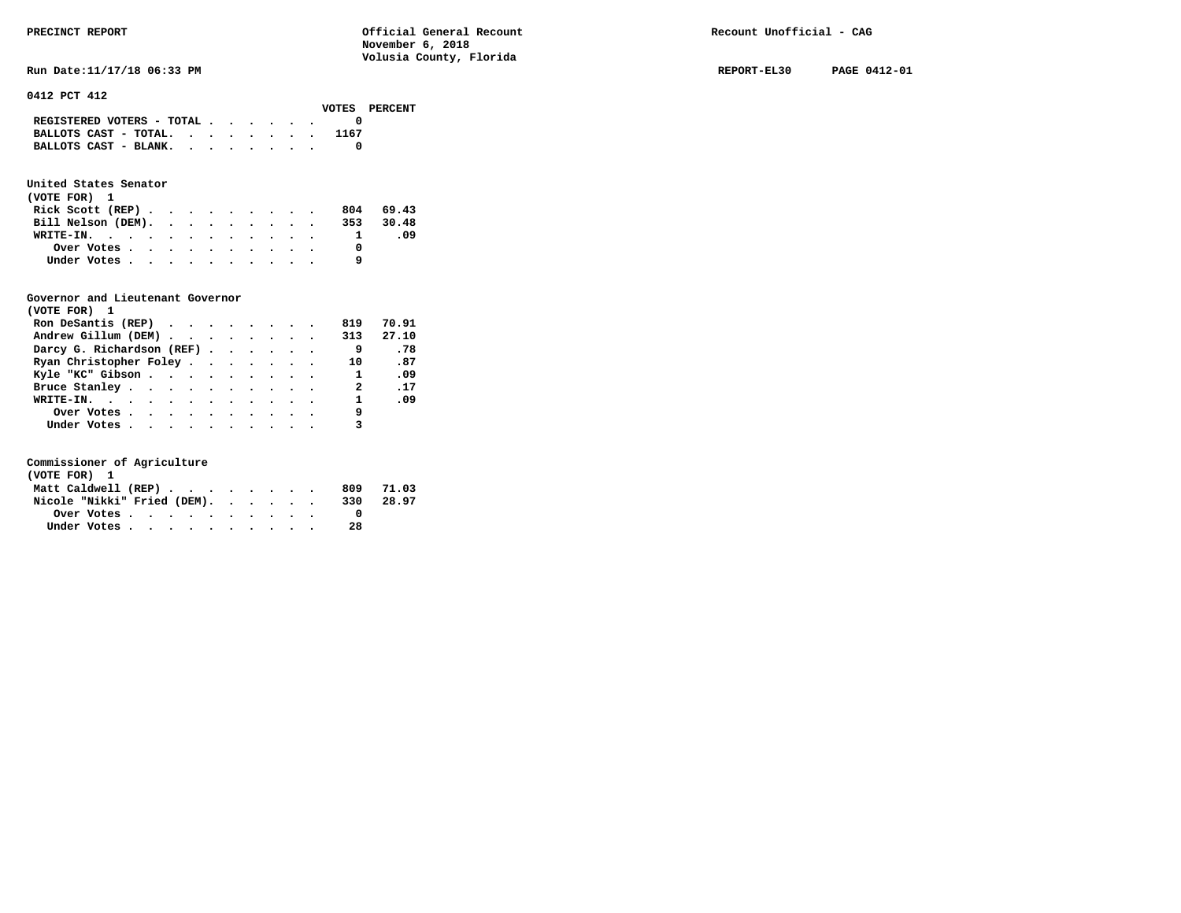#### **0412 PCT 412**

|                            |  |  |  | VOTES PERCE |  |
|----------------------------|--|--|--|-------------|--|
| REGISTERED VOTERS - TOTAL  |  |  |  |             |  |
| BALLOTS CAST - TOTAL. 1167 |  |  |  |             |  |
| BALLOTS CAST - BLANK.      |  |  |  |             |  |
|                            |  |  |  |             |  |

### **United States Senator**

| (VOTE FOR) 1                                            |  |  |  |  |           |
|---------------------------------------------------------|--|--|--|--|-----------|
| Rick Scott $(REP)$                                      |  |  |  |  | 804 69.43 |
| Bill Nelson (DEM). 353 30.48                            |  |  |  |  |           |
| WRITE-IN.                                               |  |  |  |  | - 09      |
| Over Votes $\cdots$ $\cdots$ $\cdots$ $\cdots$ $\cdots$ |  |  |  |  |           |
| Under Votes                                             |  |  |  |  |           |

### **Governor and Lieutenant Governor**

| (VOTE FOR) 1                                  |  |  |  |              |       |
|-----------------------------------------------|--|--|--|--------------|-------|
| Ron DeSantis (REP) $\cdots$ $\cdots$ $\cdots$ |  |  |  | 819          | 70.91 |
| Andrew Gillum (DEM)                           |  |  |  | 313          | 27.10 |
| Darcy G. Richardson (REF)                     |  |  |  | 9            | .78   |
| Ryan Christopher Foley                        |  |  |  | 10           | .87   |
| Kyle "KC" Gibson                              |  |  |  | $\mathbf{1}$ | .09   |
| Bruce Stanley                                 |  |  |  | 2            | .17   |
| WRITE-IN.                                     |  |  |  | $\mathbf{1}$ | .09   |
| Over Votes                                    |  |  |  | 9            |       |
| Under Votes, , , , , , , , , , ,              |  |  |  |              |       |

| (VOTE FOR) 1                |  |  |  |  |  |     |           |
|-----------------------------|--|--|--|--|--|-----|-----------|
| Matt Caldwell (REP)         |  |  |  |  |  |     | 809 71.03 |
| Nicole "Nikki" Fried (DEM). |  |  |  |  |  | 330 | 28.97     |
| Over Votes                  |  |  |  |  |  |     |           |
| Under Votes                 |  |  |  |  |  | 28  |           |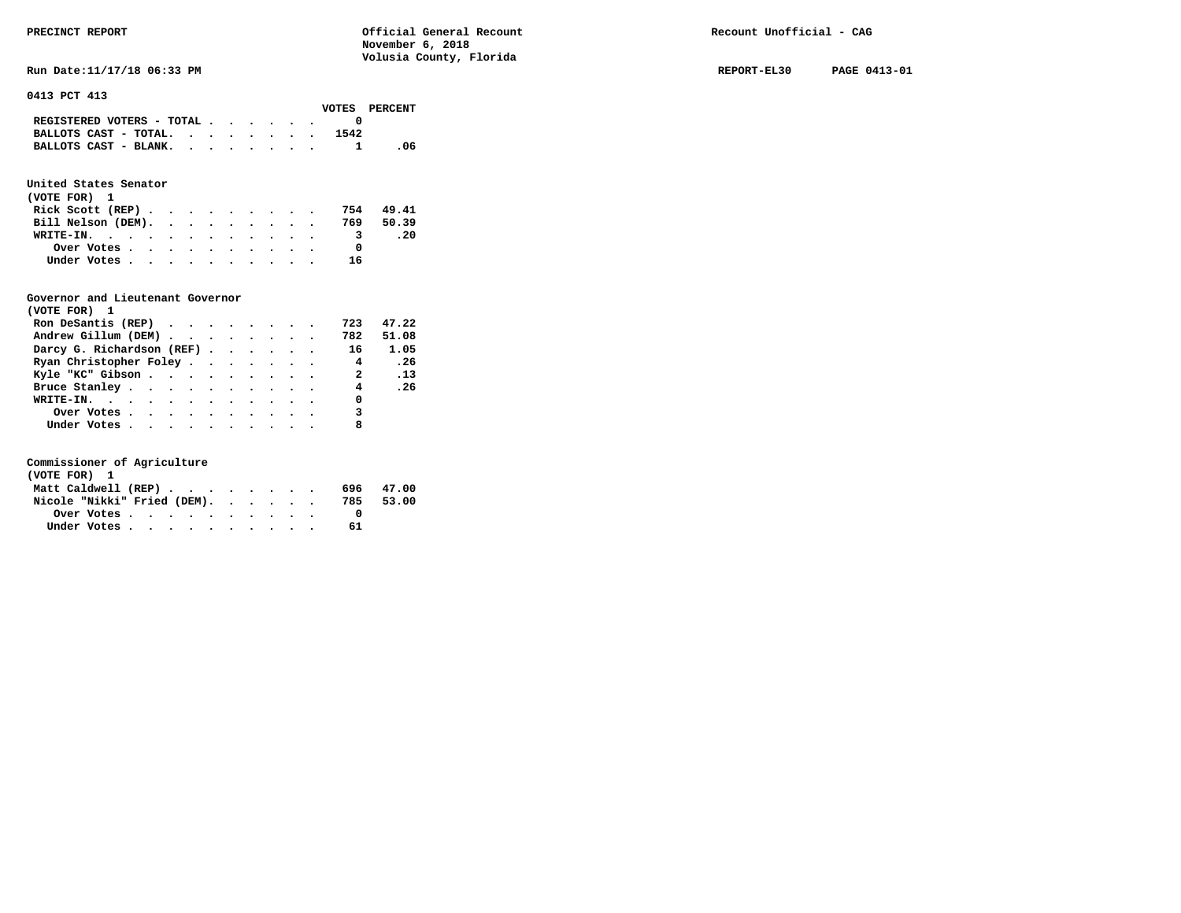**RUN Date:11/17/18 06:33 PM REPORT-EL30 PAGE 0413-01 REPORT-EL30 PAGE 0413-01** 

#### **0413 PCT 413**

|                                                                           |  |  |  |      | VOTES PERCENT |
|---------------------------------------------------------------------------|--|--|--|------|---------------|
| REGISTERED VOTERS - TOTAL $\cdot$ $\cdot$ $\cdot$ $\cdot$ $\cdot$ $\cdot$ |  |  |  |      |               |
| BALLOTS CAST - TOTAL. $\cdot$ , , , , , , ,                               |  |  |  | 1542 |               |
| BALLOTS CAST - BLANK.                                                     |  |  |  |      | - 06          |

### **United States Senator**

| (VOTE FOR) 1                 |  |  |  |  |  |    |           |
|------------------------------|--|--|--|--|--|----|-----------|
| Rick Scott (REP)             |  |  |  |  |  |    | 754 49.41 |
| Bill Nelson (DEM). 769 50.39 |  |  |  |  |  |    |           |
| WRITE-IN.                    |  |  |  |  |  |    | . 20      |
| Over Votes                   |  |  |  |  |  |    |           |
| Under Votes                  |  |  |  |  |  | 16 |           |

#### **Governor and Lieutenant Governor**

| (VOTE FOR) 1                                  |  |  |  |                |       |
|-----------------------------------------------|--|--|--|----------------|-------|
| Ron DeSantis (REP) $\cdots$ $\cdots$ $\cdots$ |  |  |  | 723            | 47.22 |
| Andrew Gillum (DEM)                           |  |  |  | 782            | 51.08 |
| Darcy G. Richardson (REF)                     |  |  |  | 16             | 1.05  |
| Ryan Christopher Foley                        |  |  |  | $\overline{4}$ | .26   |
| Kyle "KC" Gibson                              |  |  |  |                | 2.13  |
| Bruce Stanley                                 |  |  |  | $\overline{4}$ | .26   |
| WRITE-IN.                                     |  |  |  | 0              |       |
| Over Votes                                    |  |  |  | 3              |       |
| Under Votes                                   |  |  |  | 8              |       |

| (VOTE FOR) 1                |  |  |  |           |  |
|-----------------------------|--|--|--|-----------|--|
| Matt Caldwell (REP)         |  |  |  | 696 47.00 |  |
| Nicole "Nikki" Fried (DEM). |  |  |  | 785 53.00 |  |
|                             |  |  |  |           |  |
| Under Votes                 |  |  |  | 61        |  |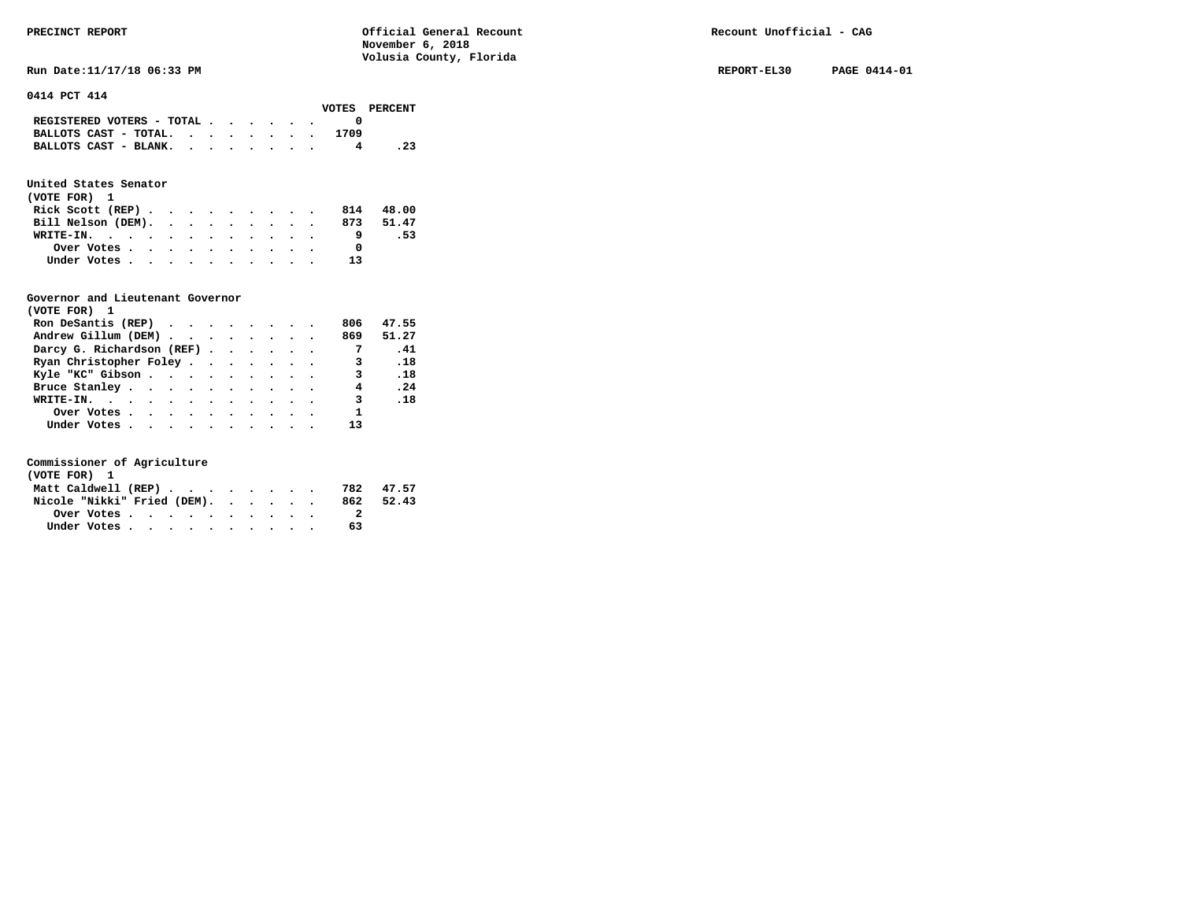**RUN Date:11/17/18 06:33 PM REPORT-EL30 PAGE 0414-01 REPORT-EL30 PAGE 0414-01** 

#### **0414 PCT 414**

|                                             |  |  |  |      | VOTES PERCENT |
|---------------------------------------------|--|--|--|------|---------------|
| REGISTERED VOTERS - TOTAL $\cdot$ , , , , . |  |  |  |      |               |
| BALLOTS CAST - TOTAL.                       |  |  |  | 1709 |               |
| BALLOTS CAST - BLANK.                       |  |  |  |      | . 23          |

### **United States Senator**

| (VOTE FOR) 1                                |            |  |  |  |  |  |    |           |  |
|---------------------------------------------|------------|--|--|--|--|--|----|-----------|--|
| Rick Scott (REP) $\cdots$ $\cdots$ $\cdots$ |            |  |  |  |  |  |    | 814 48.00 |  |
| Bill Nelson (DEM). 873 51.47                |            |  |  |  |  |  |    |           |  |
| WRITE-IN.                                   |            |  |  |  |  |  |    | .53       |  |
|                                             | Over Votes |  |  |  |  |  |    |           |  |
| Under Votes                                 |            |  |  |  |  |  | 13 |           |  |

#### **Governor and Lieutenant Governor**

| (VOTE FOR) 1                                                   |  |  |  |                |           |
|----------------------------------------------------------------|--|--|--|----------------|-----------|
| Ron DeSantis (REP) $\cdot \cdot \cdot \cdot \cdot \cdot \cdot$ |  |  |  | 806            | 47.55     |
| Andrew Gillum (DEM)                                            |  |  |  |                | 869 51.27 |
| Darcy G. Richardson (REF)                                      |  |  |  | $\overline{7}$ | .41       |
| Ryan Christopher Foley                                         |  |  |  | 3              | .18       |
| Kyle "KC" Gibson                                               |  |  |  | 3              | .18       |
| Bruce Stanley                                                  |  |  |  | 4              | .24       |
| WRITE-IN.                                                      |  |  |  | $\mathbf{3}$   | .18       |
| Over Votes                                                     |  |  |  | 1              |           |
| Under Votes                                                    |  |  |  | 13             |           |

| (VOTE FOR) 1                |  |  |  |  |  |     |           |
|-----------------------------|--|--|--|--|--|-----|-----------|
| Matt Caldwell (REP)         |  |  |  |  |  |     | 782 47.57 |
| Nicole "Nikki" Fried (DEM). |  |  |  |  |  | 862 | 52.43     |
| Over Votes.                 |  |  |  |  |  |     |           |
| Under Votes                 |  |  |  |  |  | 63  |           |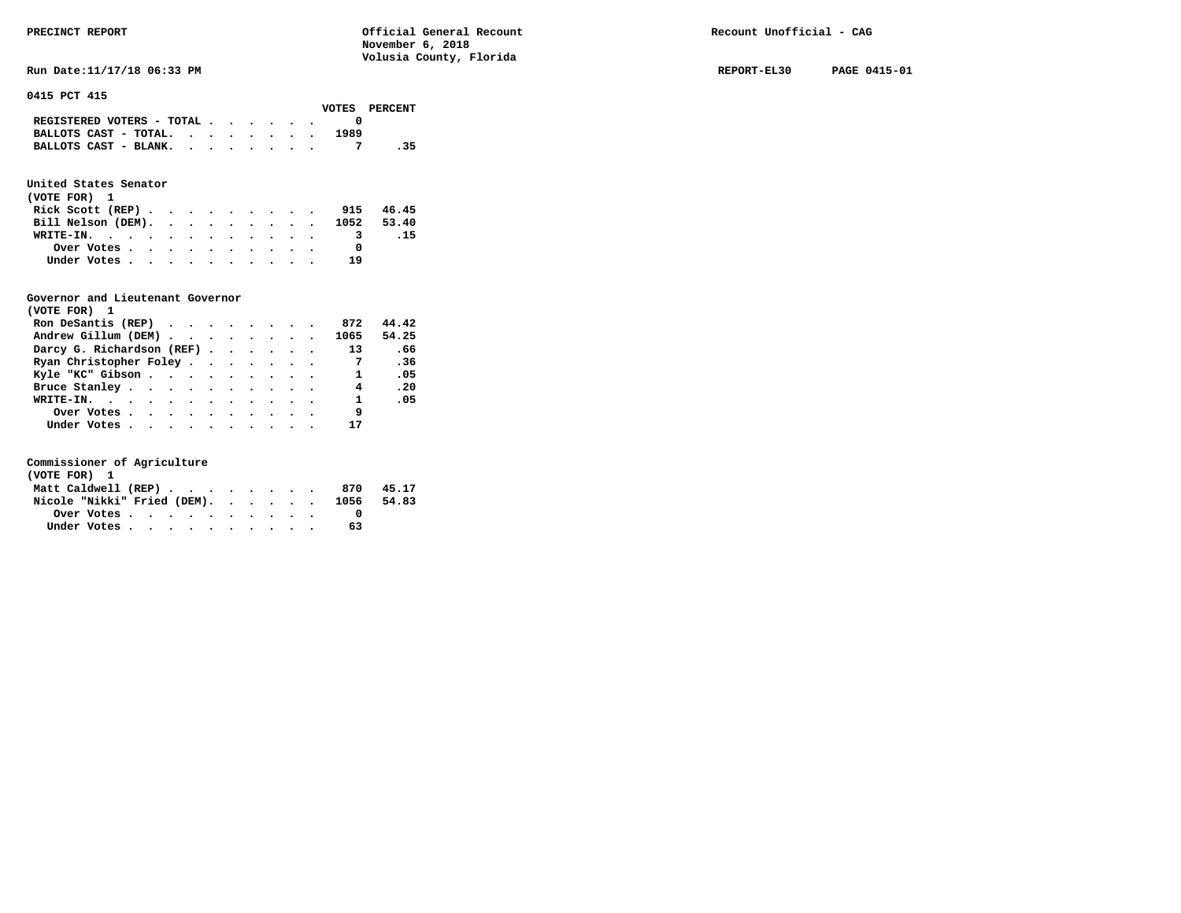**Run Date:11/17/18 06:33 PM REPORT-EL30 PAGE 0415-01** 

**0415 PCT 415** 

|                                                                           |  |  |  |      | VOTES PERCENT |
|---------------------------------------------------------------------------|--|--|--|------|---------------|
| REGISTERED VOTERS - TOTAL $\cdot$ $\cdot$ $\cdot$ $\cdot$ $\cdot$ $\cdot$ |  |  |  |      |               |
| BALLOTS CAST - TOTAL. $\cdot$                                             |  |  |  | 1989 |               |
| BALLOTS CAST - BLANK.                                                     |  |  |  |      | . 35          |

### **United States Senator**

| (VOTE FOR) 1 |  |  |  |  |  |                               |      |
|--------------|--|--|--|--|--|-------------------------------|------|
|              |  |  |  |  |  | Rick Scott (REP) 915 46.45    |      |
|              |  |  |  |  |  | Bill Nelson (DEM). 1052 53.40 |      |
| WRITE-IN.    |  |  |  |  |  |                               | - 15 |
| Over Votes   |  |  |  |  |  |                               |      |
| Under Votes  |  |  |  |  |  | 19                            |      |

#### **Governor and Lieutenant Governor**

| (VOTE FOR) 1                                                             |  |  |  |                         |       |  |
|--------------------------------------------------------------------------|--|--|--|-------------------------|-------|--|
| Ron DeSantis (REP) $\cdot \cdot \cdot \cdot \cdot \cdot \cdot \cdot$ 872 |  |  |  |                         | 44.42 |  |
| Andrew Gillum (DEM) 1065                                                 |  |  |  |                         | 54.25 |  |
| Darcy G. Richardson (REF)                                                |  |  |  | 13                      | .66   |  |
| Ryan Christopher Foley                                                   |  |  |  |                         | .36   |  |
| Kyle "KC" Gibson                                                         |  |  |  | $\mathbf{1}$            | .05   |  |
| Bruce Stanley                                                            |  |  |  | $\overline{4}$          | .20   |  |
| WRITE-IN.                                                                |  |  |  | $\overline{\mathbf{1}}$ | .05   |  |
| Over Votes                                                               |  |  |  | 9                       |       |  |
| Under Votes                                                              |  |  |  | 17                      |       |  |

| (VOTE FOR) 1                           |  |  |  |  |  |     |       |
|----------------------------------------|--|--|--|--|--|-----|-------|
| Matt Caldwell (REP)                    |  |  |  |  |  | 870 | 45.17 |
| Nicole "Nikki" Fried (DEM). 1056 54.83 |  |  |  |  |  |     |       |
|                                        |  |  |  |  |  |     |       |
| Under Votes                            |  |  |  |  |  | 63  |       |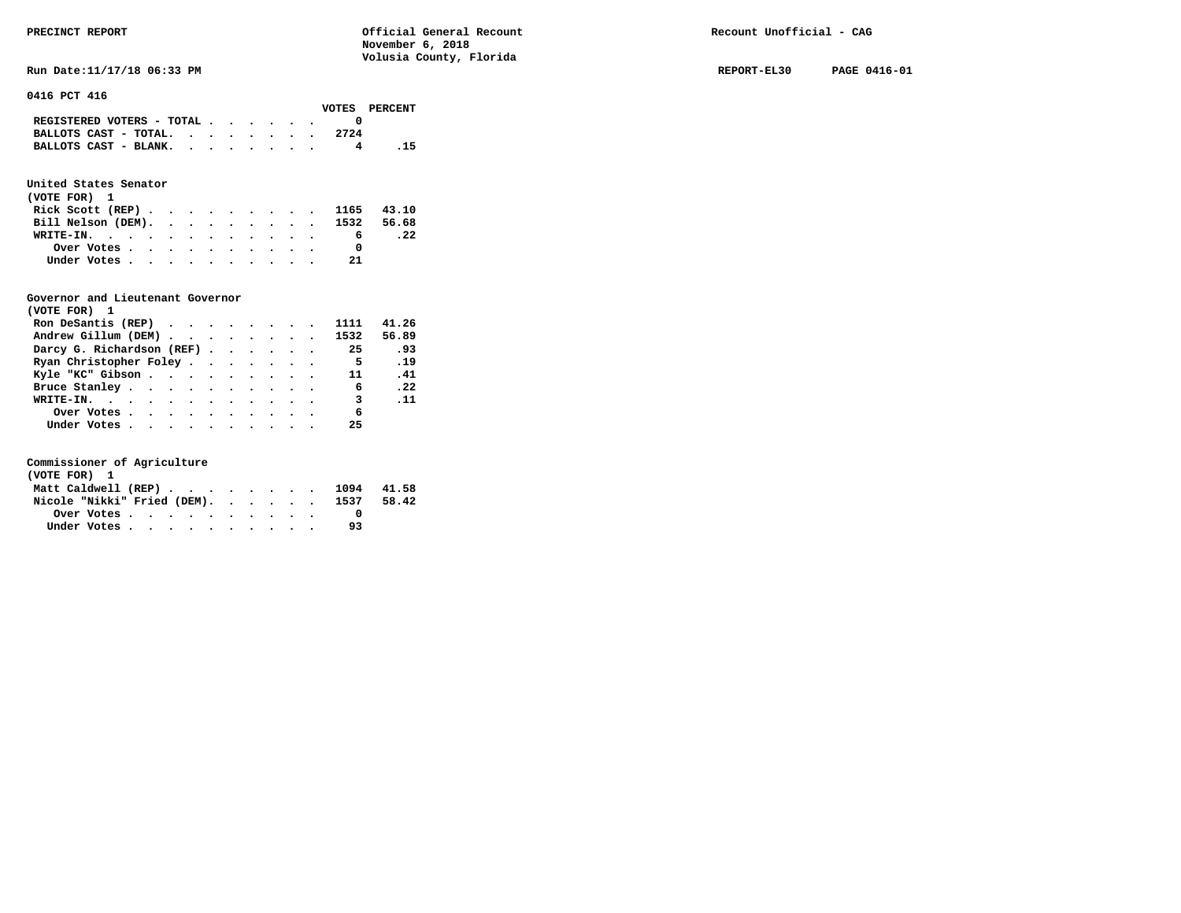**Run Date:11/17/18 06:33 PM REPORT-EL30 PAGE 0416-01 REPORT-EL30 PAGE 0416-01** 

**0416 PCT 416** 

| VOTES PERCENT                                     |
|---------------------------------------------------|
|                                                   |
| BALLOTS CAST - TOTAL. $\cdot$ , , , , , .<br>2724 |
| BALLOTS CAST - BLANK.<br>. 15                     |
|                                                   |

### **United States Senator**

| (VOTE FOR) 1                  |  |  |  |  |     |     |
|-------------------------------|--|--|--|--|-----|-----|
| Rick Scott (REP) 1165 43.10   |  |  |  |  |     |     |
| Bill Nelson (DEM). 1532 56.68 |  |  |  |  |     |     |
| WRITE-IN.                     |  |  |  |  | 6   | .22 |
| Over Votes                    |  |  |  |  |     |     |
| Under Votes                   |  |  |  |  | -21 |     |

#### **Governor and Lieutenant Governor**

| (VOTE FOR) 1                                  |  |  |  |                          |             |
|-----------------------------------------------|--|--|--|--------------------------|-------------|
| Ron DeSantis (REP) $\cdots$ $\cdots$ $\cdots$ |  |  |  | 1111                     | 41.26       |
| Andrew Gillum (DEM) 1532                      |  |  |  |                          | 56.89       |
| Darcy G. Richardson (REF)                     |  |  |  | 25                       | 93          |
| Ryan Christopher Foley                        |  |  |  | $\overline{\phantom{0}}$ | .19         |
| Kyle "KC" Gibson                              |  |  |  | 11 (1)                   | .41         |
| Bruce Stanley.                                |  |  |  | $6^{\circ}$              | .22         |
| WRITE-IN.                                     |  |  |  | $\overline{\phantom{a}}$ | $\ldots$ 11 |
| Over Votes                                    |  |  |  | 6                        |             |
| Under Votes                                   |  |  |  | 25                       |             |

| (VOTE FOR) 1                     |  |  |  |  |  |                                |       |
|----------------------------------|--|--|--|--|--|--------------------------------|-------|
|                                  |  |  |  |  |  | Matt Caldwell (REP) 1094 41.58 |       |
| Nicole "Nikki" Fried (DEM). 1537 |  |  |  |  |  |                                | 58.42 |
|                                  |  |  |  |  |  |                                |       |
| Under Votes                      |  |  |  |  |  | 93                             |       |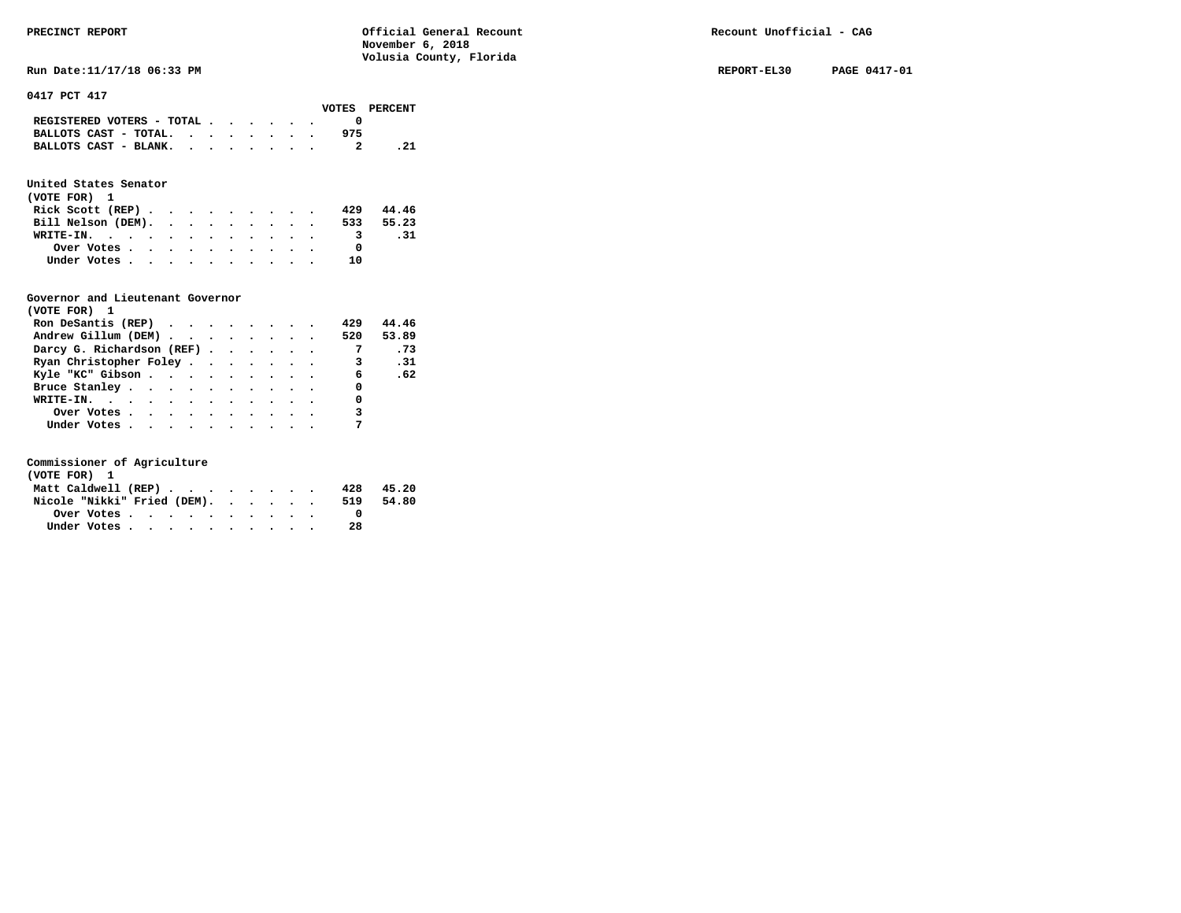**Run Date:11/17/18 06:33 PM REPORT-EL30 PAGE 0417-01** 

**0417 PCT 417** 

|                           |  |  |  |     | VOTES PERCENT |
|---------------------------|--|--|--|-----|---------------|
| REGISTERED VOTERS - TOTAL |  |  |  |     |               |
| BALLOTS CAST - TOTAL.     |  |  |  | 975 |               |
| BALLOTS CAST - BLANK.     |  |  |  |     | . 21          |
|                           |  |  |  |     |               |

### **United States Senator**

| (VOTE FOR) 1       |  |  |  |  |     |           |
|--------------------|--|--|--|--|-----|-----------|
| Rick Scott (REP)   |  |  |  |  | 429 | 44.46     |
| Bill Nelson (DEM). |  |  |  |  |     | 533 55.23 |
| WRITE-IN.          |  |  |  |  | 3   | .31       |
| Over Votes         |  |  |  |  |     |           |
| Under Votes        |  |  |  |  | າ ດ |           |

#### **Governor and Lieutenant Governor**

| (VOTE FOR) 1                                  |  |  |  |                         |       |
|-----------------------------------------------|--|--|--|-------------------------|-------|
| Ron DeSantis (REP) $\cdots$ $\cdots$ $\cdots$ |  |  |  | 429                     | 44.46 |
| Andrew Gillum (DEM)                           |  |  |  | 520                     | 53.89 |
| Darcy G. Richardson (REF)                     |  |  |  | $\overline{7}$          | .73   |
| Ryan Christopher Foley                        |  |  |  | $\overline{\mathbf{3}}$ | .31   |
| Kyle "KC" Gibson                              |  |  |  | $6^{\circ}$             | .62   |
| Bruce Stanley.                                |  |  |  | 0                       |       |
| WRITE-IN.                                     |  |  |  | 0                       |       |
| Over Votes                                    |  |  |  | 3                       |       |
| Under Votes                                   |  |  |  |                         |       |

| (VOTE FOR) 1                |  |  |  |  |  |     |       |
|-----------------------------|--|--|--|--|--|-----|-------|
| Matt Caldwell (REP)         |  |  |  |  |  | 428 | 45.20 |
| Nicole "Nikki" Fried (DEM). |  |  |  |  |  | 519 | 54.80 |
| Over Votes.                 |  |  |  |  |  |     |       |
| Under Votes                 |  |  |  |  |  | 28  |       |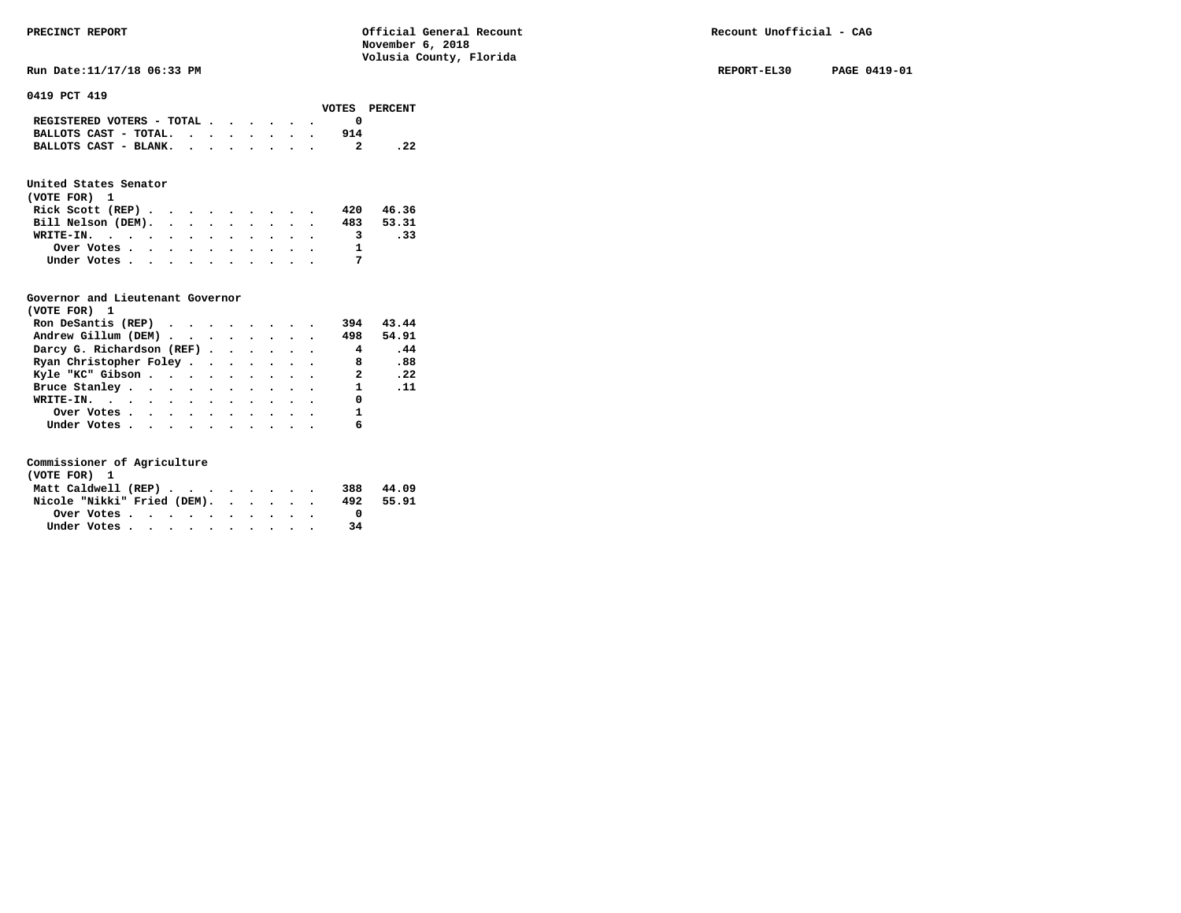**RUN Date:11/17/18 06:33 PM REPORT-EL30 PAGE 0419-01 REPORT-EL30 PAGE 0419-01** 

**0419 PCT 419** 

|                                             |  |  |  |     | VOTES PERCENT |
|---------------------------------------------|--|--|--|-----|---------------|
| REGISTERED VOTERS - TOTAL $\cdot$ , , , , , |  |  |  |     |               |
| BALLOTS CAST - TOTAL.                       |  |  |  | 914 |               |
| BALLOTS CAST - BLANK.                       |  |  |  |     |               |
|                                             |  |  |  |     |               |

### **United States Senator**

| (VOTE FOR) 1       |  |  |  |  |  |              |           |
|--------------------|--|--|--|--|--|--------------|-----------|
| Rick Scott (REP)   |  |  |  |  |  | 420          | 46.36     |
| Bill Nelson (DEM). |  |  |  |  |  |              | 483 53.31 |
| WRITE-IN.          |  |  |  |  |  | $\mathbf{3}$ | .33       |
| Over Votes         |  |  |  |  |  |              |           |
| Under Votes        |  |  |  |  |  |              |           |

#### **Governor and Lieutenant Governor**

| (VOTE FOR) 1                                                   |  |  |  |                         |                               |
|----------------------------------------------------------------|--|--|--|-------------------------|-------------------------------|
| Ron DeSantis (REP) $\cdot \cdot \cdot \cdot \cdot \cdot \cdot$ |  |  |  | 394                     | 43.44                         |
| Andrew Gillum (DEM)                                            |  |  |  | 498                     | 54.91                         |
| Darcy G. Richardson (REF)                                      |  |  |  | $\overline{\mathbf{4}}$ | .44                           |
| Ryan Christopher Foley                                         |  |  |  | 8 <sup>1</sup>          | .88                           |
| Kyle "KC" Gibson                                               |  |  |  | $\mathbf{2}$            | $\overline{\phantom{0}}$ . 22 |
| Bruce Stanley.                                                 |  |  |  | $\mathbf{1}$            | $\ldots$                      |
| WRITE-IN.                                                      |  |  |  | 0                       |                               |
| Over Votes.                                                    |  |  |  | 1                       |                               |
| Under Votes                                                    |  |  |  | 6                       |                               |

| (VOTE FOR) 1                |  |  |  |  |  |     |       |
|-----------------------------|--|--|--|--|--|-----|-------|
| Matt Caldwell (REP)         |  |  |  |  |  | 388 | 44.09 |
| Nicole "Nikki" Fried (DEM). |  |  |  |  |  | 492 | 55.91 |
| Over Votes.                 |  |  |  |  |  |     |       |
| Under Votes                 |  |  |  |  |  | 34  |       |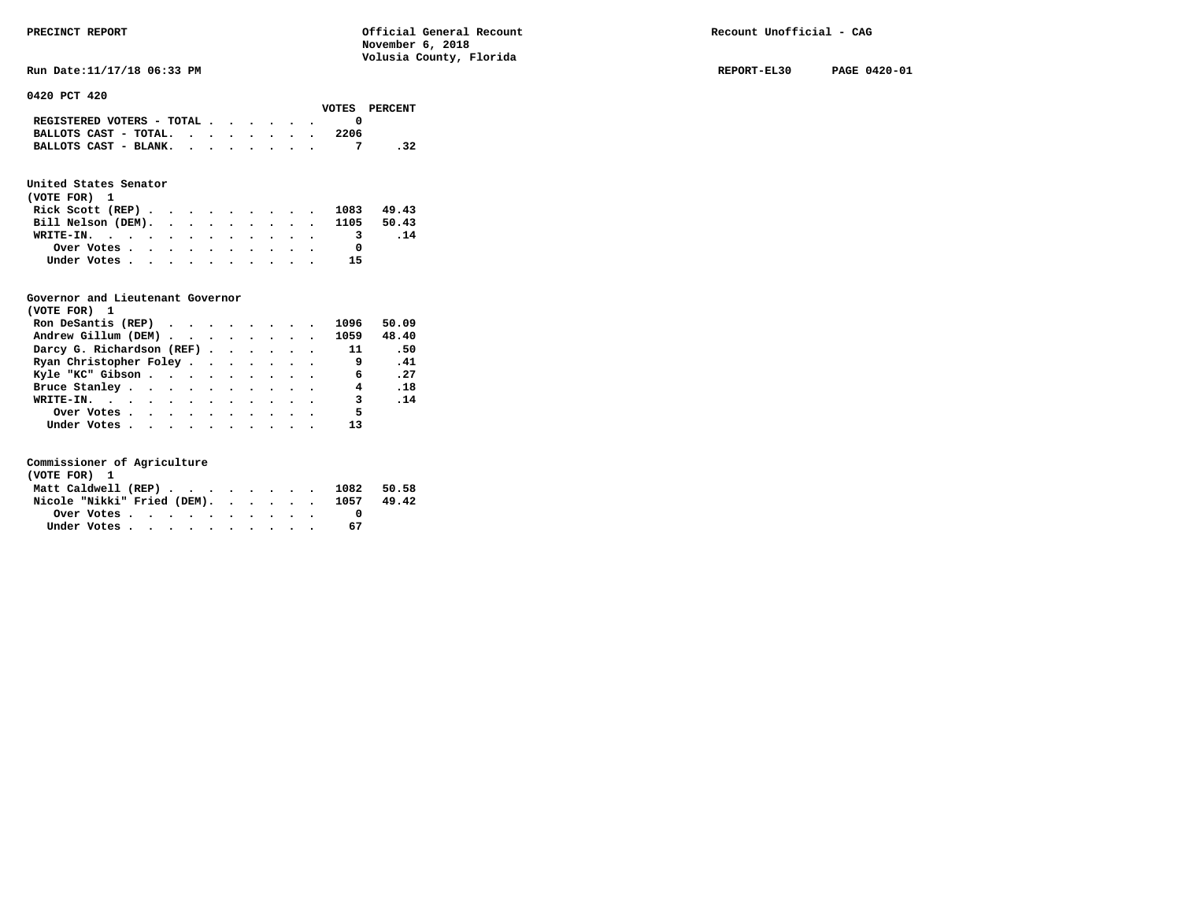**Run Date:11/17/18 06:33 PM REPORT-EL30 PAGE 0420-01** 

**0420 PCT 420** 

|                                                                           |  |  |  |      | VOTES PERCENT |
|---------------------------------------------------------------------------|--|--|--|------|---------------|
| REGISTERED VOTERS - TOTAL $\cdot$ $\cdot$ $\cdot$ $\cdot$ $\cdot$ $\cdot$ |  |  |  |      |               |
| BALLOTS CAST - TOTAL. $\cdot$ , , , , , , ,                               |  |  |  | 2206 |               |
| BALLOTS CAST - BLANK.                                                     |  |  |  |      |               |

### **United States Senator**

| (VOTE FOR) 1                  |  |  |  |  |  |            |     |
|-------------------------------|--|--|--|--|--|------------|-----|
| Rick Scott (REP)              |  |  |  |  |  | 1083 49.43 |     |
| Bill Nelson (DEM). 1105 50.43 |  |  |  |  |  |            |     |
| WRITE-IN.                     |  |  |  |  |  |            | .14 |
| Over Votes                    |  |  |  |  |  |            |     |
| Under Votes                   |  |  |  |  |  | -15        |     |

#### **Governor and Lieutenant Governor**

| (VOTE FOR) 1              |  |  |  |                         |                               |
|---------------------------|--|--|--|-------------------------|-------------------------------|
| Ron DeSantis (REP)        |  |  |  | 1096                    | 50.09                         |
| Andrew Gillum (DEM)       |  |  |  | 1059                    | 48.40                         |
| Darcy G. Richardson (REF) |  |  |  | 11                      | .50                           |
| Ryan Christopher Foley    |  |  |  | و ۔                     | .41                           |
| Kyle "KC" Gibson          |  |  |  | $\overline{6}$          | $\overline{\phantom{0}}$ . 27 |
| Bruce Stanley.            |  |  |  | 4                       | .18                           |
| WRITE-IN.                 |  |  |  | $\overline{\mathbf{3}}$ | .14                           |
| Over Votes                |  |  |  | 5                       |                               |
| Under Votes               |  |  |  | 13                      |                               |

| (VOTE FOR) 1 |                                  |  |  |  |  |  |    |       |
|--------------|----------------------------------|--|--|--|--|--|----|-------|
|              | Matt Caldwell (REP) 1082 50.58   |  |  |  |  |  |    |       |
|              | Nicole "Nikki" Fried (DEM). 1057 |  |  |  |  |  |    | 49.42 |
|              |                                  |  |  |  |  |  |    |       |
|              | Under Votes                      |  |  |  |  |  | 67 |       |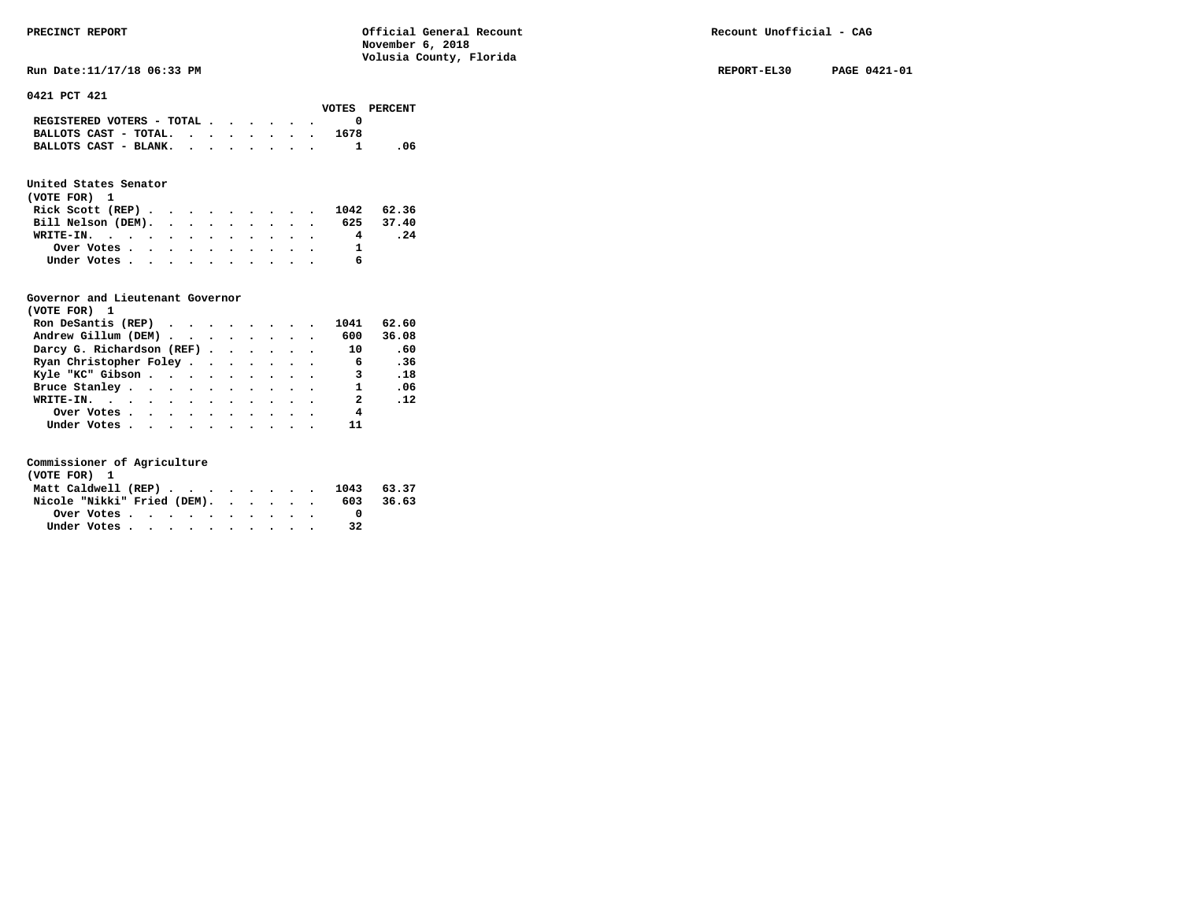**RUN Date:11/17/18 06:33 PM REPORT-EL30 PAGE 0421-01 REPORT-EL30 PAGE 0421-01** 

**0421 PCT 421** 

|                                                                           |  |  |  |      | VOTES PERCENT |
|---------------------------------------------------------------------------|--|--|--|------|---------------|
| REGISTERED VOTERS - TOTAL $\cdot$ $\cdot$ $\cdot$ $\cdot$ $\cdot$ $\cdot$ |  |  |  |      |               |
| BALLOTS CAST - TOTAL. $\cdot$                                             |  |  |  | 1678 |               |
| BALLOTS CAST - BLANK.                                                     |  |  |  |      | -06           |

## **United States Senator**

| (VOTE FOR) 1                 |  |  |  |  |   |     |
|------------------------------|--|--|--|--|---|-----|
| Rick Scott (REP) 1042 62.36  |  |  |  |  |   |     |
| Bill Nelson (DEM). 625 37.40 |  |  |  |  |   |     |
| WRITE-IN.                    |  |  |  |  | 4 | .24 |
| Over Votes                   |  |  |  |  |   |     |
| Under Votes                  |  |  |  |  | 6 |     |

### **Governor and Lieutenant Governor**

| (VOTE FOR) 1                                  |  |  |  |                         |       |
|-----------------------------------------------|--|--|--|-------------------------|-------|
| Ron DeSantis (REP) $\cdots$ $\cdots$ $\cdots$ |  |  |  | 1041                    | 62.60 |
| Andrew Gillum (DEM)                           |  |  |  | 600                     | 36.08 |
| Darcy G. Richardson (REF)                     |  |  |  | 10                      | .60   |
| Ryan Christopher Foley                        |  |  |  | $6^{\circ}$             | .36   |
| Kyle "KC" Gibson                              |  |  |  | 3                       | .18   |
| Bruce Stanley                                 |  |  |  | $\mathbf{1}$            | .06   |
| WRITE-IN.                                     |  |  |  | $\overline{\mathbf{2}}$ | .12   |
| Over Votes                                    |  |  |  | 4                       |       |
| Under Votes                                   |  |  |  | 11                      |       |

| (VOTE FOR) 1                |  |  |  |  |  |                                |           |
|-----------------------------|--|--|--|--|--|--------------------------------|-----------|
|                             |  |  |  |  |  | Matt Caldwell (REP) 1043 63.37 |           |
| Nicole "Nikki" Fried (DEM). |  |  |  |  |  |                                | 603 36.63 |
|                             |  |  |  |  |  |                                |           |
| Under Votes                 |  |  |  |  |  | 32                             |           |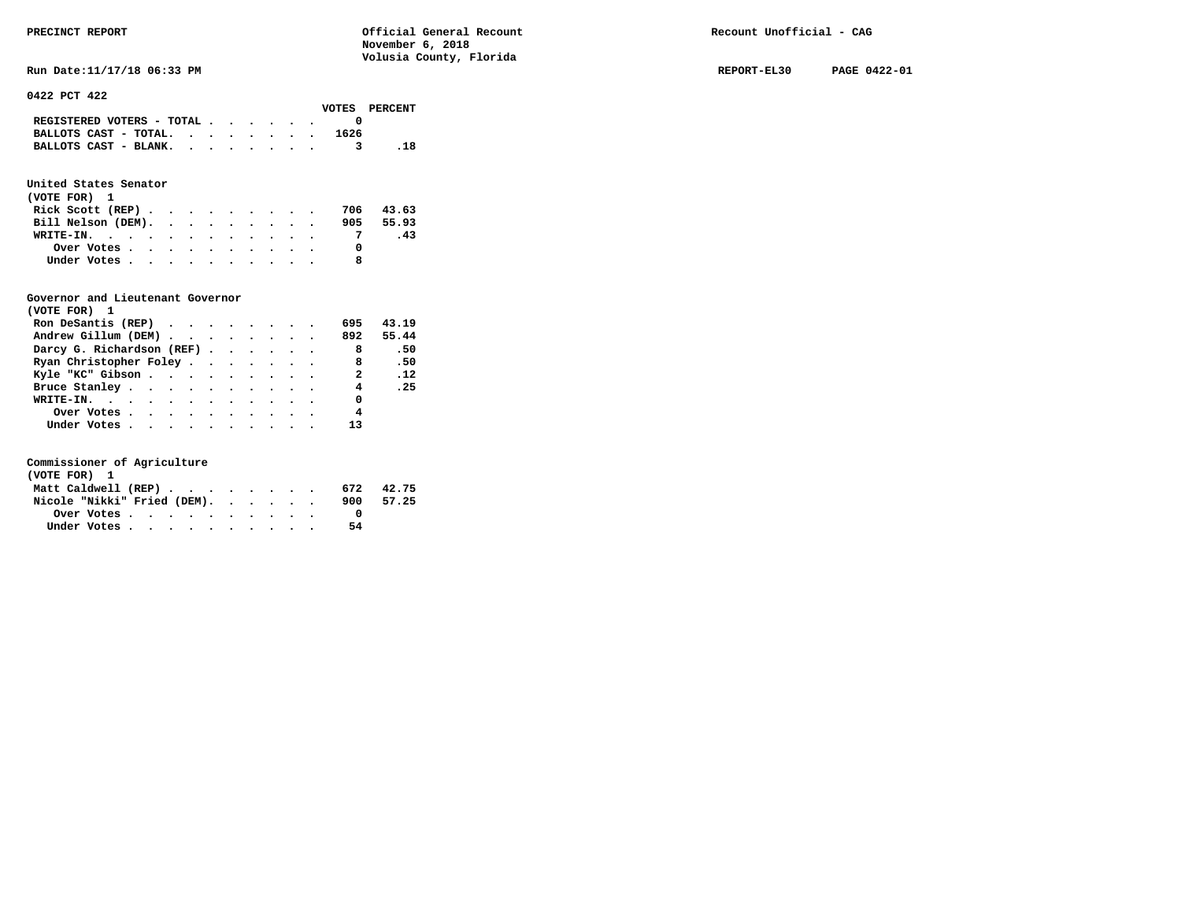**Run Date:11/17/18 06:33 PM REPORT-EL30 PAGE 0422-01** 

**0422 PCT 422** 

|                                             |  |  |  |      | VOTES PERCENT |
|---------------------------------------------|--|--|--|------|---------------|
| REGISTERED VOTERS - TOTAL $\cdot$ , , , , . |  |  |  |      |               |
| BALLOTS CAST - TOTAL.                       |  |  |  | 1626 |               |
| BALLOTS CAST - BLANK.                       |  |  |  |      |               |

## **United States Senator**

| (VOTE FOR) 1                                |  |  |  |  |  |           |
|---------------------------------------------|--|--|--|--|--|-----------|
| Rick Scott (REP) $\cdots$ $\cdots$ $\cdots$ |  |  |  |  |  | 706 43.63 |
| Bill Nelson (DEM).                          |  |  |  |  |  | 905 55.93 |
| WRITE-IN.                                   |  |  |  |  |  | -43       |
| Over Votes                                  |  |  |  |  |  |           |
| Under Votes                                 |  |  |  |  |  |           |

### **Governor and Lieutenant Governor**

| (VOTE FOR) 1              |  |  |  |                            |           |
|---------------------------|--|--|--|----------------------------|-----------|
| Ron DeSantis (REP)        |  |  |  | 695                        | 43.19     |
| Andrew Gillum (DEM)       |  |  |  |                            | 892 55.44 |
| Darcy G. Richardson (REF) |  |  |  | $\overline{\phantom{a}}$ 8 | .50       |
| Ryan Christopher Foley    |  |  |  | - 8                        | .50       |
| Kyle "KC" Gibson          |  |  |  | 2 .12                      |           |
| Bruce Stanley.            |  |  |  | 4                          | .25       |
| WRITE-IN.                 |  |  |  | 0                          |           |
| Over Votes                |  |  |  | $\overline{4}$             |           |
| Under Votes               |  |  |  | 13                         |           |

| (VOTE FOR) 1                |  |  |  |  |  |     |       |
|-----------------------------|--|--|--|--|--|-----|-------|
| Matt Caldwell (REP)         |  |  |  |  |  | 672 | 42.75 |
| Nicole "Nikki" Fried (DEM). |  |  |  |  |  | 900 | 57.25 |
| Over Votes                  |  |  |  |  |  |     |       |
| Under Votes                 |  |  |  |  |  | 54  |       |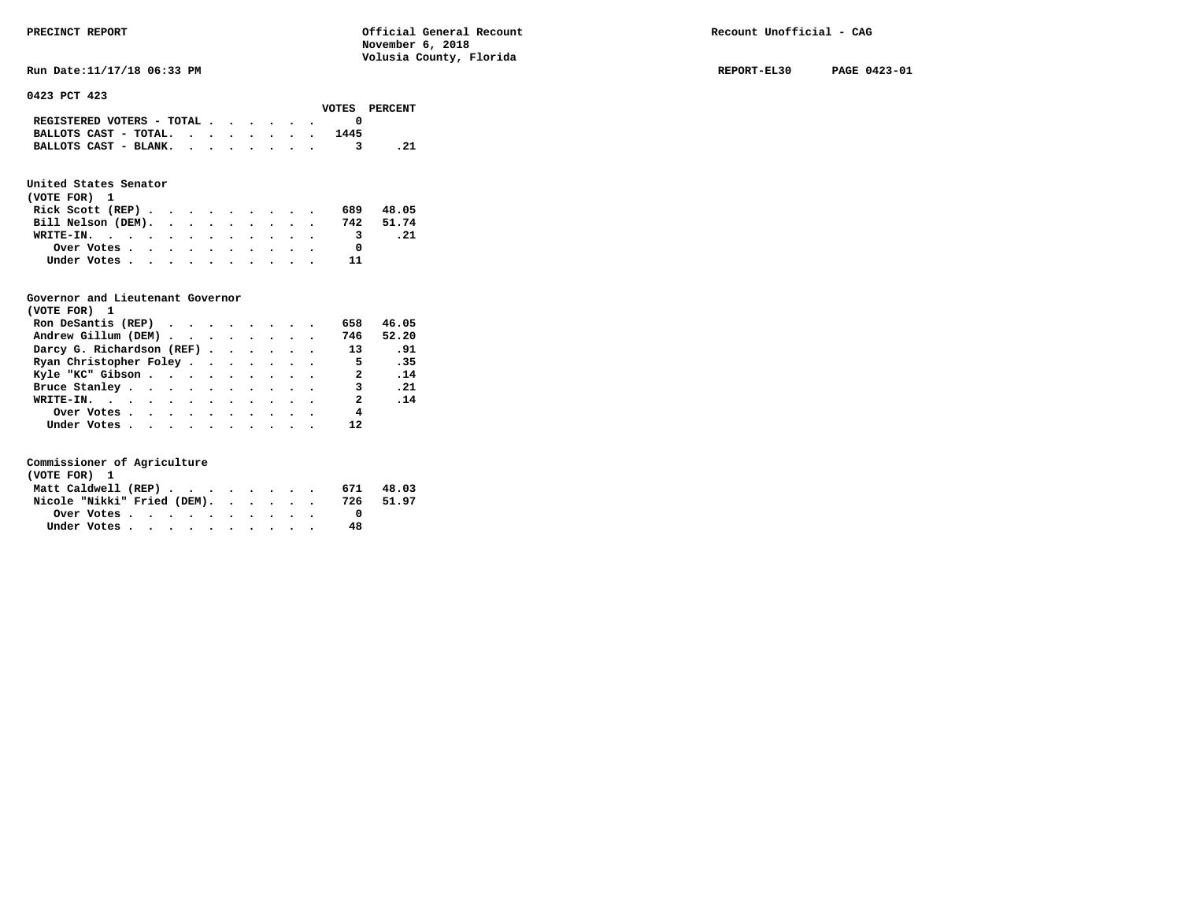**Run Date:11/17/18 06:33 PM REPORT-EL30 PAGE 0423-01** 

**0423 PCT 423** 

|                                             |  |  |  |      | VOTES PERCENT |
|---------------------------------------------|--|--|--|------|---------------|
| REGISTERED VOTERS - TOTAL $\cdot$ , , , , . |  |  |  |      |               |
| BALLOTS CAST - TOTAL. $\cdot$ , , , , , .   |  |  |  | 1445 |               |
| BALLOTS CAST - BLANK.                       |  |  |  |      | . 21          |
|                                             |  |  |  |      |               |

## **United States Senator**

| (VOTE FOR) 1                                |  |  |  |  |           |      |
|---------------------------------------------|--|--|--|--|-----------|------|
| Rick Scott (REP) $\cdots$ $\cdots$ $\cdots$ |  |  |  |  | 689 48.05 |      |
| Bill Nelson (DEM). 742 51.74                |  |  |  |  |           |      |
| WRITE-IN.                                   |  |  |  |  | - 3       | . 21 |
| Over Votes                                  |  |  |  |  |           |      |
| Under Votes                                 |  |  |  |  | 11        |      |

#### **Governor and Lieutenant Governor**

| (VOTE FOR) 1                                  |  |  |  |                         |       |
|-----------------------------------------------|--|--|--|-------------------------|-------|
| Ron DeSantis (REP) $\cdots$ $\cdots$ $\cdots$ |  |  |  | 658                     | 46.05 |
| Andrew Gillum (DEM)                           |  |  |  | 746                     | 52.20 |
| Darcy G. Richardson (REF)                     |  |  |  | 13                      | .91   |
| Ryan Christopher Foley                        |  |  |  | $\overline{5}$          | .35   |
| Kyle "KC" Gibson                              |  |  |  | $\overline{\mathbf{a}}$ | .14   |
| Bruce Stanley.                                |  |  |  | 3                       | .21   |
| WRITE-IN.                                     |  |  |  | $\overline{\mathbf{2}}$ | .14   |
| Over Votes                                    |  |  |  | 4                       |       |
| Under Votes, , , , , , , , , , ,              |  |  |  |                         |       |

| (VOTE FOR) 1                |  |  |  |  |     |       |
|-----------------------------|--|--|--|--|-----|-------|
| Matt Caldwell (REP)         |  |  |  |  | 671 | 48.03 |
| Nicole "Nikki" Fried (DEM). |  |  |  |  | 726 | 51.97 |
| Over Votes                  |  |  |  |  |     |       |
| Under Votes                 |  |  |  |  | 48  |       |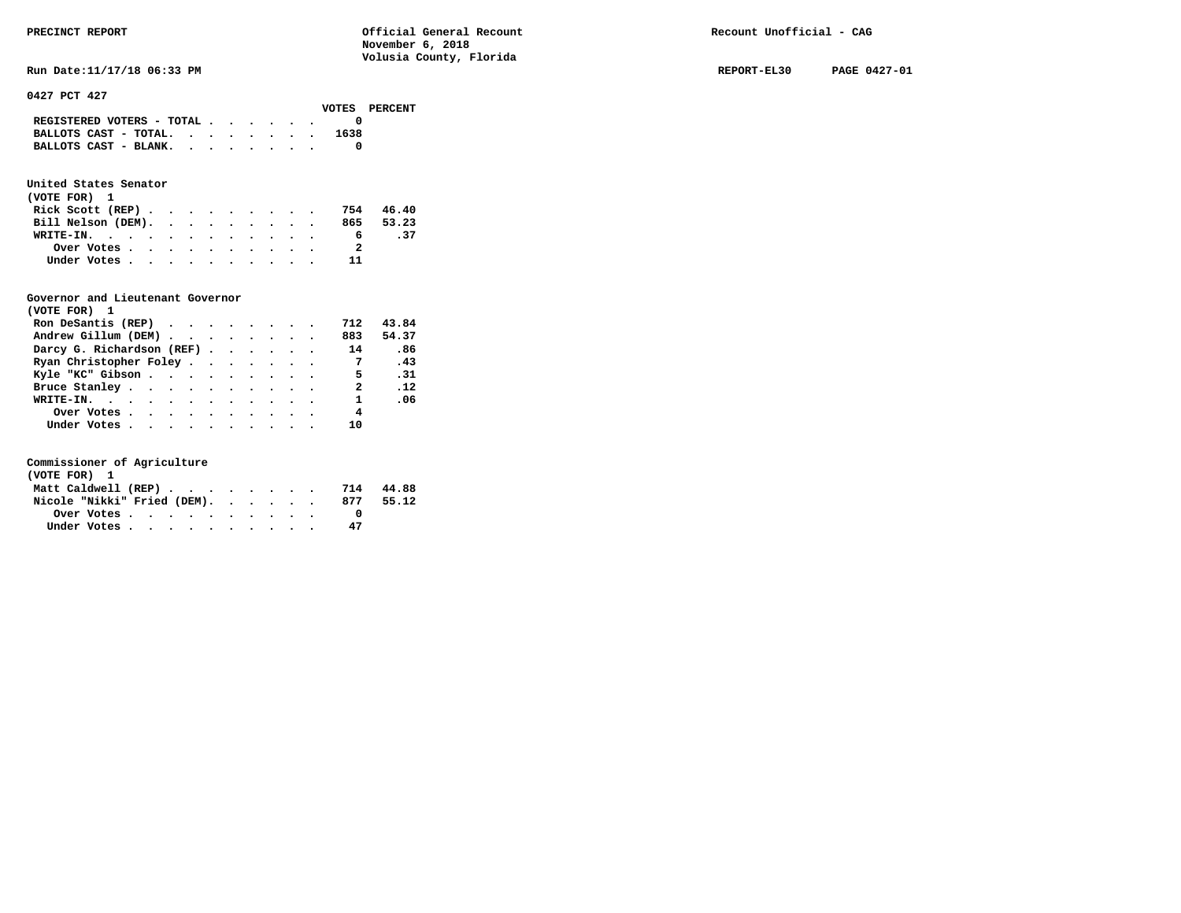| REGISTERED VOTERS - TOTAL $\cdot$ , , , |  |  |  |      |  |
|-----------------------------------------|--|--|--|------|--|
| BALLOTS CAST - TOTAL. $\cdot$           |  |  |  | 1638 |  |
| BALLOTS CAST - BLANK.                   |  |  |  |      |  |

## **United States Senator**

| (VOTE FOR) 1                 |  |  |  |  |   |     |
|------------------------------|--|--|--|--|---|-----|
| Rick Scott (REP) 754 46.40   |  |  |  |  |   |     |
| Bill Nelson (DEM). 865 53.23 |  |  |  |  |   |     |
| WRITE-IN.                    |  |  |  |  | 6 | .37 |
| Over Votes                   |  |  |  |  |   |     |
| Under Votes                  |  |  |  |  |   |     |

### **Governor and Lieutenant Governor**

| (VOTE FOR) 1                                  |  |  |  |                |       |
|-----------------------------------------------|--|--|--|----------------|-------|
| Ron DeSantis (REP) $\cdots$ $\cdots$ $\cdots$ |  |  |  | 712            | 43.84 |
| Andrew Gillum (DEM)                           |  |  |  | 883            | 54.37 |
| Darcy G. Richardson (REF)                     |  |  |  | 14             | .86   |
| Ryan Christopher Foley                        |  |  |  | $\overline{7}$ | .43   |
| Kyle "KC" Gibson                              |  |  |  | 5 <sup>5</sup> | .31   |
| Bruce Stanley                                 |  |  |  | 2              | .12   |
| WRITE-IN.                                     |  |  |  | $\mathbf{1}$   | .06   |
| Over Votes                                    |  |  |  | 4              |       |
| Under Votes, , , , , , , , , , ,              |  |  |  | 10             |       |

| (VOTE FOR) 1                |  |  |  |  |  |     |       |
|-----------------------------|--|--|--|--|--|-----|-------|
| Matt Caldwell (REP)         |  |  |  |  |  | 714 | 44.88 |
| Nicole "Nikki" Fried (DEM). |  |  |  |  |  | 877 | 55.12 |
| Over Votes                  |  |  |  |  |  |     |       |
| Under Votes                 |  |  |  |  |  | 47  |       |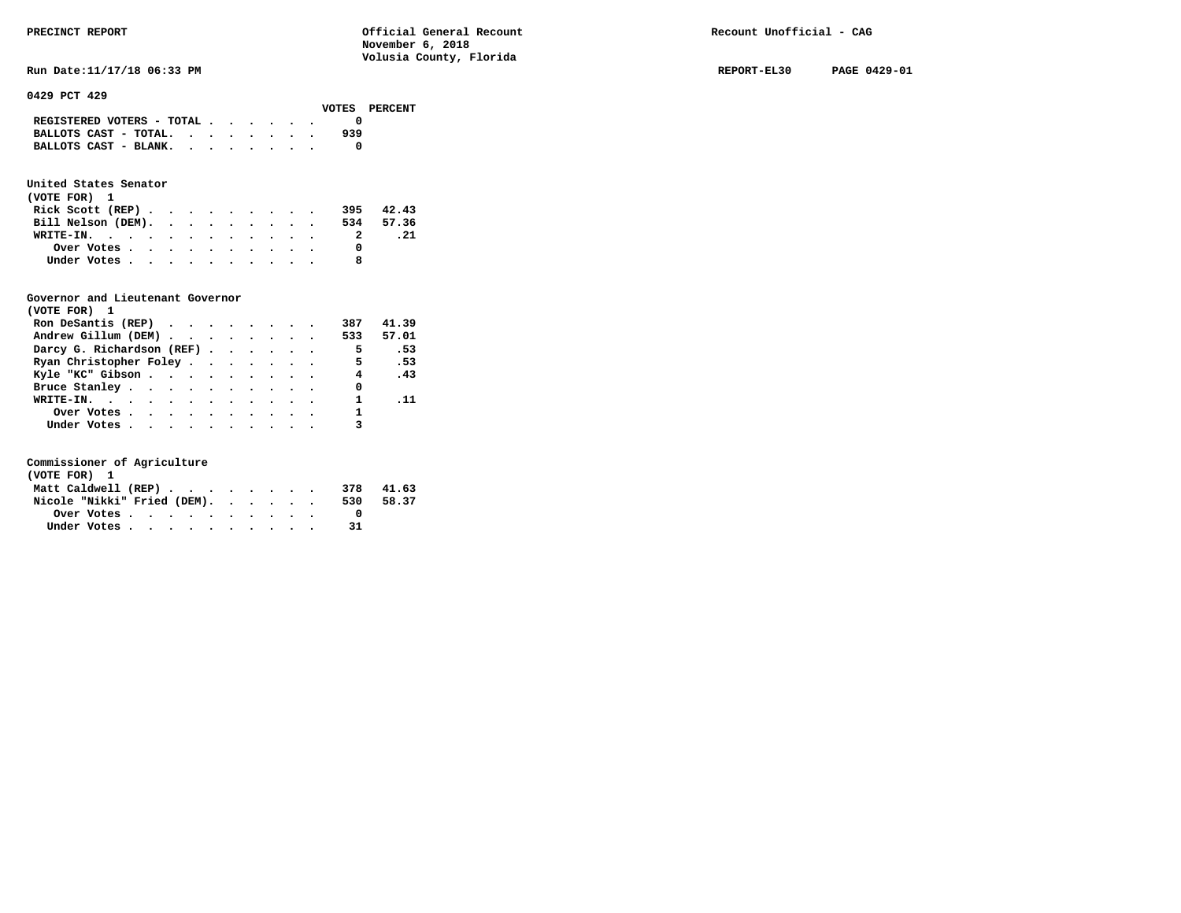| PRECINCT REPORT                                                            | Official General Recount<br>November 6, 2018<br>Volusia County, Florida | Recount Unofficial - CAG |              |
|----------------------------------------------------------------------------|-------------------------------------------------------------------------|--------------------------|--------------|
| Run Date: 11/17/18 06:33 PM                                                |                                                                         | REPORT-EL30              | PAGE 0429-01 |
| 0429 PCT 429<br>VOTES                                                      | PERCENT                                                                 |                          |              |
| REGISTERED VOTERS - TOTAL                                                  | 0                                                                       |                          |              |
| BALLOTS CAST - TOTAL. $\cdot$<br>BALLOTS CAST - BLANK. $\cdot$ , , , , , . | 939<br>0                                                                |                          |              |

#### **United States Senator**

| (VOTE FOR) 1       |  |  |  |  |           |       |
|--------------------|--|--|--|--|-----------|-------|
| Rick Scott $(REP)$ |  |  |  |  | 395       | 42.43 |
| Bill Nelson (DEM). |  |  |  |  | 534 57.36 |       |
| WRITE-IN.          |  |  |  |  |           | . 21  |
| Over Votes         |  |  |  |  |           |       |
| Under Votes        |  |  |  |  |           |       |

### **Governor and Lieutenant Governor**

| (VOTE FOR) 1                                  |  |  |  |                          |           |  |
|-----------------------------------------------|--|--|--|--------------------------|-----------|--|
| Ron DeSantis (REP) $\cdots$ $\cdots$ $\cdots$ |  |  |  | 387                      | 41.39     |  |
| Andrew Gillum (DEM)                           |  |  |  |                          | 533 57.01 |  |
| Darcy G. Richardson (REF)                     |  |  |  | $\overline{\phantom{0}}$ | .53       |  |
| Ryan Christopher Foley                        |  |  |  | 5                        | .53       |  |
| Kyle "KC" Gibson                              |  |  |  |                          | 4.43      |  |
| Bruce Stanley.                                |  |  |  | 0                        |           |  |
| WRITE-IN.                                     |  |  |  |                          | . 11      |  |
| Over Votes                                    |  |  |  |                          |           |  |
| Under Votes, , , , , , , , , , ,              |  |  |  |                          |           |  |

| (VOTE FOR) 1                |  |  |  |  |  |     |       |
|-----------------------------|--|--|--|--|--|-----|-------|
| Matt Caldwell (REP)         |  |  |  |  |  | 378 | 41.63 |
| Nicole "Nikki" Fried (DEM). |  |  |  |  |  | 530 | 58.37 |
| Over Votes.                 |  |  |  |  |  |     |       |
| Under Votes                 |  |  |  |  |  |     |       |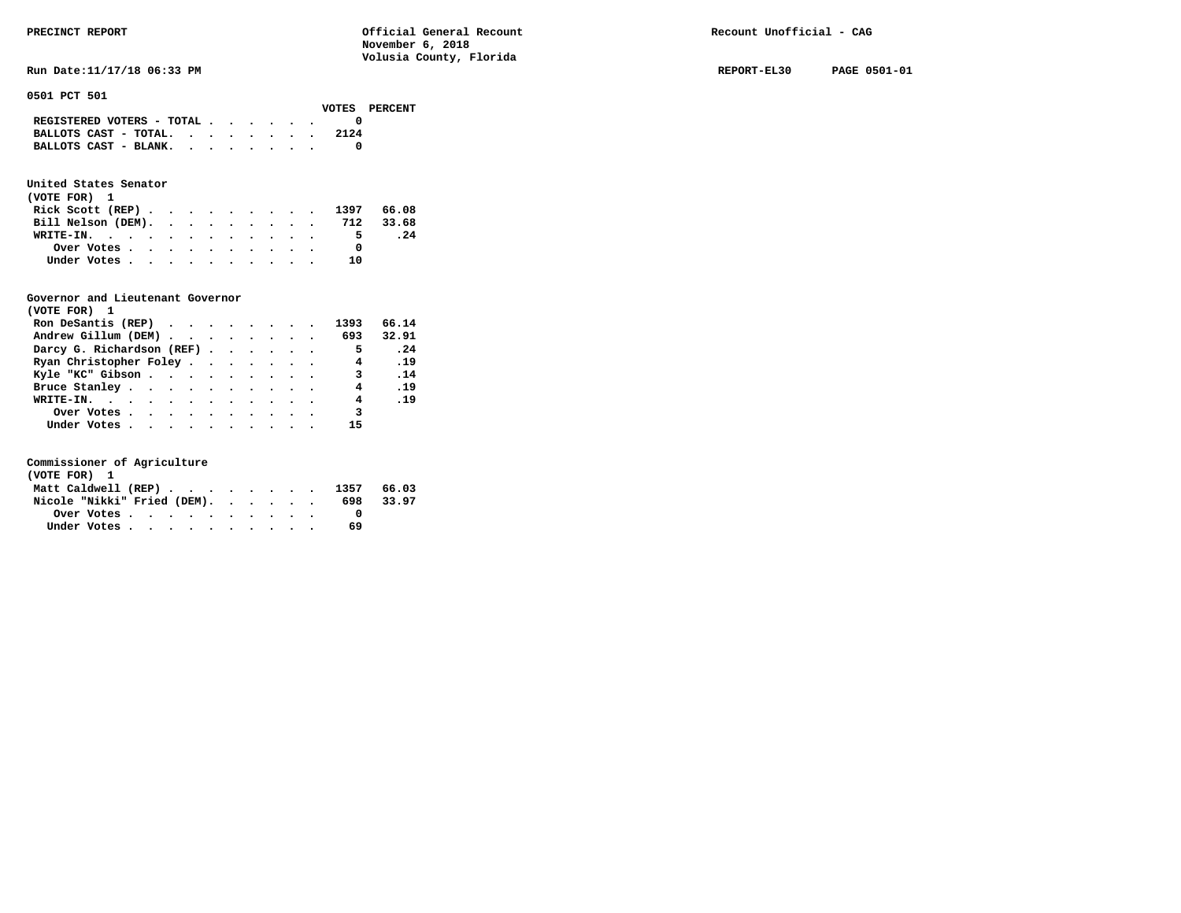#### **0501 PCT 501**

|                                                 |  |  |  | VOTES PERCENT |
|-------------------------------------------------|--|--|--|---------------|
| REGISTERED VOTERS - TOTAL $\cdot$ , , , , , , , |  |  |  |               |
| BALLOTS CAST - TOTAL. $\cdot$                   |  |  |  | 2124          |
| BALLOTS CAST - BLANK.                           |  |  |  |               |
|                                                 |  |  |  |               |

## **United States Senator**

| (VOTE FOR) 1                 |  |  |  |  |           |     |
|------------------------------|--|--|--|--|-----------|-----|
| Rick Scott (REP) 1397 66.08  |  |  |  |  |           |     |
| Bill Nelson (DEM). 712 33.68 |  |  |  |  |           |     |
| WRITE-IN.                    |  |  |  |  | 5.        | .24 |
| Over Votes                   |  |  |  |  |           |     |
| Under Votes                  |  |  |  |  | <b>10</b> |     |

### **Governor and Lieutenant Governor**

| (VOTE FOR) 1                                  |  |  |  |                          |              |
|-----------------------------------------------|--|--|--|--------------------------|--------------|
| Ron DeSantis (REP) $\cdots$ $\cdots$ $\cdots$ |  |  |  | 1393                     | 66.14        |
| Andrew Gillum (DEM) 693                       |  |  |  |                          | 32.91        |
| Darcy G. Richardson (REF)                     |  |  |  | $\overline{\phantom{0}}$ | $\cdot$ . 24 |
| Ryan Christopher Foley                        |  |  |  | $\overline{4}$           | .19          |
| Kyle "KC" Gibson                              |  |  |  | 3 .14                    |              |
| Bruce Stanley                                 |  |  |  | 4                        | .19          |
| WRITE-IN.                                     |  |  |  | $\overline{4}$           | .19          |
| Over Votes                                    |  |  |  | 3                        |              |
| Under Votes, , , , , , , , , , ,              |  |  |  |                          |              |

| (VOTE FOR) 1                   |  |  |  |  |  |     |       |
|--------------------------------|--|--|--|--|--|-----|-------|
| Matt Caldwell (REP) 1357 66.03 |  |  |  |  |  |     |       |
| Nicole "Nikki" Fried (DEM).    |  |  |  |  |  | 698 | 33.97 |
| Over Votes                     |  |  |  |  |  |     |       |
| Under Votes                    |  |  |  |  |  | 69  |       |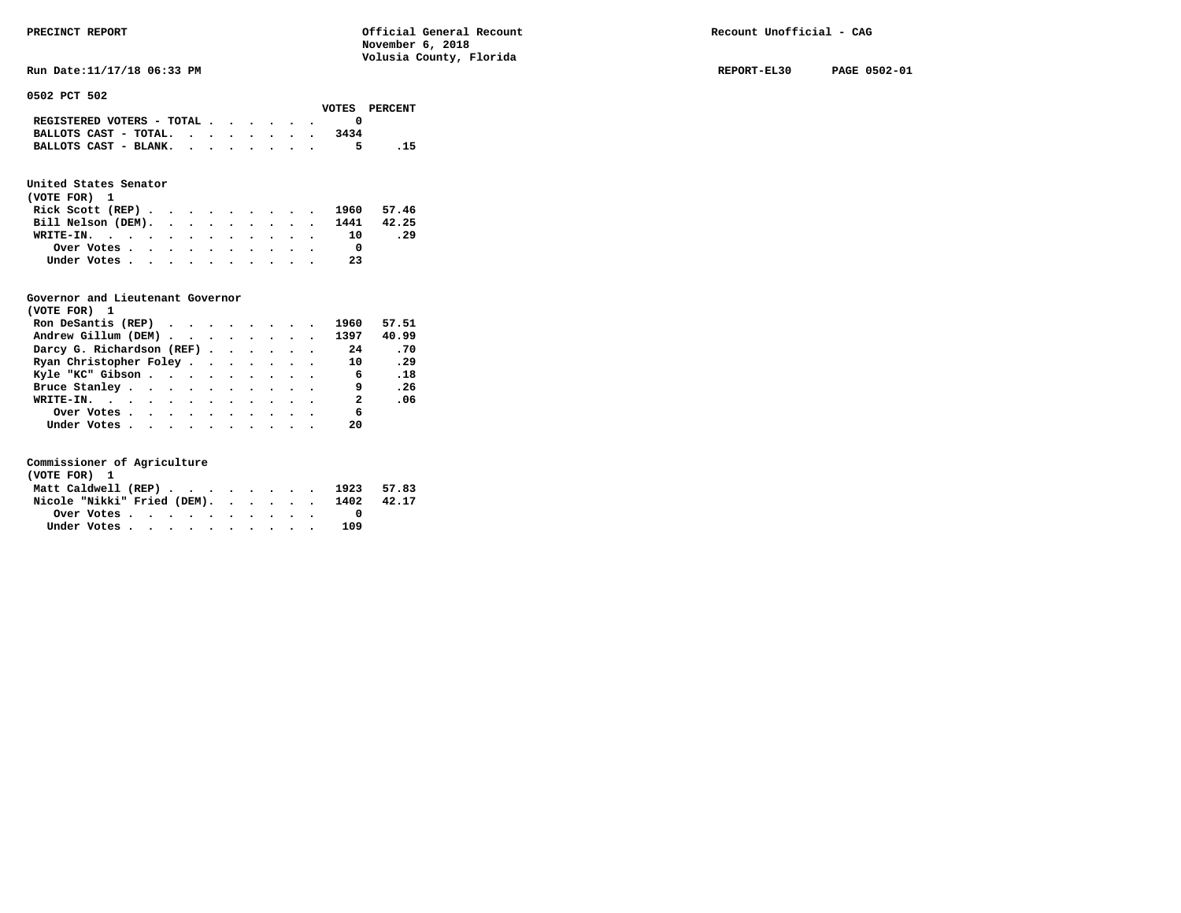**Run Date:11/17/18 06:33 PM REPORT-EL30 PAGE 0502-01** 

**0502 PCT 502** 

|                                                                           |  |  |  |      | VOTES PERCENT |
|---------------------------------------------------------------------------|--|--|--|------|---------------|
| REGISTERED VOTERS - TOTAL $\cdot$ $\cdot$ $\cdot$ $\cdot$ $\cdot$ $\cdot$ |  |  |  |      |               |
| BALLOTS CAST - TOTAL.                                                     |  |  |  | 3434 |               |
| BALLOTS CAST - BLANK.                                                     |  |  |  | 5.   | - 15          |

### **United States Senator**

| (VOTE FOR) 1                  |  |  |  |  |  |     |     |
|-------------------------------|--|--|--|--|--|-----|-----|
| Rick Scott (REP) 1960 57.46   |  |  |  |  |  |     |     |
| Bill Nelson (DEM). 1441 42.25 |  |  |  |  |  |     |     |
| WRITE-IN.                     |  |  |  |  |  | 10  | .29 |
| Over Votes                    |  |  |  |  |  |     |     |
| Under Votes                   |  |  |  |  |  | -23 |     |

#### **Governor and Lieutenant Governor**

| (VOTE FOR) 1              |  |  |  |                         |       |
|---------------------------|--|--|--|-------------------------|-------|
| Ron DeSantis (REP)        |  |  |  | 1960                    | 57.51 |
| Andrew Gillum (DEM)       |  |  |  | 1397                    | 40.99 |
| Darcy G. Richardson (REF) |  |  |  | 24                      | .70   |
| Ryan Christopher Foley    |  |  |  | 10                      | .29   |
| Kyle "KC" Gibson          |  |  |  | 6                       | .18   |
| Bruce Stanley.            |  |  |  | - 9                     | .26   |
| WRITE-IN.                 |  |  |  | $\overline{\mathbf{a}}$ | .06   |
| Over Votes                |  |  |  | 6                       |       |
| Under Votes               |  |  |  | 20                      |       |

| (VOTE FOR) 1                                            |  |  |  |  |  |                                        |  |
|---------------------------------------------------------|--|--|--|--|--|----------------------------------------|--|
|                                                         |  |  |  |  |  | Matt Caldwell (REP) 1923 57.83         |  |
|                                                         |  |  |  |  |  | Nicole "Nikki" Fried (DEM). 1402 42.17 |  |
| Over Votes $\cdots$ $\cdots$ $\cdots$ $\cdots$ $\cdots$ |  |  |  |  |  |                                        |  |
| Under Votes                                             |  |  |  |  |  | 109                                    |  |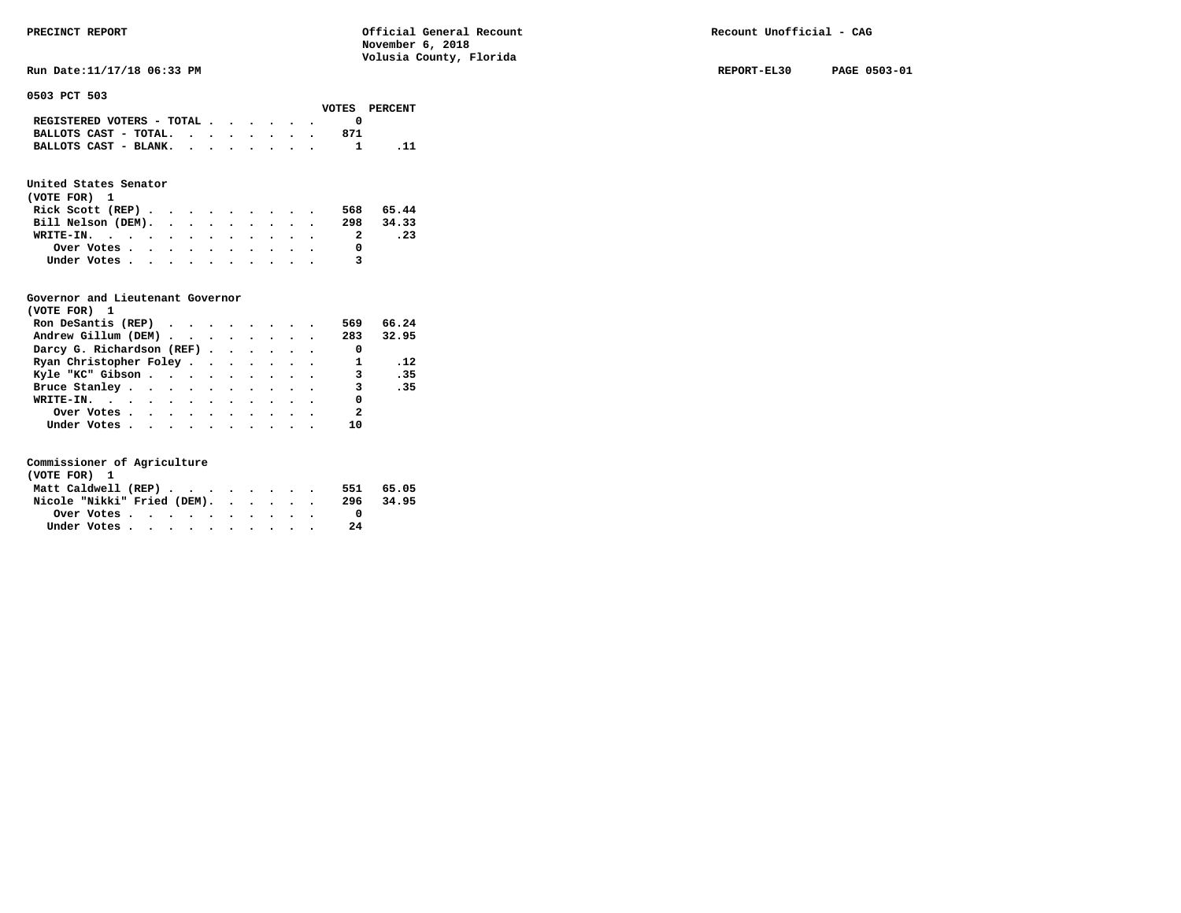**Run Date:11/17/18 06:33 PM REPORT-EL30 PAGE 0503-01** 

**0503 PCT 503** 

|                                                                           |  |  |  |     | VOTES PERCENT |
|---------------------------------------------------------------------------|--|--|--|-----|---------------|
| REGISTERED VOTERS - TOTAL $\cdot$ $\cdot$ $\cdot$ $\cdot$ $\cdot$ $\cdot$ |  |  |  |     |               |
| BALLOTS CAST - TOTAL. $\cdot$                                             |  |  |  | 871 |               |
| BALLOTS CAST - BLANK.                                                     |  |  |  |     |               |
|                                                                           |  |  |  |     |               |

### **United States Senator**

| (VOTE FOR) 1                                |  |  |  |  |  |   |           |
|---------------------------------------------|--|--|--|--|--|---|-----------|
| Rick Scott (REP) $\cdots$ $\cdots$ $\cdots$ |  |  |  |  |  |   | 568 65.44 |
| Bill Nelson (DEM).                          |  |  |  |  |  |   | 298 34.33 |
| WRITE-IN.                                   |  |  |  |  |  | 2 | . 23      |
| Over Votes                                  |  |  |  |  |  |   |           |
| Under Votes                                 |  |  |  |  |  | 3 |           |

#### **Governor and Lieutenant Governor**

| (VOTE FOR) 1                                  |  |  |  |                          |       |
|-----------------------------------------------|--|--|--|--------------------------|-------|
| Ron DeSantis (REP) $\cdots$ $\cdots$ $\cdots$ |  |  |  | 569                      | 66.24 |
| Andrew Gillum (DEM)                           |  |  |  | 283 32.95                |       |
| Darcy G. Richardson (REF)                     |  |  |  | $\overline{\phantom{0}}$ |       |
| Ryan Christopher Foley                        |  |  |  | 1                        | .12   |
| Kyle "KC" Gibson                              |  |  |  | $\overline{\mathbf{3}}$  | .35   |
| Bruce Stanley                                 |  |  |  | $\overline{\mathbf{3}}$  | .35   |
| WRITE-IN.                                     |  |  |  | 0                        |       |
| Over Votes.                                   |  |  |  | $\overline{\mathbf{2}}$  |       |
| Under Votes                                   |  |  |  | 10                       |       |

| (VOTE FOR) 1                |  |  |  |           |  |
|-----------------------------|--|--|--|-----------|--|
| Matt Caldwell (REP)         |  |  |  | 551 65.05 |  |
| Nicole "Nikki" Fried (DEM). |  |  |  | 296 34.95 |  |
|                             |  |  |  |           |  |
| Under Votes                 |  |  |  | 24        |  |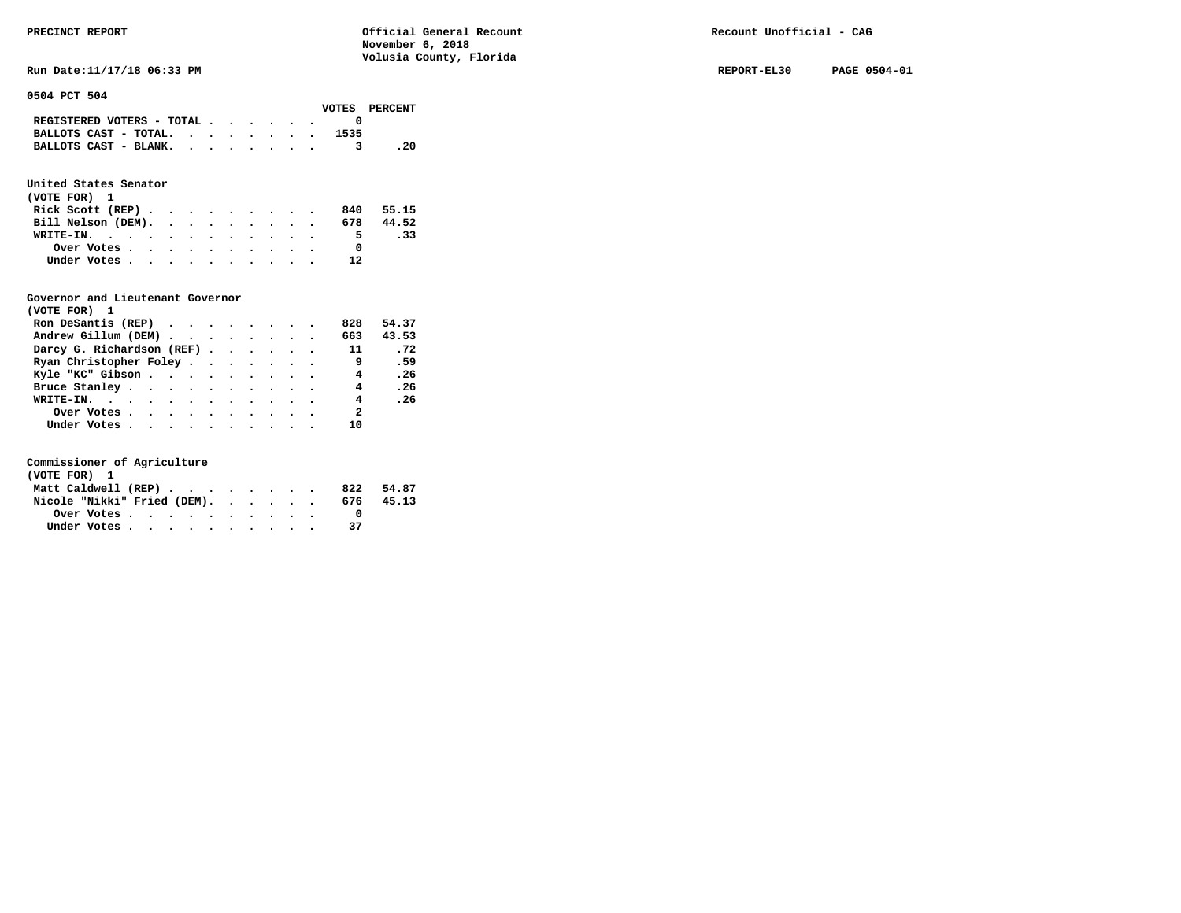**Run Date:11/17/18 06:33 PM REPORT-EL30 PAGE 0504-01 REPORT-EL30 PAGE 0504-01** 

**0504 PCT 504** 

|                                                                 |  |  |  |      | VOTES PERCENT |
|-----------------------------------------------------------------|--|--|--|------|---------------|
| REGISTERED VOTERS - TOTAL $\cdot$ , $\cdot$ , $\cdot$ , $\cdot$ |  |  |  |      |               |
| BALLOTS CAST - TOTAL.                                           |  |  |  | 1535 |               |
| BALLOTS CAST - BLANK.                                           |  |  |  |      | . 20          |
|                                                                 |  |  |  |      |               |

### **United States Senator**

| (VOTE FOR) 1       |  |  |  |  |              |       |
|--------------------|--|--|--|--|--------------|-------|
| Rick Scott (REP)   |  |  |  |  | 840          | 55.15 |
| Bill Nelson (DEM). |  |  |  |  | 678          | 44.52 |
| WRITE-IN.          |  |  |  |  | 5.           | .33   |
| Over Votes         |  |  |  |  | <sup>0</sup> |       |
| Under Votes        |  |  |  |  | 12           |       |

### **Governor and Lieutenant Governor**

| (VOTE FOR) 1                                                   |  |  |  |                |       |
|----------------------------------------------------------------|--|--|--|----------------|-------|
| Ron DeSantis (REP) $\cdot \cdot \cdot \cdot \cdot \cdot \cdot$ |  |  |  | 828            | 54.37 |
| Andrew Gillum (DEM)                                            |  |  |  | 663            | 43.53 |
| Darcy G. Richardson (REF)                                      |  |  |  | 11             | .72   |
| Ryan Christopher Foley                                         |  |  |  | 9              | .59   |
| Kyle "KC" Gibson                                               |  |  |  | $\overline{4}$ | .26   |
| Bruce Stanley                                                  |  |  |  | 4              | .26   |
| WRITE-IN.                                                      |  |  |  | $\overline{4}$ | . 26  |
| Over Votes                                                     |  |  |  | $\overline{2}$ |       |
| Under Votes, , , , , , , , , , ,                               |  |  |  | 10             |       |

| (VOTE FOR) 1                |  |  |  |  |  |     |       |
|-----------------------------|--|--|--|--|--|-----|-------|
| Matt Caldwell (REP)         |  |  |  |  |  | 822 | 54.87 |
| Nicole "Nikki" Fried (DEM). |  |  |  |  |  | 676 | 45.13 |
| Over Votes                  |  |  |  |  |  |     |       |
| Under Votes                 |  |  |  |  |  |     |       |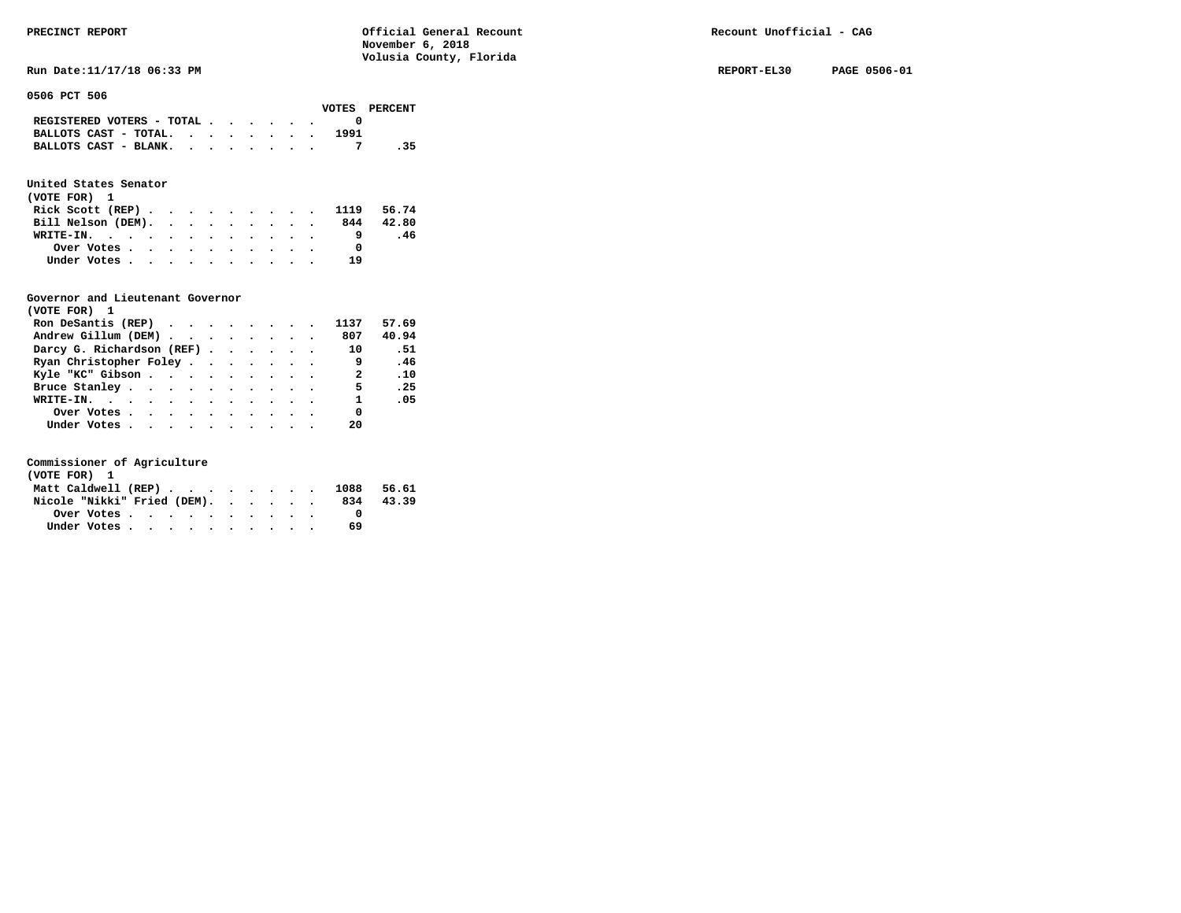Run Date:11/17/18 06:33 PM **REPORT-EL30** PAGE 0506-01

**0506 PCT 506** 

|                                                                           |  |  |  |      | VOTES PERCENT |
|---------------------------------------------------------------------------|--|--|--|------|---------------|
| REGISTERED VOTERS - TOTAL $\cdot$ $\cdot$ $\cdot$ $\cdot$ $\cdot$ $\cdot$ |  |  |  |      |               |
| BALLOTS CAST - TOTAL.                                                     |  |  |  | 1991 |               |
| BALLOTS CAST - BLANK.                                                     |  |  |  |      |               |

### **United States Senator**

| (VOTE FOR) 1                |  |  |  |  |    |           |
|-----------------------------|--|--|--|--|----|-----------|
| Rick Scott (REP) 1119 56.74 |  |  |  |  |    |           |
| Bill Nelson (DEM).          |  |  |  |  |    | 844 42.80 |
| WRITE-IN.                   |  |  |  |  |    | .46       |
| Over Votes                  |  |  |  |  |    |           |
| Under Votes                 |  |  |  |  | 19 |           |

#### **Governor and Lieutenant Governor**

| (VOTE FOR) 1                                  |  |  |  |                          |       |
|-----------------------------------------------|--|--|--|--------------------------|-------|
| Ron DeSantis (REP) $\cdots$ $\cdots$ $\cdots$ |  |  |  | 1137                     | 57.69 |
| Andrew Gillum (DEM)                           |  |  |  | 807                      | 40.94 |
| Darcy G. Richardson (REF)                     |  |  |  | 10                       | .51   |
| Ryan Christopher Foley                        |  |  |  | و ۔                      | .46   |
| Kyle "KC" Gibson                              |  |  |  | $\overline{\phantom{a}}$ | .10   |
| Bruce Stanley.                                |  |  |  | -5                       | .25   |
| WRITE-IN.                                     |  |  |  | $\mathbf{1}$             | .05   |
| Over Votes                                    |  |  |  | 0                        |       |
| Under Votes, , , , , , , , , , ,              |  |  |  | 20                       |       |

| (VOTE FOR) 1                   |  |  |  |  |  |     |       |
|--------------------------------|--|--|--|--|--|-----|-------|
| Matt Caldwell (REP) 1088 56.61 |  |  |  |  |  |     |       |
| Nicole "Nikki" Fried (DEM).    |  |  |  |  |  | 834 | 43.39 |
| Over Votes                     |  |  |  |  |  |     |       |
| Under Votes                    |  |  |  |  |  | 69  |       |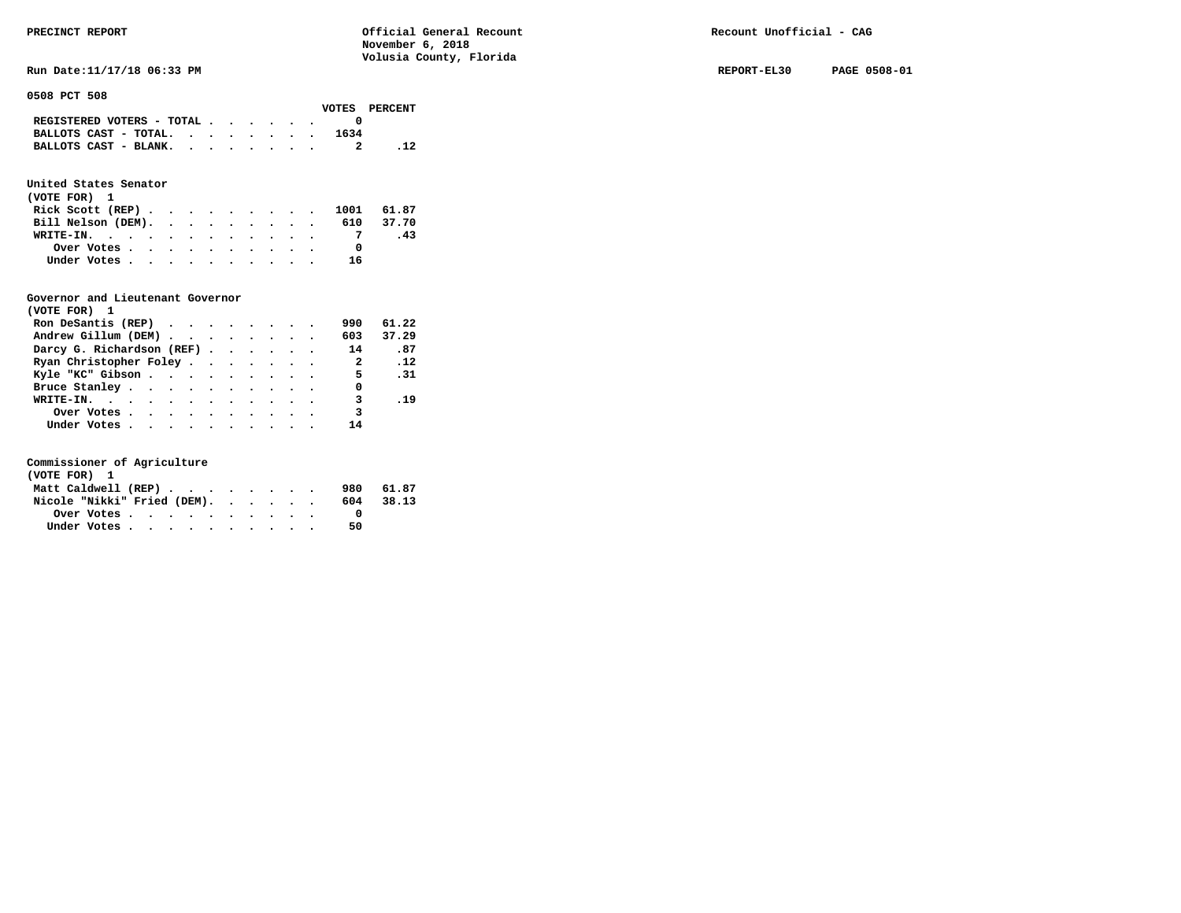**Run Date:11/17/18 06:33 PM REPORT-EL30 PAGE 0508-01** 

**0508 PCT 508** 

|                                             |  |  |  |      | VOTES PERCENT |
|---------------------------------------------|--|--|--|------|---------------|
| REGISTERED VOTERS - TOTAL $\cdot$ , , , , . |  |  |  |      |               |
| BALLOTS CAST - TOTAL. $\cdot$               |  |  |  | 1634 |               |
| BALLOTS CAST - BLANK.                       |  |  |  |      |               |

### **United States Senator**

| (VOTE FOR) 1                 |  |  |  |  |    |     |
|------------------------------|--|--|--|--|----|-----|
| Rick Scott (REP) 1001 61.87  |  |  |  |  |    |     |
| Bill Nelson (DEM). 610 37.70 |  |  |  |  |    |     |
| WRITE-IN.                    |  |  |  |  |    | -43 |
| Over Votes                   |  |  |  |  |    |     |
| Under Votes                  |  |  |  |  | 16 |     |

#### **Governor and Lieutenant Governor**

| (VOTE FOR) 1                                  |  |  |  |                            |       |
|-----------------------------------------------|--|--|--|----------------------------|-------|
| Ron DeSantis (REP) $\cdots$ $\cdots$ $\cdots$ |  |  |  | 990                        | 61.22 |
| Andrew Gillum (DEM)                           |  |  |  | 603                        | 37.29 |
| Darcy G. Richardson (REF)                     |  |  |  | 14                         | .87   |
| Ryan Christopher Foley                        |  |  |  | $\overline{\phantom{a}}$ 2 | .12   |
| Kyle "KC" Gibson                              |  |  |  | 5 <sub>5</sub>             | .31   |
| Bruce Stanley                                 |  |  |  | 0                          |       |
| WRITE-IN.                                     |  |  |  | 3                          | .19   |
| Over Votes                                    |  |  |  | 3                          |       |
| Under Votes                                   |  |  |  | 14                         |       |

| (VOTE FOR) 1                |  |  |  |  |  |     |           |
|-----------------------------|--|--|--|--|--|-----|-----------|
| Matt Caldwell (REP)         |  |  |  |  |  |     | 980 61.87 |
| Nicole "Nikki" Fried (DEM). |  |  |  |  |  | 604 | 38.13     |
| Over Votes                  |  |  |  |  |  |     |           |
| Under Votes                 |  |  |  |  |  | 50  |           |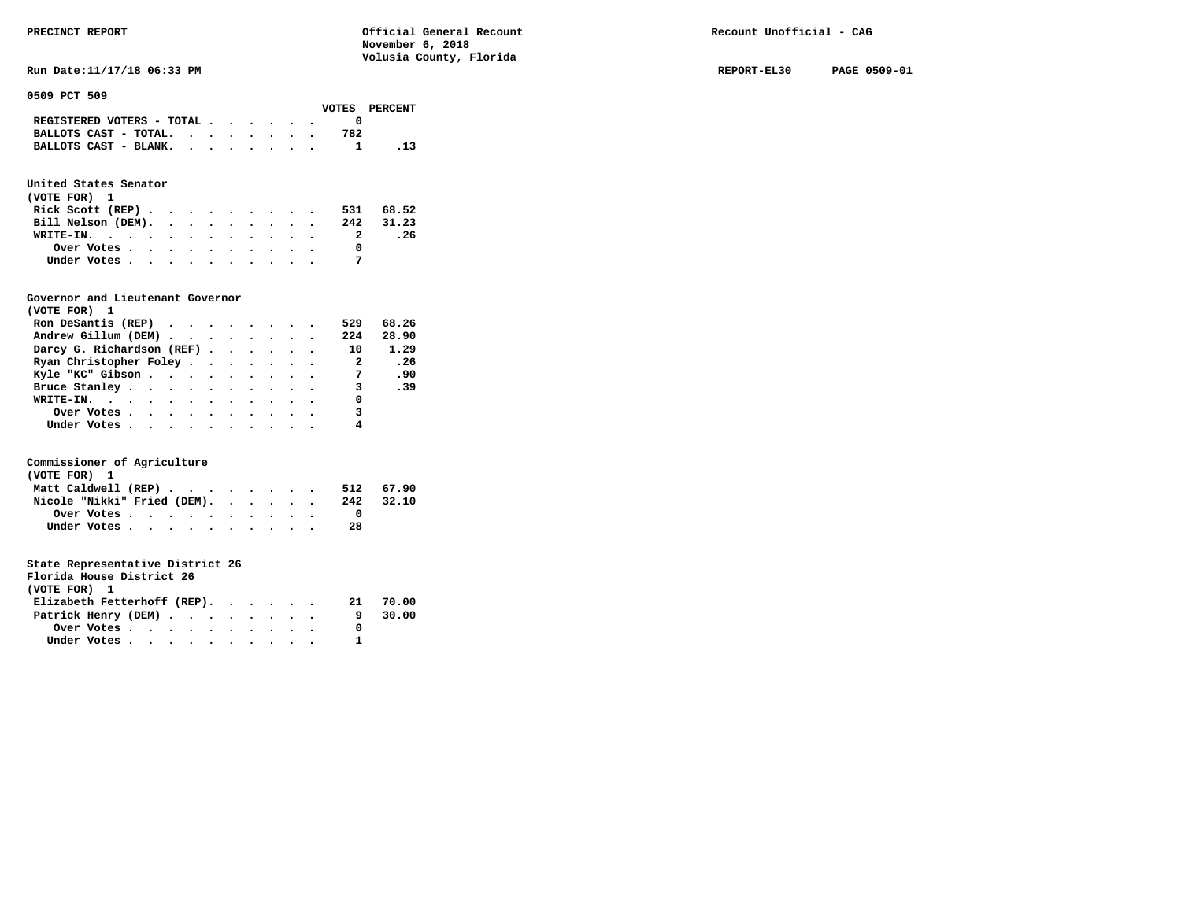**Run Date:11/17/18 06:33 PM REPORT-EL30 PAGE 0509-01** 

**0509 PCT 509** 

|                                             |  |  |  |     | VOTES PERCENT |
|---------------------------------------------|--|--|--|-----|---------------|
| REGISTERED VOTERS - TOTAL $\cdot$ , , , , . |  |  |  |     |               |
| BALLOTS CAST - TOTAL. $\cdot$               |  |  |  | 782 |               |
| BALLOTS CAST - BLANK.                       |  |  |  |     | .13           |
|                                             |  |  |  |     |               |

## **United States Senator**

| (VOTE FOR) 1                                |  |  |  |  |  |           |
|---------------------------------------------|--|--|--|--|--|-----------|
| Rick Scott (REP) $\cdots$ $\cdots$ $\cdots$ |  |  |  |  |  | 531 68.52 |
| Bill Nelson (DEM).                          |  |  |  |  |  | 242 31.23 |
| WRITE-IN.                                   |  |  |  |  |  | . 26      |
| Over Votes                                  |  |  |  |  |  |           |
| Under Votes                                 |  |  |  |  |  |           |

#### **Governor and Lieutenant Governor**

| (VOTE FOR) 1                                  |  |  |  |                            |       |
|-----------------------------------------------|--|--|--|----------------------------|-------|
| Ron DeSantis (REP) $\cdots$ $\cdots$ $\cdots$ |  |  |  | 529                        | 68.26 |
| Andrew Gillum (DEM)                           |  |  |  | 224                        | 28.90 |
| Darcy G. Richardson (REF)                     |  |  |  | 10                         | 1.29  |
| Ryan Christopher Foley                        |  |  |  | $\overline{\phantom{a}}$ 2 | .26   |
| Kyle "KC" Gibson                              |  |  |  | $\overline{7}$             | .90   |
| Bruce Stanley                                 |  |  |  | $\overline{\mathbf{3}}$    | .39   |
| WRITE-IN.                                     |  |  |  | 0                          |       |
| Over Votes.                                   |  |  |  | 3                          |       |
| Under Votes, , , , , , , , , , ,              |  |  |  |                            |       |

#### **Commissioner of Agriculture**

| (VOTE FOR) 1                                            |  |  |  |  |  |     |           |
|---------------------------------------------------------|--|--|--|--|--|-----|-----------|
| Matt Caldwell (REP)                                     |  |  |  |  |  |     | 512 67.90 |
| Nicole "Nikki" Fried (DEM).                             |  |  |  |  |  | 242 | 32.10     |
| Over Votes $\cdots$ $\cdots$ $\cdots$ $\cdots$ $\cdots$ |  |  |  |  |  |     |           |
| Under Votes                                             |  |  |  |  |  | 28  |           |

|              | Florida House District 26 |  |
|--------------|---------------------------|--|
| (VOTE FOR) 1 |                           |  |
|              |                           |  |

|  |  |  |  |  |                                    | 21 70.00                    |
|--|--|--|--|--|------------------------------------|-----------------------------|
|  |  |  |  |  |                                    | 9 30.00                     |
|  |  |  |  |  |                                    |                             |
|  |  |  |  |  |                                    |                             |
|  |  |  |  |  | Patrick Henry (DEM)<br>Under Votes | Elizabeth Fetterhoff (REP). |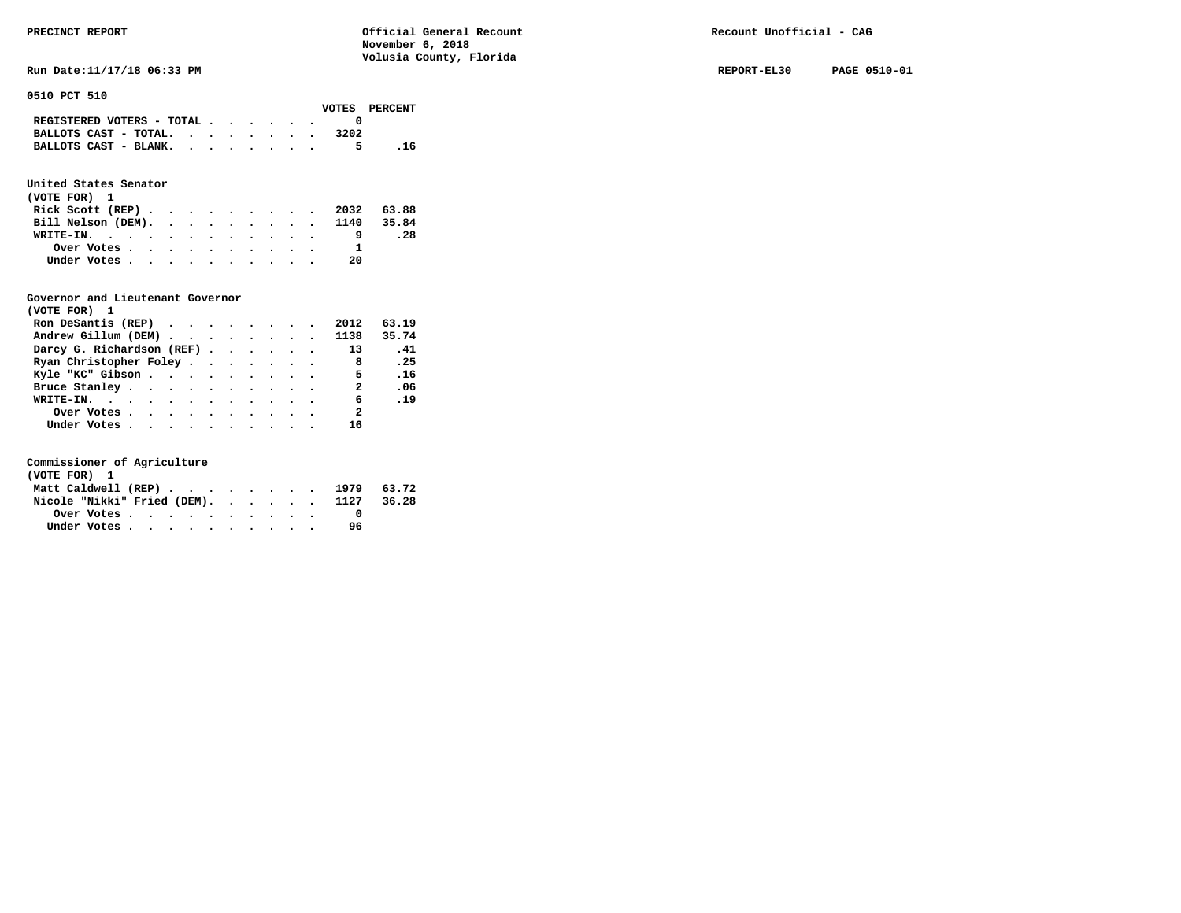Run Date:11/17/18 06:33 PM REPORT-EL30 PAGE 0510-01

**0510 PCT 510** 

|                                                                           |  |  |  |      | VOTES PERCENT |
|---------------------------------------------------------------------------|--|--|--|------|---------------|
| REGISTERED VOTERS - TOTAL $\cdot$ $\cdot$ $\cdot$ $\cdot$ $\cdot$ $\cdot$ |  |  |  |      |               |
| BALLOTS CAST - TOTAL.                                                     |  |  |  | 3202 |               |
| BALLOTS CAST - BLANK.                                                     |  |  |  | 5.   | . 16          |

### **United States Senator**

| (VOTE FOR) 1                                |  |  |  |  |  |                               |            |
|---------------------------------------------|--|--|--|--|--|-------------------------------|------------|
| Rick Scott (REP) $\cdots$ $\cdots$ $\cdots$ |  |  |  |  |  |                               | 2032 63.88 |
|                                             |  |  |  |  |  | Bill Nelson (DEM). 1140 35.84 |            |
| WRITE-IN.                                   |  |  |  |  |  |                               | .28        |
| Over Votes                                  |  |  |  |  |  |                               |            |
| Under Votes                                 |  |  |  |  |  | -20                           |            |

#### **Governor and Lieutenant Governor**

| (VOTE FOR) 1                                  |  |  |  |                |       |  |
|-----------------------------------------------|--|--|--|----------------|-------|--|
| Ron DeSantis (REP) $\cdots$ $\cdots$ $\cdots$ |  |  |  | 2012           | 63.19 |  |
| Andrew Gillum (DEM) 1138                      |  |  |  |                | 35.74 |  |
| Darcy G. Richardson (REF)                     |  |  |  | 13             | .41   |  |
| Ryan Christopher Foley                        |  |  |  | 8              | .25   |  |
| Kyle "KC" Gibson                              |  |  |  | 5              | .16   |  |
| Bruce Stanley                                 |  |  |  | -2             | .06   |  |
| WRITE-IN.                                     |  |  |  | 6              | .19   |  |
| Over Votes                                    |  |  |  | $\overline{2}$ |       |  |
| Under Votes                                   |  |  |  | 16             |       |  |

| (VOTE FOR) 1 |  |  |  |  |  |                                        |  |
|--------------|--|--|--|--|--|----------------------------------------|--|
|              |  |  |  |  |  | Matt Caldwell (REP) 1979 63.72         |  |
|              |  |  |  |  |  | Nicole "Nikki" Fried (DEM). 1127 36.28 |  |
|              |  |  |  |  |  |                                        |  |
| Under Votes  |  |  |  |  |  | 96                                     |  |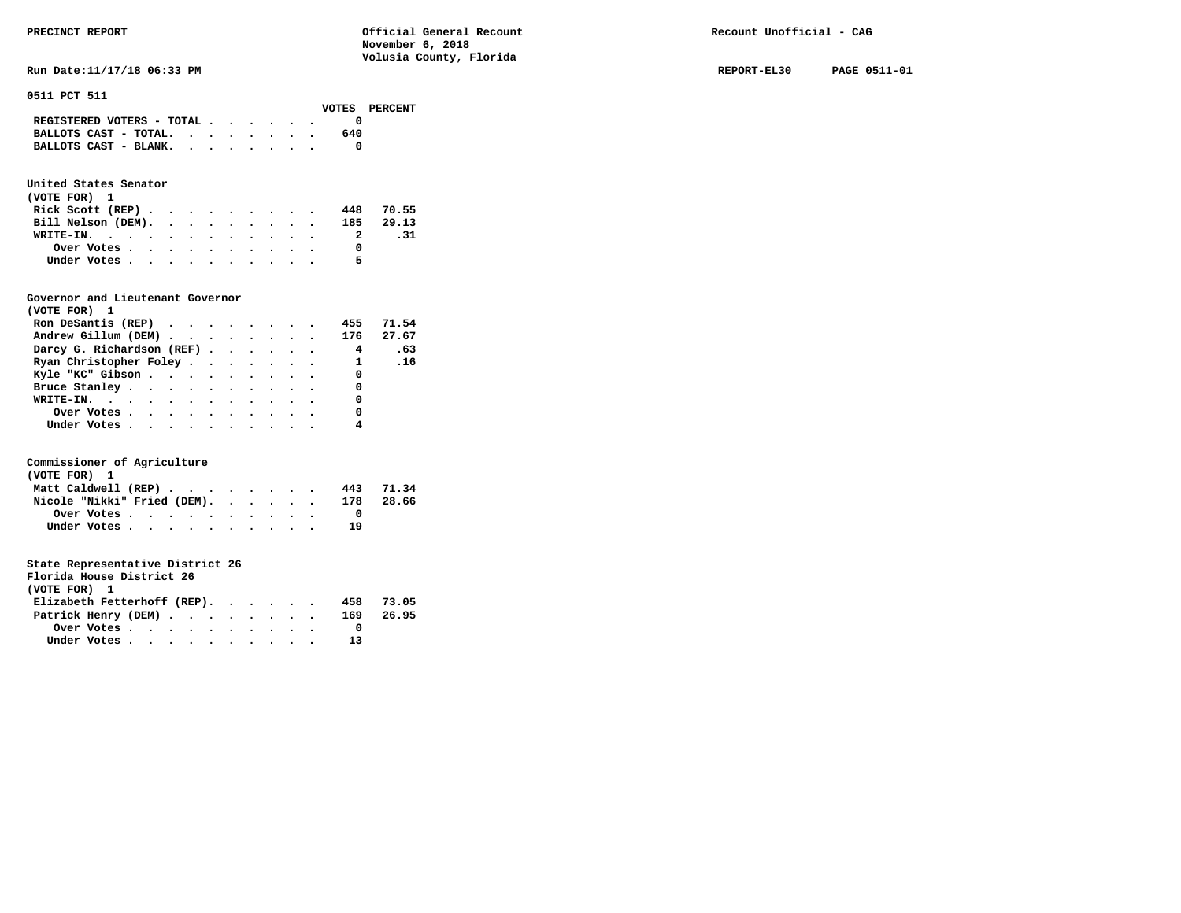### **United States Senator**

| (VOTE FOR) 1                 |  |  |  |  |   |           |
|------------------------------|--|--|--|--|---|-----------|
| Rick Scott $(REP)$           |  |  |  |  |   | 448 70.55 |
| Bill Nelson (DEM). 185 29.13 |  |  |  |  |   |           |
| WRITE-IN.                    |  |  |  |  | 2 | .31       |
| Over Votes                   |  |  |  |  |   |           |
| Under Votes                  |  |  |  |  | 5 |           |

#### **Governor and Lieutenant Governor**

| (VOTE FOR) 1                     |  |  |  |                         |       |
|----------------------------------|--|--|--|-------------------------|-------|
| Ron DeSantis (REP)               |  |  |  | 455                     | 71.54 |
| Andrew Gillum (DEM) 176          |  |  |  |                         | 27.67 |
| Darcy G. Richardson (REF)        |  |  |  | $\overline{\mathbf{4}}$ | .63   |
| Ryan Christopher Foley           |  |  |  | 1.16                    |       |
| Kyle "KC" Gibson                 |  |  |  | $\sim$ 0                |       |
| Bruce Stanley                    |  |  |  | 0                       |       |
| WRITE-IN.                        |  |  |  | 0                       |       |
| Over Votes                       |  |  |  | 0                       |       |
| Under Votes, , , , , , , , , , , |  |  |  |                         |       |

#### **Commissioner of Agriculture**

| (VOTE FOR) 1                |  |  |  |     |       |
|-----------------------------|--|--|--|-----|-------|
| Matt Caldwell (REP)         |  |  |  | 443 | 71.34 |
| Nicole "Nikki" Fried (DEM). |  |  |  | 178 | 28.66 |
|                             |  |  |  |     |       |
| Under Votes                 |  |  |  | 19  |       |

| Florida House District 26     |                                                         |  |  |  |  |  |     |       |
|-------------------------------|---------------------------------------------------------|--|--|--|--|--|-----|-------|
| (VOTE FOR) 1                  |                                                         |  |  |  |  |  |     |       |
| Elizabeth Fetterhoff (REP).   |                                                         |  |  |  |  |  | 458 | 73.05 |
| Patrick Henry (DEM) 169 26.95 |                                                         |  |  |  |  |  |     |       |
|                               | Over Votes $\cdots$ $\cdots$ $\cdots$ $\cdots$ $\cdots$ |  |  |  |  |  |     |       |
|                               | Under Votes, , , , , , , , , ,                          |  |  |  |  |  |     |       |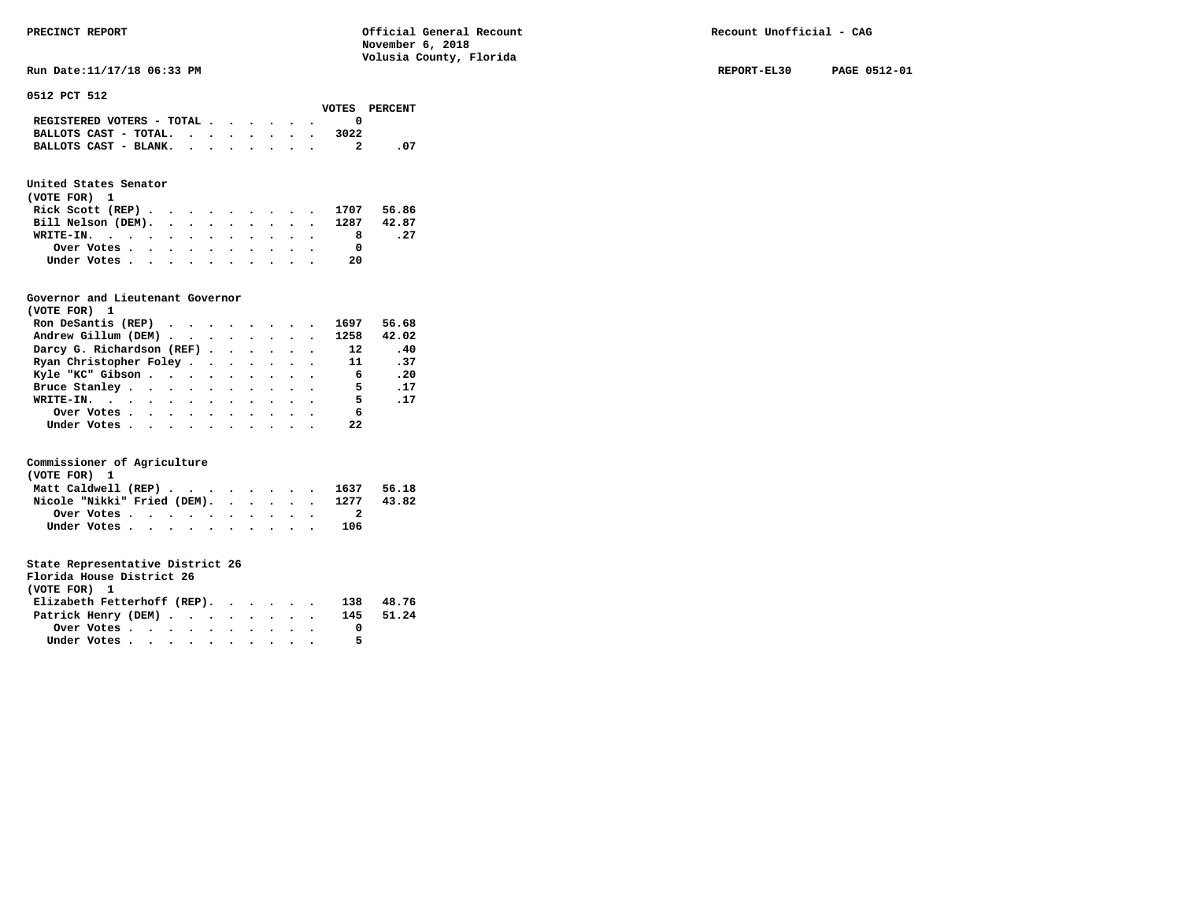**Run Date:11/17/18 06:33 PM REPORT-EL30 PAGE 0512-01** 

**0512 PCT 512** 

|                                             |  |  |  |      | VOTES PERCENT |
|---------------------------------------------|--|--|--|------|---------------|
| REGISTERED VOTERS - TOTAL $\cdot$ , , , , . |  |  |  |      |               |
| BALLOTS CAST - TOTAL.                       |  |  |  | 3022 |               |
| BALLOTS CAST - BLANK.                       |  |  |  |      | - 07          |

## **United States Senator**

| (VOTE FOR) 1                  |  |  |  |  |    |      |
|-------------------------------|--|--|--|--|----|------|
| Rick Scott (REP) 1707 56.86   |  |  |  |  |    |      |
| Bill Nelson (DEM). 1287 42.87 |  |  |  |  |    |      |
| WRITE-IN.                     |  |  |  |  |    | . 27 |
| Over Votes                    |  |  |  |  |    |      |
| Under Votes                   |  |  |  |  | 20 |      |

#### **Governor and Lieutenant Governor**

| (VOTE FOR) 1                                  |  |  |  |                 |             |
|-----------------------------------------------|--|--|--|-----------------|-------------|
| Ron DeSantis (REP) $\cdots$ $\cdots$ $\cdots$ |  |  |  | 1697            | 56.68       |
| Andrew Gillum (DEM) 1258                      |  |  |  |                 | 42.02       |
| Darcy G. Richardson (REF)                     |  |  |  | $\overline{12}$ | .40         |
| Ryan Christopher Foley                        |  |  |  | 11              | .37         |
| Kyle "KC" Gibson                              |  |  |  | $\overline{6}$  | .20         |
| Bruce Stanley.                                |  |  |  | $\sim$ 5        | .17         |
| WRITE-IN.                                     |  |  |  | 5 <sub>5</sub>  | $\ldots$ 17 |
| Over Votes.                                   |  |  |  | 6               |             |
| Under Votes, , , , , , , , , , ,              |  |  |  | 22              |             |

#### **Commissioner of Agriculture**

| (VOTE FOR) 1                                                               |  |  |  |  |  |     |       |
|----------------------------------------------------------------------------|--|--|--|--|--|-----|-------|
| Matt Caldwell (REP) $\cdot \cdot \cdot \cdot \cdot \cdot \cdot \cdot 1637$ |  |  |  |  |  |     | 56.18 |
| Nicole "Nikki" Fried (DEM). 1277                                           |  |  |  |  |  |     | 43.82 |
| Over Votes $\cdots$ $\cdots$ $\cdots$ $\cdots$ $\cdots$                    |  |  |  |  |  |     |       |
| Under Votes                                                                |  |  |  |  |  | 106 |       |

| Florida House District 26   |  |  |     |           |
|-----------------------------|--|--|-----|-----------|
| (VOTE FOR) 1                |  |  |     |           |
| Elizabeth Fetterhoff (REP). |  |  | 138 | 48.76     |
| Patrick Henry (DEM)         |  |  |     | 145 51.24 |

|              | Over Votes. | $\bullet$ . |  | . |  |  |  |
|--------------|-------------|-------------|--|---|--|--|--|
| Under Votes. |             | $\bullet$   |  | . |  |  |  |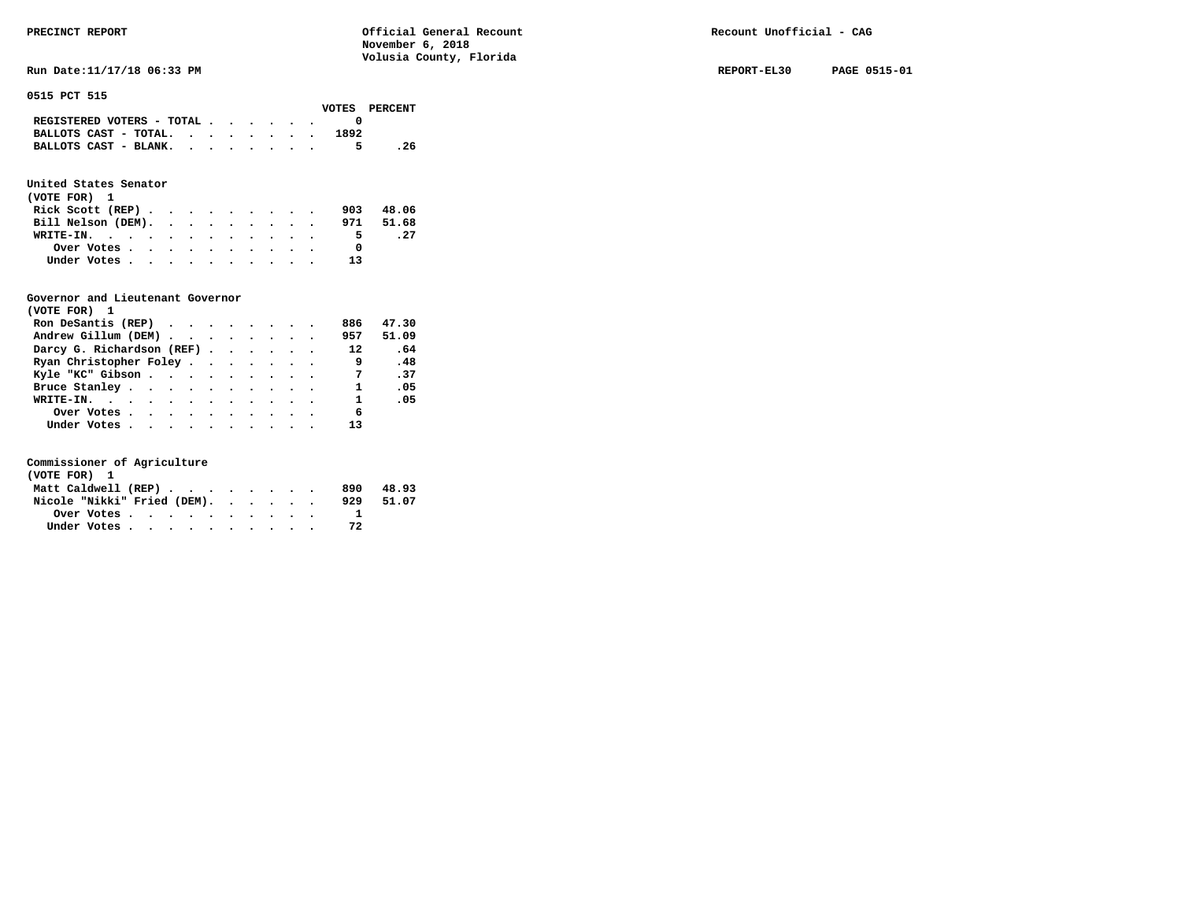Run Date:11/17/18 06:33 PM REPORT-EL30 PAGE 0515-01

#### **0515 PCT 515**

|                                                                           |  |  |  |      | VOTES PERCENT |
|---------------------------------------------------------------------------|--|--|--|------|---------------|
| REGISTERED VOTERS - TOTAL $\cdot$ $\cdot$ $\cdot$ $\cdot$ $\cdot$ $\cdot$ |  |  |  |      |               |
| BALLOTS CAST - TOTAL.                                                     |  |  |  | 1892 |               |
| BALLOTS CAST - BLANK.                                                     |  |  |  |      | . 26          |

## **United States Senator**

| (VOTE FOR) 1       |  |  |  |  |  |              |           |
|--------------------|--|--|--|--|--|--------------|-----------|
| Rick Scott $(REP)$ |  |  |  |  |  | 903          | 48.06     |
| Bill Nelson (DEM). |  |  |  |  |  |              | 971 51.68 |
| WRITE-IN.          |  |  |  |  |  | 5.           | . 27      |
| Over Votes         |  |  |  |  |  | <sup>0</sup> |           |
| Under Votes        |  |  |  |  |  | 13           |           |

### **Governor and Lieutenant Governor**

| (VOTE FOR) 1                                                   |  |  |  |                |       |
|----------------------------------------------------------------|--|--|--|----------------|-------|
| Ron DeSantis (REP) $\cdot \cdot \cdot \cdot \cdot \cdot \cdot$ |  |  |  | 886            | 47.30 |
| Andrew Gillum (DEM)                                            |  |  |  | 957            | 51.09 |
| Darcy G. Richardson (REF)                                      |  |  |  | 12             | .64   |
| Ryan Christopher Foley                                         |  |  |  | 9              | .48   |
| Kyle "KC" Gibson                                               |  |  |  | $\overline{7}$ | .37   |
| Bruce Stanley                                                  |  |  |  | 1              | .05   |
| WRITE-IN.                                                      |  |  |  | $\mathbf{1}$   | .05   |
| Over Votes                                                     |  |  |  | 6              |       |
| Under Votes, , , , , , , , , , ,                               |  |  |  |                |       |

| (VOTE FOR) 1                |  |  |  |  |  |     |       |
|-----------------------------|--|--|--|--|--|-----|-------|
| Matt Caldwell (REP)         |  |  |  |  |  | 890 | 48.93 |
| Nicole "Nikki" Fried (DEM). |  |  |  |  |  | 929 | 51.07 |
| Over Votes                  |  |  |  |  |  |     |       |
| Under Votes                 |  |  |  |  |  | 72  |       |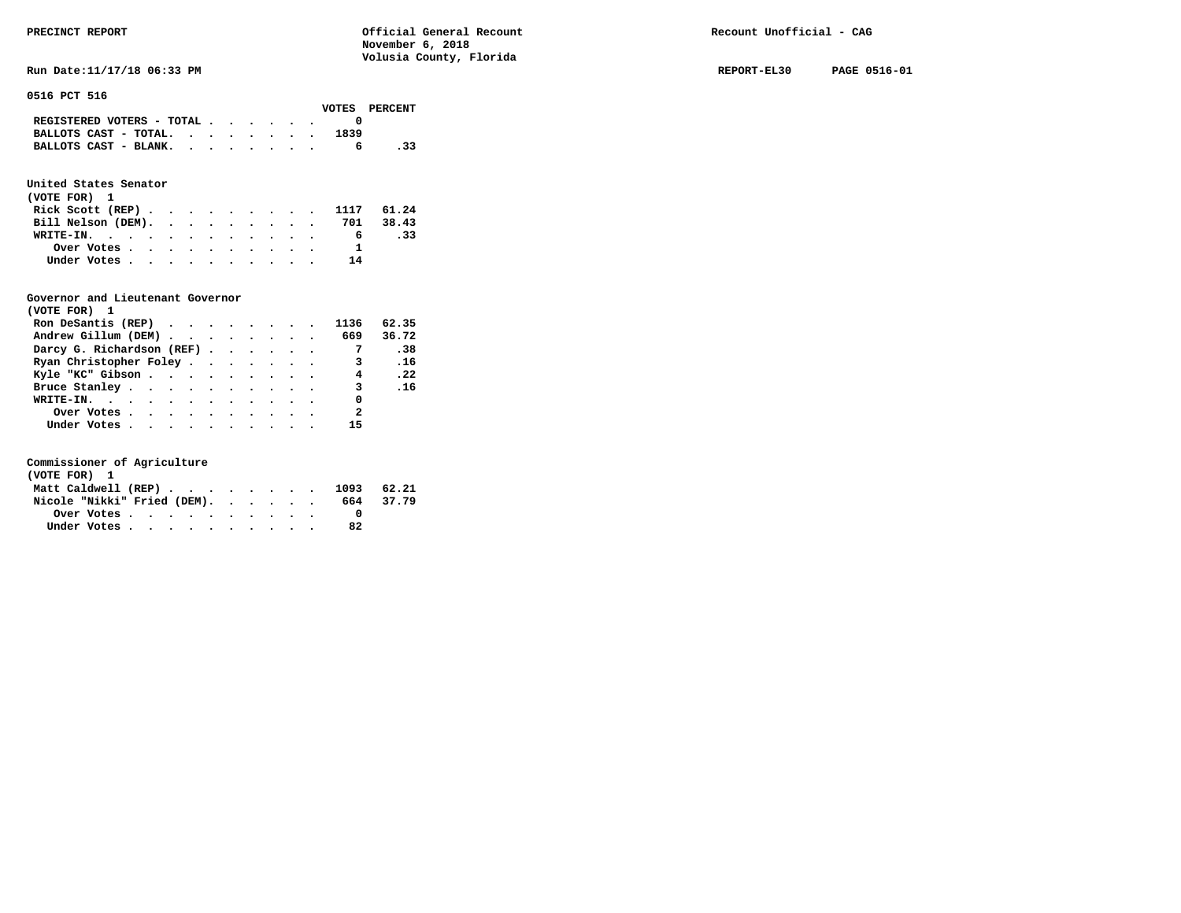Run Date:11/17/18 06:33 PM REPORT-EL30 PAGE 0516-01

**0516 PCT 516** 

|                                             |  |  |  |      | VOTES PERCENT |
|---------------------------------------------|--|--|--|------|---------------|
| REGISTERED VOTERS - TOTAL $\cdot$ , , , , . |  |  |  |      |               |
| BALLOTS CAST - TOTAL.                       |  |  |  | 1839 |               |
| BALLOTS CAST - BLANK.                       |  |  |  |      | .33           |

### **United States Senator**

| (VOTE FOR) 1                                            |  |  |  |  |    |     |  |
|---------------------------------------------------------|--|--|--|--|----|-----|--|
| Rick Scott (REP) 1117 61.24                             |  |  |  |  |    |     |  |
| Bill Nelson (DEM). 701 38.43                            |  |  |  |  |    |     |  |
| WRITE-IN.                                               |  |  |  |  | 6. | .33 |  |
| Over Votes $\cdots$ $\cdots$ $\cdots$ $\cdots$ $\cdots$ |  |  |  |  |    |     |  |
| Under Votes                                             |  |  |  |  | 14 |     |  |

#### **Governor and Lieutenant Governor**

| (VOTE FOR) 1                                                        |  |  |  |                          |       |
|---------------------------------------------------------------------|--|--|--|--------------------------|-------|
| Ron DeSantis (REP) $\cdot \cdot \cdot \cdot \cdot \cdot \cdot 1136$ |  |  |  |                          | 62.35 |
| Andrew Gillum (DEM) 669                                             |  |  |  |                          | 36.72 |
| Darcy G. Richardson (REF)                                           |  |  |  | $\overline{7}$           | .38   |
| Ryan Christopher Foley 3                                            |  |  |  |                          | .16   |
| Kyle "KC" Gibson 4 . 22                                             |  |  |  |                          |       |
| Bruce Stanley.                                                      |  |  |  | $\overline{\mathbf{3}}$  | .16   |
| WRITE-IN.                                                           |  |  |  | 0                        |       |
| Over Votes                                                          |  |  |  | $\overline{\phantom{a}}$ |       |
| Under Votes                                                         |  |  |  | 15                       |       |

| (VOTE FOR) 1                   |  |  |  |  |  |    |           |
|--------------------------------|--|--|--|--|--|----|-----------|
| Matt Caldwell (REP) 1093 62.21 |  |  |  |  |  |    |           |
| Nicole "Nikki" Fried (DEM).    |  |  |  |  |  |    | 664 37.79 |
| Over Votes                     |  |  |  |  |  |    |           |
| Under Votes                    |  |  |  |  |  | 82 |           |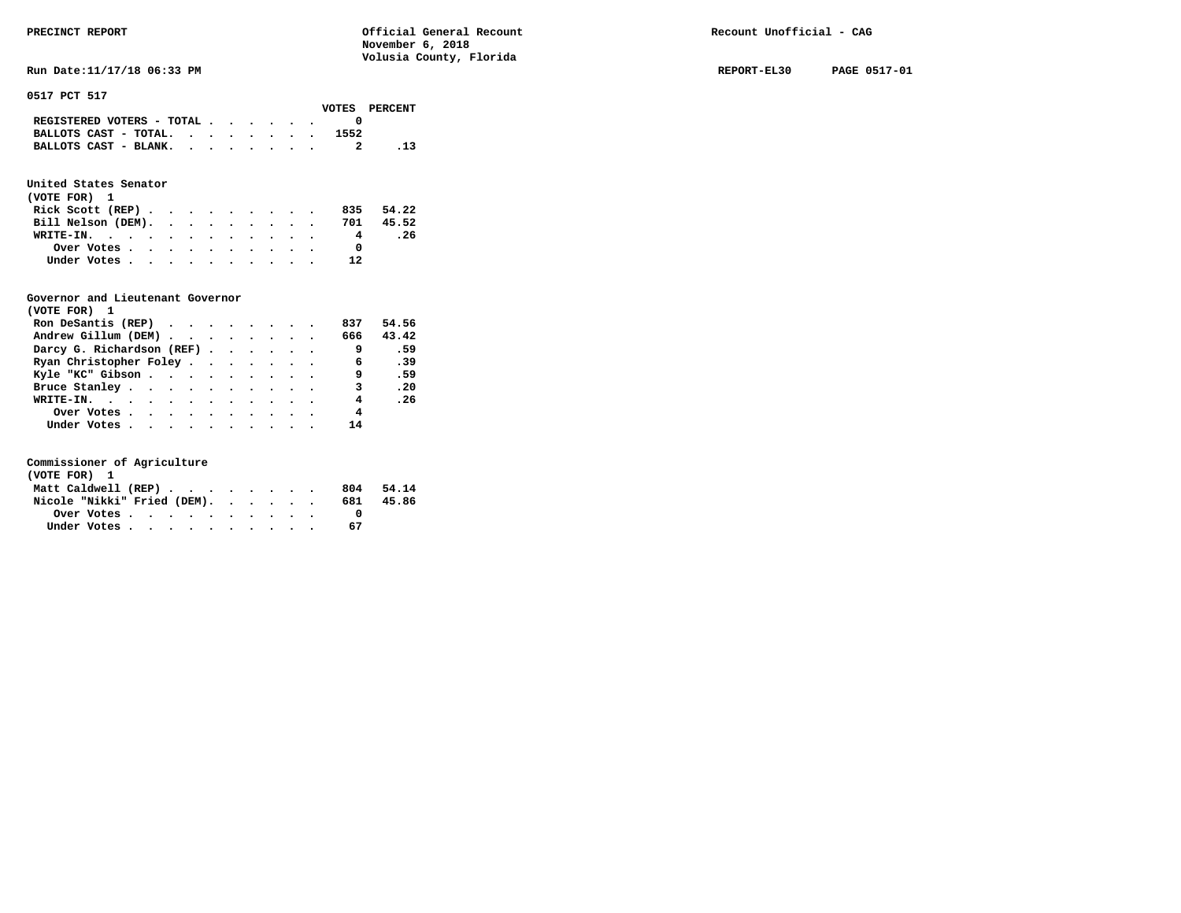Run Date:11/17/18 06:33 PM REPORT-EL30 PAGE 0517-01

**0517 PCT 517** 

|                                             |  |  |  |      | VOTES PERCENT |
|---------------------------------------------|--|--|--|------|---------------|
| REGISTERED VOTERS - TOTAL $\cdot$ , , , , . |  |  |  |      |               |
| BALLOTS CAST - TOTAL. $\cdot$ , , , , , .   |  |  |  | 1552 |               |
| BALLOTS CAST - BLANK.                       |  |  |  |      |               |

### **United States Senator**

| (VOTE FOR) 1                 |  |  |  |  |                |      |
|------------------------------|--|--|--|--|----------------|------|
| Rick Scott (REP)             |  |  |  |  | 835 54.22      |      |
| Bill Nelson (DEM). 701 45.52 |  |  |  |  |                |      |
| WRITE-IN.                    |  |  |  |  | $\overline{4}$ | . 26 |
| Over Votes                   |  |  |  |  | <sup>0</sup>   |      |
| Under Votes                  |  |  |  |  | 12             |      |

#### **Governor and Lieutenant Governor**

| (VOTE FOR) 1                                  |  |  |  |                |       |
|-----------------------------------------------|--|--|--|----------------|-------|
| Ron DeSantis (REP) $\cdots$ $\cdots$ $\cdots$ |  |  |  | 837            | 54.56 |
| Andrew Gillum (DEM)                           |  |  |  | 666 -          | 43.42 |
| Darcy G. Richardson (REF)                     |  |  |  | - 9            | .59   |
| Ryan Christopher Foley                        |  |  |  | 6              | .39   |
| Kyle "KC" Gibson                              |  |  |  | 9              | .59   |
| Bruce Stanley.                                |  |  |  | 3              | .20   |
| WRITE-IN.                                     |  |  |  | $\overline{4}$ | .26   |
| Over Votes                                    |  |  |  | 4              |       |
| Under Votes, , , , , , , , , , ,              |  |  |  | 14             |       |

| (VOTE FOR) 1                |             |  |  |  |  |  |     |       |
|-----------------------------|-------------|--|--|--|--|--|-----|-------|
| Matt Caldwell (REP)         |             |  |  |  |  |  | 804 | 54.14 |
| Nicole "Nikki" Fried (DEM). |             |  |  |  |  |  | 681 | 45.86 |
|                             | Over Votes. |  |  |  |  |  |     |       |
|                             | Under Votes |  |  |  |  |  | 67  |       |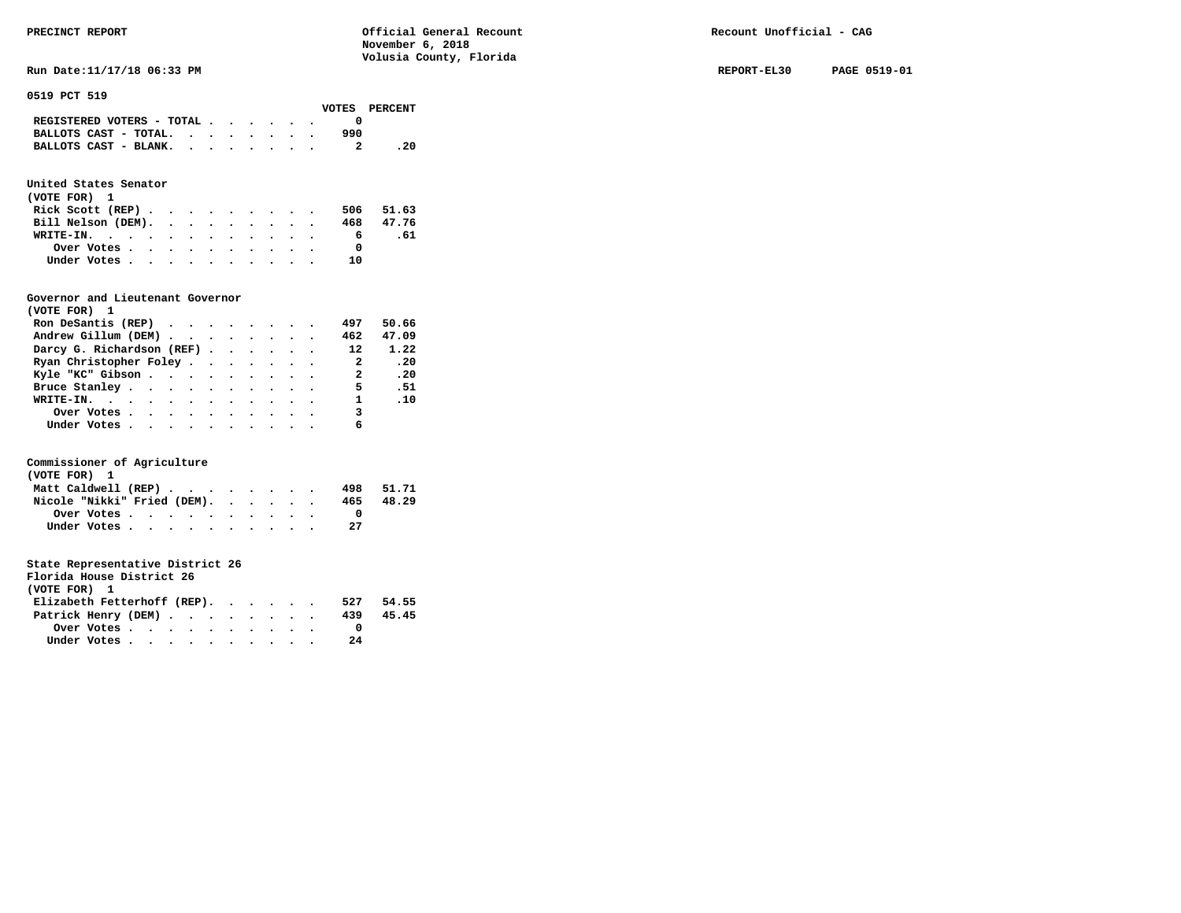**Run Date:11/17/18 06:33 PM REPORT-EL30 PAGE 0519-01** 

#### **0519 PCT 519**

|                           |  |  |  |     | VOTES PERCENT |
|---------------------------|--|--|--|-----|---------------|
| REGISTERED VOTERS - TOTAL |  |  |  |     |               |
| BALLOTS CAST - TOTAL.     |  |  |  | 990 |               |
| BALLOTS CAST - BLANK.     |  |  |  |     | - 20          |
|                           |  |  |  |     |               |

## **United States Senator**

| (VOTE FOR) 1                                |  |  |  |  |           |     |
|---------------------------------------------|--|--|--|--|-----------|-----|
| Rick Scott (REP) $\cdots$ $\cdots$ $\cdots$ |  |  |  |  | 506 51.63 |     |
| Bill Nelson (DEM).                          |  |  |  |  | 468 47.76 |     |
| WRITE-IN.                                   |  |  |  |  | 6.        | .61 |
| Over Votes                                  |  |  |  |  |           |     |
| Under Votes                                 |  |  |  |  | າ ດ       |     |

#### **Governor and Lieutenant Governor**

| (VOTE FOR) 1                                  |  |  |  |                          |               |
|-----------------------------------------------|--|--|--|--------------------------|---------------|
| Ron DeSantis (REP) $\cdots$ $\cdots$ $\cdots$ |  |  |  | 497                      | 50.66         |
| Andrew Gillum (DEM)                           |  |  |  | 462                      | 47.09         |
| Darcy G. Richardson (REF)                     |  |  |  | 12                       | 1.22          |
| Ryan Christopher Foley                        |  |  |  | $\overline{\phantom{a}}$ | .20           |
| Kyle "KC" Gibson                              |  |  |  | $\overline{\mathbf{2}}$  | .20           |
| Bruce Stanley.                                |  |  |  | 5.                       | .51           |
| WRITE-IN.                                     |  |  |  |                          | $1 \quad .10$ |
| Over Votes                                    |  |  |  | 3                        |               |
| Under Votes                                   |  |  |  | 6                        |               |

#### **Commissioner of Agriculture**

| (VOTE FOR) 1                |  |  |  |  |  |     |       |
|-----------------------------|--|--|--|--|--|-----|-------|
| Matt Caldwell (REP)         |  |  |  |  |  | 498 | 51.71 |
| Nicole "Nikki" Fried (DEM). |  |  |  |  |  | 465 | 48.29 |
| Over Votes                  |  |  |  |  |  |     |       |
| Under Votes                 |  |  |  |  |  | 27  |       |

| Florida House District 26   |                                                         |  |  |  |  |  |     |       |
|-----------------------------|---------------------------------------------------------|--|--|--|--|--|-----|-------|
| (VOTE FOR) 1                |                                                         |  |  |  |  |  |     |       |
| Elizabeth Fetterhoff (REP). |                                                         |  |  |  |  |  | 527 | 54.55 |
| Patrick Henry (DEM)         |                                                         |  |  |  |  |  | 439 | 45.45 |
|                             | Over Votes $\cdots$ $\cdots$ $\cdots$ $\cdots$ $\cdots$ |  |  |  |  |  |     |       |
|                             | Under Votes                                             |  |  |  |  |  | 24  |       |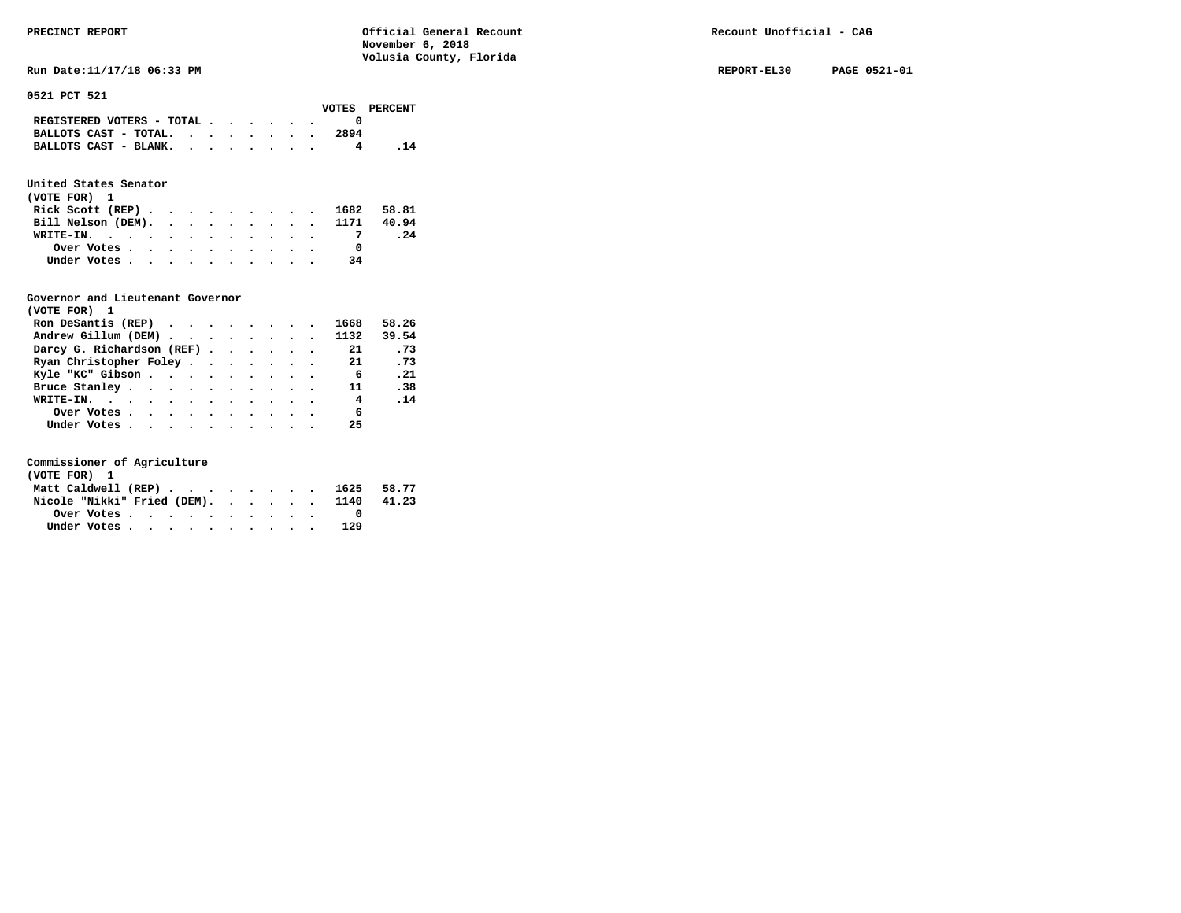**Run Date:11/17/18 06:33 PM REPORT-EL30 PAGE 0521-01** 

**0521 PCT 521** 

| VOTES PERCENT |
|---------------|
|               |
|               |
|               |
|               |

## **United States Senator**

| (VOTE FOR) 1                                |  |  |  |  |            |     |
|---------------------------------------------|--|--|--|--|------------|-----|
| Rick Scott (REP) $\cdots$ $\cdots$ $\cdots$ |  |  |  |  | 1682 58.81 |     |
| Bill Nelson (DEM). 1171 40.94               |  |  |  |  |            |     |
| WRITE-IN.                                   |  |  |  |  |            | .24 |
| Over Votes                                  |  |  |  |  |            |     |
| Under Votes                                 |  |  |  |  | 34         |     |

# **Governor and Lieutenant Governor**

| (VOTE FOR) 1                                  |  |  |  |                         |       |
|-----------------------------------------------|--|--|--|-------------------------|-------|
| Ron DeSantis (REP) $\cdots$ $\cdots$ $\cdots$ |  |  |  | 1668                    | 58.26 |
| Andrew Gillum (DEM) 1132 39.54                |  |  |  |                         |       |
| Darcy G. Richardson (REF)                     |  |  |  | 21                      | .73   |
| Ryan Christopher Foley                        |  |  |  | 21                      | .73   |
| Kyle "KC" Gibson                              |  |  |  | 6 <sup>6</sup>          | .21   |
| Bruce Stanley.                                |  |  |  | 11                      | .38   |
| WRITE-IN.                                     |  |  |  | $\overline{\mathbf{4}}$ | .14   |
| Over Votes                                    |  |  |  | - 6                     |       |
| Under Votes 25                                |  |  |  |                         |       |

| (VOTE FOR) 1 |  |  |  |  |  |                                  |       |
|--------------|--|--|--|--|--|----------------------------------|-------|
|              |  |  |  |  |  | Matt Caldwell (REP) 1625 58.77   |       |
|              |  |  |  |  |  | Nicole "Nikki" Fried (DEM). 1140 | 41.23 |
| Over Votes   |  |  |  |  |  |                                  |       |
| Under Votes  |  |  |  |  |  | 129                              |       |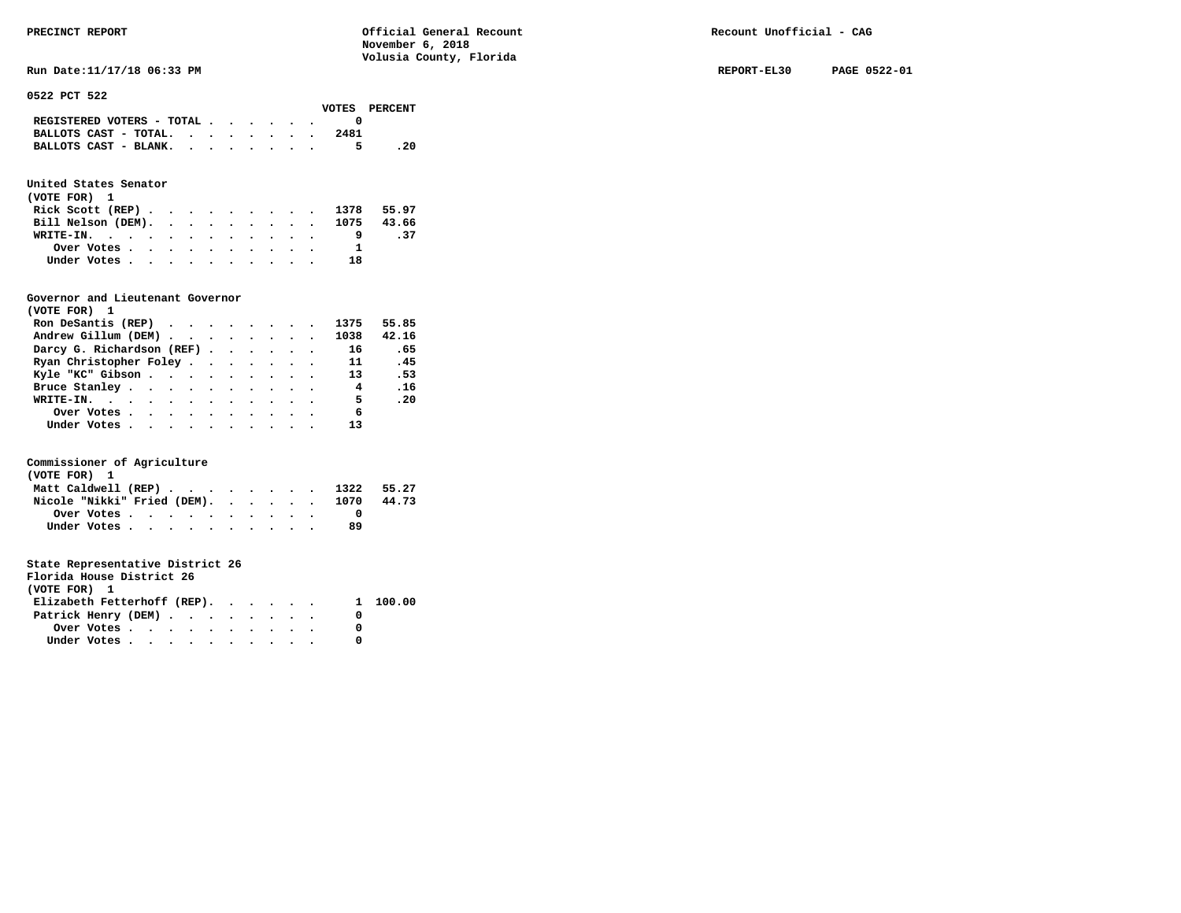**Run Date:11/17/18 06:33 PM REPORT-EL30 PAGE 0522-01** 

#### **0522 PCT 522**

|                                                                           |  |  |  |      | VOTES PERCENT |
|---------------------------------------------------------------------------|--|--|--|------|---------------|
| REGISTERED VOTERS - TOTAL $\cdot$ $\cdot$ $\cdot$ $\cdot$ $\cdot$ $\cdot$ |  |  |  |      |               |
| BALLOTS CAST - TOTAL.                                                     |  |  |  | 2481 |               |
| BALLOTS CAST - BLANK.                                                     |  |  |  |      | - 20          |

### **United States Senator**

| (VOTE FOR) 1                  |  |  |  |  |    |      |
|-------------------------------|--|--|--|--|----|------|
| Rick Scott (REP) 1378 55.97   |  |  |  |  |    |      |
| Bill Nelson (DEM). 1075 43.66 |  |  |  |  |    |      |
| WRITE-IN.                     |  |  |  |  |    | - 37 |
| Over Votes                    |  |  |  |  |    |      |
| Under Votes                   |  |  |  |  | 18 |      |

#### **Governor and Lieutenant Governor**

| (VOTE FOR) 1                                  |  |  |  |                |       |
|-----------------------------------------------|--|--|--|----------------|-------|
| Ron DeSantis (REP) $\cdots$ $\cdots$ $\cdots$ |  |  |  | 1375           | 55.85 |
| Andrew Gillum (DEM)                           |  |  |  | 1038           | 42.16 |
| Darcy G. Richardson (REF)                     |  |  |  | 16             | .65   |
| Ryan Christopher Foley                        |  |  |  | 11             | .45   |
| Kyle "KC" Gibson                              |  |  |  | 13             | .53   |
| Bruce Stanley                                 |  |  |  | $\overline{4}$ | .16   |
| WRITE-IN.                                     |  |  |  | - 5            | .20   |
| Over Votes                                    |  |  |  | 6              |       |
| Under Votes                                   |  |  |  | 13             |       |

#### **Commissioner of Agriculture**

| (VOTE FOR) 1 |             |  |  |  |  |  |                                  |       |
|--------------|-------------|--|--|--|--|--|----------------------------------|-------|
|              |             |  |  |  |  |  | Matt Caldwell (REP) 1322 55.27   |       |
|              |             |  |  |  |  |  | Nicole "Nikki" Fried (DEM). 1070 | 44.73 |
|              | Over Votes  |  |  |  |  |  |                                  |       |
|              | Under Votes |  |  |  |  |  | 89                               |       |

| Florida House District 26                               |  |  |  |  |  |  |
|---------------------------------------------------------|--|--|--|--|--|--|
| (VOTE FOR) 1                                            |  |  |  |  |  |  |
| Elizabeth Fetterhoff (REP). 1 100.00                    |  |  |  |  |  |  |
| Patrick Henry (DEM)                                     |  |  |  |  |  |  |
| Over Votes $\cdots$ $\cdots$ $\cdots$ $\cdots$ $\cdots$ |  |  |  |  |  |  |
| Under Votes                                             |  |  |  |  |  |  |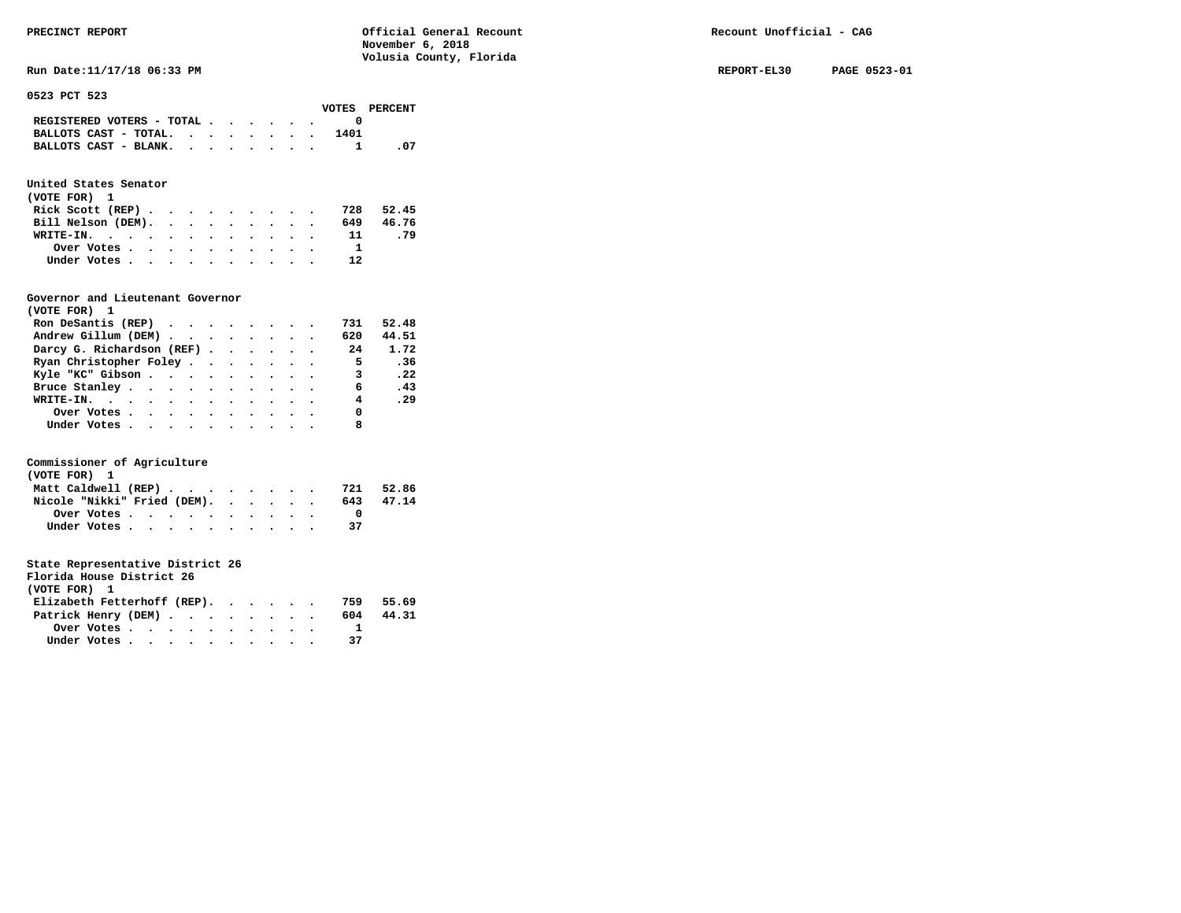**Run Date:11/17/18 06:33 PM REPORT-EL30 PAGE 0523-01** 

**0523 PCT 523** 

|                                             |  |  |  |      | VOTES PERCENT |
|---------------------------------------------|--|--|--|------|---------------|
| REGISTERED VOTERS - TOTAL $\cdot$ , , , , . |  |  |  |      |               |
| BALLOTS CAST - TOTAL. $\cdot$               |  |  |  | 1401 |               |
| BALLOTS CAST - BLANK.                       |  |  |  |      | - 07          |
|                                             |  |  |  |      |               |

## **United States Senator**

| (VOTE FOR) 1       |  |  |  |  |  |      |           |
|--------------------|--|--|--|--|--|------|-----------|
| Rick Scott (REP)   |  |  |  |  |  | 728  | 52.45     |
| Bill Nelson (DEM). |  |  |  |  |  |      | 649 46.76 |
| WRITE-IN.          |  |  |  |  |  | -11- | . 79      |
| Over Votes         |  |  |  |  |  |      |           |
| Under Votes        |  |  |  |  |  | 12   |           |

#### **Governor and Lieutenant Governor**

| (VOTE FOR) 1                                  |  |  |  |                         |              |
|-----------------------------------------------|--|--|--|-------------------------|--------------|
| Ron DeSantis (REP) $\cdots$ $\cdots$ $\cdots$ |  |  |  | 731                     | 52.48        |
| Andrew Gillum (DEM)                           |  |  |  | 620                     | 44.51        |
| Darcy G. Richardson (REF)                     |  |  |  | 24                      | 1.72         |
| Ryan Christopher Foley                        |  |  |  | $\overline{5}$          | .36          |
| Kyle "KC" Gibson                              |  |  |  | $\overline{\mathbf{3}}$ | $\cdot$ . 22 |
| Bruce Stanley                                 |  |  |  | 6                       | .43          |
| WRITE-IN.                                     |  |  |  | $\overline{4}$          | .29          |
| Over Votes                                    |  |  |  | 0                       |              |
| Under Votes, , , , , , , , , , ,              |  |  |  |                         |              |

#### **Commissioner of Agriculture**

| (VOTE FOR) 1                                            |  |  |  |  |     |       |
|---------------------------------------------------------|--|--|--|--|-----|-------|
| Matt Caldwell (REP)                                     |  |  |  |  | 721 | 52.86 |
| Nicole "Nikki" Fried (DEM).                             |  |  |  |  | 643 | 47.14 |
| Over Votes $\cdots$ $\cdots$ $\cdots$ $\cdots$ $\cdots$ |  |  |  |  |     |       |
| Under Votes                                             |  |  |  |  | 37  |       |

| Florida House District 26   |                                                         |  |  |  |  |     |       |
|-----------------------------|---------------------------------------------------------|--|--|--|--|-----|-------|
| (VOTE FOR) 1                |                                                         |  |  |  |  |     |       |
| Elizabeth Fetterhoff (REP). |                                                         |  |  |  |  | 759 | 55.69 |
| Patrick Henry (DEM)         |                                                         |  |  |  |  | 604 | 44.31 |
|                             | Over Votes $\cdots$ $\cdots$ $\cdots$ $\cdots$ $\cdots$ |  |  |  |  |     |       |
|                             | Under Votes                                             |  |  |  |  | 37  |       |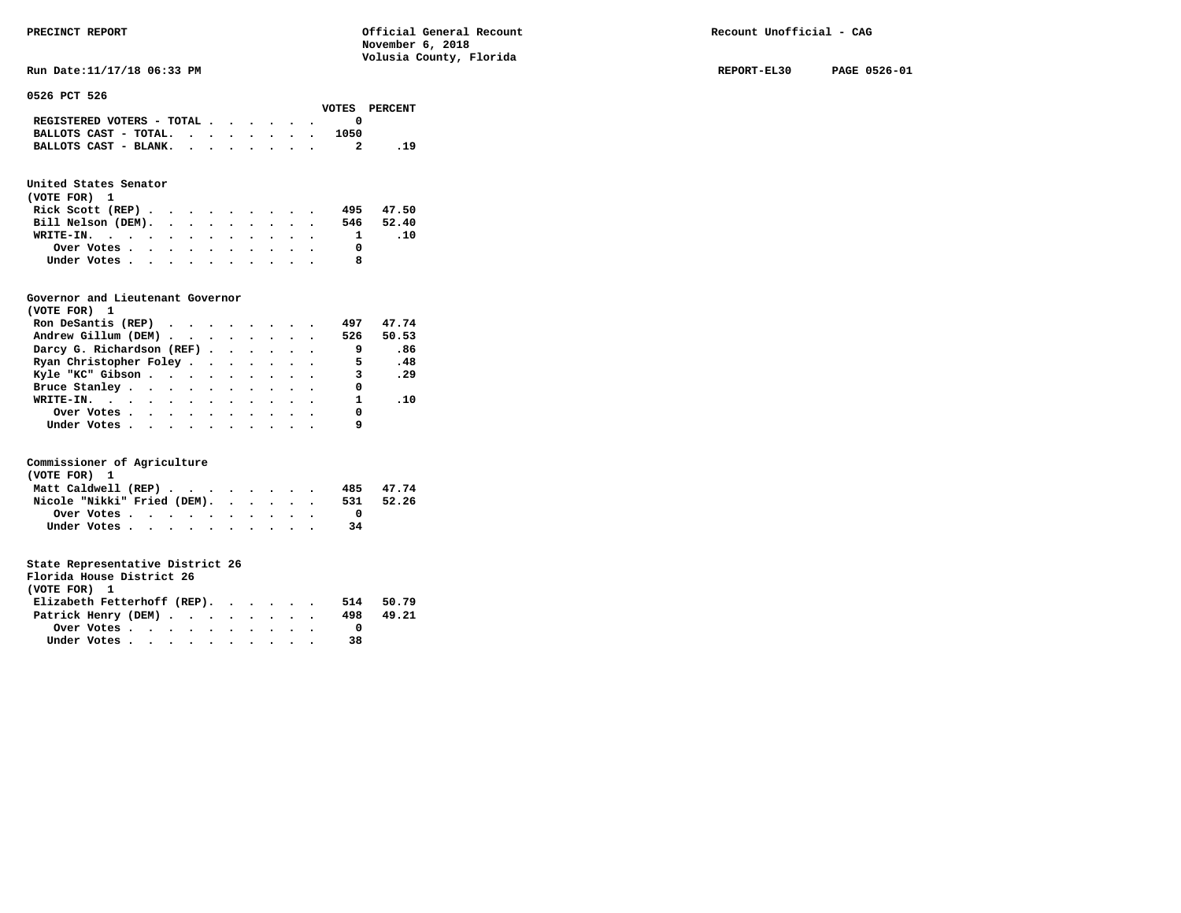**Run Date:11/17/18 06:33 PM REPORT-EL30 PAGE 0526-01** 

**0526 PCT 526** 

|                                                                           |  |  |  |      | VOTES PERCENT |
|---------------------------------------------------------------------------|--|--|--|------|---------------|
| REGISTERED VOTERS - TOTAL $\cdot$ $\cdot$ $\cdot$ $\cdot$ $\cdot$ $\cdot$ |  |  |  |      |               |
| BALLOTS CAST - TOTAL.                                                     |  |  |  | 1050 |               |
| BALLOTS CAST - BLANK.                                                     |  |  |  |      | . 19          |

## **United States Senator**

| (VOTE FOR) 1       |  |  |  |  |  |  |           |
|--------------------|--|--|--|--|--|--|-----------|
| Rick Scott (REP)   |  |  |  |  |  |  | 495 47.50 |
| Bill Nelson (DEM). |  |  |  |  |  |  | 546 52.40 |
| WRITE-IN.          |  |  |  |  |  |  | .10       |
| Over Votes         |  |  |  |  |  |  |           |
| Under Votes        |  |  |  |  |  |  |           |

#### **Governor and Lieutenant Governor**

| (VOTE FOR) 1                                                   |  |  |  |              |              |
|----------------------------------------------------------------|--|--|--|--------------|--------------|
| Ron DeSantis (REP) $\cdot \cdot \cdot \cdot \cdot \cdot \cdot$ |  |  |  | 497          | 47.74        |
| Andrew Gillum (DEM)                                            |  |  |  | 526          | 50.53        |
| Darcy G. Richardson (REF)                                      |  |  |  | - 9          | .86          |
| Ryan Christopher Foley                                         |  |  |  | - 5          | .48          |
| Kyle "KC" Gibson                                               |  |  |  |              | $3 \cdot 29$ |
| Bruce Stanley.                                                 |  |  |  | 0            |              |
| WRITE-IN.                                                      |  |  |  | $\mathbf{1}$ | .10          |
| Over Votes                                                     |  |  |  | 0            |              |
| Under Votes, , , , , , , , , , ,                               |  |  |  |              |              |

#### **Commissioner of Agriculture**

| (VOTE FOR) 1                |  |  |  |  |  |     |           |
|-----------------------------|--|--|--|--|--|-----|-----------|
| Matt Caldwell (REP)         |  |  |  |  |  |     | 485 47.74 |
| Nicole "Nikki" Fried (DEM). |  |  |  |  |  | 531 | 52.26     |
| Over Votes.                 |  |  |  |  |  |     |           |
| Under Votes                 |  |  |  |  |  | 34  |           |

| Florida House District 26   |  |  |  |  |  |     |       |
|-----------------------------|--|--|--|--|--|-----|-------|
| (VOTE FOR) 1                |  |  |  |  |  |     |       |
| Elizabeth Fetterhoff (REP). |  |  |  |  |  | 514 | 50.79 |
| Patrick Henry (DEM)         |  |  |  |  |  | 498 | 49.21 |
|                             |  |  |  |  |  |     |       |
| Under Votes                 |  |  |  |  |  | 38  |       |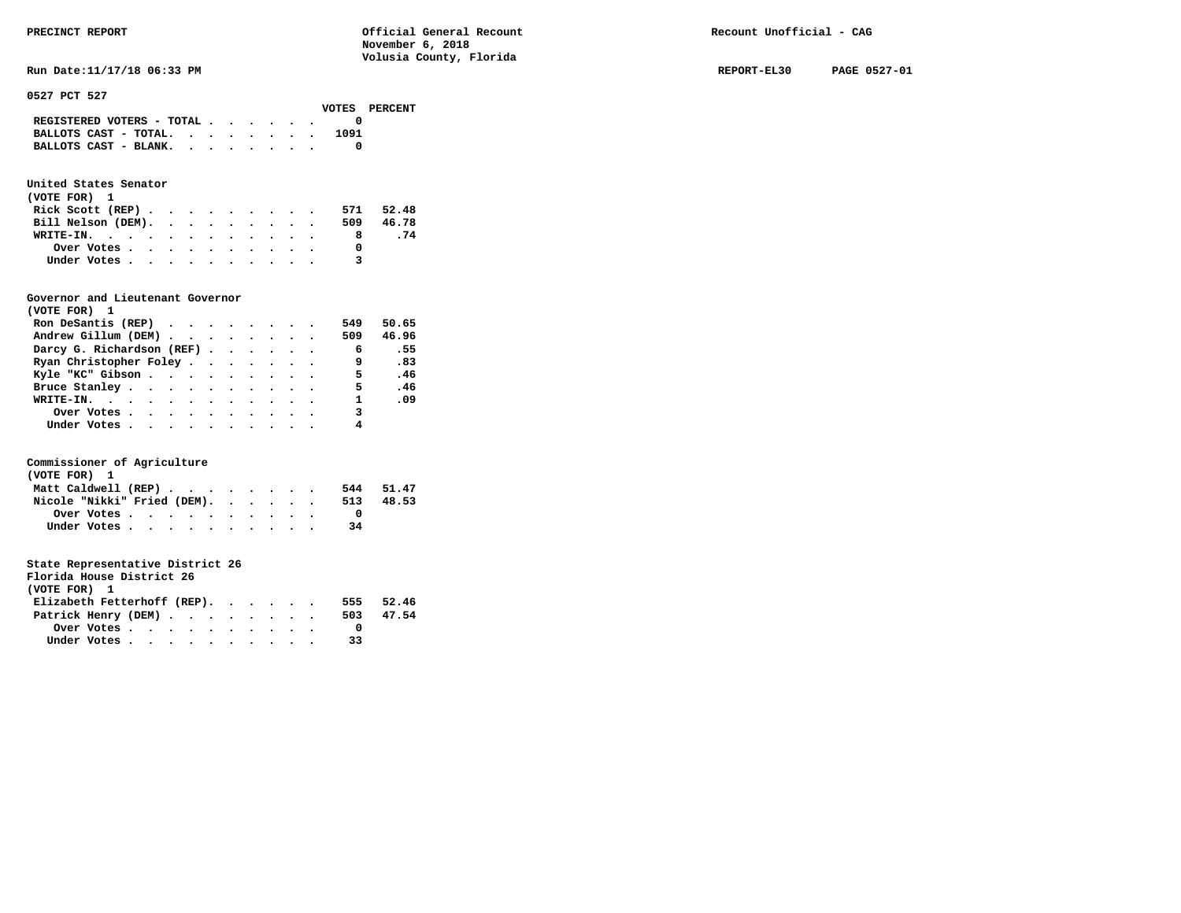| United States Senator<br>(VOTE FOR) 1 |                                                         |  |  |  |  |  |     |       |
|---------------------------------------|---------------------------------------------------------|--|--|--|--|--|-----|-------|
|                                       | Rick Scott $(REP)$                                      |  |  |  |  |  | 571 | 52.48 |
|                                       | Bill Nelson (DEM).                                      |  |  |  |  |  | 509 | 46.78 |
|                                       | WRITE-IN.                                               |  |  |  |  |  |     | 8.74  |
|                                       | Over Votes $\cdots$ $\cdots$ $\cdots$ $\cdots$ $\cdots$ |  |  |  |  |  |     |       |
|                                       | Under Votes                                             |  |  |  |  |  |     |       |

 **BALLOTS CAST - TOTAL. . . . . . . . 1091 BALLOTS CAST - BLANK. . . . . . . . 0** 

#### **Governor and Lieutenant Governor**

| (VOTE FOR) 1                     |  |  |  |              |       |
|----------------------------------|--|--|--|--------------|-------|
| Ron DeSantis (REP)               |  |  |  | 549          | 50.65 |
| Andrew Gillum (DEM)              |  |  |  | 509          | 46.96 |
| Darcy G. Richardson (REF)        |  |  |  | 6            | .55   |
| Ryan Christopher Foley           |  |  |  | 9            | .83   |
| Kyle "KC" Gibson                 |  |  |  | $5^{\circ}$  | .46   |
| Bruce Stanley.                   |  |  |  | 5            | .46   |
| WRITE-IN.                        |  |  |  | $\mathbf{1}$ | .09   |
| Over Votes.                      |  |  |  | 3            |       |
| Under Votes, , , , , , , , , , , |  |  |  |              |       |

#### **Commissioner of Agriculture**

| (VOTE FOR) 1                |  |  |  |  |  |     |       |
|-----------------------------|--|--|--|--|--|-----|-------|
| Matt Caldwell (REP)         |  |  |  |  |  | 544 | 51.47 |
| Nicole "Nikki" Fried (DEM). |  |  |  |  |  | 513 | 48.53 |
| Over Votes                  |  |  |  |  |  |     |       |
| Under Votes                 |  |  |  |  |  | 34  |       |

| Florida House District 26   |  |  |  |           |
|-----------------------------|--|--|--|-----------|
| (VOTE FOR) 1                |  |  |  |           |
| Elizabeth Fetterhoff (REP). |  |  |  | 555 52.46 |
| Patrick Henry (DEM)         |  |  |  | 503 47.54 |

|              | Over Votes. | $\bullet$ $\bullet$ | $\bullet$ $\bullet$ | . |  |  |  |    |
|--------------|-------------|---------------------|---------------------|---|--|--|--|----|
| Under Votes. |             |                     | $\bullet$ $\bullet$ | . |  |  |  | 33 |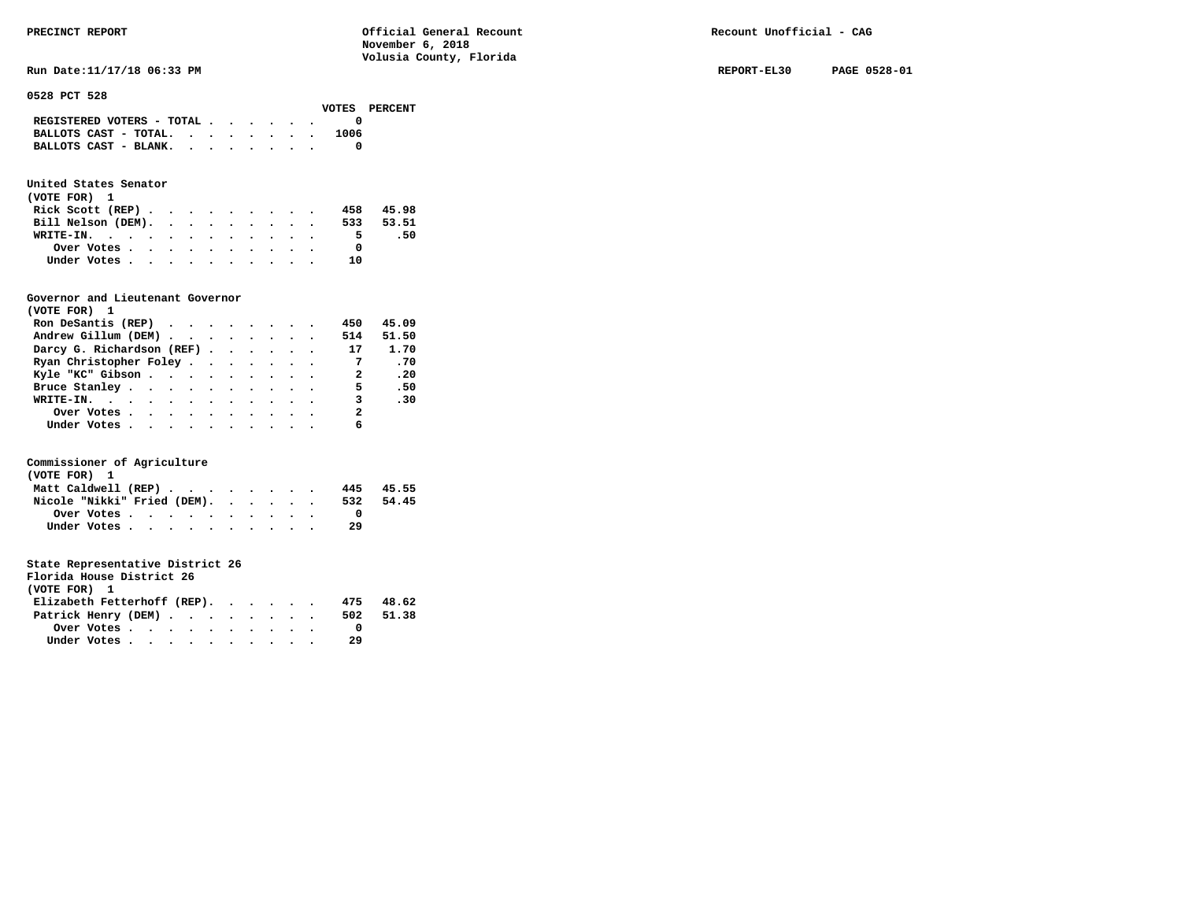| PRECINCT REPORT                           | Official General Recount<br>November 6, 2018<br>Volusia County, Florida | Recount Unofficial - CAG    |
|-------------------------------------------|-------------------------------------------------------------------------|-----------------------------|
| Run Date: 11/17/18 06:33 PM               |                                                                         | PAGE 0528-01<br>REPORT-EL30 |
| 0528 PCT 528<br>VOTES                     | PERCENT                                                                 |                             |
| REGISTERED VOTERS - TOTAL                 |                                                                         |                             |
| BALLOTS CAST - TOTAL. $\cdot$<br>1006     |                                                                         |                             |
| BALLOTS CAST - BLANK. $\cdot$ , , , , , . | 0                                                                       |                             |

## **United States Senator**

| (VOTE FOR) 1       |  |  |  |  |     |           |
|--------------------|--|--|--|--|-----|-----------|
| Rick Scott $(REP)$ |  |  |  |  | 458 | 45.98     |
| Bill Nelson (DEM). |  |  |  |  |     | 533 53.51 |
| WRITE-IN.          |  |  |  |  | 5.  | - 50      |
| Over Votes.        |  |  |  |  |     |           |
| Under Votes        |  |  |  |  | 1 ດ |           |

#### **Governor and Lieutenant Governor**

| (VOTE FOR) 1                                  |  |  |  |                            |       |
|-----------------------------------------------|--|--|--|----------------------------|-------|
| Ron DeSantis (REP) $\cdots$ $\cdots$ $\cdots$ |  |  |  | 450                        | 45.09 |
| Andrew Gillum (DEM)                           |  |  |  | 514                        | 51.50 |
| Darcy G. Richardson (REF)                     |  |  |  | 17                         | 1.70  |
| Ryan Christopher Foley                        |  |  |  | $\overline{7}$             | .70   |
| Kyle "KC" Gibson                              |  |  |  | $\overline{\phantom{a}}$ 2 | .20   |
| Bruce Stanley                                 |  |  |  | 5.                         | .50   |
| WRITE-IN.                                     |  |  |  | 3                          | .30   |
| Over Votes                                    |  |  |  | $\mathbf{2}$               |       |
| Under Votes                                   |  |  |  | 6                          |       |

#### **Commissioner of Agriculture**

| (VOTE FOR) 1                |  |  |  |  |  |     |           |
|-----------------------------|--|--|--|--|--|-----|-----------|
| Matt Caldwell (REP)         |  |  |  |  |  |     | 445 45.55 |
| Nicole "Nikki" Fried (DEM). |  |  |  |  |  | 532 | 54.45     |
| Over Votes.                 |  |  |  |  |  |     |           |
| Under Votes                 |  |  |  |  |  | -29 |           |

| Florida House District 26   |                                                         |  |  |  |  |     |       |
|-----------------------------|---------------------------------------------------------|--|--|--|--|-----|-------|
| (VOTE FOR) 1                |                                                         |  |  |  |  |     |       |
| Elizabeth Fetterhoff (REP). |                                                         |  |  |  |  | 475 | 48.62 |
| Patrick Henry (DEM)         |                                                         |  |  |  |  | 502 | 51.38 |
|                             | Over Votes $\cdots$ $\cdots$ $\cdots$ $\cdots$ $\cdots$ |  |  |  |  |     |       |
|                             | Under Votes                                             |  |  |  |  | -29 |       |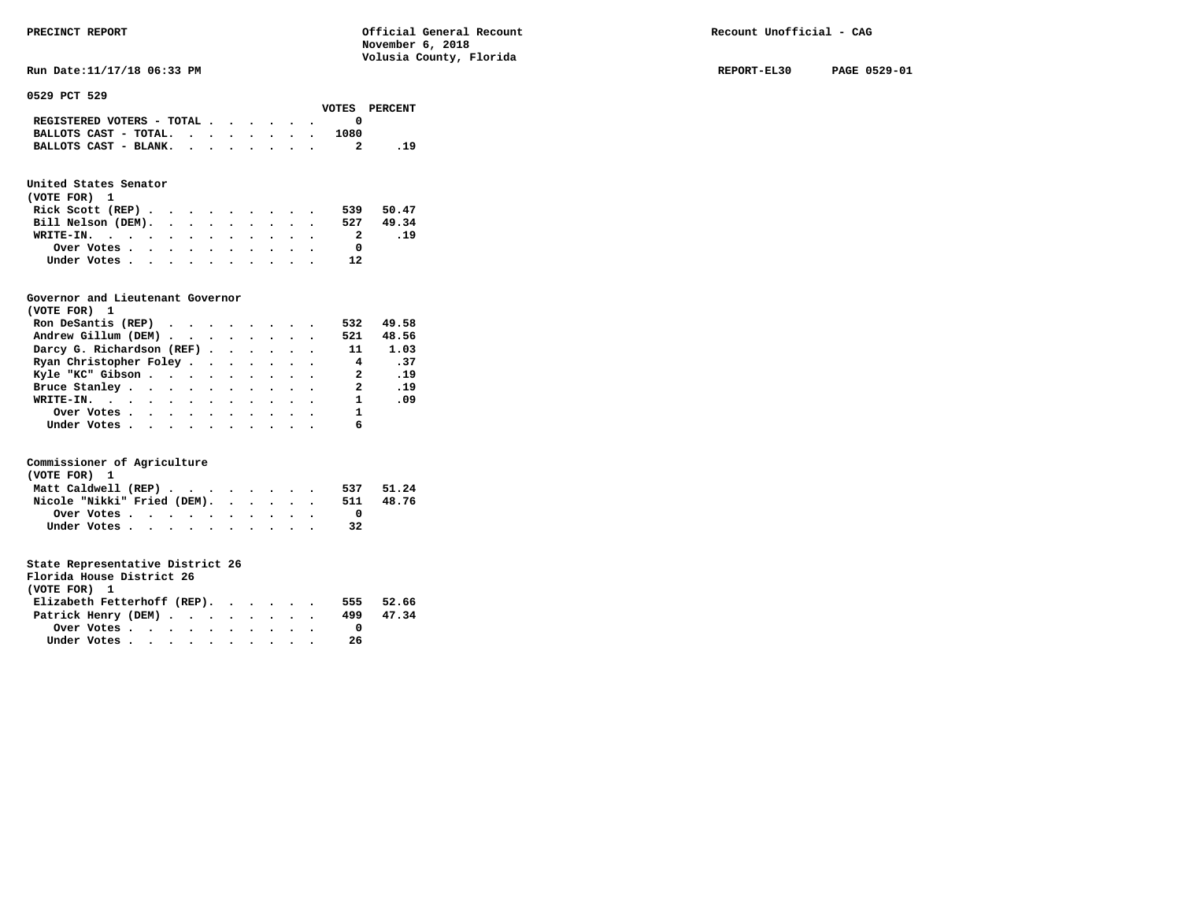**Run Date:11/17/18 06:33 PM REPORT-EL30 PAGE 0529-01** 

**0529 PCT 529** 

|  |  |  |      | VOTES PERCENT                                                                                         |
|--|--|--|------|-------------------------------------------------------------------------------------------------------|
|  |  |  |      |                                                                                                       |
|  |  |  | 1080 |                                                                                                       |
|  |  |  |      | . 19                                                                                                  |
|  |  |  |      | REGISTERED VOTERS - TOTAL $\cdot$ , , , , .<br>BALLOTS CAST - TOTAL. $\cdot$<br>BALLOTS CAST - BLANK. |

## **United States Senator**

| (VOTE FOR) 1                                |  |  |  |  |           |     |
|---------------------------------------------|--|--|--|--|-----------|-----|
| Rick Scott (REP) $\cdots$ $\cdots$ $\cdots$ |  |  |  |  | 539 50.47 |     |
| Bill Nelson (DEM).                          |  |  |  |  | 527 49.34 |     |
| WRITE-IN.                                   |  |  |  |  | 2         | .19 |
| Over Votes                                  |  |  |  |  |           |     |
| Under Votes                                 |  |  |  |  | 12        |     |

#### **Governor and Lieutenant Governor**

| (VOTE FOR) 1                                                   |  |  |  |                |       |
|----------------------------------------------------------------|--|--|--|----------------|-------|
| Ron DeSantis (REP) $\cdot \cdot \cdot \cdot \cdot \cdot \cdot$ |  |  |  | 532            | 49.58 |
| Andrew Gillum (DEM)                                            |  |  |  | 521            | 48.56 |
| Darcy G. Richardson (REF)                                      |  |  |  | 11             | 1.03  |
| Ryan Christopher Foley                                         |  |  |  | $\overline{4}$ | .37   |
| Kyle "KC" Gibson                                               |  |  |  |                | 2 .19 |
| Bruce Stanley.                                                 |  |  |  | 2              | .19   |
| WRITE-IN.                                                      |  |  |  | $\mathbf{1}$   | .09   |
| Over Votes.                                                    |  |  |  | $\mathbf{1}$   |       |
| Under Votes, , , , , , , , , , ,                               |  |  |  |                |       |

#### **Commissioner of Agriculture**

| (VOTE FOR) 1                |  |  |  |  |  |     |       |
|-----------------------------|--|--|--|--|--|-----|-------|
| Matt Caldwell (REP)         |  |  |  |  |  | 537 | 51.24 |
| Nicole "Nikki" Fried (DEM). |  |  |  |  |  | 511 | 48.76 |
|                             |  |  |  |  |  |     |       |
| Under Votes                 |  |  |  |  |  | 32  |       |

| Florida House District 26   |                                                         |  |  |  |  |     |       |
|-----------------------------|---------------------------------------------------------|--|--|--|--|-----|-------|
| (VOTE FOR) 1                |                                                         |  |  |  |  |     |       |
| Elizabeth Fetterhoff (REP). |                                                         |  |  |  |  | 555 | 52.66 |
| Patrick Henry (DEM)         |                                                         |  |  |  |  | 499 | 47.34 |
|                             | Over Votes $\cdots$ $\cdots$ $\cdots$ $\cdots$ $\cdots$ |  |  |  |  |     |       |
|                             | Under Votes                                             |  |  |  |  | -26 |       |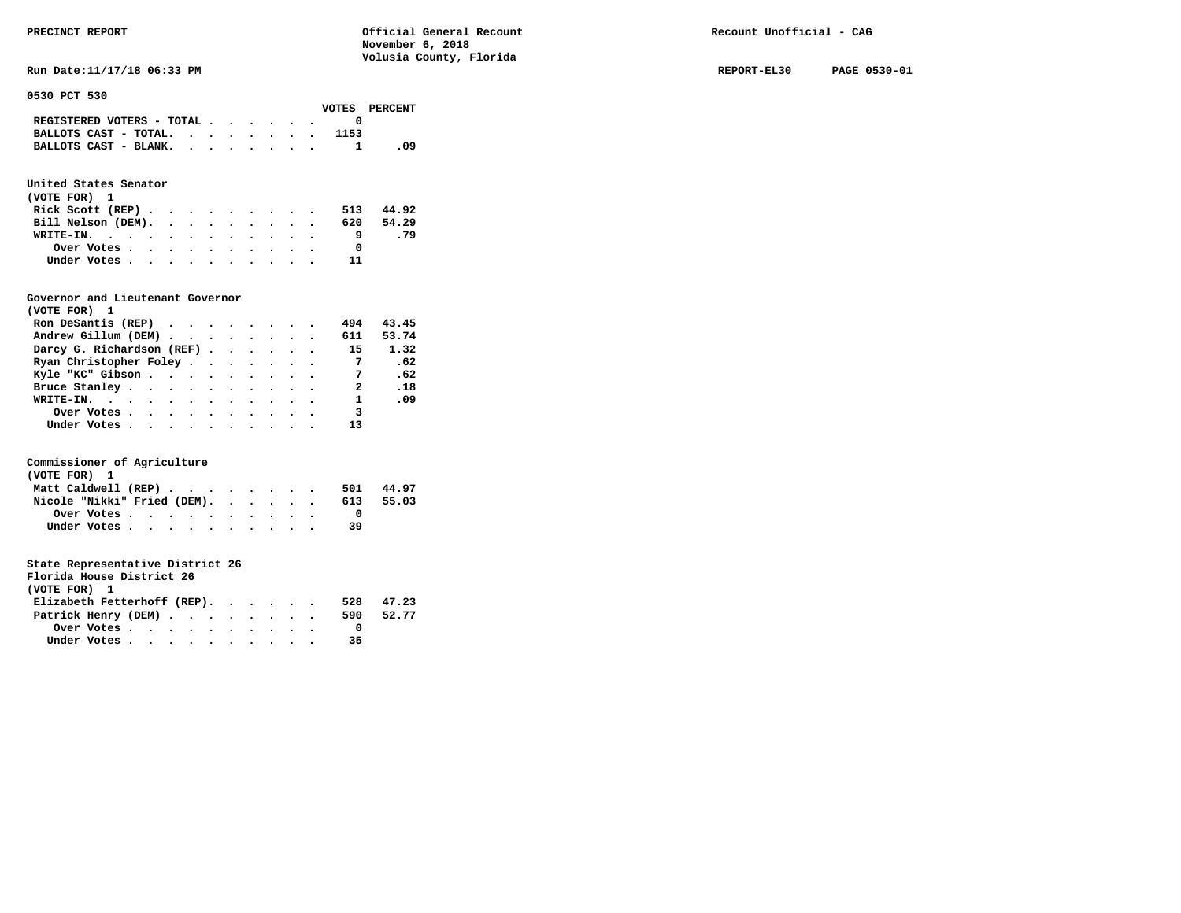**Run Date:11/17/18 06:33 PM REPORT-EL30 PAGE 0530-01** 

**0530 PCT 530** 

|                                             |  |  |  |      | VOTES PERCENT |
|---------------------------------------------|--|--|--|------|---------------|
| REGISTERED VOTERS - TOTAL $\cdot$ , , , , . |  |  |  |      |               |
| BALLOTS CAST - TOTAL.                       |  |  |  | 1153 |               |
| BALLOTS CAST - BLANK.                       |  |  |  |      | - 09          |

## **United States Senator**

| (VOTE FOR) 1                                |  |  |  |  |           |       |
|---------------------------------------------|--|--|--|--|-----------|-------|
| Rick Scott (REP) $\cdots$ $\cdots$ $\cdots$ |  |  |  |  | 513       | 44.92 |
| Bill Nelson (DEM).                          |  |  |  |  | 620 54.29 |       |
| WRITE-IN.                                   |  |  |  |  |           | . 79  |
| Over Votes                                  |  |  |  |  |           |       |
| Under Votes                                 |  |  |  |  | 11        |       |

#### **Governor and Lieutenant Governor**

| (VOTE FOR) 1                                                   |  |  |  |                         |       |
|----------------------------------------------------------------|--|--|--|-------------------------|-------|
| Ron DeSantis (REP) $\cdot \cdot \cdot \cdot \cdot \cdot \cdot$ |  |  |  | 494                     | 43.45 |
| Andrew Gillum (DEM)                                            |  |  |  | 611                     | 53.74 |
| Darcy G. Richardson (REF)                                      |  |  |  | 15                      | 1.32  |
| Ryan Christopher Foley                                         |  |  |  | $\overline{7}$          | .62   |
| Kyle "KC" Gibson                                               |  |  |  | 7                       | .62   |
| Bruce Stanley                                                  |  |  |  | 2                       | .18   |
| WRITE-IN.                                                      |  |  |  | $\mathbf{1}$            | - 09  |
| Over Votes.                                                    |  |  |  | $\overline{\mathbf{3}}$ |       |
| Under Votes, , , , , , , , , , ,                               |  |  |  |                         |       |

#### **Commissioner of Agriculture**

| (VOTE FOR) 1                |  |  |  |  |  |     |       |
|-----------------------------|--|--|--|--|--|-----|-------|
| Matt Caldwell (REP)         |  |  |  |  |  | 501 | 44.97 |
| Nicole "Nikki" Fried (DEM). |  |  |  |  |  | 613 | 55.03 |
|                             |  |  |  |  |  |     |       |
| Under Votes                 |  |  |  |  |  | 39  |       |

| Florida House District 26                               |  |  |  |  |     |       |
|---------------------------------------------------------|--|--|--|--|-----|-------|
| (VOTE FOR) 1                                            |  |  |  |  |     |       |
| Elizabeth Fetterhoff (REP).                             |  |  |  |  | 528 | 47.23 |
| Patrick Henry (DEM)                                     |  |  |  |  | 590 | 52.77 |
| Over Votes $\cdots$ $\cdots$ $\cdots$ $\cdots$ $\cdots$ |  |  |  |  |     |       |
| Under Votes                                             |  |  |  |  | 35  |       |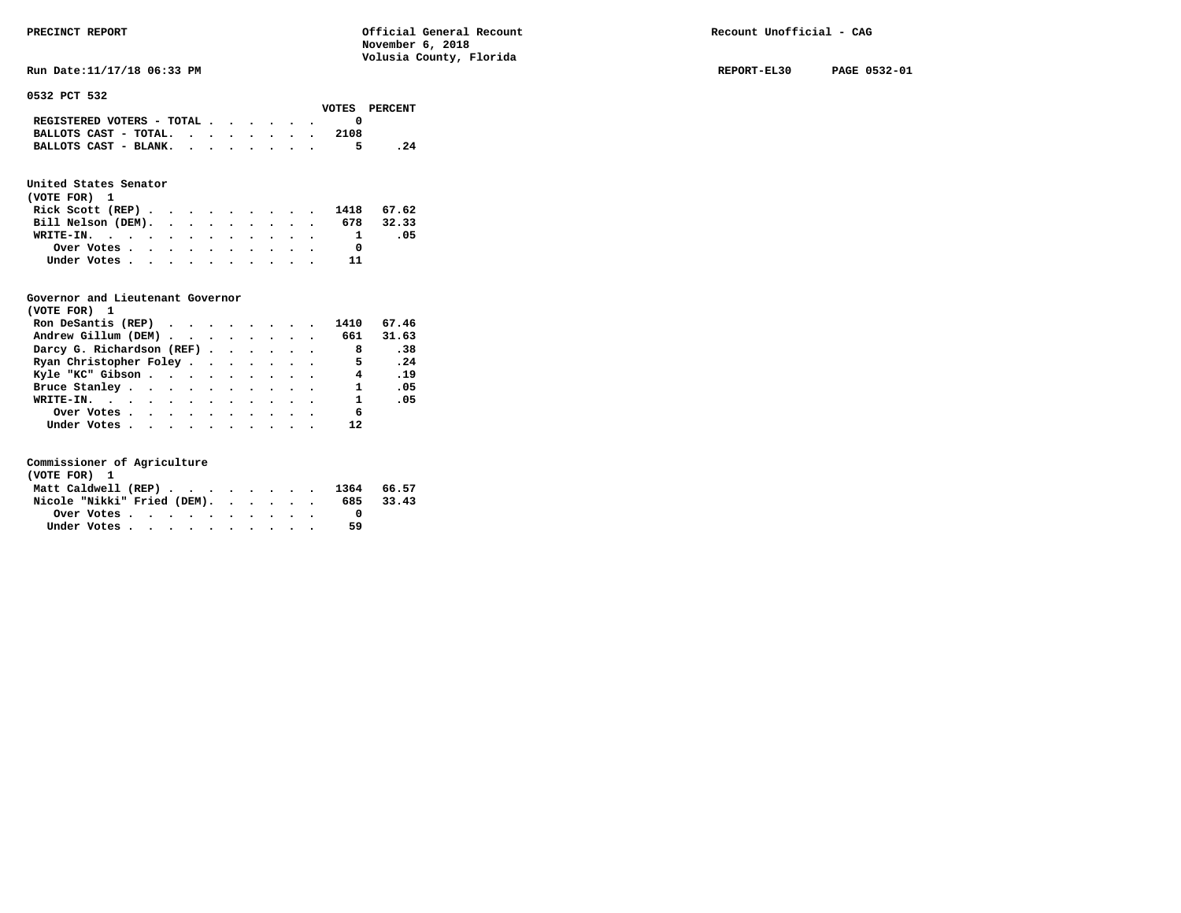**Run Date:11/17/18 06:33 PM REPORT-EL30 PAGE 0532-01** 

**0532 PCT 532** 

| VOTES PERCENT |
|---------------|
|               |
|               |
| .24           |
|               |

### **United States Senator**

| (VOTE FOR) 1 |                                                         |  |  |  |  |  |                              |     |
|--------------|---------------------------------------------------------|--|--|--|--|--|------------------------------|-----|
|              |                                                         |  |  |  |  |  | Rick Scott (REP) 1418 67.62  |     |
|              |                                                         |  |  |  |  |  | Bill Nelson (DEM). 678 32.33 |     |
| WRITE-IN.    |                                                         |  |  |  |  |  |                              | .05 |
|              | Over Votes $\cdots$ $\cdots$ $\cdots$ $\cdots$ $\cdots$ |  |  |  |  |  |                              |     |
|              | Under Votes                                             |  |  |  |  |  |                              |     |

#### **Governor and Lieutenant Governor**

| (VOTE FOR) 1                                  |  |  |  |                |       |
|-----------------------------------------------|--|--|--|----------------|-------|
| Ron DeSantis (REP) $\cdots$ $\cdots$ $\cdots$ |  |  |  | 1410           | 67.46 |
| Andrew Gillum (DEM) 661                       |  |  |  |                | 31.63 |
| Darcy G. Richardson (REF)                     |  |  |  | 8              | .38   |
| Ryan Christopher Foley                        |  |  |  | $\overline{5}$ | .24   |
| Kyle "KC" Gibson                              |  |  |  | $\overline{4}$ | .19   |
| Bruce Stanley.                                |  |  |  | $\mathbf{1}$   | .05   |
| WRITE-IN.                                     |  |  |  | $\mathbf{1}$   | .05   |
| Over Votes                                    |  |  |  | 6              |       |
| Under Votes                                   |  |  |  | 12             |       |

| (VOTE FOR) 1                   |  |  |  |  |  |    |           |
|--------------------------------|--|--|--|--|--|----|-----------|
| Matt Caldwell (REP) 1364 66.57 |  |  |  |  |  |    |           |
| Nicole "Nikki" Fried (DEM).    |  |  |  |  |  |    | 685 33.43 |
| Over Votes                     |  |  |  |  |  |    |           |
| Under Votes                    |  |  |  |  |  | 59 |           |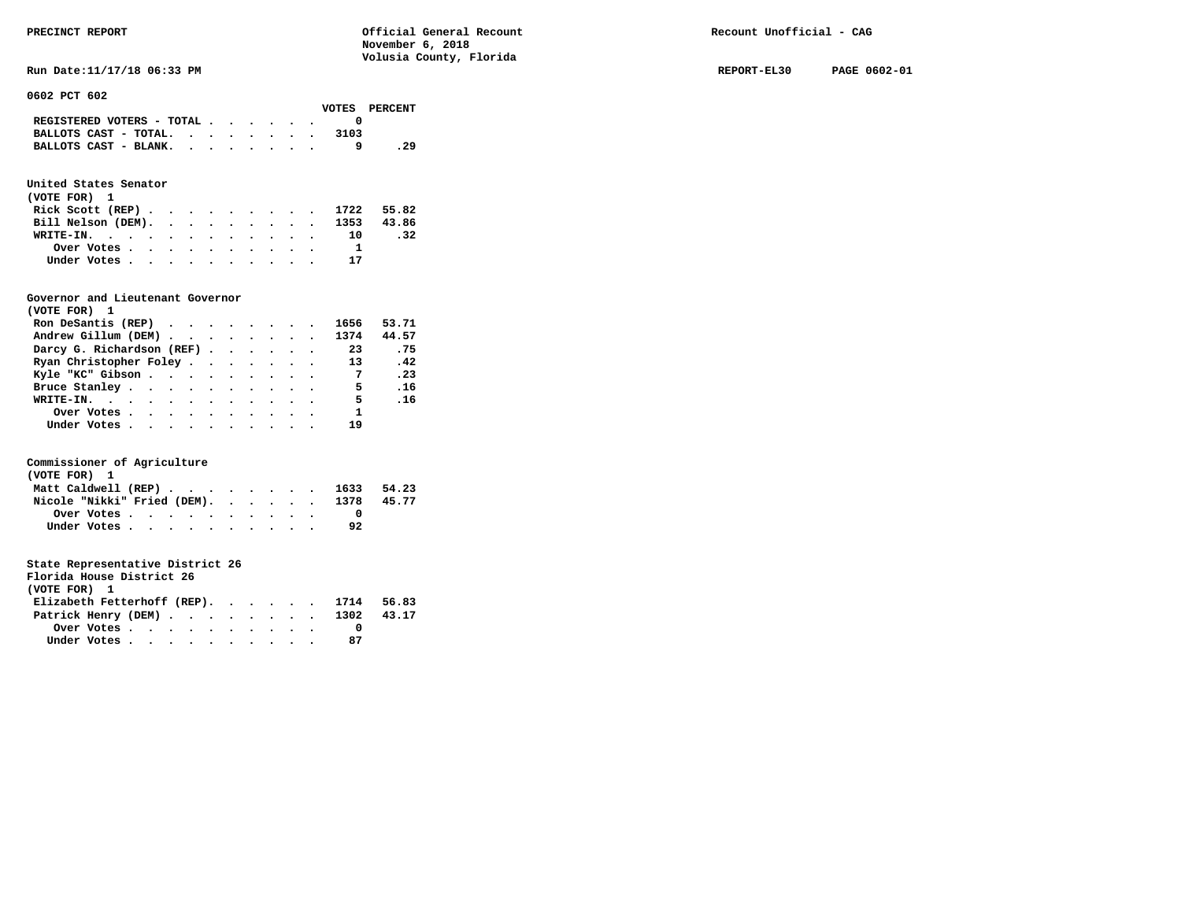**Run Date:11/17/18 06:33 PM REPORT-EL30 PAGE 0602-01** 

**0602 PCT 602** 

|                                                                           |  |  |  |      | VOTES PERCENT |
|---------------------------------------------------------------------------|--|--|--|------|---------------|
| REGISTERED VOTERS - TOTAL $\cdot$ $\cdot$ $\cdot$ $\cdot$ $\cdot$ $\cdot$ |  |  |  |      |               |
| BALLOTS CAST - TOTAL. $\cdot$                                             |  |  |  | 3103 |               |
| BALLOTS CAST - BLANK.                                                     |  |  |  |      | . 29          |

### **United States Senator**

| (VOTE FOR) 1 |                                                         |  |  |  |  |  |                               |     |
|--------------|---------------------------------------------------------|--|--|--|--|--|-------------------------------|-----|
|              |                                                         |  |  |  |  |  | Rick Scott (REP) 1722 55.82   |     |
|              |                                                         |  |  |  |  |  | Bill Nelson (DEM). 1353 43.86 |     |
|              |                                                         |  |  |  |  |  | WRITE-IN. 10                  | .32 |
|              | Over Votes $\cdots$ $\cdots$ $\cdots$ $\cdots$ $\cdots$ |  |  |  |  |  |                               |     |
|              | Under Votes                                             |  |  |  |  |  | 17                            |     |

#### **Governor and Lieutenant Governor**

| (VOTE FOR) 1                                  |  |  |  |                |       |
|-----------------------------------------------|--|--|--|----------------|-------|
| Ron DeSantis (REP) $\cdots$ $\cdots$ $\cdots$ |  |  |  | 1656           | 53.71 |
| Andrew Gillum (DEM)                           |  |  |  | 1374           | 44.57 |
| Darcy G. Richardson (REF)                     |  |  |  | 23             | .75   |
| Ryan Christopher Foley                        |  |  |  | 13             | .42   |
| Kyle "KC" Gibson                              |  |  |  | $\overline{7}$ | .23   |
| Bruce Stanley.                                |  |  |  | - 5            | .16   |
| WRITE-IN.                                     |  |  |  | 5 <sub>5</sub> | .16   |
| Over Votes.                                   |  |  |  | $\mathbf{1}$   |       |
| Under Votes, , , , , , , , , , ,              |  |  |  | 19             |       |

#### **Commissioner of Agriculture**

| (VOTE FOR) 1                                            |  |  |  |  |  |    |       |
|---------------------------------------------------------|--|--|--|--|--|----|-------|
| Matt Caldwell (REP) 1633 54.23                          |  |  |  |  |  |    |       |
| Nicole "Nikki" Fried (DEM). 1378                        |  |  |  |  |  |    | 45.77 |
| Over Votes $\cdots$ $\cdots$ $\cdots$ $\cdots$ $\cdots$ |  |  |  |  |  |    |       |
| Under Votes                                             |  |  |  |  |  | 92 |       |

| Florida House District 26              |                                                         |  |  |  |  |    |  |
|----------------------------------------|---------------------------------------------------------|--|--|--|--|----|--|
| (VOTE FOR) 1                           |                                                         |  |  |  |  |    |  |
| Elizabeth Fetterhoff (REP). 1714 56.83 |                                                         |  |  |  |  |    |  |
| Patrick Henry (DEM) 1302 43.17         |                                                         |  |  |  |  |    |  |
|                                        | Over Votes $\cdots$ $\cdots$ $\cdots$ $\cdots$ $\cdots$ |  |  |  |  |    |  |
| Under Votes                            |                                                         |  |  |  |  | 87 |  |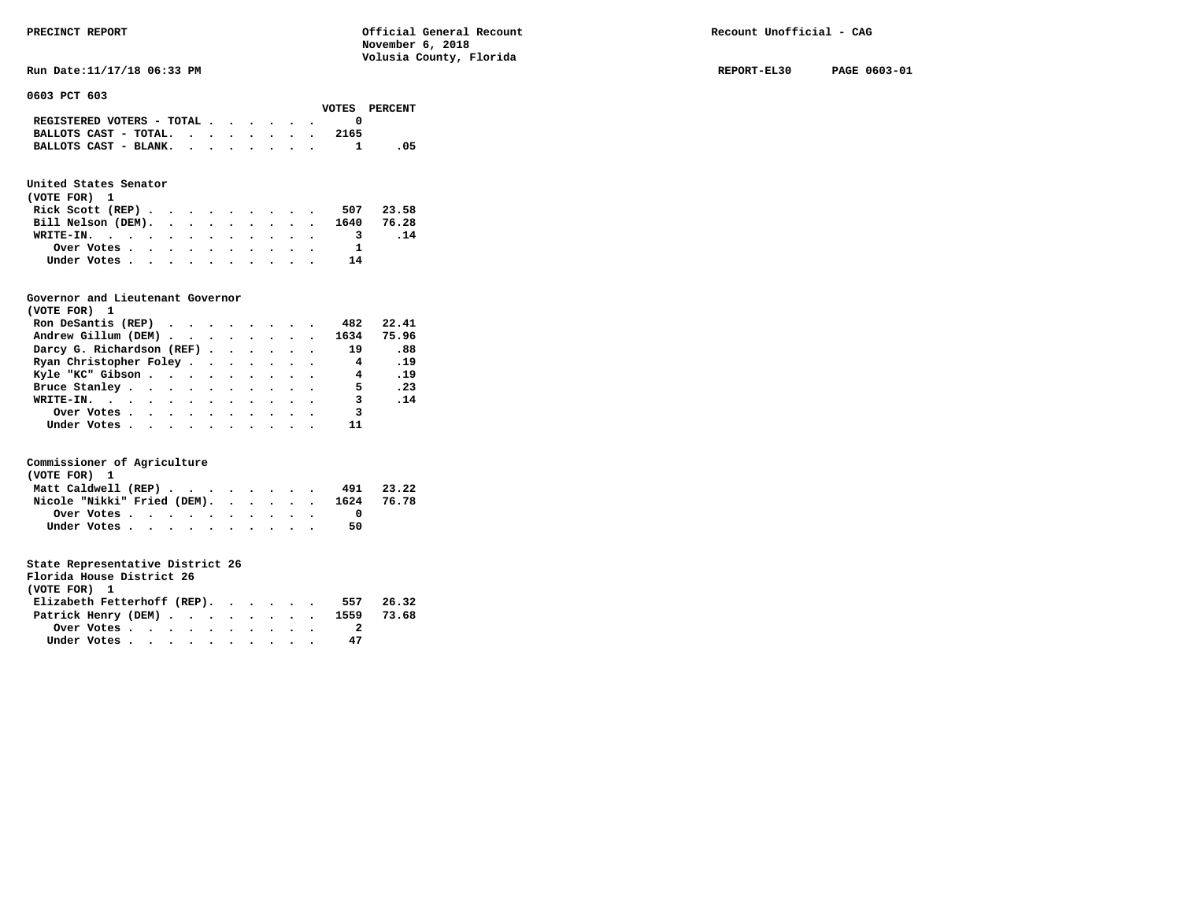**Run Date:11/17/18 06:33 PM REPORT-EL30 PAGE 0603-01** 

**0603 PCT 603** 

|                                                                           |  |  |  |      | VOTES PERCENT |
|---------------------------------------------------------------------------|--|--|--|------|---------------|
| REGISTERED VOTERS - TOTAL $\cdot$ $\cdot$ $\cdot$ $\cdot$ $\cdot$ $\cdot$ |  |  |  |      |               |
| BALLOTS CAST - TOTAL.                                                     |  |  |  | 2165 |               |
| BALLOTS CAST - BLANK.                                                     |  |  |  |      | - 05          |

### **United States Senator**

| (VOTE FOR) 1     |  |  |  |  |  |                               |           |
|------------------|--|--|--|--|--|-------------------------------|-----------|
| Rick Scott (REP) |  |  |  |  |  |                               | 507 23.58 |
|                  |  |  |  |  |  | Bill Nelson (DEM). 1640 76.28 |           |
| WRITE-IN.        |  |  |  |  |  |                               | .14       |
| Over Votes       |  |  |  |  |  |                               |           |
| Under Votes      |  |  |  |  |  | 14                            |           |

#### **Governor and Lieutenant Governor**

| (VOTE FOR) 1                                  |  |  |  |                         |       |
|-----------------------------------------------|--|--|--|-------------------------|-------|
| Ron DeSantis (REP) $\cdots$ $\cdots$ $\cdots$ |  |  |  | 482                     | 22.41 |
| Andrew Gillum (DEM) 1634                      |  |  |  |                         | 75.96 |
| Darcy G. Richardson (REF)                     |  |  |  | 19                      | .88   |
| Ryan Christopher Foley                        |  |  |  | $\overline{\mathbf{4}}$ | .19   |
| Kyle "KC" Gibson                              |  |  |  | $\overline{4}$          | .19   |
| Bruce Stanley.                                |  |  |  | - 5                     | .23   |
| WRITE-IN.                                     |  |  |  | $\overline{\mathbf{3}}$ | .14   |
| Over Votes                                    |  |  |  | 3                       |       |
| Under Votes, , , , , , , , , , ,              |  |  |  |                         |       |

#### **Commissioner of Agriculture**

| (VOTE FOR) 1        |  |  |  |  |  |                                        |       |
|---------------------|--|--|--|--|--|----------------------------------------|-------|
| Matt Caldwell (REP) |  |  |  |  |  | 491                                    | 23.22 |
|                     |  |  |  |  |  | Nicole "Nikki" Fried (DEM). 1624 76.78 |       |
| Over Votes          |  |  |  |  |  |                                        |       |
| Under Votes         |  |  |  |  |  | 50                                     |       |

| Florida House District 26      |                                                         |  |  |  |  |     |       |
|--------------------------------|---------------------------------------------------------|--|--|--|--|-----|-------|
| (VOTE FOR) 1                   |                                                         |  |  |  |  |     |       |
| Elizabeth Fetterhoff (REP).    |                                                         |  |  |  |  | 557 | 26.32 |
| Patrick Henry (DEM) 1559 73.68 |                                                         |  |  |  |  |     |       |
|                                | Over Votes $\cdots$ $\cdots$ $\cdots$ $\cdots$ $\cdots$ |  |  |  |  |     |       |
|                                | Under Votes                                             |  |  |  |  | 47  |       |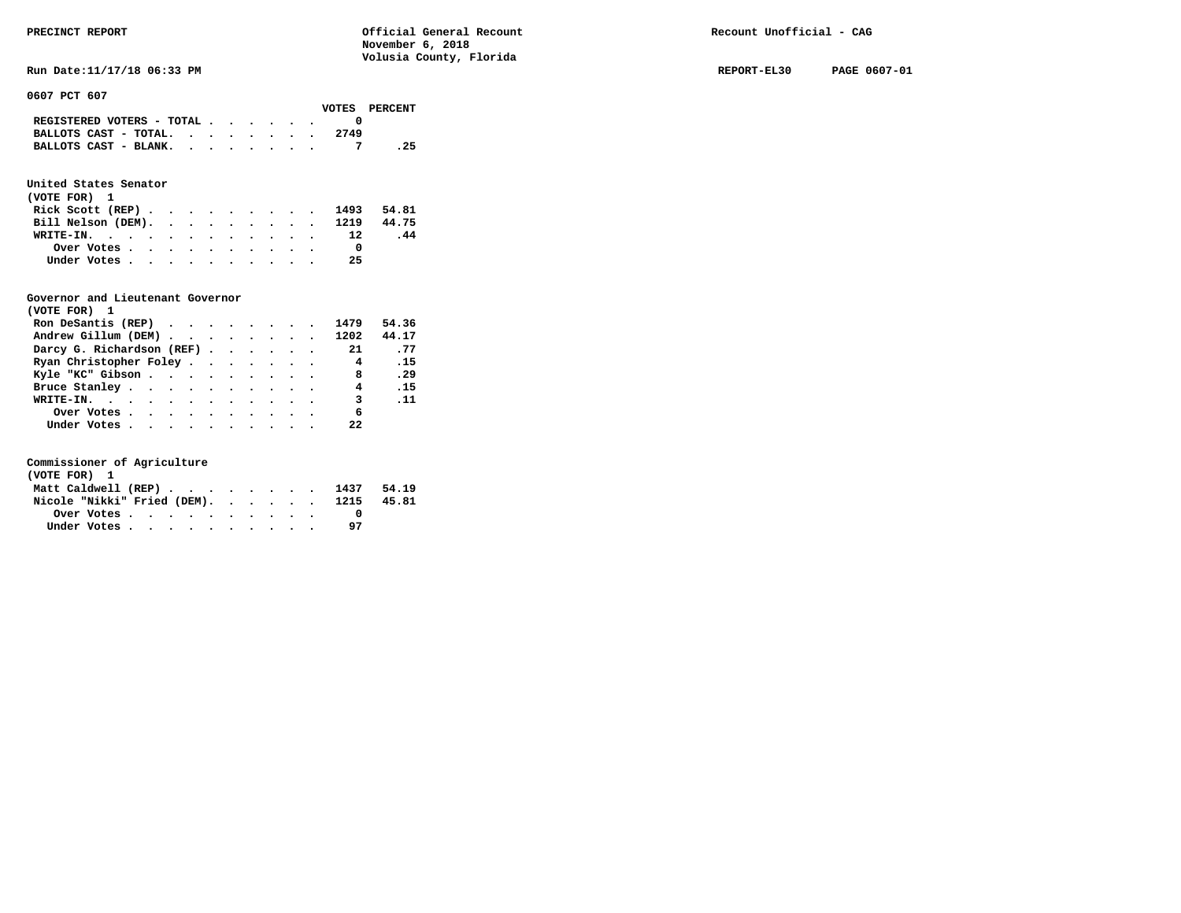**Run Date:11/17/18 06:33 PM REPORT-EL30 PAGE 0607-01** 

**0607 PCT 607** 

|                                                                           |  |  |  |      | VOTES PERCENT |
|---------------------------------------------------------------------------|--|--|--|------|---------------|
| REGISTERED VOTERS - TOTAL $\cdot$ $\cdot$ $\cdot$ $\cdot$ $\cdot$ $\cdot$ |  |  |  |      |               |
| BALLOTS CAST - TOTAL.                                                     |  |  |  | 2749 |               |
| BALLOTS CAST - BLANK.                                                     |  |  |  |      | . 25          |

### **United States Senator**

| (VOTE FOR) 1                  |            |  |  |  |  |  |    |            |  |
|-------------------------------|------------|--|--|--|--|--|----|------------|--|
| Rick Scott (REP)              |            |  |  |  |  |  |    | 1493 54.81 |  |
| Bill Nelson (DEM). 1219 44.75 |            |  |  |  |  |  |    |            |  |
| WRITE-IN. 12                  |            |  |  |  |  |  |    | .44        |  |
|                               | Over Votes |  |  |  |  |  |    |            |  |
| Under Votes                   |            |  |  |  |  |  | 25 |            |  |

#### **Governor and Lieutenant Governor**

| (VOTE FOR) 1                                  |  |  |  |                         |             |
|-----------------------------------------------|--|--|--|-------------------------|-------------|
| Ron DeSantis (REP) $\cdots$ $\cdots$ $\cdots$ |  |  |  | 1479                    | 54.36       |
| Andrew Gillum (DEM)                           |  |  |  | 1202                    | 44.17       |
| Darcy G. Richardson (REF)                     |  |  |  | 21                      | .77         |
| Ryan Christopher Foley                        |  |  |  | 4                       | .15         |
| Kyle "KC" Gibson                              |  |  |  | 8 <sup>1</sup>          | .29         |
| Bruce Stanley                                 |  |  |  | 4                       | .15         |
| WRITE-IN.                                     |  |  |  | $\overline{\mathbf{3}}$ | $\ldots$ 11 |
| Over Votes                                    |  |  |  | 6                       |             |
| Under Votes                                   |  |  |  | 22                      |             |

| (VOTE FOR) 1 |  |  |  |  |  |                                  |       |
|--------------|--|--|--|--|--|----------------------------------|-------|
|              |  |  |  |  |  | Matt Caldwell (REP) 1437 54.19   |       |
|              |  |  |  |  |  | Nicole "Nikki" Fried (DEM). 1215 | 45.81 |
|              |  |  |  |  |  |                                  |       |
| Under Votes  |  |  |  |  |  |                                  |       |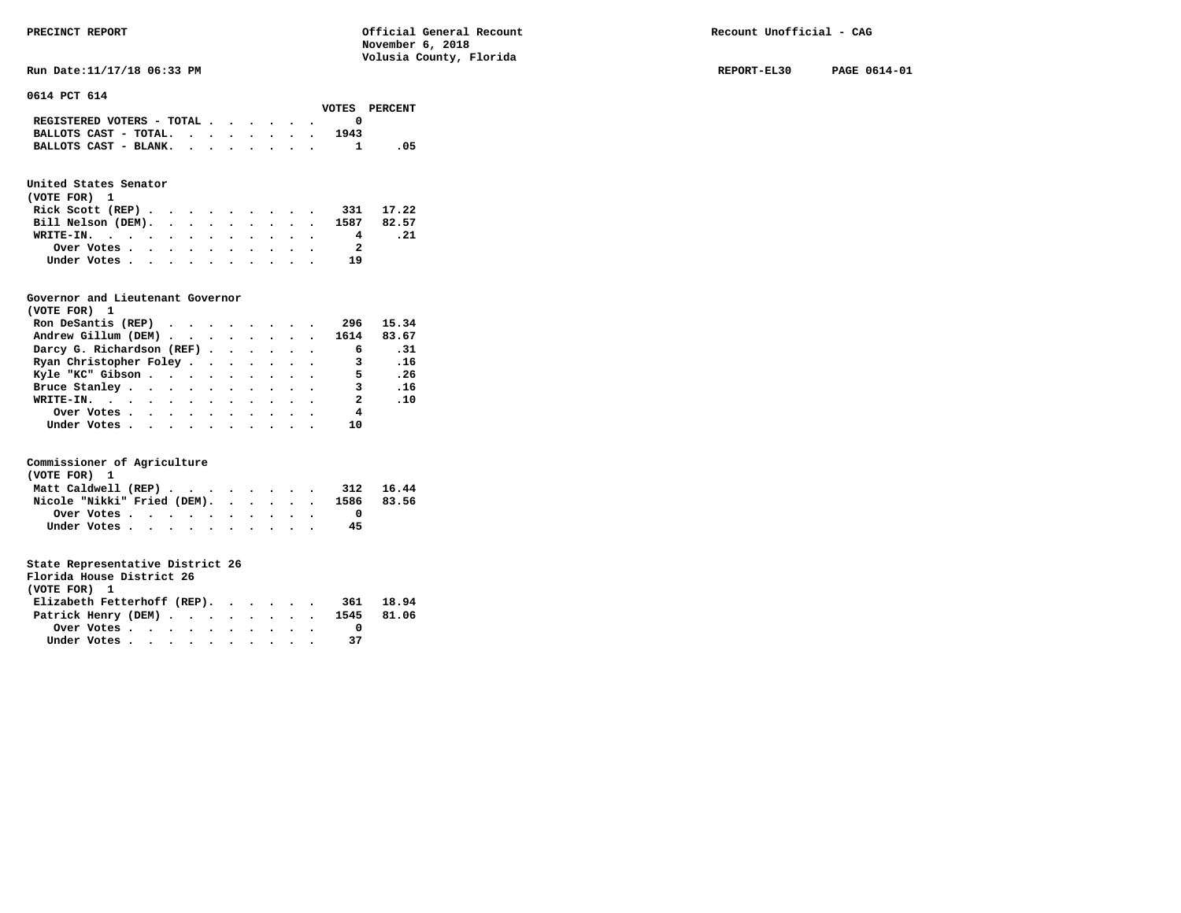**Run Date:11/17/18 06:33 PM REPORT-EL30 PAGE 0614-01 REPORT-EL30 PAGE 0614-01** 

**0614 PCT 614** 

|                                                                           |  |  |  |      | VOTES PERCENT |
|---------------------------------------------------------------------------|--|--|--|------|---------------|
| REGISTERED VOTERS - TOTAL $\cdot$ $\cdot$ $\cdot$ $\cdot$ $\cdot$ $\cdot$ |  |  |  |      |               |
| BALLOTS CAST - TOTAL. $\cdot$ , , , , , , ,                               |  |  |  | 1943 |               |
| BALLOTS CAST - BLANK. 1                                                   |  |  |  |      | .05           |

### **United States Senator**

| (VOTE FOR) 1                                            |  |  |  |  |  |    |           |
|---------------------------------------------------------|--|--|--|--|--|----|-----------|
| Rick Scott $(REP)$                                      |  |  |  |  |  |    | 331 17.22 |
| Bill Nelson (DEM). 1587 82.57                           |  |  |  |  |  |    |           |
| WRITE-IN.                                               |  |  |  |  |  | 4  | . 21      |
| Over Votes $\cdots$ $\cdots$ $\cdots$ $\cdots$ $\cdots$ |  |  |  |  |  | -2 |           |
| Under Votes                                             |  |  |  |  |  | 19 |           |

#### **Governor and Lieutenant Governor**

| (VOTE FOR) 1                                  |  |  |  |                         |       |
|-----------------------------------------------|--|--|--|-------------------------|-------|
| Ron DeSantis (REP) $\cdots$ $\cdots$ $\cdots$ |  |  |  | 296                     | 15.34 |
| Andrew Gillum (DEM) 1614                      |  |  |  |                         | 83.67 |
| Darcy G. Richardson (REF)                     |  |  |  | 6                       | .31   |
| Ryan Christopher Foley                        |  |  |  | $\overline{\mathbf{3}}$ | .16   |
| Kyle "KC" Gibson                              |  |  |  | 5.                      | .26   |
| Bruce Stanley.                                |  |  |  | 3                       | .16   |
| WRITE-IN.                                     |  |  |  | $\overline{\mathbf{2}}$ | .10   |
| Over Votes.                                   |  |  |  | 4                       |       |
| Under Votes, , , , , , , , , , ,              |  |  |  | 10                      |       |

#### **Commissioner of Agriculture**

| (VOTE FOR) 1                                            |  |  |  |  |  |    |  |
|---------------------------------------------------------|--|--|--|--|--|----|--|
| Matt Caldwell (REP) 312 16.44                           |  |  |  |  |  |    |  |
| Nicole "Nikki" Fried (DEM). 1586 83.56                  |  |  |  |  |  |    |  |
| Over Votes $\cdots$ $\cdots$ $\cdots$ $\cdots$ $\cdots$ |  |  |  |  |  |    |  |
| Under Votes                                             |  |  |  |  |  | 45 |  |

| Florida House District 26       |       |
|---------------------------------|-------|
| (VOTE FOR) 1                    |       |
| Elizabeth Fetterhoff (REP). 361 | 18.94 |
| Patrick Henry (DEM) 1545 81.06  |       |
| Over Votes                      |       |

| Under Votes |  |  |  |  |  |  |  |  |  |  |  |
|-------------|--|--|--|--|--|--|--|--|--|--|--|
|-------------|--|--|--|--|--|--|--|--|--|--|--|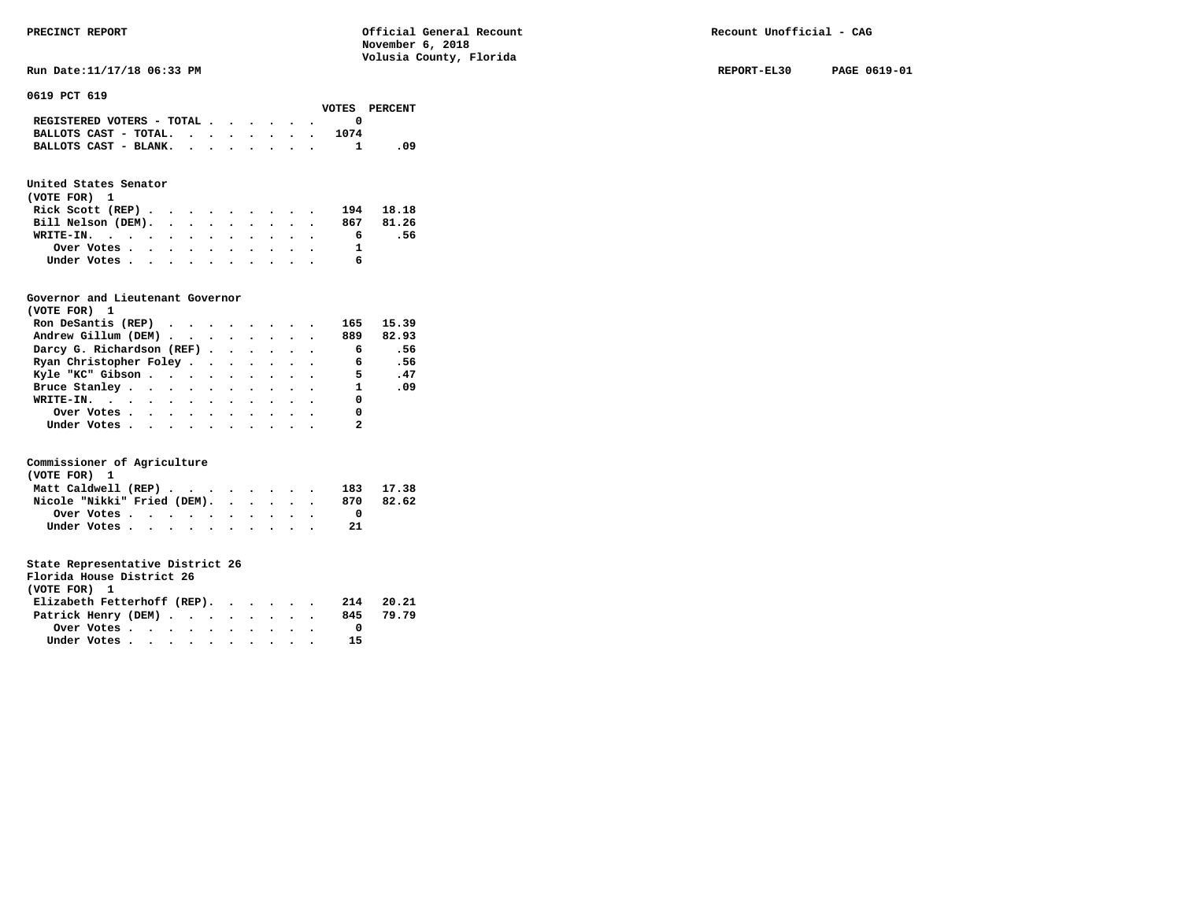**Run Date:11/17/18 06:33 PM REPORT-EL30 PAGE 0619-01** 

**0619 PCT 619** 

|                                                                           |  |  |  |      | VOTES PERCENT |
|---------------------------------------------------------------------------|--|--|--|------|---------------|
| REGISTERED VOTERS - TOTAL $\cdot$ $\cdot$ $\cdot$ $\cdot$ $\cdot$ $\cdot$ |  |  |  |      |               |
| BALLOTS CAST - TOTAL. $\cdot$                                             |  |  |  | 1074 |               |
| BALLOTS CAST - BLANK.                                                     |  |  |  |      | - 09          |

### **United States Senator**

| (VOTE FOR) 1       |  |  |  |  |  |   |           |
|--------------------|--|--|--|--|--|---|-----------|
| Rick Scott $(REP)$ |  |  |  |  |  |   | 194 18.18 |
| Bill Nelson (DEM). |  |  |  |  |  |   | 867 81.26 |
| WRITE-IN.          |  |  |  |  |  | 6 | - 56      |
| Over Votes         |  |  |  |  |  |   |           |
| Under Votes        |  |  |  |  |  |   |           |

#### **Governor and Lieutenant Governor**

| (VOTE FOR) 1                                  |  |  |  |                |       |
|-----------------------------------------------|--|--|--|----------------|-------|
| Ron DeSantis (REP) $\cdots$ $\cdots$ $\cdots$ |  |  |  | 165            | 15.39 |
| Andrew Gillum (DEM)                           |  |  |  | 889            | 82.93 |
| Darcy G. Richardson (REF)                     |  |  |  | $\overline{6}$ | .56   |
| Ryan Christopher Foley                        |  |  |  | 6              | .56   |
| Kyle "KC" Gibson                              |  |  |  | $5 - 5$        | .47   |
| Bruce Stanley                                 |  |  |  | $\mathbf{1}$   | .09   |
| WRITE-IN.                                     |  |  |  | $\Omega$       |       |
| Over Votes.                                   |  |  |  | 0              |       |
|                                               |  |  |  |                |       |

#### **Commissioner of Agriculture**

| (VOTE FOR) 1                |  |  |  |  |  |     |           |
|-----------------------------|--|--|--|--|--|-----|-----------|
| Matt Caldwell (REP)         |  |  |  |  |  |     | 183 17.38 |
| Nicole "Nikki" Fried (DEM). |  |  |  |  |  | 870 | 82.62     |
| Over Votes                  |  |  |  |  |  |     |           |
| Under Votes                 |  |  |  |  |  | 21  |           |

| Florida House District 26       |                                                         |  |  |  |  |    |           |
|---------------------------------|---------------------------------------------------------|--|--|--|--|----|-----------|
| (VOTE FOR) 1                    |                                                         |  |  |  |  |    |           |
| Elizabeth Fetterhoff (REP). 214 |                                                         |  |  |  |  |    | 20.21     |
| Patrick Henry (DEM)             |                                                         |  |  |  |  |    | 845 79.79 |
|                                 | Over Votes $\cdots$ $\cdots$ $\cdots$ $\cdots$ $\cdots$ |  |  |  |  |    |           |
|                                 | Under Votes                                             |  |  |  |  | 15 |           |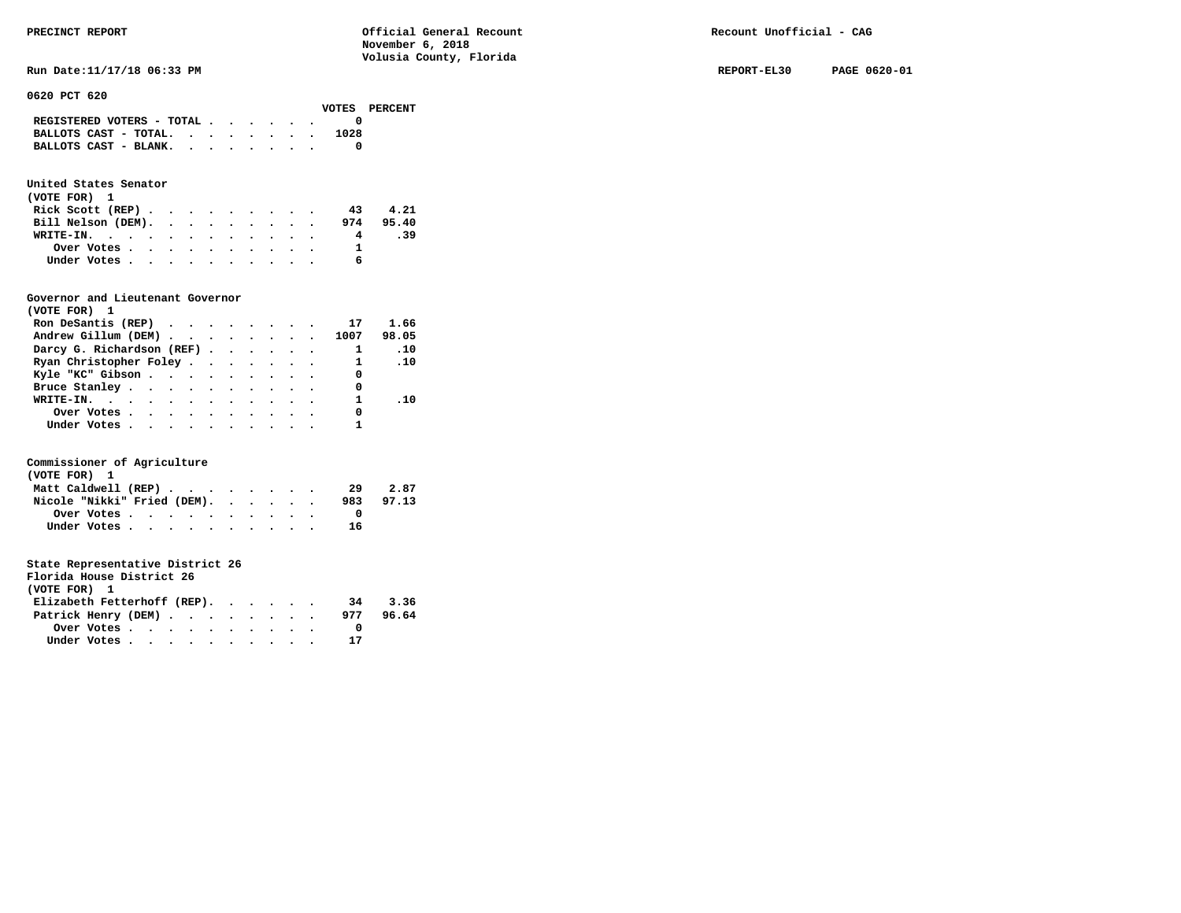| PRECINCT REPORT                               |       | Official General Recount<br>November 6, 2018<br>Volusia County, Florida | Recount Unofficial - CAG |              |  |  |  |
|-----------------------------------------------|-------|-------------------------------------------------------------------------|--------------------------|--------------|--|--|--|
| Run Date: 11/17/18 06:33 PM                   |       |                                                                         | REPORT-EL30              | PAGE 0620-01 |  |  |  |
| 0620 PCT 620                                  |       |                                                                         |                          |              |  |  |  |
| REGISTERED VOTERS - TOTAL $\cdot$ , , , , , , | VOTES | PERCENT                                                                 |                          |              |  |  |  |

| REGISTERED VOTERS - TOTAL  |  |  |  |      |
|----------------------------|--|--|--|------|
| BALLOTS CAST - TOTAL.<br>. |  |  |  | 1028 |
| BALLOTS CAST - BLANK.      |  |  |  |      |

#### **United States Senator**

| (VOTE FOR) 1       |  |  |  |  |    |           |
|--------------------|--|--|--|--|----|-----------|
| Rick Scott $(REP)$ |  |  |  |  | 43 | 4.21      |
| Bill Nelson (DEM). |  |  |  |  |    | 974 95.40 |
| WRITE-IN.          |  |  |  |  | 4  | - 39      |
| Over Votes         |  |  |  |  |    |           |
| Under Votes        |  |  |  |  |    |           |

#### **Governor and Lieutenant Governor**

| (VOTE FOR) 1                                                            |  |  |  |                          |                 |
|-------------------------------------------------------------------------|--|--|--|--------------------------|-----------------|
| Ron DeSantis (REP) $\cdot \cdot \cdot \cdot \cdot \cdot \cdot \cdot 17$ |  |  |  |                          | 1.66            |
| Andrew Gillum (DEM) 1007                                                |  |  |  |                          | 98.05           |
| Darcy G. Richardson (REF)                                               |  |  |  |                          | $\ldots$        |
| Ryan Christopher Foley                                                  |  |  |  | $\sim$ 1                 | $\overline{10}$ |
| Kyle "KC" Gibson                                                        |  |  |  | $\overline{\phantom{0}}$ |                 |
| Bruce Stanley                                                           |  |  |  | 0                        |                 |
| WRITE-IN.                                                               |  |  |  |                          | .10             |
| Over Votes.                                                             |  |  |  | 0                        |                 |
| Under Votes.                                                            |  |  |  |                          |                 |

#### **Commissioner of Agriculture**

| (VOTE FOR) 1                |  |  |  |     |       |
|-----------------------------|--|--|--|-----|-------|
| Matt Caldwell (REP)         |  |  |  | 29  | 2.87  |
| Nicole "Nikki" Fried (DEM). |  |  |  | 983 | 97.13 |
| Over Votes.                 |  |  |  |     |       |
| Under Votes                 |  |  |  | 16  |       |

| Florida House District 26   |             |  |  |  |  |    |       |
|-----------------------------|-------------|--|--|--|--|----|-------|
| (VOTE FOR) 1                |             |  |  |  |  |    |       |
| Elizabeth Fetterhoff (REP). |             |  |  |  |  | 34 | 3.36  |
| Patrick Henry (DEM) 977     |             |  |  |  |  |    | 96.64 |
|                             | Over Votes  |  |  |  |  |    |       |
|                             | Under Votes |  |  |  |  |    |       |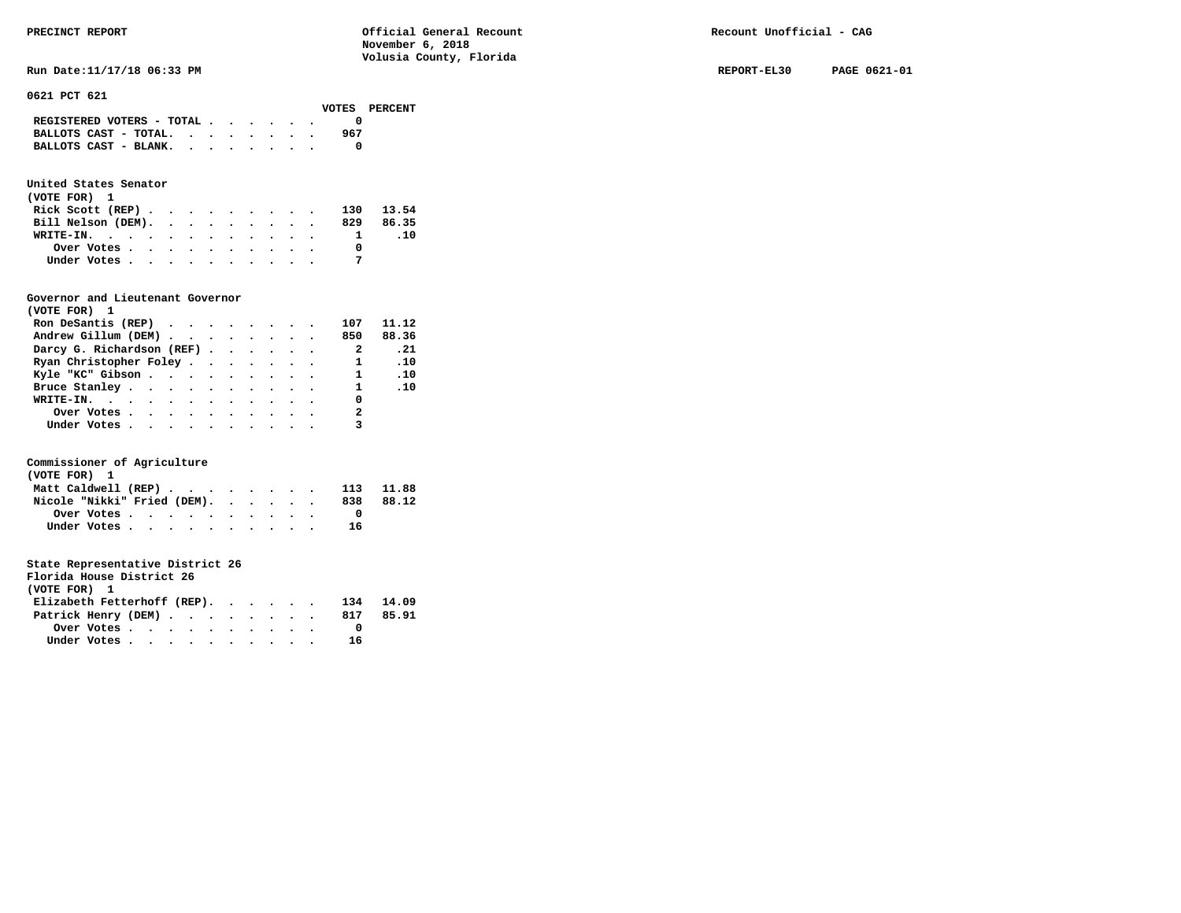# **0621 PCT 621**

| REGISTERED VOTERS - TOTAL |  |  |     |
|---------------------------|--|--|-----|
| BALLOTS CAST - TOTAL.     |  |  | 967 |
| BALLOTS CAST - BLANK.     |  |  |     |
|                           |  |  |     |

# **United States Senator**

| (VOTE FOR) 1       |  |  |  |  |           |     |
|--------------------|--|--|--|--|-----------|-----|
| Rick Scott $(REP)$ |  |  |  |  | 130 13.54 |     |
| Bill Nelson (DEM). |  |  |  |  | 829 86.35 |     |
| WRITE-IN.          |  |  |  |  |           | .10 |
| Over Votes         |  |  |  |  |           |     |
| Under Votes        |  |  |  |  |           |     |

### **Governor and Lieutenant Governor**

| (VOTE FOR) 1                                  |  |  |  |                          |                               |
|-----------------------------------------------|--|--|--|--------------------------|-------------------------------|
| Ron DeSantis (REP) $\cdots$ $\cdots$ $\cdots$ |  |  |  | 107                      | 11.12                         |
| Andrew Gillum (DEM)                           |  |  |  | 850                      | 88.36                         |
| Darcy G. Richardson (REF)                     |  |  |  | $\overline{\phantom{a}}$ | $\overline{\phantom{0}}$ . 21 |
| Ryan Christopher Foley                        |  |  |  | $\mathbf{1}$             | $\ldots$                      |
| Kyle "KC" Gibson                              |  |  |  | $1 \quad .10$            |                               |
| Bruce Stanley.                                |  |  |  |                          | $1 \quad .10$                 |
| WRITE-IN.                                     |  |  |  | 0                        |                               |
| Over Votes.                                   |  |  |  | 2                        |                               |
| Under Votes                                   |  |  |  |                          |                               |

#### **Commissioner of Agriculture**

| (VOTE FOR) 1                |  |  |  |  |  |     |           |
|-----------------------------|--|--|--|--|--|-----|-----------|
| Matt Caldwell (REP)         |  |  |  |  |  |     | 113 11.88 |
| Nicole "Nikki" Fried (DEM). |  |  |  |  |  | 838 | 88.12     |
| Over Votes                  |  |  |  |  |  |     |           |
| Under Votes                 |  |  |  |  |  | 16  |           |

| Florida House District 26                               |  |  |  |  |  |  |  |  |  |  |    |       |
|---------------------------------------------------------|--|--|--|--|--|--|--|--|--|--|----|-------|
| (VOTE FOR) 1                                            |  |  |  |  |  |  |  |  |  |  |    |       |
| Elizabeth Fetterhoff (REP). 134                         |  |  |  |  |  |  |  |  |  |  |    | 14.09 |
| Patrick Henry (DEM) 817                                 |  |  |  |  |  |  |  |  |  |  |    | 85.91 |
| Over Votes $\cdots$ $\cdots$ $\cdots$ $\cdots$ $\cdots$ |  |  |  |  |  |  |  |  |  |  |    |       |
| Under Votes                                             |  |  |  |  |  |  |  |  |  |  | 16 |       |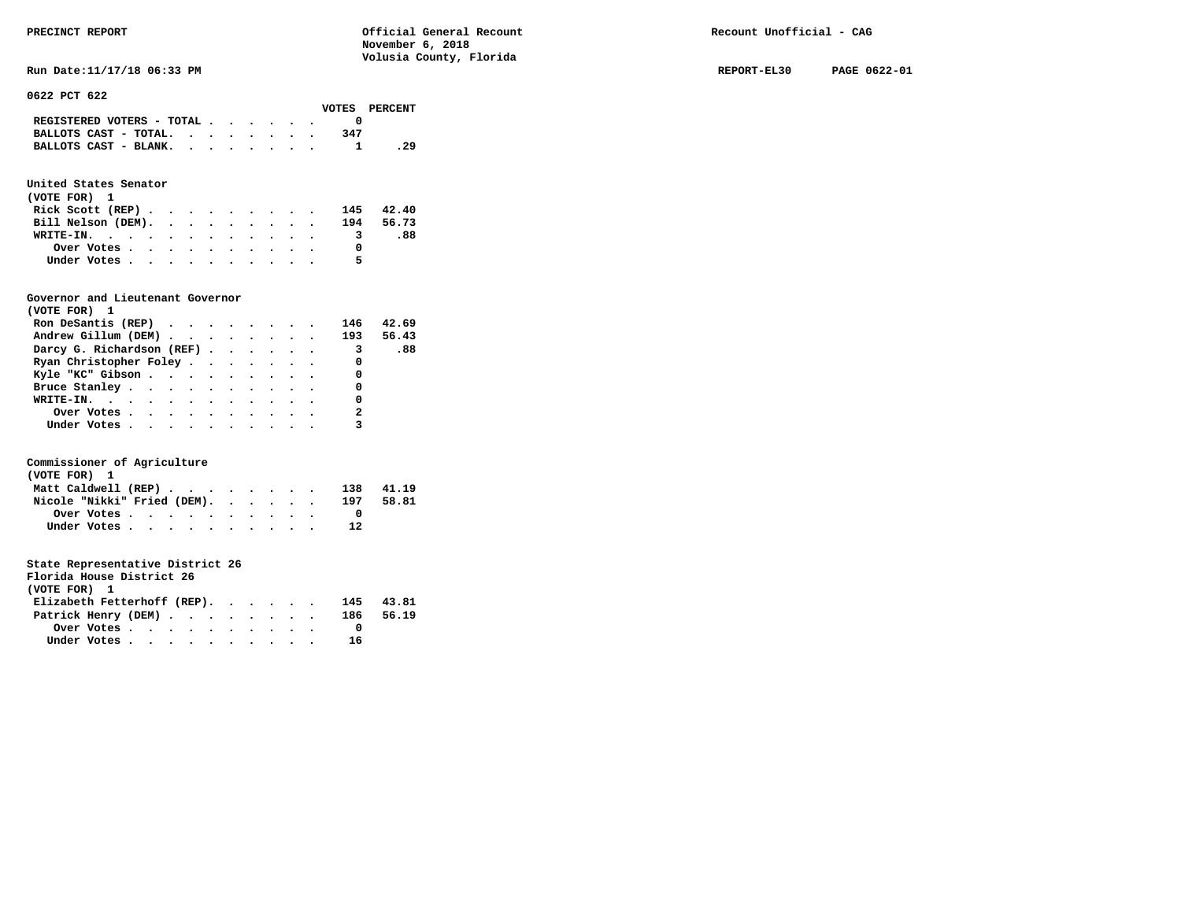**Run Date:11/17/18 06:33 PM REPORT-EL30 PAGE 0622-01** 

**0622 PCT 622** 

|                                                                           |  |  |  |     | VOTES PERCENT |
|---------------------------------------------------------------------------|--|--|--|-----|---------------|
| REGISTERED VOTERS - TOTAL $\cdot$ $\cdot$ $\cdot$ $\cdot$ $\cdot$ $\cdot$ |  |  |  |     |               |
| BALLOTS CAST - TOTAL. $\cdot$ , $\cdot$ , $\cdot$ , $\cdot$               |  |  |  | 347 |               |
| BALLOTS CAST - BLANK.                                                     |  |  |  |     | . 29          |
|                                                                           |  |  |  |     |               |

### **United States Senator**

| (VOTE FOR) 1                                            |  |  |  |  |   |           |
|---------------------------------------------------------|--|--|--|--|---|-----------|
| Rick Scott (REP) $\cdots$ $\cdots$ $\cdots$             |  |  |  |  |   | 145 42.40 |
| Bill Nelson (DEM). 194 56.73                            |  |  |  |  |   |           |
| WRITE-IN.                                               |  |  |  |  |   | -88.      |
| Over Votes $\cdots$ $\cdots$ $\cdots$ $\cdots$ $\cdots$ |  |  |  |  |   |           |
| Under Votes                                             |  |  |  |  | 5 |           |

#### **Governor and Lieutenant Governor**

| (VOTE FOR) 1                                  |  |  |  |                            |       |
|-----------------------------------------------|--|--|--|----------------------------|-------|
| Ron DeSantis (REP) $\cdots$ $\cdots$ $\cdots$ |  |  |  | 146                        | 42.69 |
| Andrew Gillum (DEM) 193 56.43                 |  |  |  |                            |       |
| Darcy G. Richardson (REF)                     |  |  |  | $\overline{\mathbf{3}}$    | .88   |
| Ryan Christopher Foley                        |  |  |  | $\Omega$                   |       |
| Kyle "KC" Gibson 0                            |  |  |  |                            |       |
| Bruce Stanley.                                |  |  |  | 0                          |       |
| WRITE-IN.                                     |  |  |  | 0                          |       |
| Over Votes.                                   |  |  |  | $\overline{\phantom{a}}$ 2 |       |
| Under Votes                                   |  |  |  |                            |       |

#### **Commissioner of Agriculture**

| (VOTE FOR) 1                |             |  |  |  |  |  |     |       |
|-----------------------------|-------------|--|--|--|--|--|-----|-------|
| Matt Caldwell (REP)         |             |  |  |  |  |  | 138 | 41.19 |
| Nicole "Nikki" Fried (DEM). |             |  |  |  |  |  | 197 | 58.81 |
|                             | Over Votes  |  |  |  |  |  |     |       |
|                             | Under Votes |  |  |  |  |  | 12  |       |

| Florida House District 26   |                                                         |  |  |  |  |     |           |
|-----------------------------|---------------------------------------------------------|--|--|--|--|-----|-----------|
| (VOTE FOR) 1                |                                                         |  |  |  |  |     |           |
| Elizabeth Fetterhoff (REP). |                                                         |  |  |  |  | 145 | 43.81     |
| Patrick Henry (DEM)         |                                                         |  |  |  |  |     | 186 56.19 |
|                             | Over Votes $\cdots$ $\cdots$ $\cdots$ $\cdots$ $\cdots$ |  |  |  |  |     |           |
|                             | Under Votes                                             |  |  |  |  | 16  |           |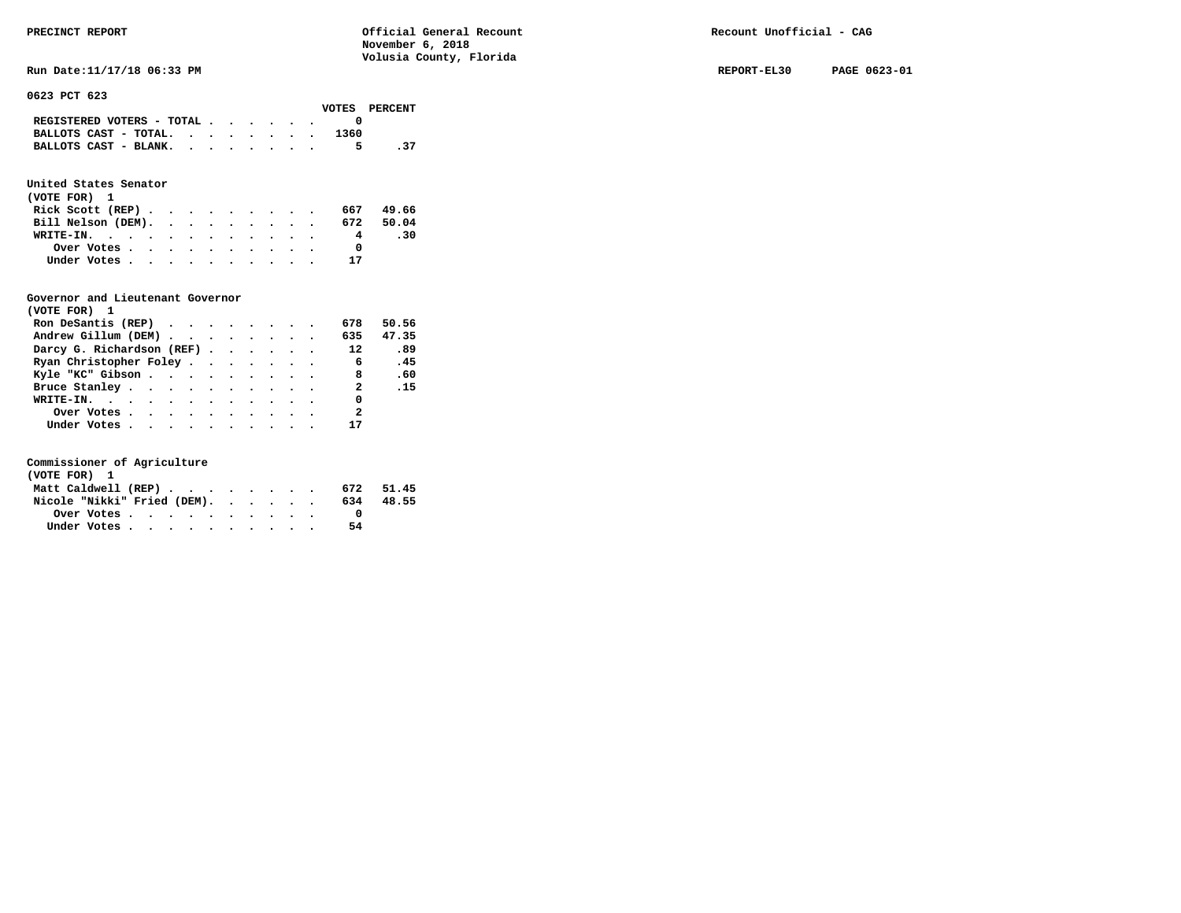**Run Date:11/17/18 06:33 PM REPORT-EL30 PAGE 0623-01** 

**0623 PCT 623** 

|                                                                           |  |  |  |      | VOTES PERCENT |
|---------------------------------------------------------------------------|--|--|--|------|---------------|
| REGISTERED VOTERS - TOTAL $\cdot$ $\cdot$ $\cdot$ $\cdot$ $\cdot$ $\cdot$ |  |  |  |      |               |
| BALLOTS CAST - TOTAL. $\cdot$                                             |  |  |  | 1360 |               |
| BALLOTS CAST - BLANK.                                                     |  |  |  | 5.   | .37           |
|                                                                           |  |  |  |      |               |

### **United States Senator**

| (VOTE FOR) 1       |  |  |  |  |           |     |
|--------------------|--|--|--|--|-----------|-----|
| Rick Scott (REP)   |  |  |  |  | 667 49.66 |     |
| Bill Nelson (DEM). |  |  |  |  | 672 50.04 |     |
| WRITE-IN.          |  |  |  |  | 4         | -30 |
| Over Votes         |  |  |  |  |           |     |
| Under Votes        |  |  |  |  | 17        |     |

#### **Governor and Lieutenant Governor**

| (VOTE FOR) 1                                  |  |  |  |                          |            |
|-----------------------------------------------|--|--|--|--------------------------|------------|
| Ron DeSantis (REP) $\cdots$ $\cdots$ $\cdots$ |  |  |  | 678                      | 50.56      |
| Andrew Gillum (DEM) 635 47.35                 |  |  |  |                          |            |
| Darcy G. Richardson (REF)                     |  |  |  | 12                       | .89        |
| Ryan Christopher Foley                        |  |  |  | $6\overline{6}$          | .45        |
| Kyle "KC" Gibson                              |  |  |  | 8 <sup>1</sup>           | .60        |
| Bruce Stanley.                                |  |  |  | $\overline{2}$           | $\cdot$ 15 |
| WRITE-IN.                                     |  |  |  | $\Omega$                 |            |
| Over Votes                                    |  |  |  | $\overline{\phantom{a}}$ |            |
| Under Votes                                   |  |  |  | 17                       |            |

| (VOTE FOR) 1                |  |  |  |  |  |     |       |
|-----------------------------|--|--|--|--|--|-----|-------|
| Matt Caldwell (REP)         |  |  |  |  |  | 672 | 51.45 |
| Nicole "Nikki" Fried (DEM). |  |  |  |  |  | 634 | 48.55 |
|                             |  |  |  |  |  |     |       |
| Under Votes                 |  |  |  |  |  | 54  |       |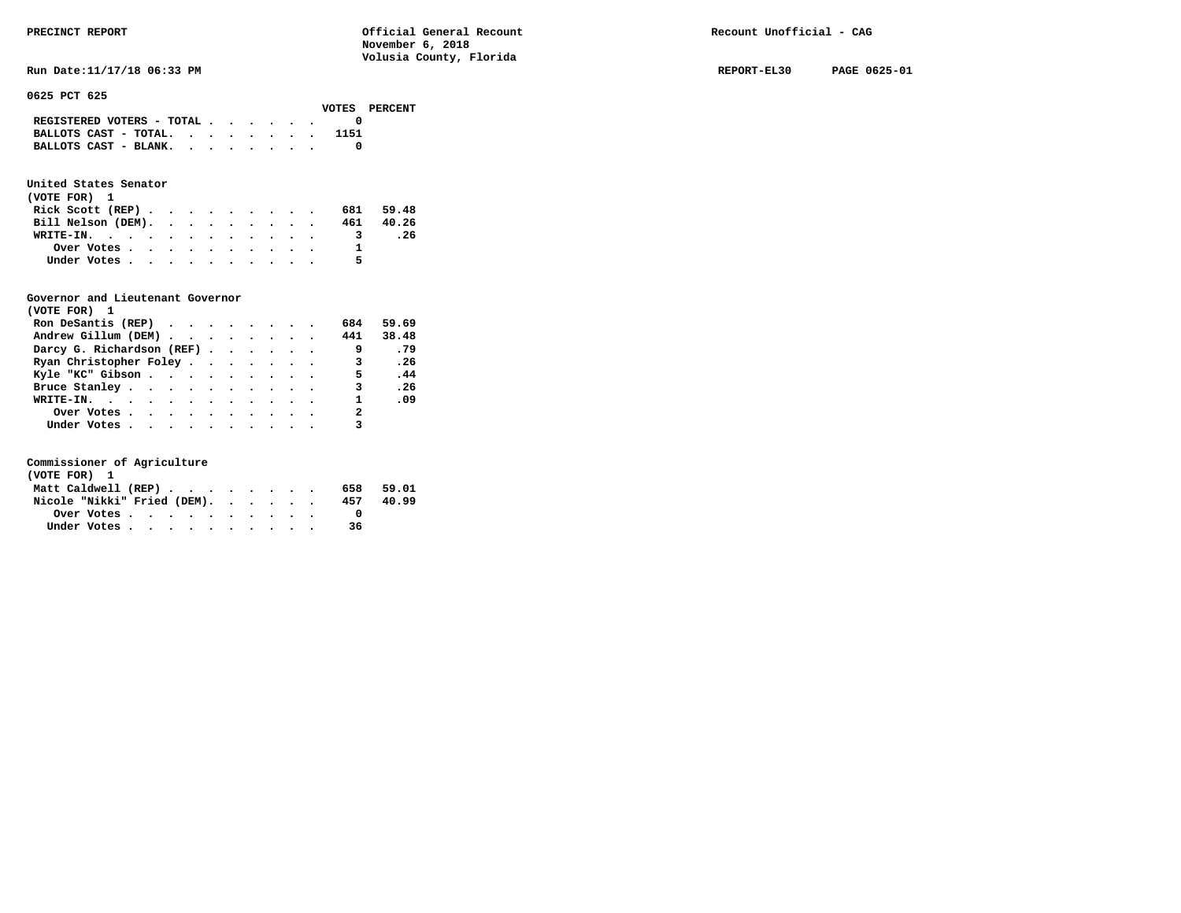| PRECINCT REPORT            | Official General Recount<br>November 6, 2018 | Recount Unofficial - CAG |              |
|----------------------------|----------------------------------------------|--------------------------|--------------|
|                            | Volusia County, Florida                      |                          |              |
| Run Date:11/17/18 06:33 PM |                                              | REPORT-EL30              | PAGE 0625-01 |
| 0625 PCT 625               |                                              |                          |              |
| <b>VOTES</b>               | PERCENT                                      |                          |              |

# 0625

|                                                             |  |  |  |  | -------- | --------- |
|-------------------------------------------------------------|--|--|--|--|----------|-----------|
| REGISTERED VOTERS - TOTAL $\cdot$ , , ,                     |  |  |  |  |          |           |
| BALLOTS CAST - TOTAL.                                       |  |  |  |  | 1151     |           |
| BALLOTS CAST - BLANK. $\cdot \cdot \cdot \cdot \cdot \cdot$ |  |  |  |  |          |           |
|                                                             |  |  |  |  |          |           |

#### **United States Senator**

| (VOTE FOR) 1       |  |  |  |  |   |           |
|--------------------|--|--|--|--|---|-----------|
| Rick Scott $(REP)$ |  |  |  |  |   | 681 59.48 |
| Bill Nelson (DEM). |  |  |  |  |   | 461 40.26 |
| WRITE-IN.          |  |  |  |  |   | . 26      |
| Over Votes         |  |  |  |  |   |           |
| Under Votes        |  |  |  |  | 5 |           |

#### **Governor and Lieutenant Governor**

| (VOTE FOR) 1                                  |  |  |  |                |       |
|-----------------------------------------------|--|--|--|----------------|-------|
| Ron DeSantis (REP) $\cdots$ $\cdots$ $\cdots$ |  |  |  | 684            | 59.69 |
| Andrew Gillum (DEM)                           |  |  |  | 441            | 38.48 |
| Darcy G. Richardson (REF)                     |  |  |  | - 9            | .79   |
| Ryan Christopher Foley                        |  |  |  | 3              | .26   |
| Kyle "KC" Gibson                              |  |  |  | 5.             | .44   |
| Bruce Stanley.                                |  |  |  | 3              | .26   |
| WRITE-IN.                                     |  |  |  | $\mathbf{1}$   | .09   |
| Over Votes                                    |  |  |  | $\overline{a}$ |       |
| Under Votes, , , , , , , , , , ,              |  |  |  |                |       |

| (VOTE FOR) 1                |  |  |  |  |  |     |       |
|-----------------------------|--|--|--|--|--|-----|-------|
| Matt Caldwell (REP)         |  |  |  |  |  | 658 | 59.01 |
| Nicole "Nikki" Fried (DEM). |  |  |  |  |  | 457 | 40.99 |
| Over Votes.                 |  |  |  |  |  |     |       |
| Under Votes                 |  |  |  |  |  | 36  |       |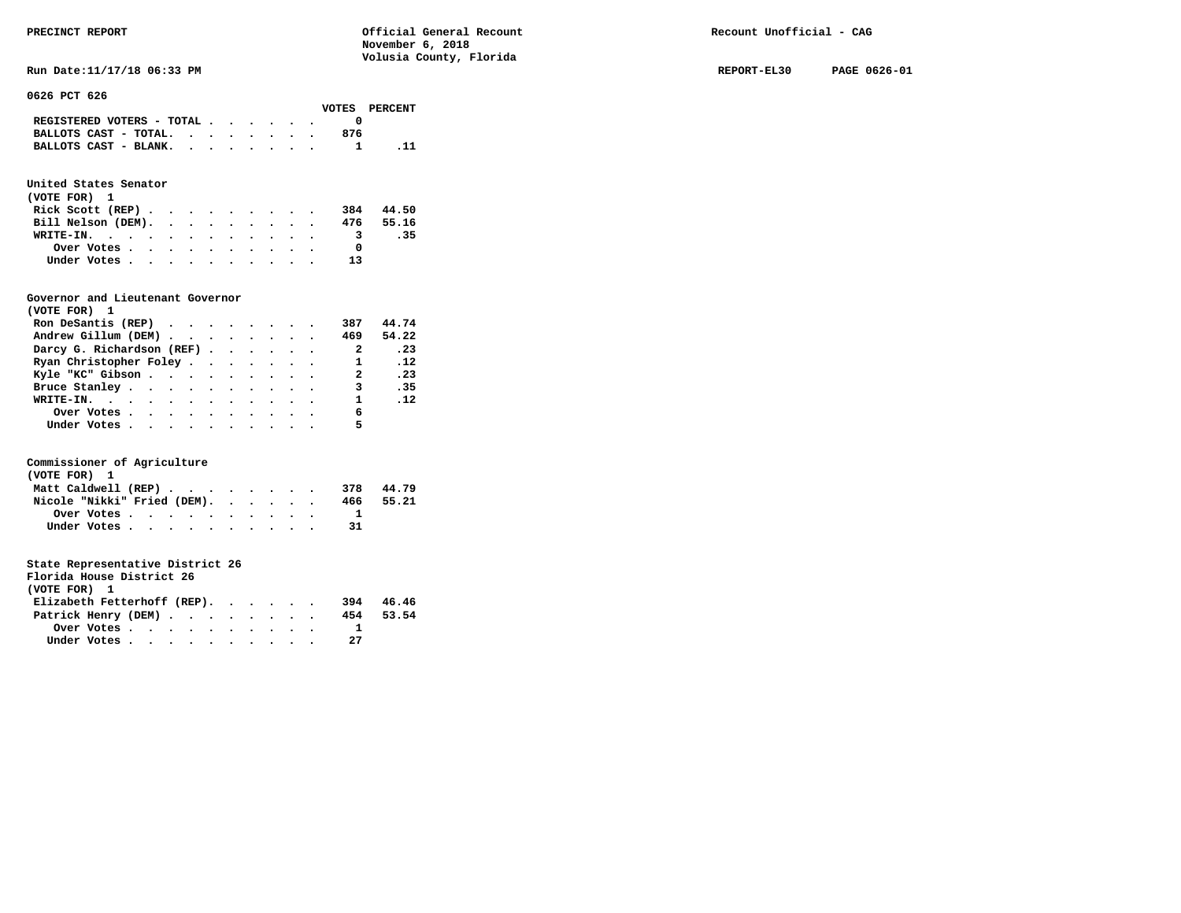**Run Date:11/17/18 06:33 PM REPORT-EL30 PAGE 0626-01** 

**0626 PCT 626** 

|                           |  |  |  |     | VOTES PERCENT |
|---------------------------|--|--|--|-----|---------------|
| REGISTERED VOTERS - TOTAL |  |  |  |     |               |
| BALLOTS CAST - TOTAL.     |  |  |  | 876 |               |
| BALLOTS CAST - BLANK.     |  |  |  |     |               |
|                           |  |  |  |     |               |

### **United States Senator**

| (VOTE FOR) 1                                |  |  |  |  |                         |       |
|---------------------------------------------|--|--|--|--|-------------------------|-------|
| Rick Scott (REP) $\cdots$ $\cdots$ $\cdots$ |  |  |  |  | 384                     | 44.50 |
| Bill Nelson (DEM). 476 55.16                |  |  |  |  |                         |       |
| WRITE-IN.                                   |  |  |  |  | $\overline{\mathbf{3}}$ | .35   |
| Over Votes                                  |  |  |  |  |                         |       |
| Under Votes                                 |  |  |  |  | 13                      |       |

#### **Governor and Lieutenant Governor**

| (VOTE FOR) 1                                  |  |  |  |                            |               |
|-----------------------------------------------|--|--|--|----------------------------|---------------|
| Ron DeSantis (REP) $\cdots$ $\cdots$ $\cdots$ |  |  |  | 387                        | 44.74         |
| Andrew Gillum (DEM)                           |  |  |  | 469                        | 54.22         |
| Darcy G. Richardson (REF)                     |  |  |  | $\overline{\phantom{a}}$ 2 | .23           |
| Ryan Christopher Foley                        |  |  |  | 1                          | $\cdot$ 12    |
| Kyle "KC" Gibson                              |  |  |  | $\mathbf{2}$               | .23           |
| Bruce Stanley.                                |  |  |  | $\mathbf{3}$               | .35           |
| WRITE-IN.                                     |  |  |  |                            | $1 \quad .12$ |
| Over Votes.                                   |  |  |  | 6                          |               |
| Under Votes, , , , , , , , , , , ,            |  |  |  | 5                          |               |

#### **Commissioner of Agriculture**

| (VOTE FOR) 1                |             |  |  |  |  |  |     |       |
|-----------------------------|-------------|--|--|--|--|--|-----|-------|
| Matt Caldwell (REP)         |             |  |  |  |  |  | 378 | 44.79 |
| Nicole "Nikki" Fried (DEM). |             |  |  |  |  |  | 466 | 55.21 |
|                             | Over Votes  |  |  |  |  |  |     |       |
|                             | Under Votes |  |  |  |  |  |     |       |

| Florida House District 26   |                                                         |  |  |  |  |     |       |
|-----------------------------|---------------------------------------------------------|--|--|--|--|-----|-------|
| (VOTE FOR) 1                |                                                         |  |  |  |  |     |       |
| Elizabeth Fetterhoff (REP). |                                                         |  |  |  |  | 394 | 46.46 |
| Patrick Henry (DEM)         |                                                         |  |  |  |  | 454 | 53.54 |
|                             | Over Votes $\cdots$ $\cdots$ $\cdots$ $\cdots$ $\cdots$ |  |  |  |  |     |       |
|                             | Under Votes                                             |  |  |  |  | 27  |       |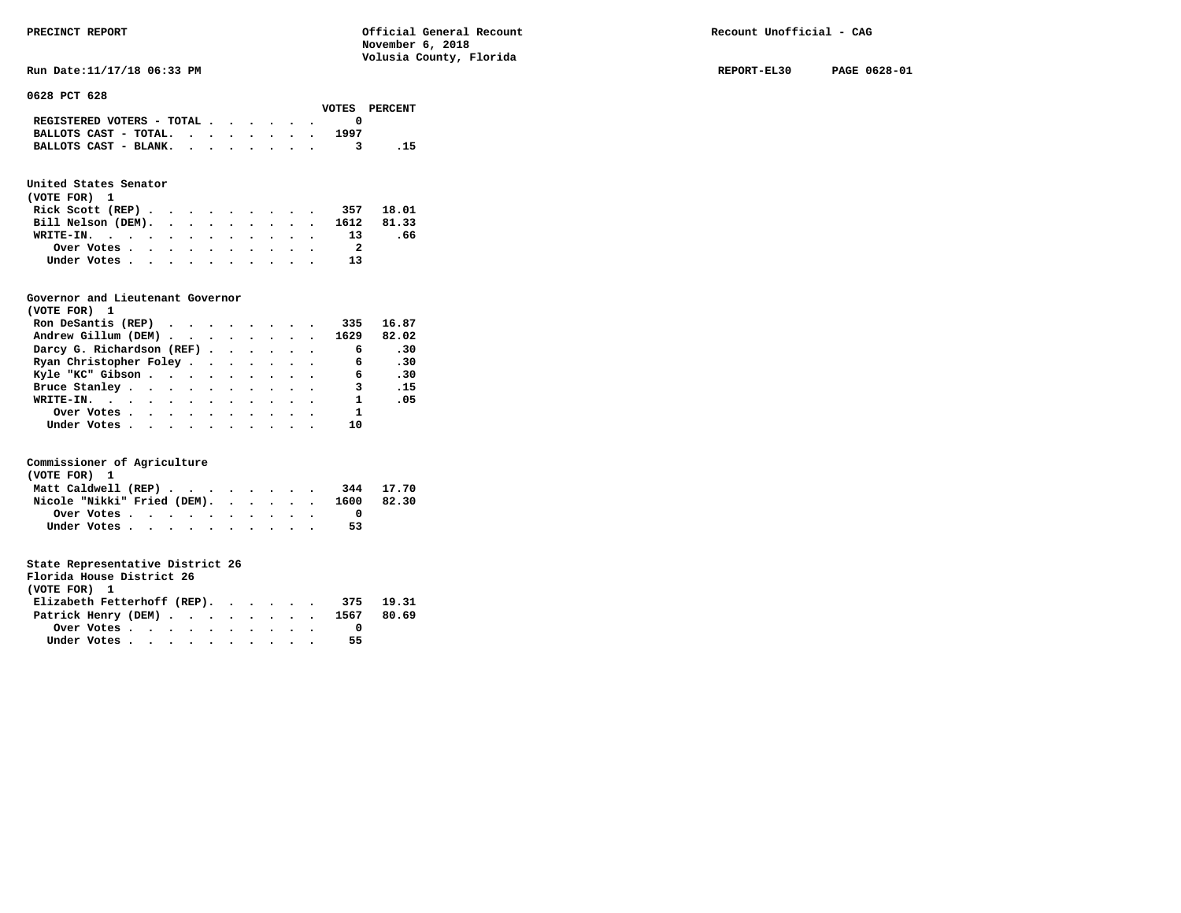**Run Date:11/17/18 06:33 PM REPORT-EL30 PAGE 0628-01** 

**0628 PCT 628** 

|                                                                           |  |  |  |      | VOTES PERCENT |
|---------------------------------------------------------------------------|--|--|--|------|---------------|
| REGISTERED VOTERS - TOTAL $\cdot$ $\cdot$ $\cdot$ $\cdot$ $\cdot$ $\cdot$ |  |  |  |      |               |
| BALLOTS CAST - TOTAL. $\cdot$ , , , , , , ,                               |  |  |  | 1997 |               |
| BALLOTS CAST - BLANK.                                                     |  |  |  |      | - 15          |

### **United States Senator**

| (VOTE FOR) 1                  |  |  |  |  |                |     |
|-------------------------------|--|--|--|--|----------------|-----|
| Rick Scott (REP) 357 18.01    |  |  |  |  |                |     |
| Bill Nelson (DEM). 1612 81.33 |  |  |  |  |                |     |
| WRITE-IN.                     |  |  |  |  | 13             | .66 |
|                               |  |  |  |  | $\overline{2}$ |     |
| Under Votes                   |  |  |  |  | 13             |     |

#### **Governor and Lieutenant Governor**

| (VOTE FOR) 1                                                             |  |  |  |                         |       |
|--------------------------------------------------------------------------|--|--|--|-------------------------|-------|
| Ron DeSantis (REP) $\cdot \cdot \cdot \cdot \cdot \cdot \cdot \cdot 335$ |  |  |  |                         | 16.87 |
| Andrew Gillum (DEM) 1629                                                 |  |  |  |                         | 82.02 |
| Darcy G. Richardson (REF)                                                |  |  |  | 6                       | .30   |
| Ryan Christopher Foley                                                   |  |  |  | 6                       | .30   |
| Kyle "KC" Gibson 6                                                       |  |  |  |                         | .30   |
| Bruce Stanley.                                                           |  |  |  | $\overline{\mathbf{3}}$ | .15   |
| WRITE-IN.                                                                |  |  |  | $\mathbf{1}$            | .05   |
| Over Votes.                                                              |  |  |  | $\mathbf{1}$            |       |
| Under Votes, , , , , , , , , , ,                                         |  |  |  | 10                      |       |

#### **Commissioner of Agriculture**

| (VOTE FOR) 1        |  |  |  |  |  |                                  |           |
|---------------------|--|--|--|--|--|----------------------------------|-----------|
| Matt Caldwell (REP) |  |  |  |  |  |                                  | 344 17.70 |
|                     |  |  |  |  |  | Nicole "Nikki" Fried (DEM). 1600 | 82.30     |
| Over Votes          |  |  |  |  |  |                                  |           |
| Under Votes         |  |  |  |  |  | 53                               |           |

| (VOTE FOR) 1 |  |  |                           |  |  |                                                         |                                                                                        |
|--------------|--|--|---------------------------|--|--|---------------------------------------------------------|----------------------------------------------------------------------------------------|
|              |  |  |                           |  |  |                                                         |                                                                                        |
|              |  |  |                           |  |  |                                                         |                                                                                        |
|              |  |  |                           |  |  |                                                         |                                                                                        |
|              |  |  |                           |  |  | 55                                                      |                                                                                        |
|              |  |  | Florida House District 26 |  |  | Over Votes $\cdots$ $\cdots$ $\cdots$ $\cdots$ $\cdots$ | Elizabeth Fetterhoff (REP). 375 19.31<br>Patrick Henry (DEM) 1567 80.69<br>Under Votes |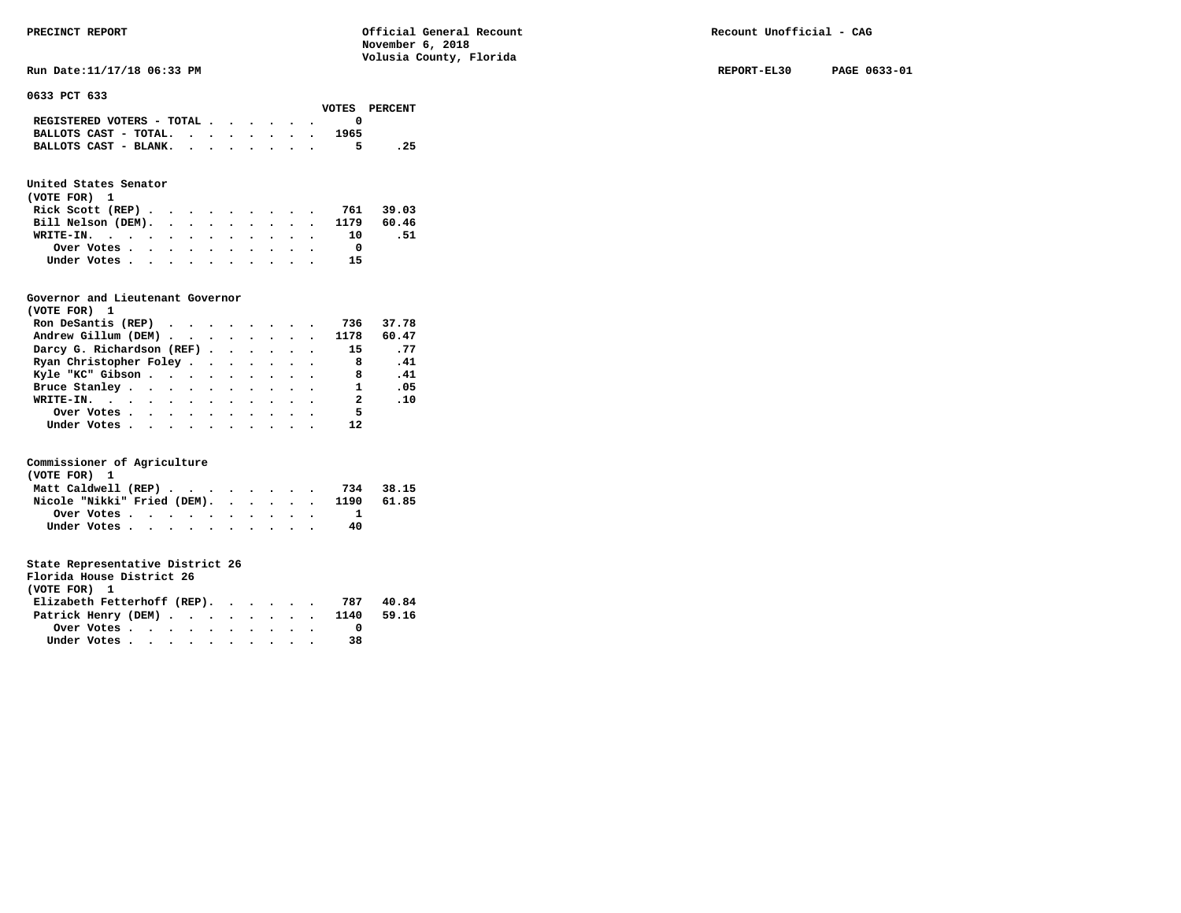**Run Date:11/17/18 06:33 PM REPORT-EL30 PAGE 0633-01** 

**0633 PCT 633** 

|                                                                           |  |  |  |      | VOTES PERCENT |
|---------------------------------------------------------------------------|--|--|--|------|---------------|
| REGISTERED VOTERS - TOTAL $\cdot$ $\cdot$ $\cdot$ $\cdot$ $\cdot$ $\cdot$ |  |  |  |      |               |
| BALLOTS CAST - TOTAL. $\cdot$ , $\cdot$ , $\cdot$ , $\cdot$               |  |  |  | 1965 |               |
| BALLOTS CAST - BLANK.                                                     |  |  |  |      | . 25          |

### **United States Senator**

| (VOTE FOR) 1                  |  |  |  |  |    |     |
|-------------------------------|--|--|--|--|----|-----|
| Rick Scott (REP) 761 39.03    |  |  |  |  |    |     |
| Bill Nelson (DEM). 1179 60.46 |  |  |  |  |    |     |
| WRITE-IN.                     |  |  |  |  | 10 | .51 |
| Over Votes                    |  |  |  |  |    |     |
| Under Votes                   |  |  |  |  | 15 |     |

#### **Governor and Lieutenant Governor**

| (VOTE FOR) 1                                      |  |  |  |                         |       |
|---------------------------------------------------|--|--|--|-------------------------|-------|
| Ron DeSantis (REP) $\cdots$ $\cdots$ $\cdots$ 736 |  |  |  |                         | 37.78 |
| Andrew Gillum (DEM) 1178                          |  |  |  |                         | 60.47 |
| Darcy G. Richardson (REF)                         |  |  |  | 15                      | . 77  |
| Ryan Christopher Foley                            |  |  |  | 8                       | .41   |
| Kyle "KC" Gibson                                  |  |  |  | - 8                     | .41   |
| Bruce Stanley.                                    |  |  |  | $\mathbf{1}$            | .05   |
| WRITE-IN.                                         |  |  |  | $\overline{\mathbf{2}}$ | .10   |
| Over Votes                                        |  |  |  | 5                       |       |
| Under Votes                                       |  |  |  | 12                      |       |

#### **Commissioner of Agriculture**

| (VOTE FOR) 1                           |  |  |  |  |  |    |  |
|----------------------------------------|--|--|--|--|--|----|--|
| Matt Caldwell (REP) 734 38.15          |  |  |  |  |  |    |  |
| Nicole "Nikki" Fried (DEM). 1190 61.85 |  |  |  |  |  |    |  |
|                                        |  |  |  |  |  |    |  |
| Under Votes                            |  |  |  |  |  | 40 |  |

| Florida House District 26   |  |  |     |       |
|-----------------------------|--|--|-----|-------|
| (VOTE FOR) 1                |  |  |     |       |
| Elizabeth Fetterhoff (REP). |  |  | 787 | 40.84 |
|                             |  |  |     |       |

| Patrick Henry (DEM) 1140 59.16 |  |  |  |  |  |  |
|--------------------------------|--|--|--|--|--|--|
| Over Votes                     |  |  |  |  |  |  |
| Under Votes                    |  |  |  |  |  |  |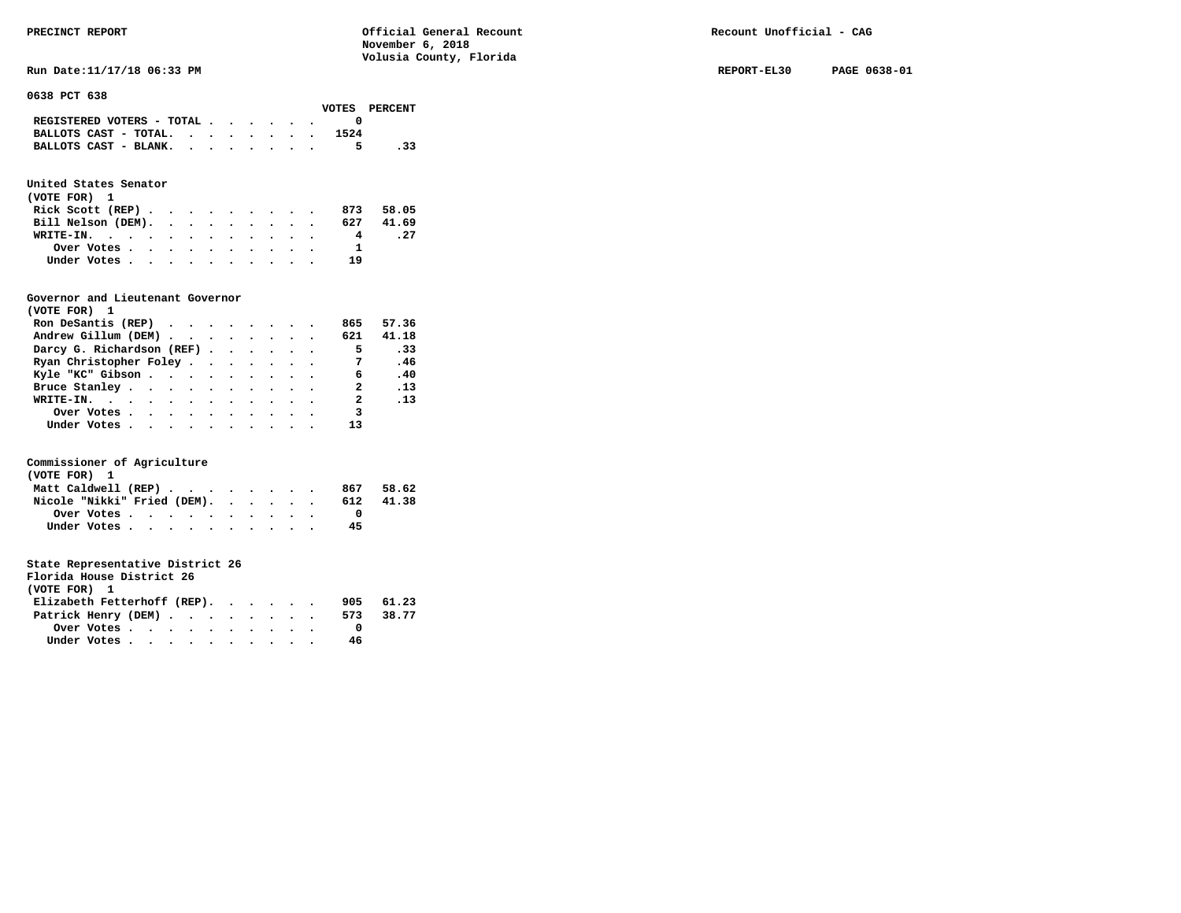**Run Date:11/17/18 06:33 PM REPORT-EL30 PAGE 0638-01** 

#### **0638 PCT 638**

|                                                                           |  |  |      | VOTES PERCENT |
|---------------------------------------------------------------------------|--|--|------|---------------|
| REGISTERED VOTERS - TOTAL $\cdot$ $\cdot$ $\cdot$ $\cdot$ $\cdot$ $\cdot$ |  |  |      |               |
| BALLOTS CAST - TOTAL.                                                     |  |  | 1524 |               |
| BALLOTS CAST - BLANK.                                                     |  |  |      | . 33          |

### **United States Senator**

| (VOTE FOR) 1       |  |  |  |  |     |           |
|--------------------|--|--|--|--|-----|-----------|
| Rick Scott $(REP)$ |  |  |  |  |     | 873 58.05 |
| Bill Nelson (DEM). |  |  |  |  | 627 | 41.69     |
| WRITE-IN.          |  |  |  |  | 4   | . 27      |
| Over Votes         |  |  |  |  | Π.  |           |
| Under Votes        |  |  |  |  | 19  |           |

#### **Governor and Lieutenant Governor**

| (VOTE FOR) 1                                  |  |  |  |                          |          |
|-----------------------------------------------|--|--|--|--------------------------|----------|
| Ron DeSantis (REP) $\cdots$ $\cdots$ $\cdots$ |  |  |  | 865                      | 57.36    |
| Andrew Gillum (DEM)                           |  |  |  | 621                      | 41.18    |
| Darcy G. Richardson (REF)                     |  |  |  | $\overline{\phantom{0}}$ | .33      |
| Ryan Christopher Foley                        |  |  |  | $\overline{7}$           | .46      |
| Kyle "KC" Gibson                              |  |  |  | 6                        | .40      |
| Bruce Stanley                                 |  |  |  | $\mathbf{2}$             | .13      |
| WRITE-IN.                                     |  |  |  | 2                        | $\ldots$ |
| Over Votes                                    |  |  |  | 3                        |          |
| Under Votes, , , , , , , , , , ,              |  |  |  | 13                       |          |

#### **Commissioner of Agriculture**

| (VOTE FOR) 1                |  |  |  |  |  |     |       |
|-----------------------------|--|--|--|--|--|-----|-------|
| Matt Caldwell (REP)         |  |  |  |  |  | 867 | 58.62 |
| Nicole "Nikki" Fried (DEM). |  |  |  |  |  | 612 | 41.38 |
|                             |  |  |  |  |  |     |       |
| Under Votes                 |  |  |  |  |  | 45  |       |

| Florida House District 26   |                                                         |  |  |  |  |     |       |
|-----------------------------|---------------------------------------------------------|--|--|--|--|-----|-------|
| (VOTE FOR) 1                |                                                         |  |  |  |  |     |       |
| Elizabeth Fetterhoff (REP). |                                                         |  |  |  |  | 905 | 61.23 |
| Patrick Henry (DEM)         |                                                         |  |  |  |  | 573 | 38.77 |
|                             | Over Votes $\cdots$ $\cdots$ $\cdots$ $\cdots$ $\cdots$ |  |  |  |  |     |       |
|                             | Under Votes                                             |  |  |  |  | 46  |       |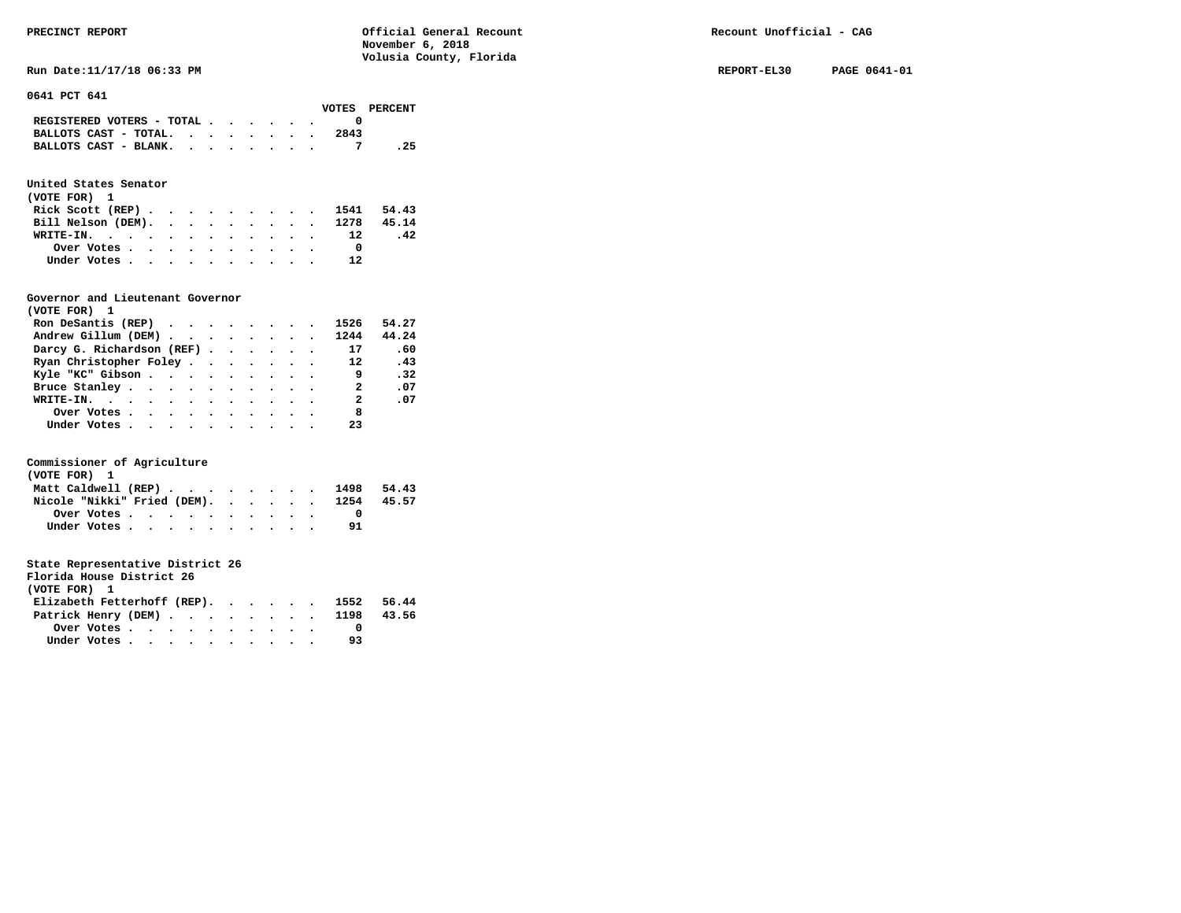**Run Date:11/17/18 06:33 PM REPORT-EL30 PAGE 0641-01 REPORT-EL30 PAGE 0641-01** 

**0641 PCT 641** 

|                                             |  |  |  |      | VOTES PERCENT |
|---------------------------------------------|--|--|--|------|---------------|
| REGISTERED VOTERS - TOTAL $\cdot$ , , , , . |  |  |  |      |               |
| BALLOTS CAST - TOTAL. $\cdot$               |  |  |  | 2843 |               |
| BALLOTS CAST - BLANK.                       |  |  |  |      | . 25          |

### **United States Senator**

| (VOTE FOR) 1 |  |  |  |  |  |                               |     |  |
|--------------|--|--|--|--|--|-------------------------------|-----|--|
|              |  |  |  |  |  | Rick Scott (REP) 1541 54.43   |     |  |
|              |  |  |  |  |  | Bill Nelson (DEM). 1278 45.14 |     |  |
| WRITE-IN. 12 |  |  |  |  |  |                               | .42 |  |
| Over Votes   |  |  |  |  |  |                               |     |  |
| Under Votes  |  |  |  |  |  | 12                            |     |  |

#### **Governor and Lieutenant Governor**

| (VOTE FOR) 1                                  |  |  |  |                          |       |
|-----------------------------------------------|--|--|--|--------------------------|-------|
| Ron DeSantis (REP) $\cdots$ $\cdots$ $\cdots$ |  |  |  | 1526                     | 54.27 |
| Andrew Gillum (DEM)                           |  |  |  | 1244                     | 44.24 |
| Darcy G. Richardson (REF)                     |  |  |  | 17                       | - 60  |
| Ryan Christopher Foley                        |  |  |  | 12                       | .43   |
| Kyle "KC" Gibson                              |  |  |  | - 9                      | .32   |
| Bruce Stanley.                                |  |  |  | $\overline{2}$           | .07   |
| WRITE-IN.                                     |  |  |  | $\overline{\phantom{a}}$ | .07   |
| Over Votes                                    |  |  |  | 8                        |       |
| Under Votes, , , , , , , , , , ,              |  |  |  | 23                       |       |

#### **Commissioner of Agriculture**

| (VOTE FOR) 1                           |  |  |  |  |  |      |       |
|----------------------------------------|--|--|--|--|--|------|-------|
| Matt Caldwell (REP)                    |  |  |  |  |  | 1498 | 54.43 |
| Nicole "Nikki" Fried (DEM). 1254 45.57 |  |  |  |  |  |      |       |
| Over Votes                             |  |  |  |  |  |      |       |
| Under Votes                            |  |  |  |  |  |      |       |

| Florida House District 26              |                                                         |  |  |  |  |    |  |
|----------------------------------------|---------------------------------------------------------|--|--|--|--|----|--|
| (VOTE FOR) 1                           |                                                         |  |  |  |  |    |  |
| Elizabeth Fetterhoff (REP). 1552 56.44 |                                                         |  |  |  |  |    |  |
| Patrick Henry (DEM) 1198 43.56         |                                                         |  |  |  |  |    |  |
|                                        | Over Votes $\cdots$ $\cdots$ $\cdots$ $\cdots$ $\cdots$ |  |  |  |  |    |  |
| Under Votes                            |                                                         |  |  |  |  | 93 |  |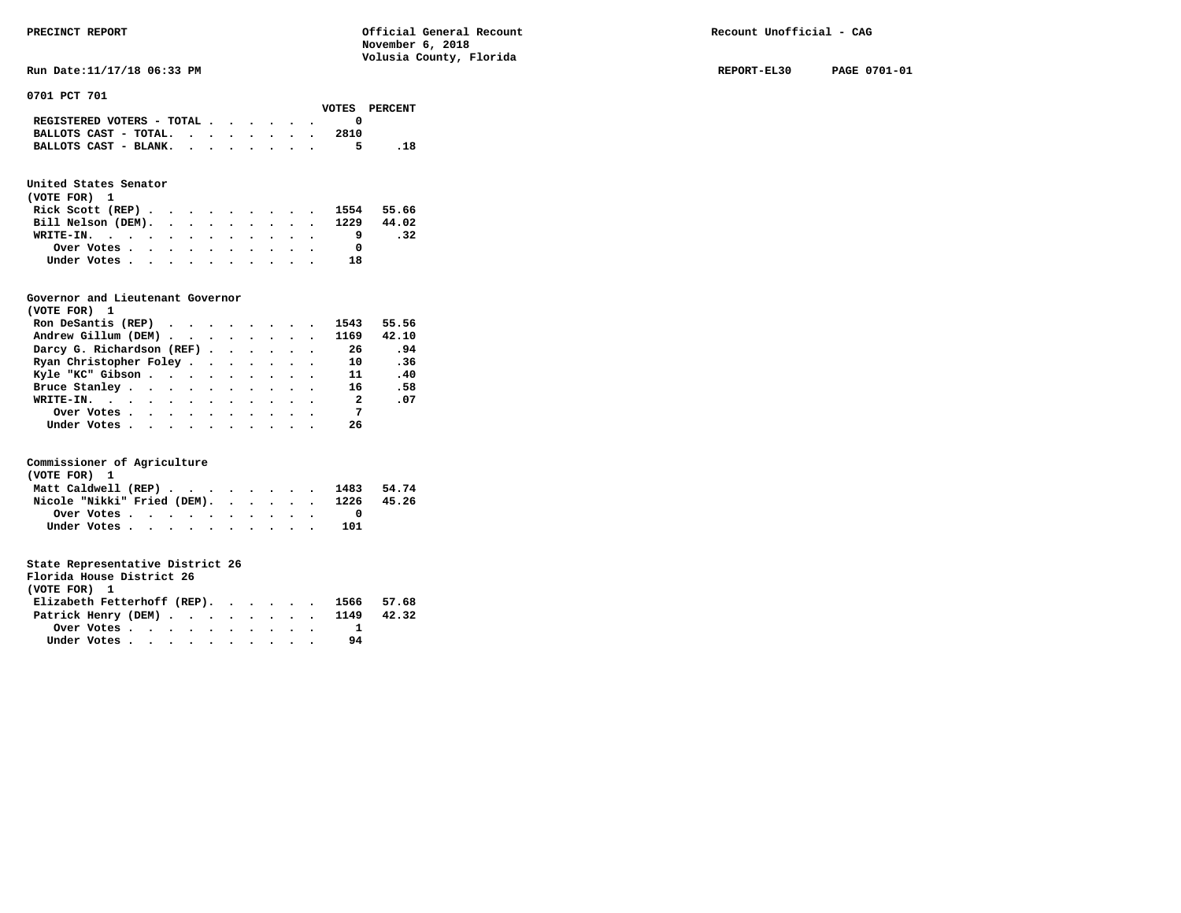**Run Date:11/17/18 06:33 PM REPORT-EL30 PAGE 0701-01** 

**0701 PCT 701** 

|                                                                           |  |  |  |      | VOTES PERCENT |
|---------------------------------------------------------------------------|--|--|--|------|---------------|
| REGISTERED VOTERS - TOTAL $\cdot$ $\cdot$ $\cdot$ $\cdot$ $\cdot$ $\cdot$ |  |  |  |      |               |
| BALLOTS CAST - TOTAL. $\cdot$                                             |  |  |  | 2810 |               |
| BALLOTS CAST - BLANK.                                                     |  |  |  | 5.   |               |

### **United States Senator**

| (VOTE FOR) 1                  |  |  |  |  |    |     |
|-------------------------------|--|--|--|--|----|-----|
| Rick Scott (REP) 1554 55.66   |  |  |  |  |    |     |
| Bill Nelson (DEM). 1229 44.02 |  |  |  |  |    |     |
| WRITE-IN.                     |  |  |  |  |    | .32 |
| Over Votes                    |  |  |  |  |    |     |
| Under Votes                   |  |  |  |  | 18 |     |

#### **Governor and Lieutenant Governor**

| (VOTE FOR) 1                                  |  |  |  |                          |       |
|-----------------------------------------------|--|--|--|--------------------------|-------|
| Ron DeSantis (REP) $\cdots$ $\cdots$ $\cdots$ |  |  |  | 1543                     | 55.56 |
| Andrew Gillum (DEM) 1169                      |  |  |  |                          | 42.10 |
| Darcy G. Richardson (REF)                     |  |  |  | 26                       | .94   |
| Ryan Christopher Foley                        |  |  |  | 10                       | .36   |
| Kyle "KC" Gibson                              |  |  |  | 11                       | .40   |
| Bruce Stanley                                 |  |  |  | 16                       | .58   |
| WRITE-IN.                                     |  |  |  | $\overline{\phantom{a}}$ | .07   |
| Over Votes.                                   |  |  |  | $\overline{7}$           |       |
| Under Votes, , , , , , , , , , ,              |  |  |  | 26                       |       |

#### **Commissioner of Agriculture**

| (VOTE FOR) 1 |                                        |  |  |  |  |  |     |  |
|--------------|----------------------------------------|--|--|--|--|--|-----|--|
|              | Matt Caldwell (REP) 1483 54.74         |  |  |  |  |  |     |  |
|              | Nicole "Nikki" Fried (DEM). 1226 45.26 |  |  |  |  |  |     |  |
|              | Over Votes                             |  |  |  |  |  |     |  |
|              | Under Votes                            |  |  |  |  |  | 101 |  |

| (VOTE FOR) 1 |  |                           |  |  |    |                                                                                         |
|--------------|--|---------------------------|--|--|----|-----------------------------------------------------------------------------------------|
|              |  |                           |  |  |    |                                                                                         |
|              |  |                           |  |  |    |                                                                                         |
|              |  |                           |  |  |    |                                                                                         |
|              |  |                           |  |  | 94 |                                                                                         |
|              |  | Florida House District 26 |  |  |    | Elizabeth Fetterhoff (REP). 1566 57.68<br>Patrick Henry (DEM) 1149 42.32<br>Under Votes |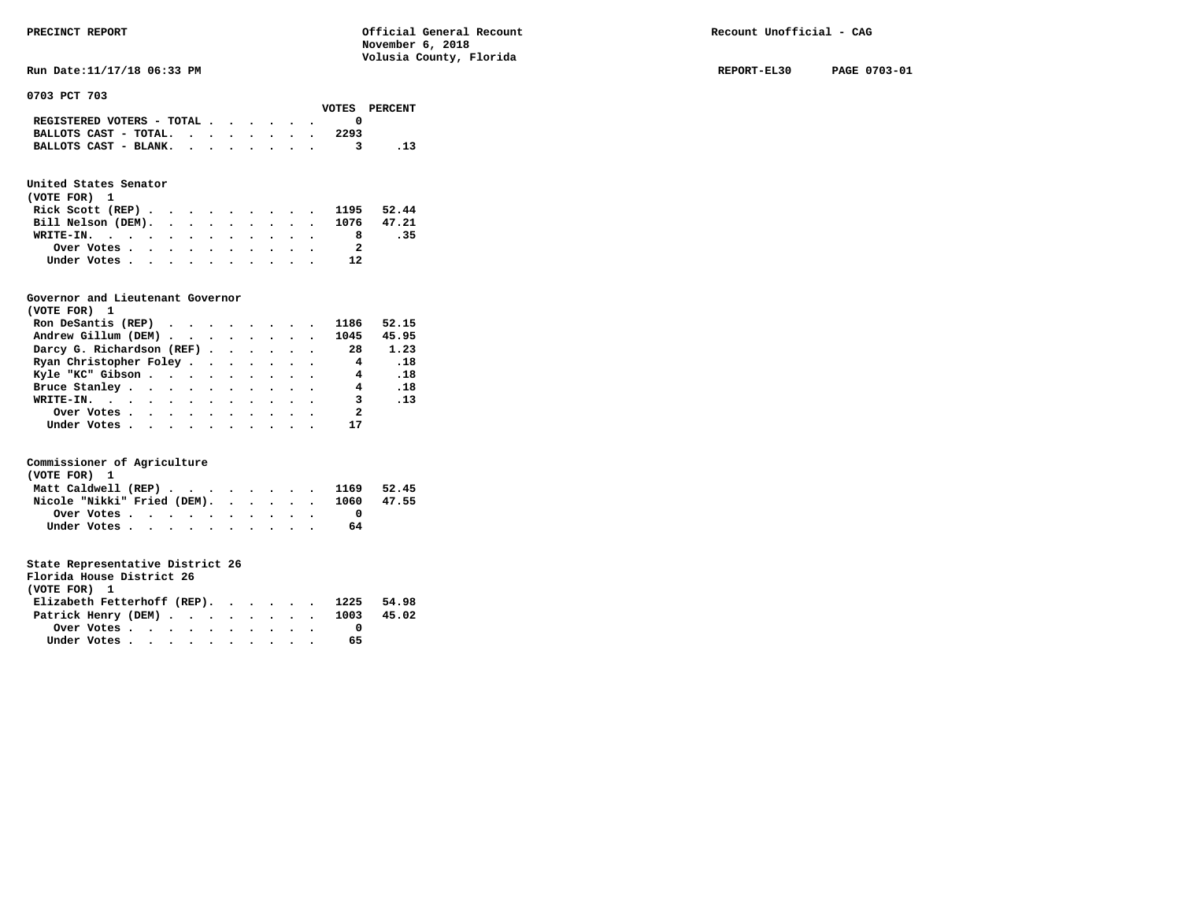**Run Date:11/17/18 06:33 PM REPORT-EL30 PAGE 0703-01** 

**0703 PCT 703** 

|                                                                           |  |  |  |      | VOTES PERCENT |
|---------------------------------------------------------------------------|--|--|--|------|---------------|
| REGISTERED VOTERS - TOTAL $\cdot$ $\cdot$ $\cdot$ $\cdot$ $\cdot$ $\cdot$ |  |  |  |      |               |
| BALLOTS CAST - TOTAL. $\cdot$ , $\cdot$ , $\cdot$ , $\cdot$               |  |  |  | 2293 |               |
| BALLOTS CAST - BLANK.                                                     |  |  |  |      |               |

### **United States Senator**

| (VOTE FOR) 1                  |  |  |  |  |    |     |
|-------------------------------|--|--|--|--|----|-----|
| Rick Scott (REP) 1195 52.44   |  |  |  |  |    |     |
| Bill Nelson (DEM). 1076 47.21 |  |  |  |  |    |     |
| WRITE-IN.                     |  |  |  |  | 8  | .35 |
| Over Votes                    |  |  |  |  | -2 |     |
| Under Votes                   |  |  |  |  | 12 |     |

#### **Governor and Lieutenant Governor**

| (VOTE FOR) 1                                  |  |  |  |                          |                              |
|-----------------------------------------------|--|--|--|--------------------------|------------------------------|
| Ron DeSantis (REP) $\cdots$ $\cdots$ $\cdots$ |  |  |  | 1186                     | 52.15                        |
| Andrew Gillum (DEM) 1045                      |  |  |  |                          | 45.95                        |
| Darcy G. Richardson (REF)                     |  |  |  | -28                      | 1.23                         |
| Ryan Christopher Foley                        |  |  |  | $\overline{\mathbf{4}}$  | $\overline{\phantom{0}}$ .18 |
| Kyle "KC" Gibson                              |  |  |  | 4 .18                    |                              |
| Bruce Stanley.                                |  |  |  | $\overline{4}$           | .18                          |
| WRITE-IN.                                     |  |  |  |                          | 3, 13                        |
| Over Votes.                                   |  |  |  | $\overline{\phantom{a}}$ |                              |
| Under Votes, , , , , , , , , , ,              |  |  |  |                          |                              |

#### **Commissioner of Agriculture**

| (VOTE FOR) 1                                                               |  |  |  |  |  |    |       |
|----------------------------------------------------------------------------|--|--|--|--|--|----|-------|
| Matt Caldwell (REP) $\cdot \cdot \cdot \cdot \cdot \cdot \cdot \cdot 1169$ |  |  |  |  |  |    | 52.45 |
| Nicole "Nikki" Fried (DEM). 1060 47.55                                     |  |  |  |  |  |    |       |
|                                                                            |  |  |  |  |  |    |       |
| Under Votes                                                                |  |  |  |  |  | 64 |       |

| Florida House District 26              |                                                         |  |  |  |  |    |  |
|----------------------------------------|---------------------------------------------------------|--|--|--|--|----|--|
| (VOTE FOR) 1                           |                                                         |  |  |  |  |    |  |
| Elizabeth Fetterhoff (REP). 1225 54.98 |                                                         |  |  |  |  |    |  |
| Patrick Henry (DEM) 1003 45.02         |                                                         |  |  |  |  |    |  |
|                                        | Over Votes $\cdots$ $\cdots$ $\cdots$ $\cdots$ $\cdots$ |  |  |  |  |    |  |
|                                        | Under Votes                                             |  |  |  |  | 65 |  |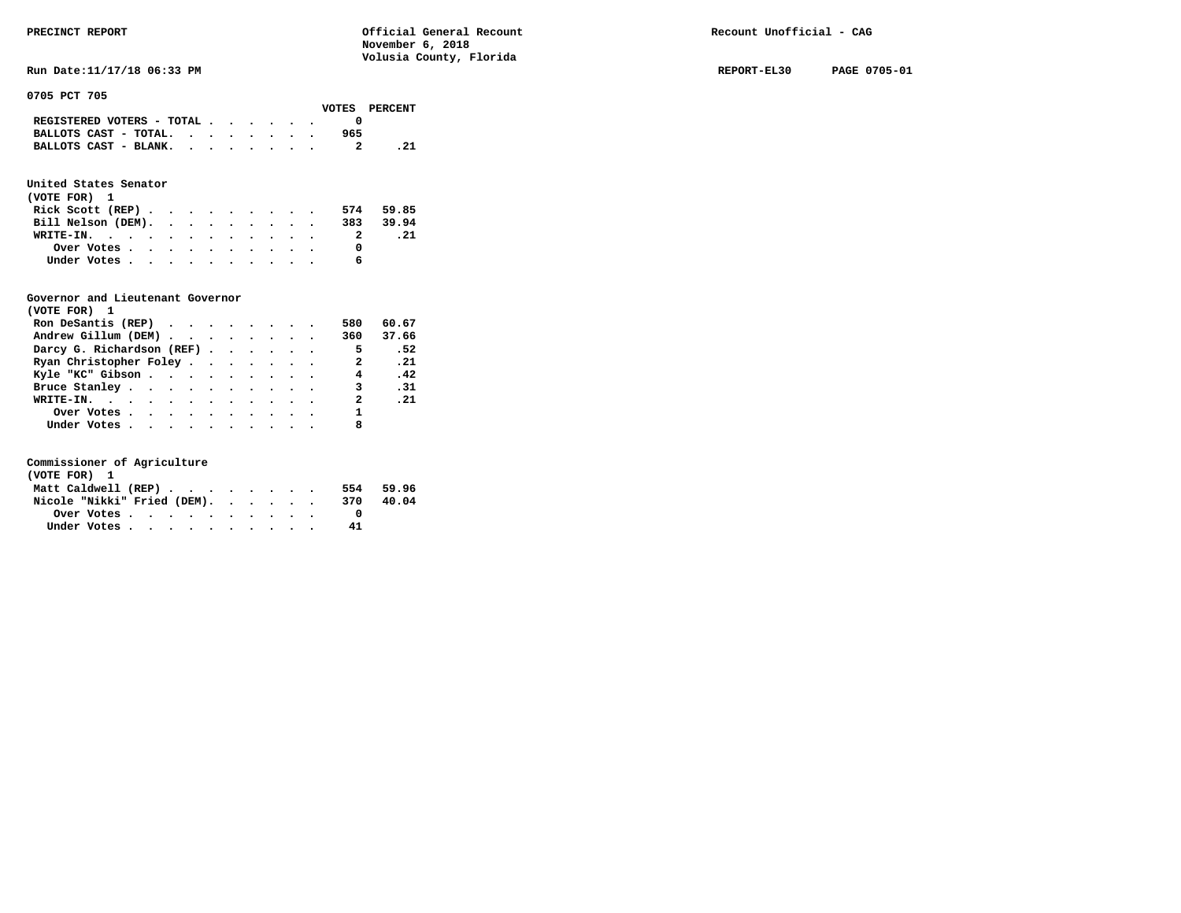**Run Date:11/17/18 06:33 PM REPORT-EL30 PAGE 0705-01** 

**0705 PCT 705** 

|                               |  |  |  |     | VOTES PERCENT |
|-------------------------------|--|--|--|-----|---------------|
| REGISTERED VOTERS - TOTAL     |  |  |  |     |               |
| BALLOTS CAST - TOTAL. $\cdot$ |  |  |  | 965 |               |
| BALLOTS CAST - BLANK.         |  |  |  |     | . 21          |
|                               |  |  |  |     |               |

## **United States Senator**

| (VOTE FOR) 1                                |  |  |  |  |           |       |
|---------------------------------------------|--|--|--|--|-----------|-------|
| Rick Scott (REP) $\cdots$ $\cdots$ $\cdots$ |  |  |  |  | 574       | 59.85 |
| Bill Nelson (DEM).                          |  |  |  |  | 383 39.94 |       |
| WRITE-IN.                                   |  |  |  |  | 2         | . 21  |
| Over Votes                                  |  |  |  |  |           |       |
| Under Votes                                 |  |  |  |  |           |       |

#### **Governor and Lieutenant Governor**

| (VOTE FOR) 1                                  |  |  |  |                |       |
|-----------------------------------------------|--|--|--|----------------|-------|
| Ron DeSantis (REP) $\cdots$ $\cdots$ $\cdots$ |  |  |  | 580            | 60.67 |
| Andrew Gillum (DEM)                           |  |  |  | 360            | 37.66 |
| Darcy G. Richardson (REF)                     |  |  |  | $\overline{5}$ | .52   |
| Ryan Christopher Foley                        |  |  |  | 2              | . 21  |
| Kyle "KC" Gibson                              |  |  |  | $\overline{4}$ | .42   |
| Bruce Stanley.                                |  |  |  | 3              | .31   |
| WRITE-IN.                                     |  |  |  | $\mathbf{2}$   | .21   |
| Over Votes                                    |  |  |  |                |       |
| Under Votes, , , , , , , , , , ,              |  |  |  |                |       |

| (VOTE FOR) 1                |  |  |  |           |       |
|-----------------------------|--|--|--|-----------|-------|
| Matt Caldwell (REP)         |  |  |  | 554 59.96 |       |
| Nicole "Nikki" Fried (DEM). |  |  |  | 370       | 40.04 |
|                             |  |  |  |           |       |
| Under Votes                 |  |  |  | 41        |       |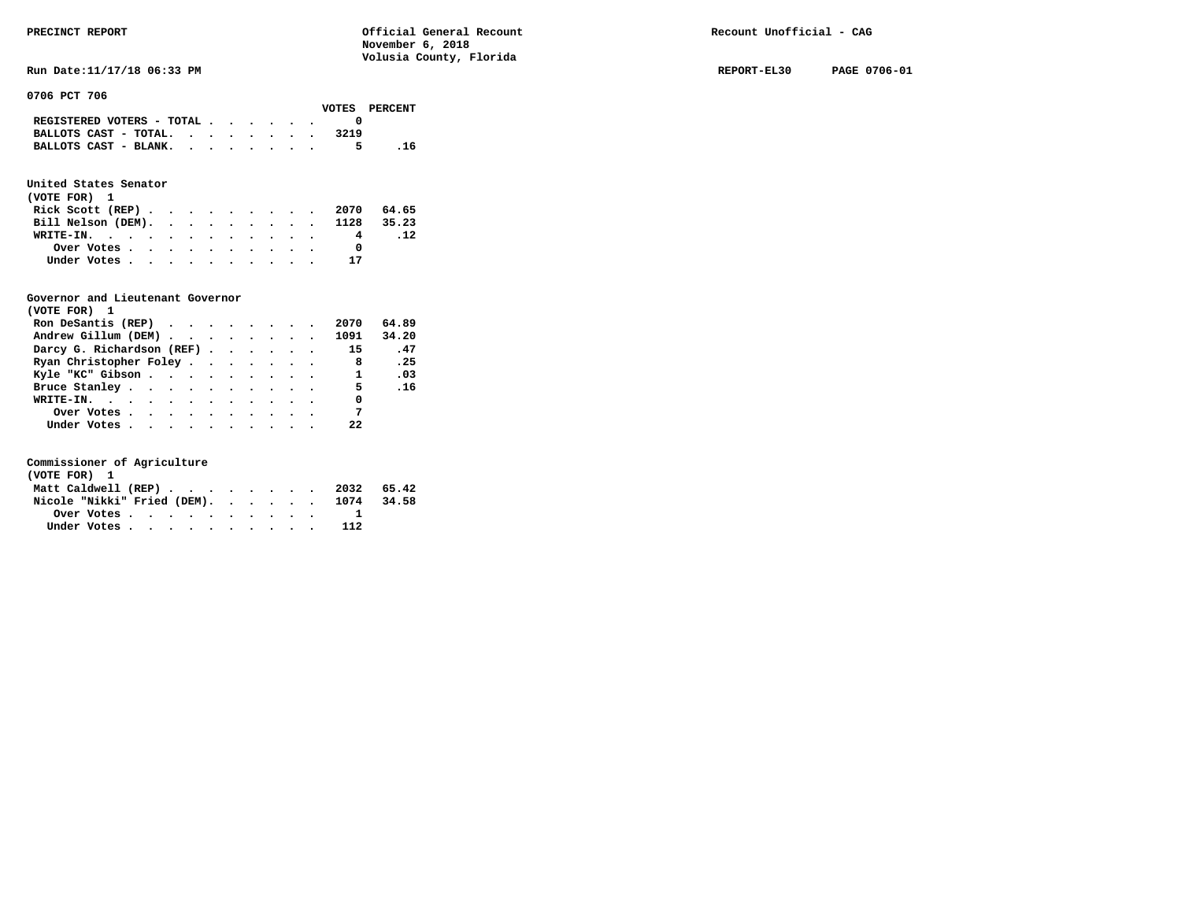**Run Date:11/17/18 06:33 PM REPORT-EL30 PAGE 0706-01** 

**0706 PCT 706** 

### **United States Senator**

| (VOTE FOR) 1                  |  |  |  |  |   |     |
|-------------------------------|--|--|--|--|---|-----|
| Rick Scott (REP) 2070 64.65   |  |  |  |  |   |     |
| Bill Nelson (DEM). 1128 35.23 |  |  |  |  |   |     |
| WRITE-IN.                     |  |  |  |  | 4 | .12 |
| Over Votes                    |  |  |  |  |   |     |
| Under Votes                   |  |  |  |  |   |     |

#### **Governor and Lieutenant Governor**

| (VOTE FOR) 1              |  |  |  |                |       |
|---------------------------|--|--|--|----------------|-------|
| Ron DeSantis (REP)        |  |  |  | 2070           | 64.89 |
| Andrew Gillum (DEM) 1091  |  |  |  |                | 34.20 |
| Darcy G. Richardson (REF) |  |  |  | 15             | .47   |
| Ryan Christopher Foley    |  |  |  | 8              | .25   |
| Kyle "KC" Gibson          |  |  |  | $\mathbf{1}$   | .03   |
| Bruce Stanley             |  |  |  | 5 <sub>5</sub> | .16   |
| WRITE-IN.                 |  |  |  | $\sim$ 0       |       |
| Over Votes                |  |  |  | $\overline{7}$ |       |
| Under Votes               |  |  |  | 22             |       |

| (VOTE FOR) 1 |  |  |  |  |  |                                        |  |
|--------------|--|--|--|--|--|----------------------------------------|--|
|              |  |  |  |  |  | Matt Caldwell (REP) 2032 65.42         |  |
|              |  |  |  |  |  | Nicole "Nikki" Fried (DEM). 1074 34.58 |  |
|              |  |  |  |  |  |                                        |  |
| Under Votes  |  |  |  |  |  |                                        |  |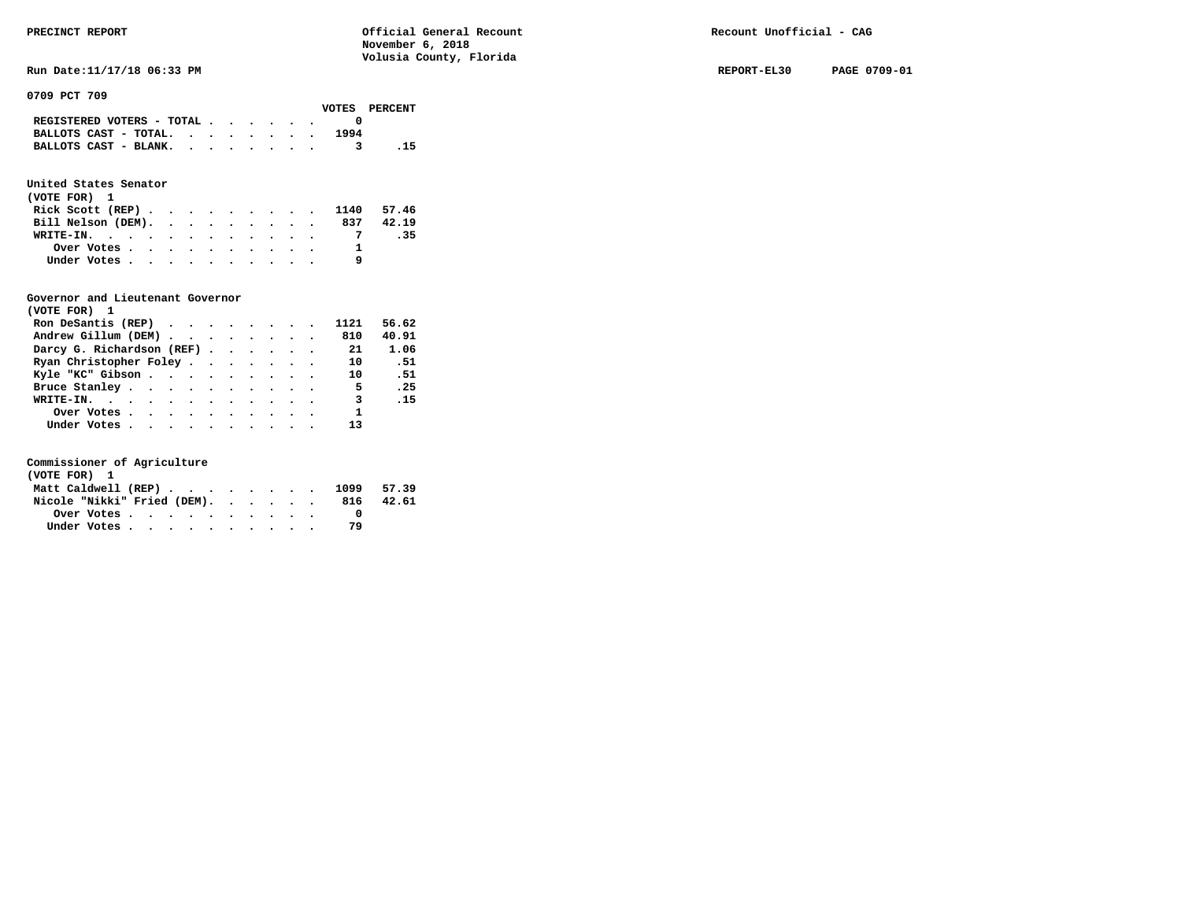**Run Date:11/17/18 06:33 PM REPORT-EL30 PAGE 0709-01** 

**0709 PCT 709** 

|                                                                           |  |  |  |      | VOTES PERCENT |
|---------------------------------------------------------------------------|--|--|--|------|---------------|
| REGISTERED VOTERS - TOTAL $\cdot$ $\cdot$ $\cdot$ $\cdot$ $\cdot$ $\cdot$ |  |  |  |      |               |
| BALLOTS CAST - TOTAL. $\cdot$                                             |  |  |  | 1994 |               |
| BALLOTS CAST - BLANK.                                                     |  |  |  |      | - 15          |

### **United States Senator**

| (VOTE FOR) 1                                            |  |  |  |  |  |                             |       |
|---------------------------------------------------------|--|--|--|--|--|-----------------------------|-------|
|                                                         |  |  |  |  |  | Rick Scott (REP) 1140 57.46 |       |
| Bill Nelson (DEM).                                      |  |  |  |  |  | 837                         | 42.19 |
| WRITE-IN.                                               |  |  |  |  |  |                             | .35   |
| Over Votes $\cdots$ $\cdots$ $\cdots$ $\cdots$ $\cdots$ |  |  |  |  |  |                             |       |
| Under Votes                                             |  |  |  |  |  |                             |       |

#### **Governor and Lieutenant Governor**

| (VOTE FOR) 1                                  |  |  |  |                         |       |
|-----------------------------------------------|--|--|--|-------------------------|-------|
| Ron DeSantis (REP) $\cdots$ $\cdots$ $\cdots$ |  |  |  | 1121                    | 56.62 |
| Andrew Gillum (DEM)                           |  |  |  | 810                     | 40.91 |
| Darcy G. Richardson (REF) 21                  |  |  |  |                         | 1.06  |
| Ryan Christopher Foley                        |  |  |  | 10                      | . 51  |
| Kyle "KC" Gibson                              |  |  |  | 10                      | . 51  |
| Bruce Stanley                                 |  |  |  | 5 <sub>1</sub>          | .25   |
| WRITE-IN.                                     |  |  |  | $\overline{\mathbf{3}}$ | .15   |
| Over Votes                                    |  |  |  | $\mathbf{1}$            |       |
| Under Votes                                   |  |  |  | 13                      |       |

| (VOTE FOR) 1                |  |  |  |  |  |     |            |
|-----------------------------|--|--|--|--|--|-----|------------|
| Matt Caldwell (REP)         |  |  |  |  |  |     | 1099 57.39 |
| Nicole "Nikki" Fried (DEM). |  |  |  |  |  | 816 | 42.61      |
| Over Votes                  |  |  |  |  |  |     |            |
| Under Votes                 |  |  |  |  |  | 79  |            |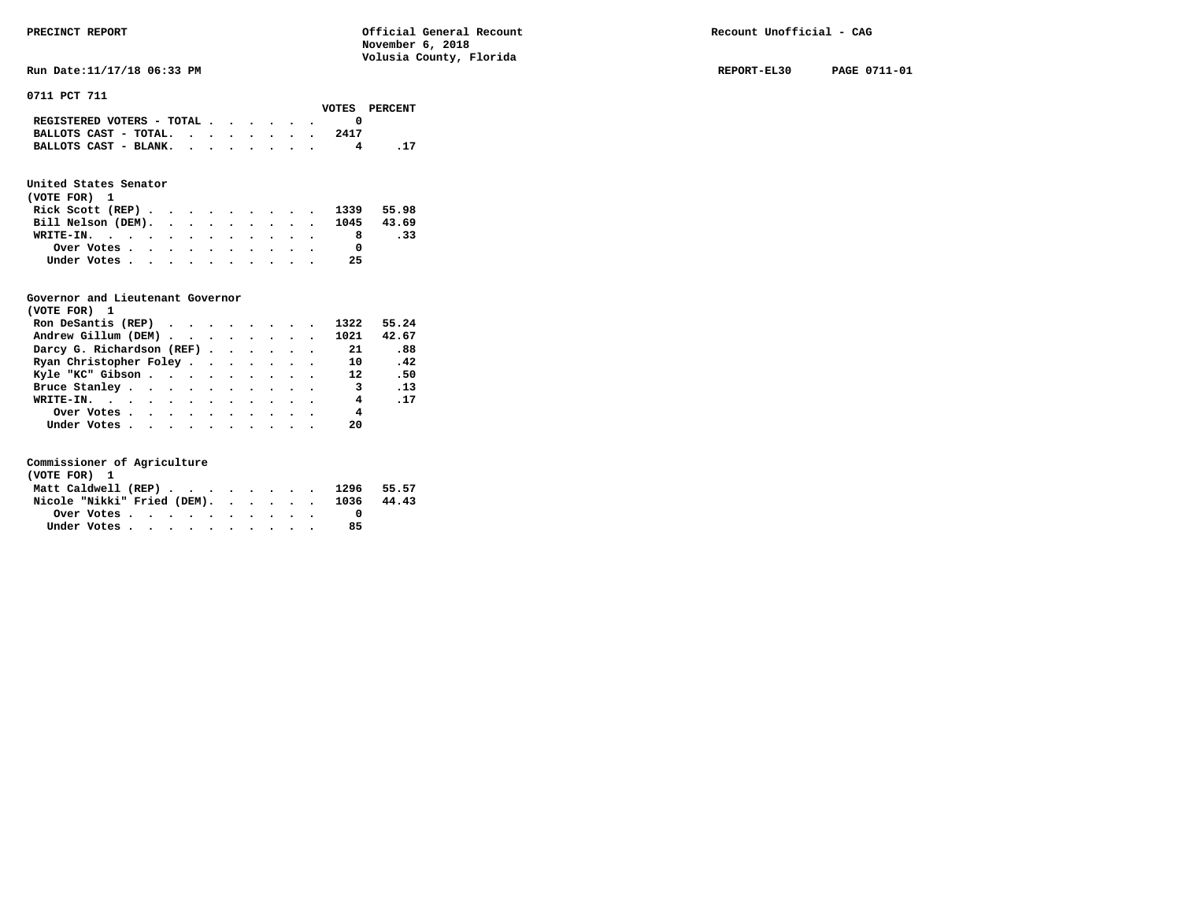**Run Date:11/17/18 06:33 PM REPORT-EL30 PAGE 0711-01** 

**0711 PCT 711** 

|  | VOTES PERCENT |  |  |  |  |  |                                                                 |  |
|--|---------------|--|--|--|--|--|-----------------------------------------------------------------|--|
|  |               |  |  |  |  |  | REGISTERED VOTERS - TOTAL $\cdot$ , $\cdot$ , $\cdot$ , $\cdot$ |  |
|  | 2417          |  |  |  |  |  | BALLOTS CAST - TOTAL. $\cdot$                                   |  |
|  |               |  |  |  |  |  | BALLOTS CAST - BLANK.                                           |  |
|  |               |  |  |  |  |  |                                                                 |  |

### **United States Senator**

| (VOTE FOR) 1                                            |  |  |  |  |    |     |
|---------------------------------------------------------|--|--|--|--|----|-----|
| Rick Scott (REP) 1339 55.98                             |  |  |  |  |    |     |
| Bill Nelson (DEM). 1045 43.69                           |  |  |  |  |    |     |
| WRITE-IN.                                               |  |  |  |  |    | .33 |
| Over Votes $\cdots$ $\cdots$ $\cdots$ $\cdots$ $\cdots$ |  |  |  |  |    |     |
| Under Votes                                             |  |  |  |  | 25 |     |

#### **Governor and Lieutenant Governor**

| (VOTE FOR) 1                                  |  |  |  |                         |            |  |
|-----------------------------------------------|--|--|--|-------------------------|------------|--|
| Ron DeSantis (REP) $\cdots$ $\cdots$ $\cdots$ |  |  |  | 1322                    | 55.24      |  |
| Andrew Gillum (DEM)                           |  |  |  | 1021                    | 42.67      |  |
| Darcy G. Richardson (REF)                     |  |  |  | 21                      | .88        |  |
| Ryan Christopher Foley                        |  |  |  | 10                      | .42        |  |
| Kyle "KC" Gibson                              |  |  |  | 12                      | .50        |  |
| Bruce Stanley                                 |  |  |  | $\overline{\mathbf{3}}$ | .13        |  |
| WRITE-IN.                                     |  |  |  | 4                       | $\cdot$ 17 |  |
| Over Votes                                    |  |  |  | 4                       |            |  |
| Under Votes                                   |  |  |  | 20                      |            |  |

| (VOTE FOR) 1 |  |  |  |  |  |                                        |  |
|--------------|--|--|--|--|--|----------------------------------------|--|
|              |  |  |  |  |  | Matt Caldwell (REP) 1296 55.57         |  |
|              |  |  |  |  |  | Nicole "Nikki" Fried (DEM). 1036 44.43 |  |
|              |  |  |  |  |  |                                        |  |
| Under Votes  |  |  |  |  |  | 85                                     |  |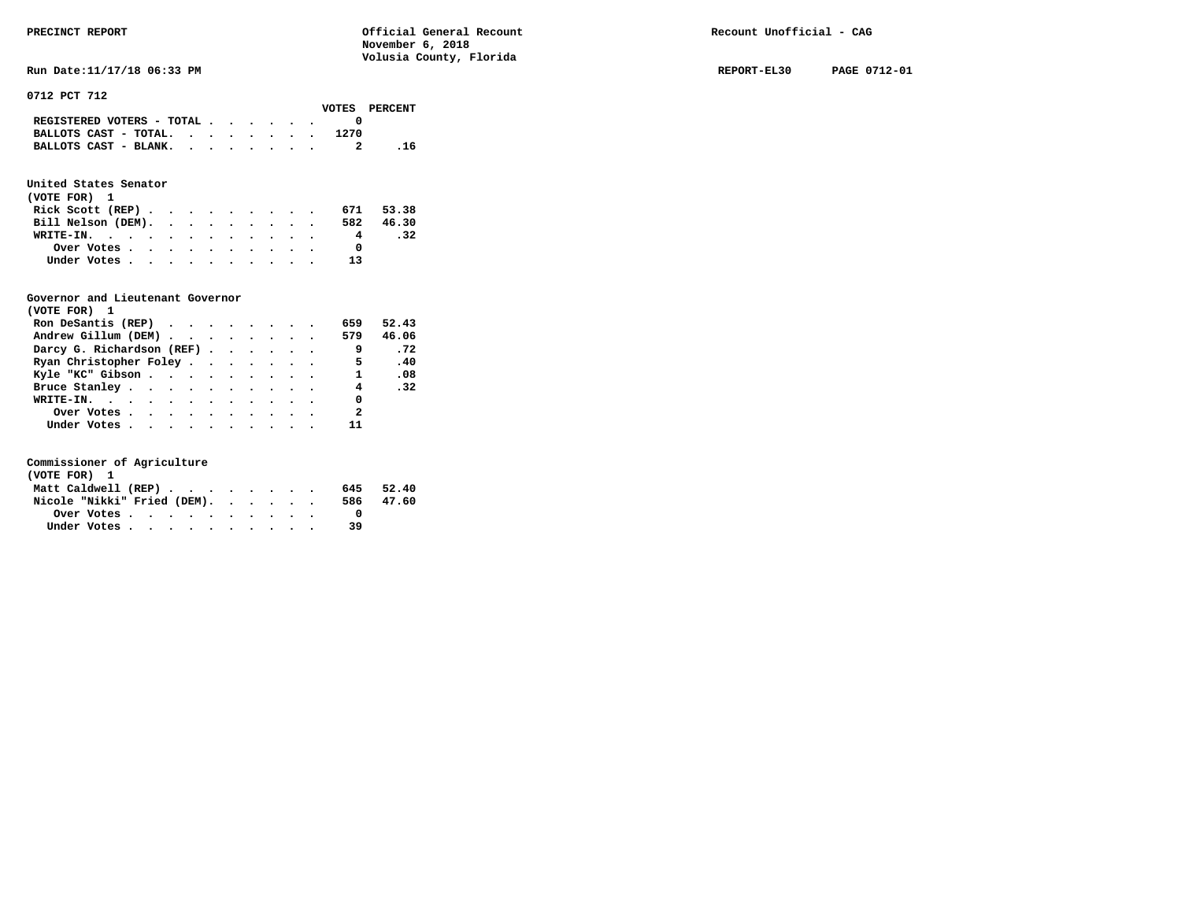**Run Date:11/17/18 06:33 PM REPORT-EL30 PAGE 0712-01** 

**0712 PCT 712** 

|                                                                           | VOTES PERCENT |      |
|---------------------------------------------------------------------------|---------------|------|
| REGISTERED VOTERS - TOTAL $\cdot$ $\cdot$ $\cdot$ $\cdot$ $\cdot$ $\cdot$ |               |      |
| BALLOTS CAST - TOTAL. $\cdot$                                             | 1270          |      |
| BALLOTS CAST - BLANK.                                                     |               | - 16 |

### **United States Senator**

| (VOTE FOR) 1                                |  |  |  |  |     |           |
|---------------------------------------------|--|--|--|--|-----|-----------|
| Rick Scott (REP) $\cdots$ $\cdots$ $\cdots$ |  |  |  |  | 671 | 53.38     |
| Bill Nelson (DEM).                          |  |  |  |  |     | 582 46.30 |
| WRITE-IN.                                   |  |  |  |  | 4   | .32       |
| Over Votes                                  |  |  |  |  |     |           |
| Under Votes                                 |  |  |  |  | 13  |           |

#### **Governor and Lieutenant Governor**

| (VOTE FOR) 1                                  |  |  |  |                          |       |
|-----------------------------------------------|--|--|--|--------------------------|-------|
| Ron DeSantis (REP) $\cdots$ $\cdots$ $\cdots$ |  |  |  | 659                      | 52.43 |
| Andrew Gillum (DEM) 579                       |  |  |  |                          | 46.06 |
| Darcy G. Richardson (REF)                     |  |  |  | $\overline{\phantom{a}}$ | .72   |
| Ryan Christopher Foley                        |  |  |  | $\overline{5}$           | .40   |
| Kyle "KC" Gibson                              |  |  |  | $\mathbf{1}$             | .08   |
| Bruce Stanley.                                |  |  |  | $\overline{4}$           | .32   |
| WRITE-IN.                                     |  |  |  | 0                        |       |
| Over Votes                                    |  |  |  | $\overline{\phantom{a}}$ |       |
| Under Votes                                   |  |  |  | 11                       |       |

| (VOTE FOR) 1                |  |  |  |           |       |
|-----------------------------|--|--|--|-----------|-------|
| Matt Caldwell (REP)         |  |  |  | 645       | 52.40 |
| Nicole "Nikki" Fried (DEM). |  |  |  | 586 47.60 |       |
| Over Votes.                 |  |  |  |           |       |
| Under Votes                 |  |  |  | 39        |       |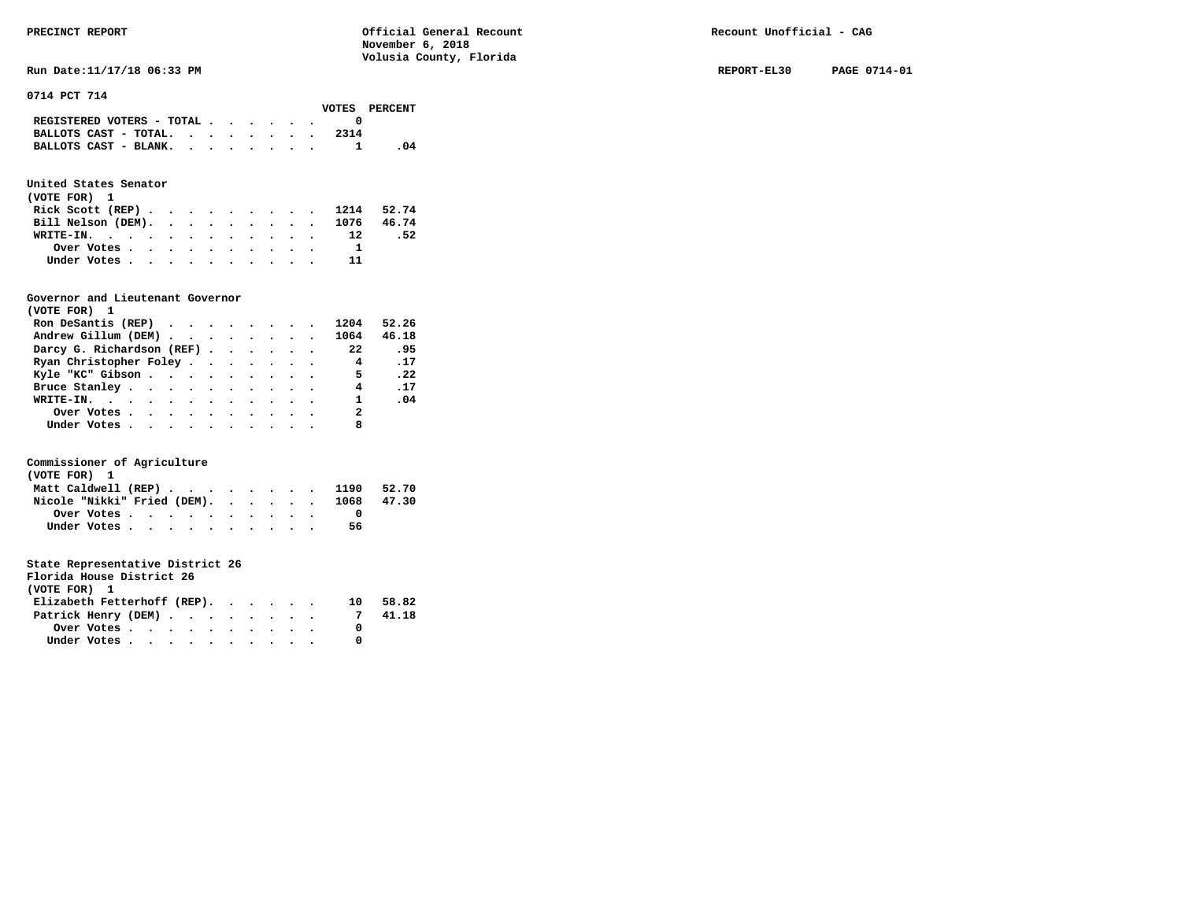**Run Date:11/17/18 06:33 PM REPORT-EL30** PAGE 0714-01

**0714 PCT 714** 

|                                                                           |  |  |  |      | VOTES PERCENT |
|---------------------------------------------------------------------------|--|--|--|------|---------------|
| REGISTERED VOTERS - TOTAL $\cdot$ $\cdot$ $\cdot$ $\cdot$ $\cdot$ $\cdot$ |  |  |  |      |               |
| BALLOTS CAST - TOTAL. $\cdot$                                             |  |  |  | 2314 |               |
| BALLOTS CAST - BLANK.                                                     |  |  |  |      |               |

### **United States Senator**

| (VOTE FOR) 1                  |  |  |  |  |            |     |
|-------------------------------|--|--|--|--|------------|-----|
| Rick Scott (REP)              |  |  |  |  | 1214 52.74 |     |
| Bill Nelson (DEM). 1076 46.74 |  |  |  |  |            |     |
| WRITE-IN. 12                  |  |  |  |  |            | .52 |
| Over Votes                    |  |  |  |  |            |     |
| Under Votes                   |  |  |  |  |            |     |

#### **Governor and Lieutenant Governor**

| (VOTE FOR) 1                                  |  |  |  |                          |            |
|-----------------------------------------------|--|--|--|--------------------------|------------|
| Ron DeSantis (REP) $\cdots$ $\cdots$ $\cdots$ |  |  |  | 1204                     | 52.26      |
| Andrew Gillum (DEM)                           |  |  |  | 1064                     | 46.18      |
| Darcy G. Richardson (REF)                     |  |  |  | 22                       | .95        |
| Ryan Christopher Foley                        |  |  |  | $\overline{\mathbf{4}}$  | $\cdot$ 17 |
| Kyle "KC" Gibson                              |  |  |  | $\overline{\phantom{0}}$ | .22        |
| Bruce Stanley                                 |  |  |  | 4                        | .17        |
| WRITE-IN.                                     |  |  |  | $1 \quad \cdots$         | .04        |
| Over Votes                                    |  |  |  | $\overline{2}$           |            |
| Under Votes, , , , , , , , , , ,              |  |  |  |                          |            |

#### **Commissioner of Agriculture**

| (VOTE FOR) 1                                                               |  |  |  |  |  |    |       |
|----------------------------------------------------------------------------|--|--|--|--|--|----|-------|
| Matt Caldwell (REP) $\cdot \cdot \cdot \cdot \cdot \cdot \cdot \cdot 1190$ |  |  |  |  |  |    | 52.70 |
| Nicole "Nikki" Fried (DEM). 1068 47.30                                     |  |  |  |  |  |    |       |
| Over Votes                                                                 |  |  |  |  |  |    |       |
| Under Votes                                                                |  |  |  |  |  | 56 |       |

| Florida House District 26   |  |  |  |  |
|-----------------------------|--|--|--|--|
| (VOTE FOR)                  |  |  |  |  |
| Elizabeth Fetterhoff (REP). |  |  |  |  |

|  |  |  |  |  |                                                                                                                              | 10 58.82 |
|--|--|--|--|--|------------------------------------------------------------------------------------------------------------------------------|----------|
|  |  |  |  |  |                                                                                                                              | 41.18    |
|  |  |  |  |  |                                                                                                                              |          |
|  |  |  |  |  |                                                                                                                              |          |
|  |  |  |  |  | Elizabeth Fetterhoff (REP).<br>Patrick Henry (DEM)<br>Over Votes $\cdots$ $\cdots$ $\cdots$ $\cdots$ $\cdots$<br>Under Votes |          |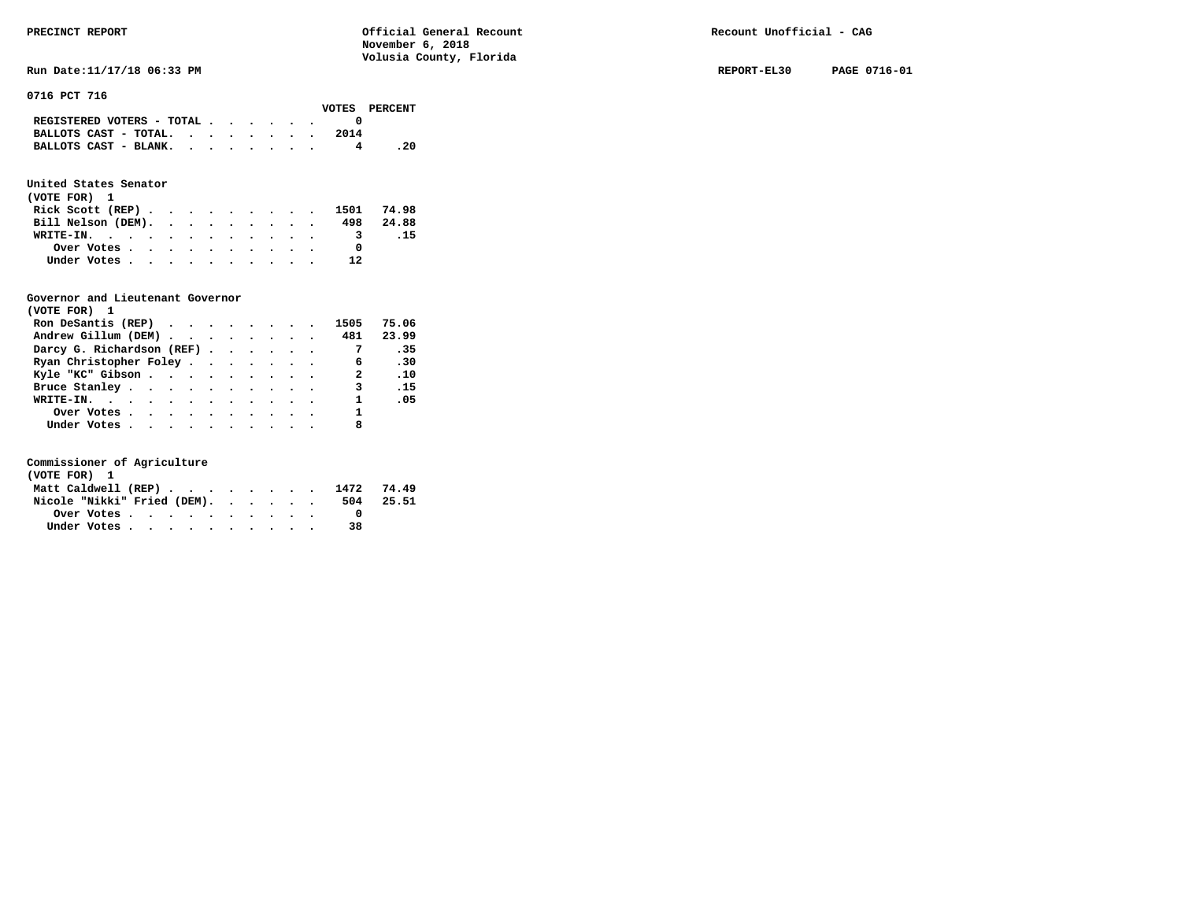**Run Date:11/17/18 06:33 PM REPORT-EL30 PAGE 0716-01** 

**0716 PCT 716** 

| ----------------                                                          |  |  |  |      | VOTES PERCENT |
|---------------------------------------------------------------------------|--|--|--|------|---------------|
| REGISTERED VOTERS - TOTAL $\cdot$ $\cdot$ $\cdot$ $\cdot$ $\cdot$ $\cdot$ |  |  |  |      |               |
| BALLOTS CAST - TOTAL. $\cdot$ , , , , , .                                 |  |  |  | 2014 |               |
| BALLOTS CAST - BLANK.                                                     |  |  |  |      | . 20          |

### **United States Senator**

| (VOTE FOR) 1       |  |  |  |  |  |                                                           |           |
|--------------------|--|--|--|--|--|-----------------------------------------------------------|-----------|
|                    |  |  |  |  |  | Rick Scott (REP) $\cdots$ $\cdots$ $\cdots$ $\cdots$ 1501 | 74.98     |
| Bill Nelson (DEM). |  |  |  |  |  |                                                           | 498 24.88 |
| WRITE-IN.          |  |  |  |  |  | 3                                                         | .15       |
| Over Votes         |  |  |  |  |  | o                                                         |           |
| Under Votes        |  |  |  |  |  | 12                                                        |           |

#### **Governor and Lieutenant Governor**

| (VOTE FOR) 1              |  |  |  |                          |       |
|---------------------------|--|--|--|--------------------------|-------|
| Ron DeSantis (REP)        |  |  |  | 1505                     | 75.06 |
| Andrew Gillum (DEM) 481   |  |  |  |                          | 23.99 |
| Darcy G. Richardson (REF) |  |  |  | $\overline{7}$           | - 35  |
| Ryan Christopher Foley    |  |  |  | 6                        | .30   |
| Kyle "KC" Gibson          |  |  |  | $\overline{\mathbf{2}}$  | .10   |
| Bruce Stanley             |  |  |  | 3                        | .15   |
| WRITE-IN.                 |  |  |  | $\sim$ 1                 | .05   |
| Over Votes.               |  |  |  | $\overline{\phantom{a}}$ |       |
| Under Votes               |  |  |  | 8                        |       |

| (VOTE FOR) 1                   |  |  |  |  |  |    |           |
|--------------------------------|--|--|--|--|--|----|-----------|
| Matt Caldwell (REP) 1472 74.49 |  |  |  |  |  |    |           |
| Nicole "Nikki" Fried (DEM).    |  |  |  |  |  |    | 504 25.51 |
| Over Votes                     |  |  |  |  |  |    |           |
| Under Votes                    |  |  |  |  |  | 38 |           |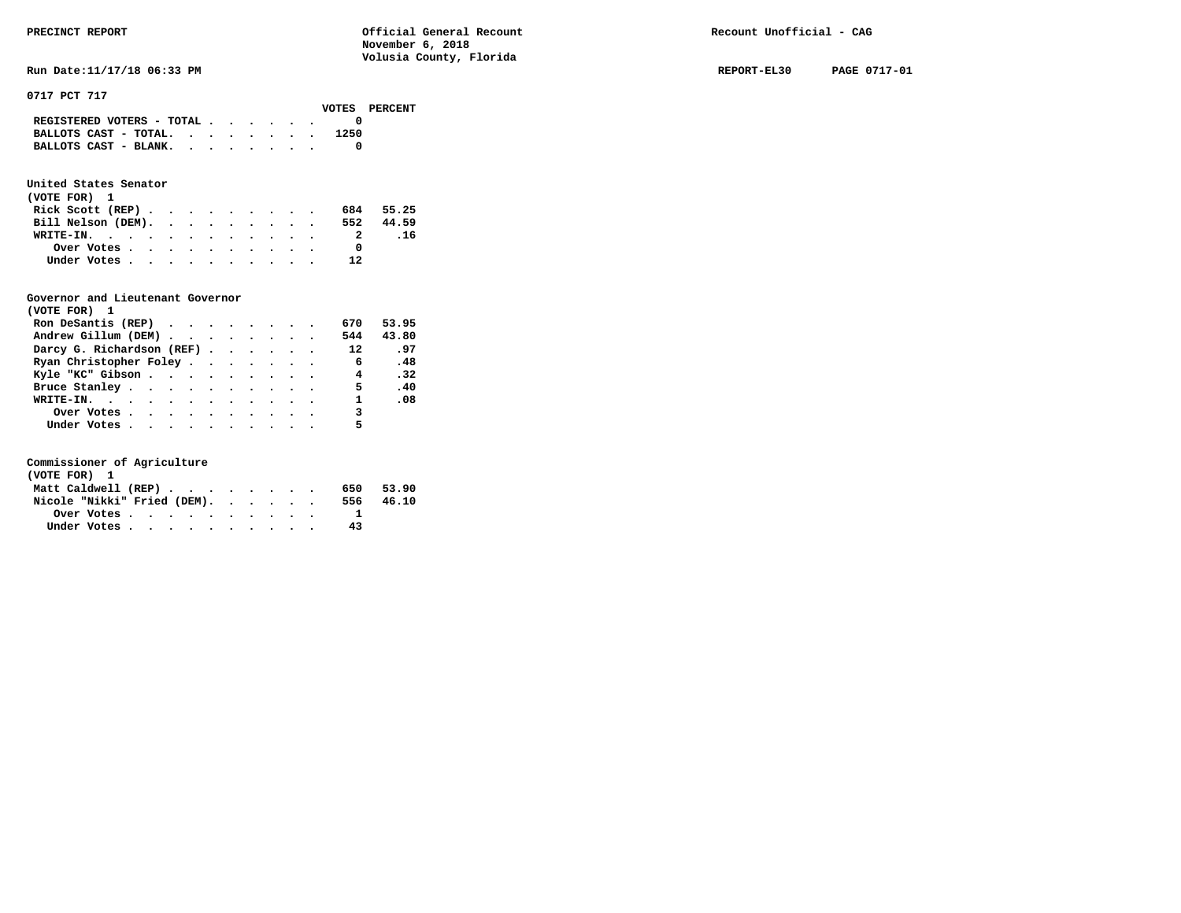|                                                                           |  |  |  | voib ibuci |  |
|---------------------------------------------------------------------------|--|--|--|------------|--|
| REGISTERED VOTERS - TOTAL $\cdot$ $\cdot$ $\cdot$ $\cdot$ $\cdot$ $\cdot$ |  |  |  |            |  |
| BALLOTS CAST - TOTAL.                                                     |  |  |  | 1250       |  |
| BALLOTS CAST - BLANK.                                                     |  |  |  |            |  |
|                                                                           |  |  |  |            |  |

### **United States Senator**

| (VOTE FOR) 1                                |  |  |  |  |    |           |
|---------------------------------------------|--|--|--|--|----|-----------|
| Rick Scott (REP) $\cdots$ $\cdots$ $\cdots$ |  |  |  |  |    | 684 55.25 |
| Bill Nelson (DEM).                          |  |  |  |  |    | 552 44.59 |
| WRITE-IN.                                   |  |  |  |  |    | .16       |
| Over Votes                                  |  |  |  |  |    |           |
| Under Votes                                 |  |  |  |  | 12 |           |

### **Governor and Lieutenant Governor**

| (VOTE FOR) 1                                  |  |  |  |                 |       |
|-----------------------------------------------|--|--|--|-----------------|-------|
| Ron DeSantis (REP) $\cdots$ $\cdots$ $\cdots$ |  |  |  | 670             | 53.95 |
| Andrew Gillum (DEM)                           |  |  |  | 544             | 43.80 |
| Darcy G. Richardson (REF)                     |  |  |  | 12              | .97   |
| Ryan Christopher Foley                        |  |  |  | $6\overline{6}$ | .48   |
| Kyle "KC" Gibson                              |  |  |  | $\overline{4}$  | .32   |
| Bruce Stanley.                                |  |  |  | -5              | .40   |
| WRITE-IN.                                     |  |  |  | $\mathbf{1}$    | .08   |
| Over Votes                                    |  |  |  | 3               |       |
| Under Votes, , , , , , , , , , ,              |  |  |  |                 |       |

| (VOTE FOR) 1                |  |  |  |           |       |
|-----------------------------|--|--|--|-----------|-------|
| Matt Caldwell (REP)         |  |  |  | 650.      | 53.90 |
| Nicole "Nikki" Fried (DEM). |  |  |  | 556 46.10 |       |
|                             |  |  |  |           |       |
| Under Votes                 |  |  |  | 43        |       |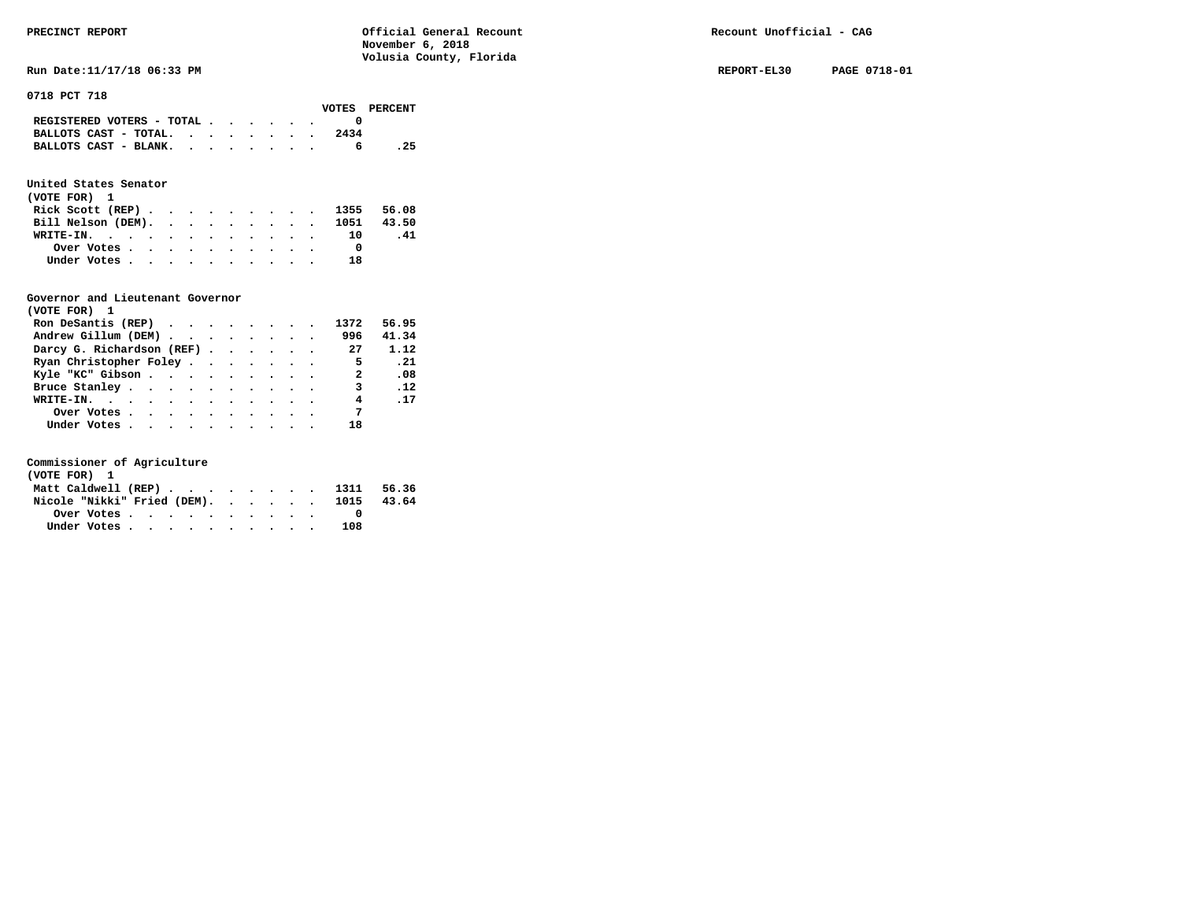**Run Date:11/17/18 06:33 PM REPORT-EL30 PAGE 0718-01** 

**0718 PCT 718** 

|                                                                           |  |  |  |      | VOTES PERCENT |
|---------------------------------------------------------------------------|--|--|--|------|---------------|
| REGISTERED VOTERS - TOTAL $\cdot$ $\cdot$ $\cdot$ $\cdot$ $\cdot$ $\cdot$ |  |  |  |      |               |
| BALLOTS CAST - TOTAL. $\cdot$ , , , , , , ,                               |  |  |  | 2434 |               |
| BALLOTS CAST - BLANK.                                                     |  |  |  |      | . 25          |

### **United States Senator**

| (VOTE FOR) 1                  |  |  |  |  |  |    |      |
|-------------------------------|--|--|--|--|--|----|------|
| Rick Scott (REP) 1355 56.08   |  |  |  |  |  |    |      |
| Bill Nelson (DEM). 1051 43.50 |  |  |  |  |  |    |      |
| WRITE-IN. 10                  |  |  |  |  |  |    | - 41 |
| Over Votes                    |  |  |  |  |  |    |      |
| Under Votes                   |  |  |  |  |  | 18 |      |

#### **Governor and Lieutenant Governor**

| (VOTE FOR) 1                                  |  |  |  |                |            |
|-----------------------------------------------|--|--|--|----------------|------------|
| Ron DeSantis (REP) $\cdots$ $\cdots$ $\cdots$ |  |  |  | 1372           | 56.95      |
| Andrew Gillum (DEM)                           |  |  |  | 996            | 41.34      |
| Darcy G. Richardson (REF) 27                  |  |  |  |                | 1.12       |
| Ryan Christopher Foley                        |  |  |  | $\overline{5}$ | . 21       |
| Kyle "KC" Gibson                              |  |  |  | 2              | .08        |
| Bruce Stanley                                 |  |  |  | 3              | $\cdot$ 12 |
| WRITE-IN.                                     |  |  |  | 4              | .17        |
| Over Votes                                    |  |  |  | $\overline{7}$ |            |
| Under Votes                                   |  |  |  | 18             |            |

| (VOTE FOR) 1                     |             |  |  |  |  |  |     |       |
|----------------------------------|-------------|--|--|--|--|--|-----|-------|
| Matt Caldwell (REP) 1311 56.36   |             |  |  |  |  |  |     |       |
| Nicole "Nikki" Fried (DEM). 1015 |             |  |  |  |  |  |     | 43.64 |
|                                  |             |  |  |  |  |  |     |       |
|                                  | Under Votes |  |  |  |  |  | 108 |       |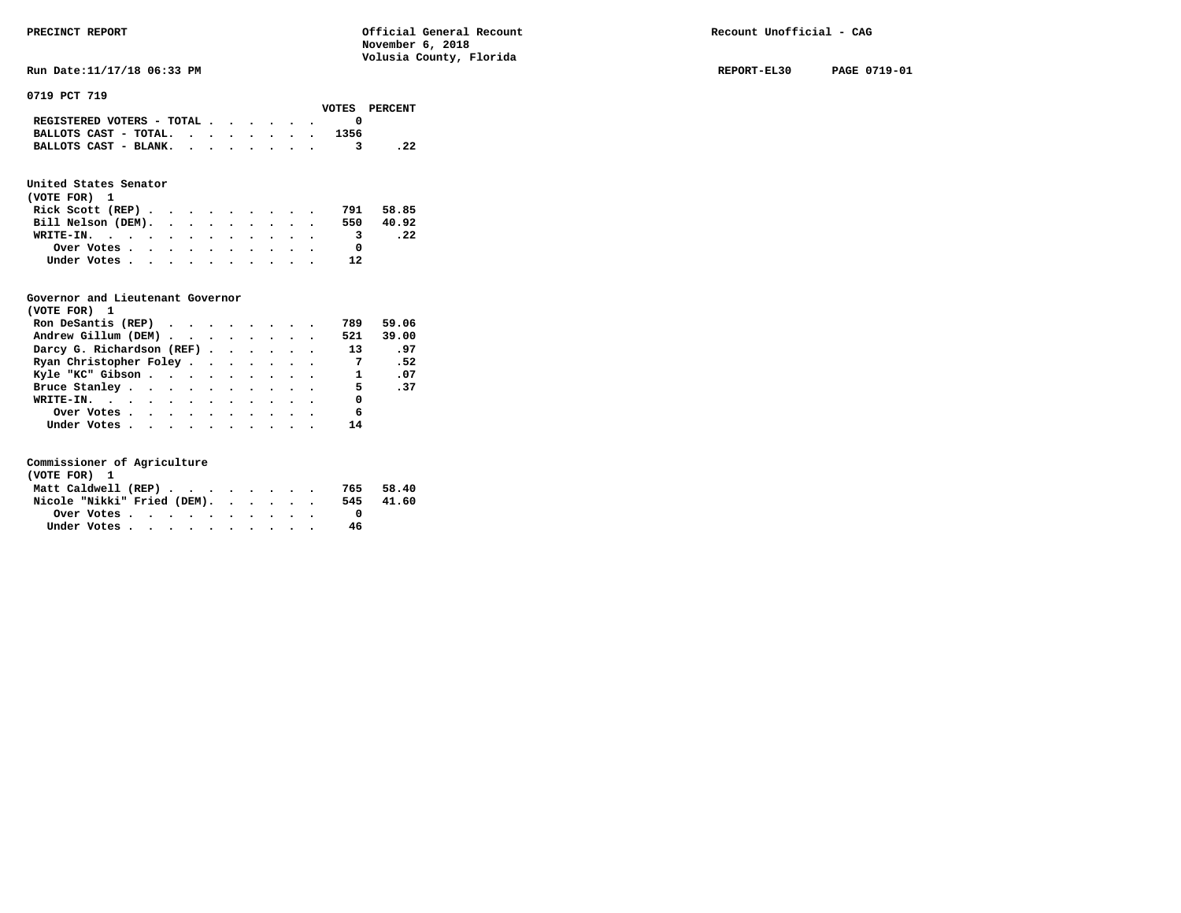**Run Date:11/17/18 06:33 PM REPORT-EL30 PAGE 0719-01** 

**0719 PCT 719** 

|                                                                           |  |  |  |      | VOTES PERCENT |
|---------------------------------------------------------------------------|--|--|--|------|---------------|
| REGISTERED VOTERS - TOTAL $\cdot$ $\cdot$ $\cdot$ $\cdot$ $\cdot$ $\cdot$ |  |  |  |      |               |
| BALLOTS CAST - TOTAL.                                                     |  |  |  | 1356 |               |
| BALLOTS CAST - BLANK.                                                     |  |  |  |      |               |
|                                                                           |  |  |  |      |               |

### **United States Senator**

| (VOTE FOR) 1       |  |  |  |  |                         |           |
|--------------------|--|--|--|--|-------------------------|-----------|
| Rick Scott (REP)   |  |  |  |  | 791                     | 58.85     |
| Bill Nelson (DEM). |  |  |  |  |                         | 550 40.92 |
| WRITE-IN.          |  |  |  |  | $\overline{\mathbf{3}}$ | . 22      |
| Over Votes         |  |  |  |  |                         |           |
| Under Votes        |  |  |  |  | 12                      |           |

#### **Governor and Lieutenant Governor**

| (VOTE FOR) 1                                  |  |  |  |                          |       |
|-----------------------------------------------|--|--|--|--------------------------|-------|
| Ron DeSantis (REP) $\cdots$ $\cdots$ $\cdots$ |  |  |  | 789                      | 59.06 |
| Andrew Gillum (DEM)                           |  |  |  | 521                      | 39.00 |
| Darcy G. Richardson (REF)                     |  |  |  | 13                       | .97   |
| Ryan Christopher Foley                        |  |  |  | $\overline{7}$           | .52   |
| Kyle "KC" Gibson                              |  |  |  | $\mathbf{1}$             | .07   |
| Bruce Stanley                                 |  |  |  | $\overline{\phantom{0}}$ | .37   |
| WRITE-IN.                                     |  |  |  | 0                        |       |
| Over Votes                                    |  |  |  | - 6                      |       |
| Under Votes                                   |  |  |  | 14                       |       |

| (VOTE FOR) 1                |  |  |  |  |  |     |       |
|-----------------------------|--|--|--|--|--|-----|-------|
| Matt Caldwell (REP)         |  |  |  |  |  | 765 | 58.40 |
| Nicole "Nikki" Fried (DEM). |  |  |  |  |  | 545 | 41.60 |
| Over Votes.                 |  |  |  |  |  |     |       |
| Under Votes                 |  |  |  |  |  | 46  |       |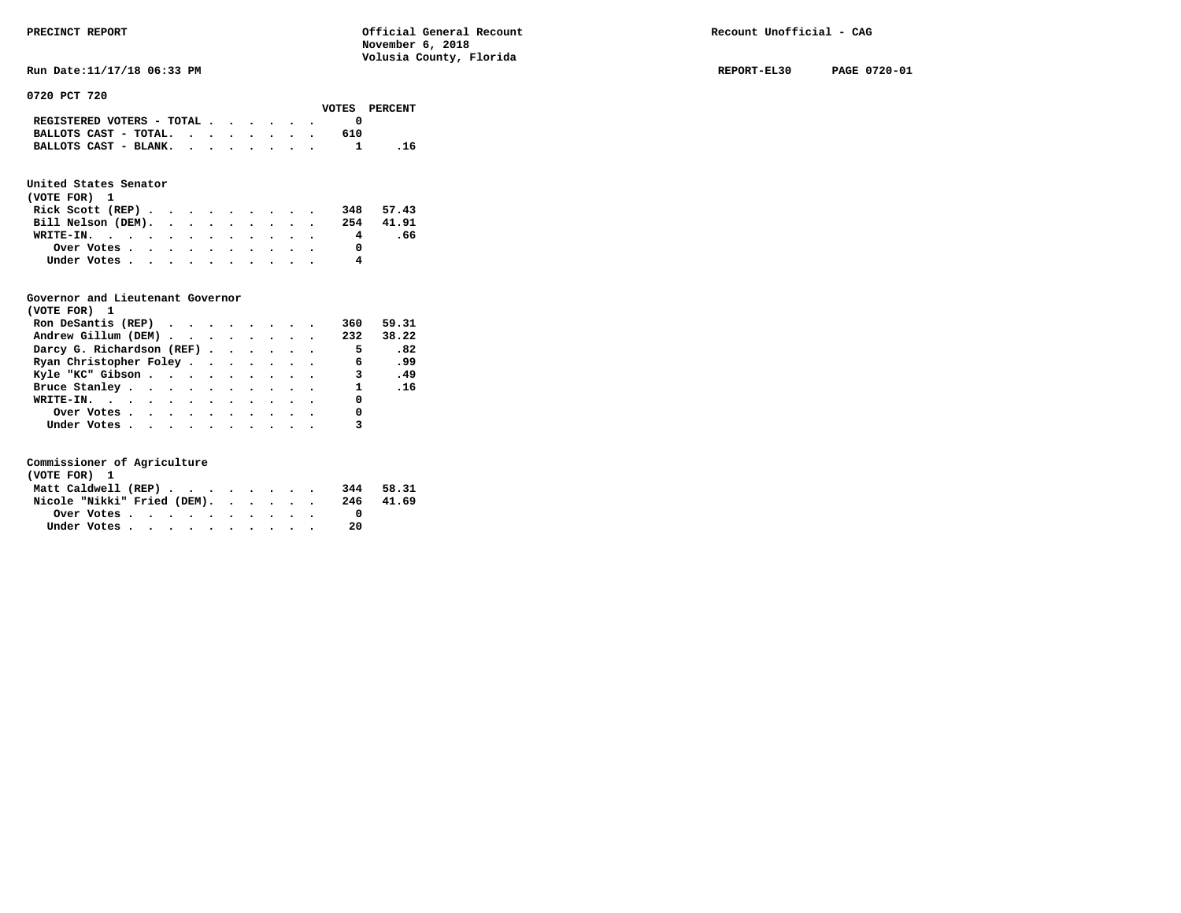**Run Date:11/17/18 06:33 PM REPORT-EL30 PAGE 0720-01** 

**0720 PCT 720** 

|  |  |  |     | VOTES PERCENT                                                                                                     |
|--|--|--|-----|-------------------------------------------------------------------------------------------------------------------|
|  |  |  |     |                                                                                                                   |
|  |  |  | 610 |                                                                                                                   |
|  |  |  |     | - 16                                                                                                              |
|  |  |  |     | REGISTERED VOTERS - TOTAL $\cdot$ , , , , .<br>BALLOTS CAST - TOTAL. $\cdot$ , , , , , .<br>BALLOTS CAST - BLANK. |

### **United States Senator**

| (VOTE FOR) 1       |  |  |  |  |  |   |           |  |
|--------------------|--|--|--|--|--|---|-----------|--|
| Rick Scott (REP)   |  |  |  |  |  |   | 348 57.43 |  |
| Bill Nelson (DEM). |  |  |  |  |  |   | 254 41.91 |  |
| WRITE-IN.          |  |  |  |  |  | 4 | .66       |  |
| Over Votes         |  |  |  |  |  |   |           |  |
| Under Votes        |  |  |  |  |  | 4 |           |  |

#### **Governor and Lieutenant Governor**

| (VOTE FOR) 1                                  |  |  |  |                            |       |
|-----------------------------------------------|--|--|--|----------------------------|-------|
| Ron DeSantis (REP) $\cdots$ $\cdots$ $\cdots$ |  |  |  | 360                        | 59.31 |
| Andrew Gillum (DEM)                           |  |  |  | 232                        | 38.22 |
| Darcy G. Richardson (REF)                     |  |  |  | $\overline{\phantom{0}}$ 5 | .82   |
| Ryan Christopher Foley                        |  |  |  | 6                          | .99   |
| Kyle "KC" Gibson                              |  |  |  | $\overline{\mathbf{3}}$    | .49   |
| Bruce Stanley                                 |  |  |  |                            | 1 .16 |
| WRITE-IN.                                     |  |  |  | 0                          |       |
| Over Votes                                    |  |  |  | 0                          |       |
| Under Votes                                   |  |  |  |                            |       |

| (VOTE FOR) 1                |  |  |  |  |  |     |           |
|-----------------------------|--|--|--|--|--|-----|-----------|
| Matt Caldwell (REP)         |  |  |  |  |  |     | 344 58.31 |
| Nicole "Nikki" Fried (DEM). |  |  |  |  |  | 246 | 41.69     |
| Over Votes.                 |  |  |  |  |  |     |           |
| Under Votes                 |  |  |  |  |  | 20  |           |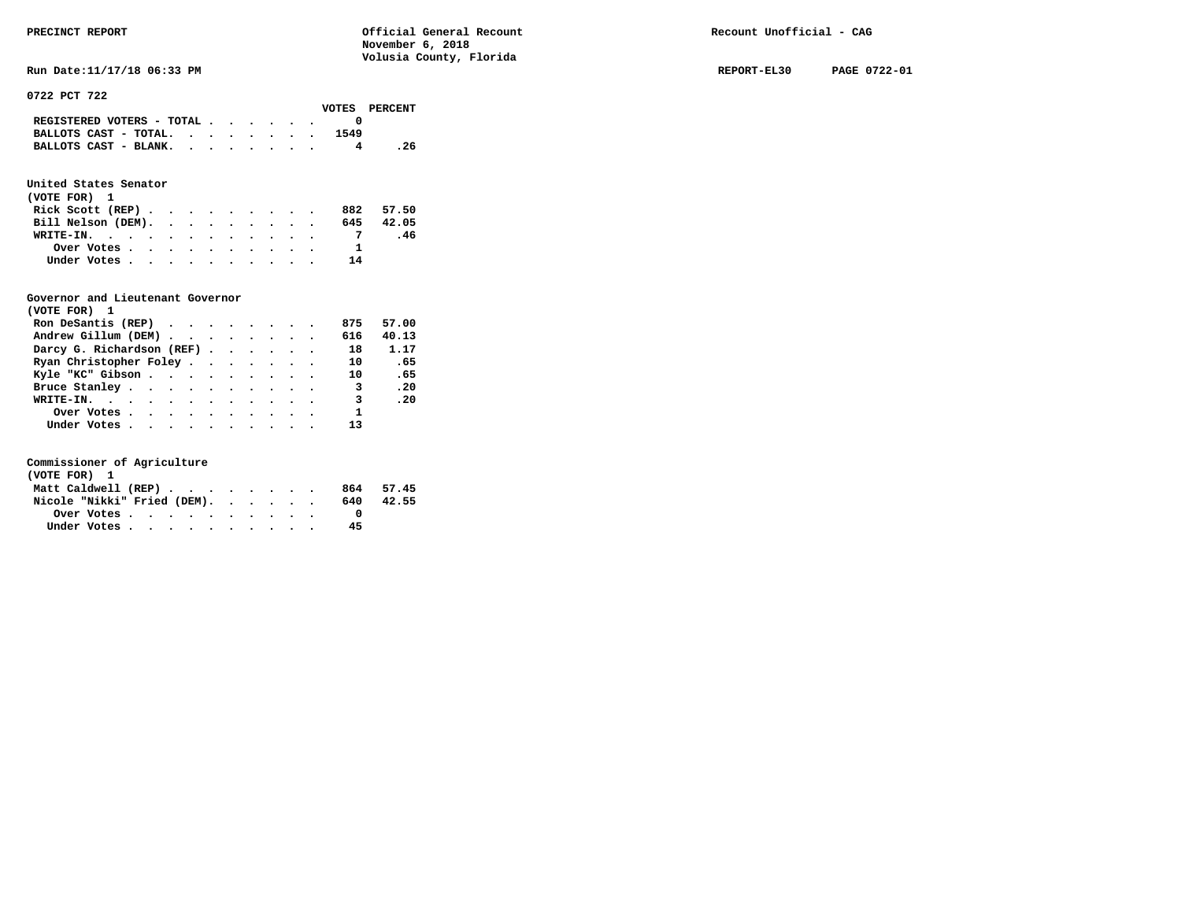**Run Date:11/17/18 06:33 PM REPORT-EL30 PAGE 0722-01** 

#### **0722 PCT 722**

|                                                             |  |  |  |  |  |      | VOTES PERCENT |
|-------------------------------------------------------------|--|--|--|--|--|------|---------------|
| REGISTERED VOTERS - TOTAL                                   |  |  |  |  |  |      |               |
| BALLOTS CAST - TOTAL. $\cdot$ , $\cdot$ , $\cdot$ , $\cdot$ |  |  |  |  |  | 1549 |               |
| BALLOTS CAST - BLANK.                                       |  |  |  |  |  |      | . 26          |
|                                                             |  |  |  |  |  |      |               |

### **United States Senator**

| (VOTE FOR) 1       |  |  |  |  |    |           |
|--------------------|--|--|--|--|----|-----------|
| Rick Scott $(REP)$ |  |  |  |  |    | 882 57.50 |
| Bill Nelson (DEM). |  |  |  |  |    | 645 42.05 |
| WRITE-IN.          |  |  |  |  |    | .46       |
| Over Votes         |  |  |  |  |    |           |
| Under Votes        |  |  |  |  | 14 |           |

#### **Governor and Lieutenant Governor**

| (VOTE FOR) 1                                  |  |  |  |                         |       |
|-----------------------------------------------|--|--|--|-------------------------|-------|
| Ron DeSantis (REP) $\cdots$ $\cdots$ $\cdots$ |  |  |  | 875                     | 57.00 |
| Andrew Gillum (DEM)                           |  |  |  | 616                     | 40.13 |
| Darcy G. Richardson (REF)                     |  |  |  | 18                      | 1.17  |
| Ryan Christopher Foley                        |  |  |  | 10                      | - 65  |
| Kyle "KC" Gibson                              |  |  |  | 10                      | .65   |
| Bruce Stanley                                 |  |  |  | $\overline{\mathbf{3}}$ | .20   |
| WRITE-IN.                                     |  |  |  | 3                       | .20   |
| Over Votes                                    |  |  |  | $\mathbf{1}$            |       |
| Under Votes, , , , , , , , , , ,              |  |  |  |                         |       |

| (VOTE FOR) 1                |  |  |  |  |     |           |
|-----------------------------|--|--|--|--|-----|-----------|
| Matt Caldwell (REP)         |  |  |  |  |     | 864 57.45 |
| Nicole "Nikki" Fried (DEM). |  |  |  |  | 640 | 42.55     |
| Over Votes                  |  |  |  |  |     |           |
| Under Votes                 |  |  |  |  | 45  |           |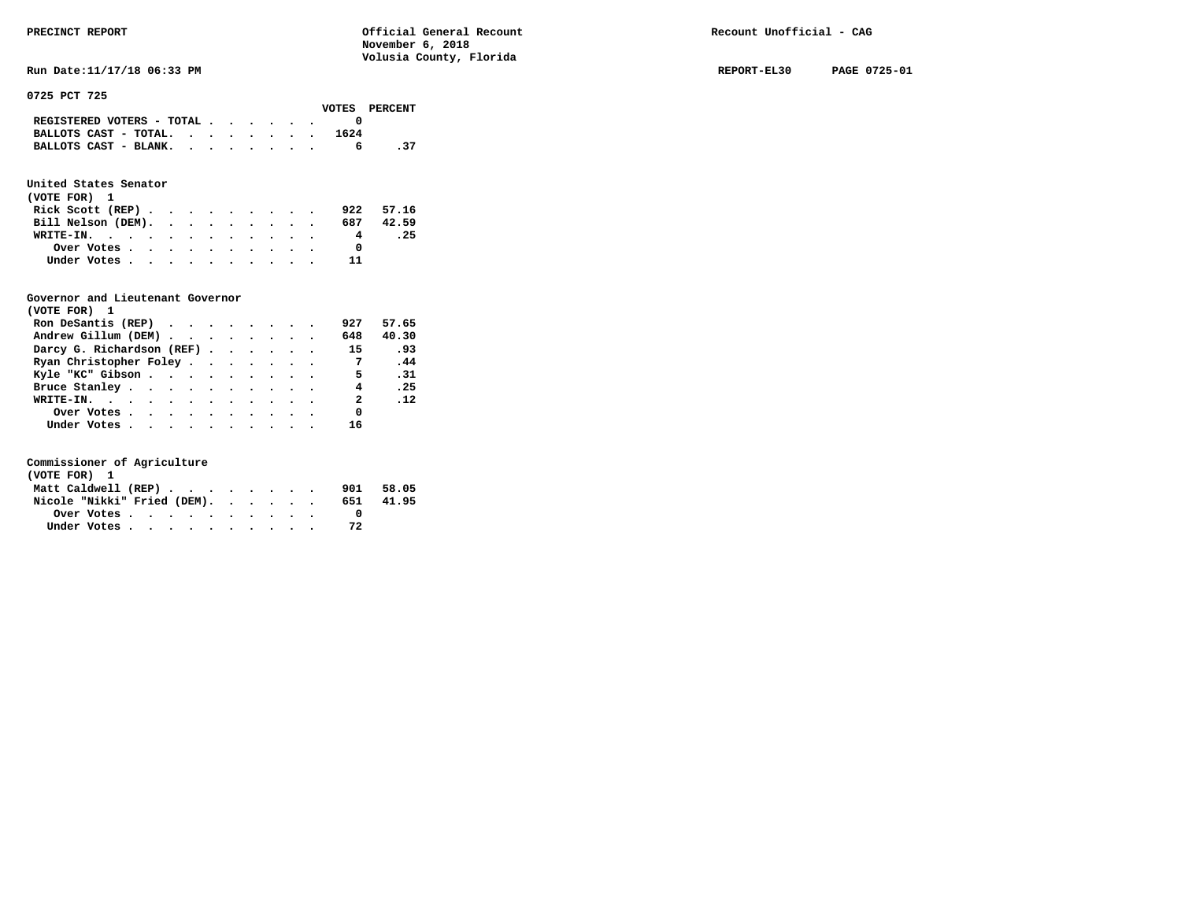**Run Date:11/17/18 06:33 PM REPORT-EL30 PAGE 0725-01** 

**0725 PCT 725** 

|                                             |  |  |  |      | VOTES PERCENT |
|---------------------------------------------|--|--|--|------|---------------|
| REGISTERED VOTERS - TOTAL $\cdot$ , , , , . |  |  |  |      |               |
| BALLOTS CAST - TOTAL.                       |  |  |  | 1624 |               |
| BALLOTS CAST - BLANK.                       |  |  |  |      | - 37          |

### **United States Senator**

| (VOTE FOR) 1                                |  |  |  |  |           |      |
|---------------------------------------------|--|--|--|--|-----------|------|
| Rick Scott (REP) $\cdots$ $\cdots$ $\cdots$ |  |  |  |  | 922 57.16 |      |
| Bill Nelson (DEM).                          |  |  |  |  | 687 42.59 |      |
| WRITE-IN.                                   |  |  |  |  | 4         | . 25 |
| Over Votes                                  |  |  |  |  |           |      |
| Under Votes                                 |  |  |  |  | 11        |      |

#### **Governor and Lieutenant Governor**

| (VOTE FOR) 1                                  |  |  |  |                |       |
|-----------------------------------------------|--|--|--|----------------|-------|
| Ron DeSantis (REP) $\cdots$ $\cdots$ $\cdots$ |  |  |  | 927            | 57.65 |
| Andrew Gillum (DEM)                           |  |  |  | 648            | 40.30 |
| Darcy G. Richardson (REF)                     |  |  |  | 15             | .93   |
| Ryan Christopher Foley                        |  |  |  | $\overline{7}$ | .44   |
| Kyle "KC" Gibson                              |  |  |  | 5.             | .31   |
| Bruce Stanley                                 |  |  |  | $\overline{4}$ | .25   |
| WRITE-IN.                                     |  |  |  | $\overline{2}$ | .12   |
| Over Votes                                    |  |  |  | 0              |       |
| Under Votes, , , , , , , , , , ,              |  |  |  | 16             |       |

| (VOTE FOR) 1                |  |  |  |  |     |       |
|-----------------------------|--|--|--|--|-----|-------|
| Matt Caldwell (REP)         |  |  |  |  | 901 | 58.05 |
| Nicole "Nikki" Fried (DEM). |  |  |  |  | 651 | 41.95 |
| Over Votes                  |  |  |  |  |     |       |
| Under Votes                 |  |  |  |  |     |       |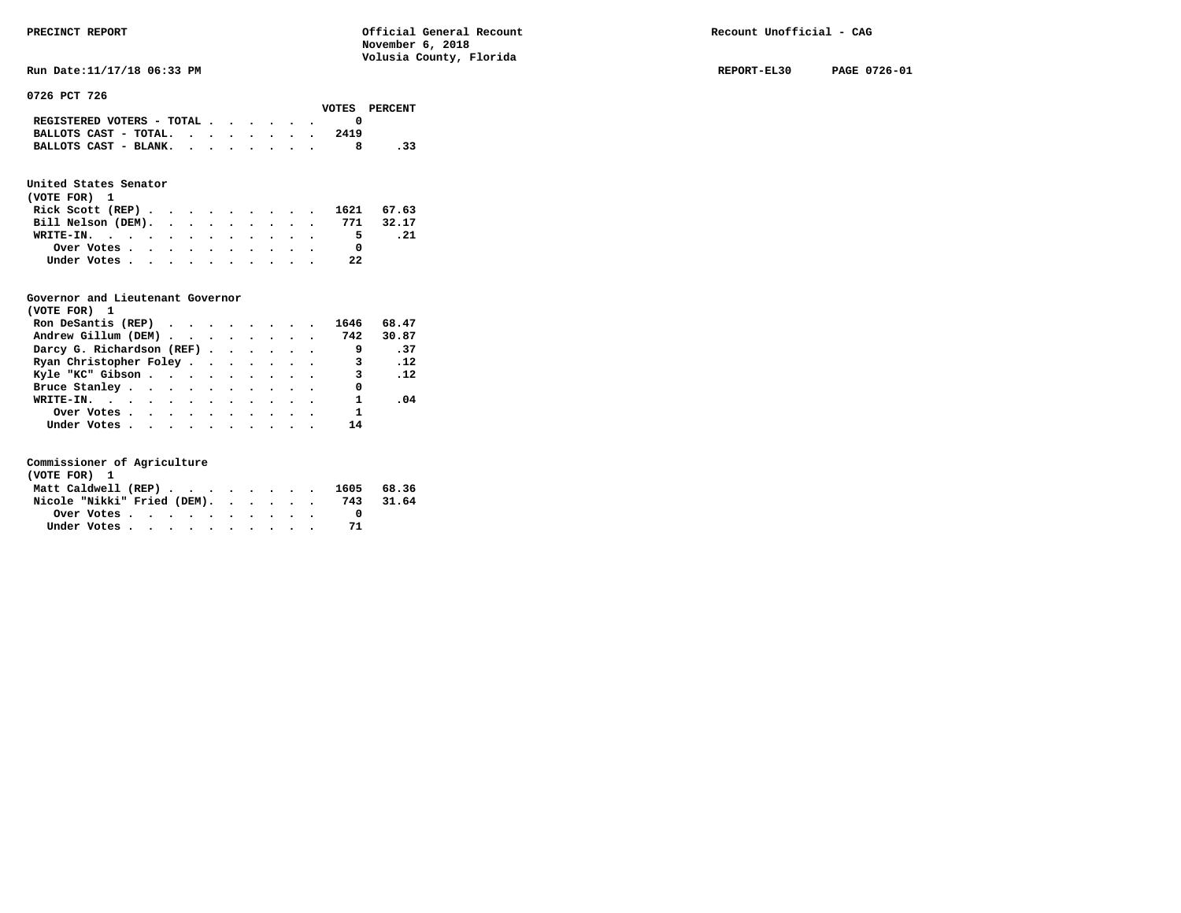**RUN Date:11/17/18 06:33 PM REPORT-EL30 PAGE 0726-01 REPORT-EL30 PAGE 0726-01** 

**0726 PCT 726** 

|                                             |  |  |  |      | VOTES PERCENT |
|---------------------------------------------|--|--|--|------|---------------|
| REGISTERED VOTERS - TOTAL $\cdot$ , , , , . |  |  |  |      |               |
| BALLOTS CAST - TOTAL. $\cdot$ , , , , , .   |  |  |  | 2419 |               |
| BALLOTS CAST - BLANK.                       |  |  |  |      | . 33          |

### **United States Senator**

| (VOTE FOR) 1                 |  |  |  |  |    |      |
|------------------------------|--|--|--|--|----|------|
| Rick Scott (REP) 1621 67.63  |  |  |  |  |    |      |
| Bill Nelson (DEM). 771 32.17 |  |  |  |  |    |      |
| WRITE-IN.                    |  |  |  |  | 5. | . 21 |
| Over Votes                   |  |  |  |  |    |      |
| Under Votes                  |  |  |  |  | 22 |      |

#### **Governor and Lieutenant Governor**

| (VOTE FOR) 1                                  |  |  |  |                            |            |  |
|-----------------------------------------------|--|--|--|----------------------------|------------|--|
| Ron DeSantis (REP) $\cdots$ $\cdots$ $\cdots$ |  |  |  | 1646                       | 68.47      |  |
| Andrew Gillum (DEM) 742                       |  |  |  |                            | 30.87      |  |
| Darcy G. Richardson (REF)                     |  |  |  |                            | $\cdot$ 37 |  |
| Ryan Christopher Foley                        |  |  |  | $\overline{\phantom{a}}$ 3 | .12        |  |
| Kyle "KC" Gibson                              |  |  |  | $\mathbf{3}$               | $\ldots$   |  |
| Bruce Stanley                                 |  |  |  | 0                          |            |  |
| WRITE-IN.                                     |  |  |  |                            | .04        |  |
| Over Votes                                    |  |  |  | 1                          |            |  |
| Under Votes                                   |  |  |  | 14                         |            |  |

| (VOTE FOR) 1                |  |  |  |  |  |                                |           |
|-----------------------------|--|--|--|--|--|--------------------------------|-----------|
|                             |  |  |  |  |  | Matt Caldwell (REP) 1605 68.36 |           |
| Nicole "Nikki" Fried (DEM). |  |  |  |  |  |                                | 743 31.64 |
|                             |  |  |  |  |  |                                |           |
| Under Votes                 |  |  |  |  |  |                                |           |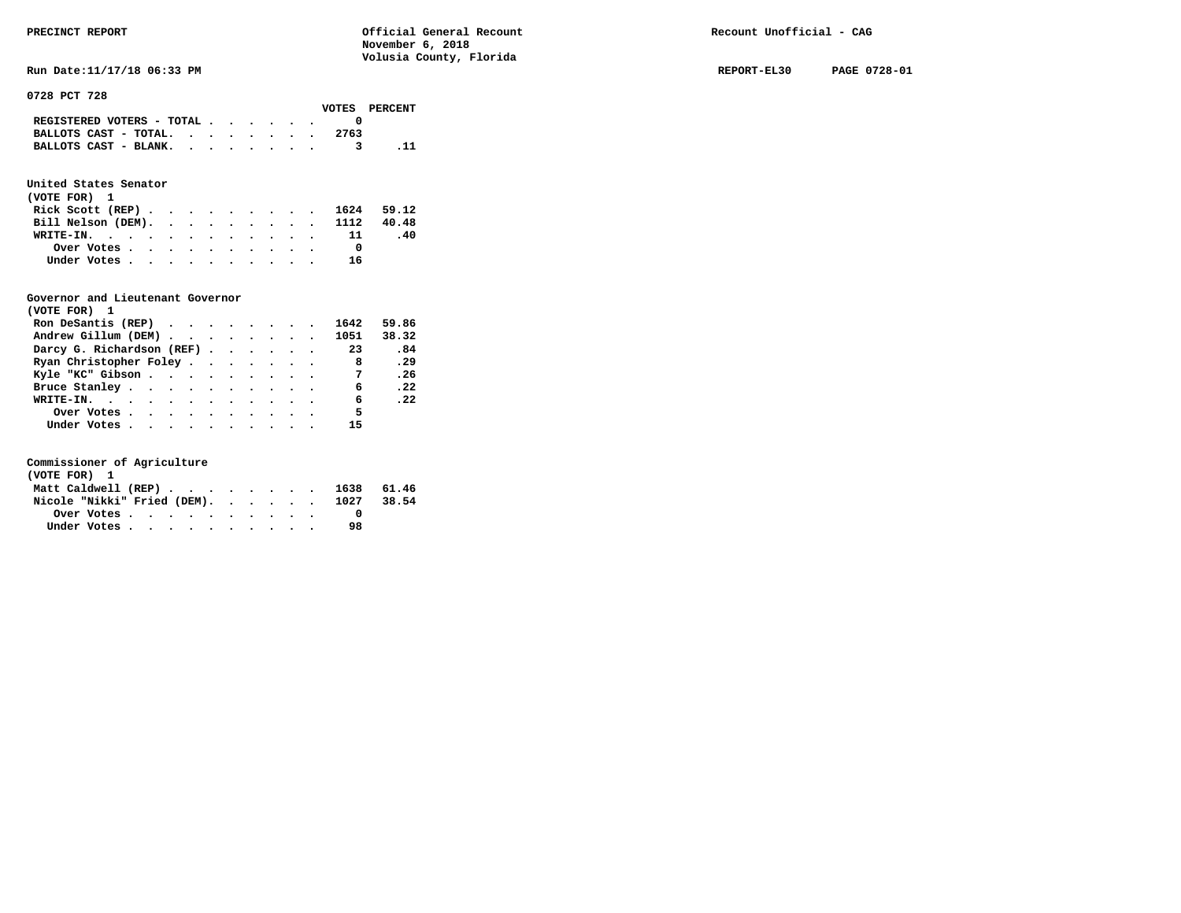**Run Date:11/17/18 06:33 PM REPORT-EL30 PAGE 0728-01** 

**0728 PCT 728** 

|                                                                           |  |  |  |      | VOTES PERCENT |
|---------------------------------------------------------------------------|--|--|--|------|---------------|
| REGISTERED VOTERS - TOTAL $\cdot$ $\cdot$ $\cdot$ $\cdot$ $\cdot$ $\cdot$ |  |  |  |      |               |
| BALLOTS CAST - TOTAL.                                                     |  |  |  | 2763 |               |
| BALLOTS CAST - BLANK.                                                     |  |  |  |      |               |

### **United States Senator**

| (VOTE FOR) 1                  |  |  |  |  |    |     |
|-------------------------------|--|--|--|--|----|-----|
| Rick Scott (REP) 1624 59.12   |  |  |  |  |    |     |
| Bill Nelson (DEM). 1112 40.48 |  |  |  |  |    |     |
| WRITE-IN. 11                  |  |  |  |  |    | -40 |
| Over Votes                    |  |  |  |  |    |     |
| Under Votes                   |  |  |  |  | 16 |     |

#### **Governor and Lieutenant Governor**

| (VOTE FOR) 1                                  |  |  |  |                |       |
|-----------------------------------------------|--|--|--|----------------|-------|
| Ron DeSantis (REP) $\cdots$ $\cdots$ $\cdots$ |  |  |  | 1642           | 59.86 |
| Andrew Gillum (DEM) 1051                      |  |  |  |                | 38.32 |
| Darcy G. Richardson (REF)                     |  |  |  | 23             | .84   |
| Ryan Christopher Foley                        |  |  |  | $_{\rm 8}$     | .29   |
| Kyle "KC" Gibson                              |  |  |  | $\overline{7}$ | .26   |
| Bruce Stanley                                 |  |  |  | 6              | .22   |
| WRITE-IN.                                     |  |  |  | 6              | .22   |
| Over Votes                                    |  |  |  | 5              |       |
| Under Votes                                   |  |  |  | 15             |       |

| (VOTE FOR) 1                           |             |  |  |  |  |  |    |  |
|----------------------------------------|-------------|--|--|--|--|--|----|--|
| Matt Caldwell (REP) 1638 61.46         |             |  |  |  |  |  |    |  |
| Nicole "Nikki" Fried (DEM). 1027 38.54 |             |  |  |  |  |  |    |  |
|                                        |             |  |  |  |  |  |    |  |
|                                        | Under Votes |  |  |  |  |  | 98 |  |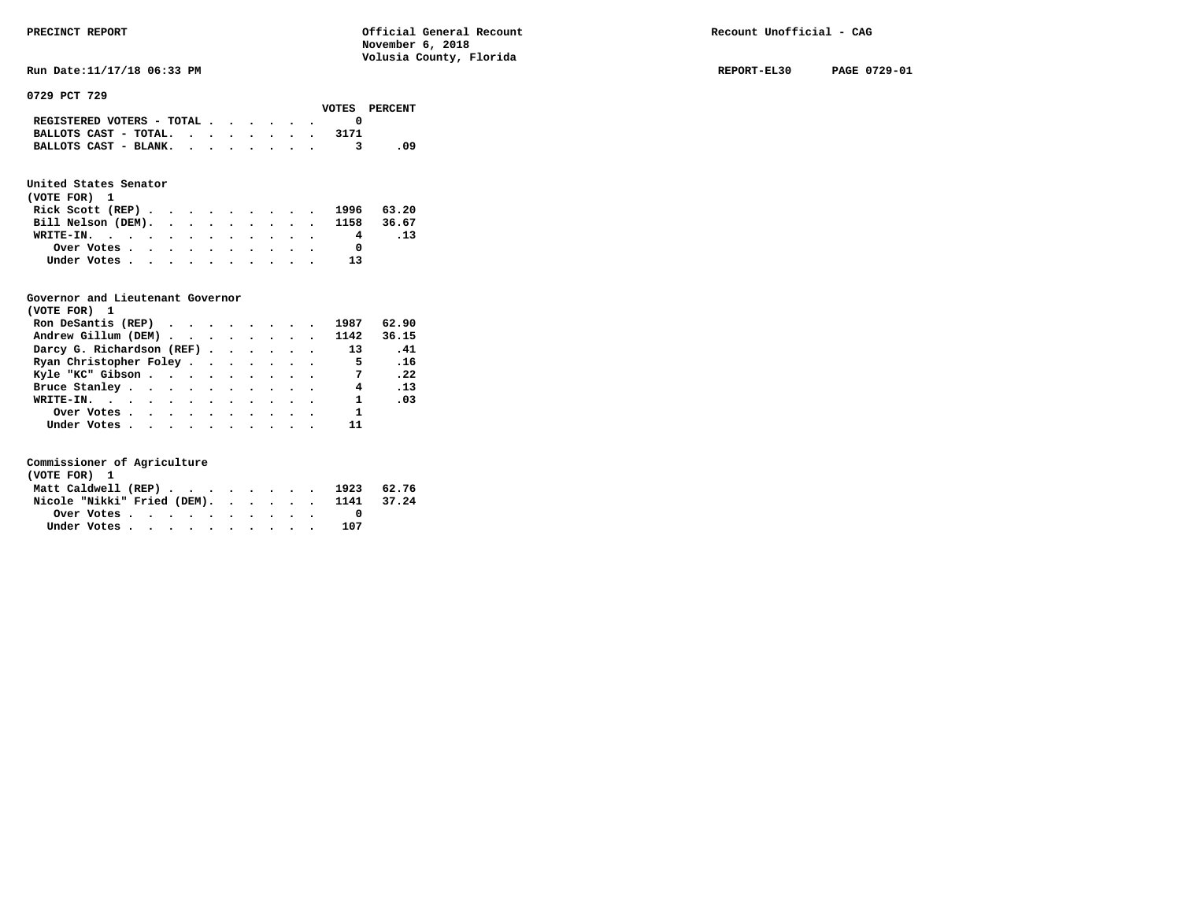**Run Date:11/17/18 06:33 PM REPORT-EL30 PAGE 0729-01** 

**0729 PCT 729** 

|                                                                           |  |  |  | VOTES PERCENT |
|---------------------------------------------------------------------------|--|--|--|---------------|
| REGISTERED VOTERS - TOTAL $\cdot$ $\cdot$ $\cdot$ $\cdot$ $\cdot$ $\cdot$ |  |  |  |               |
| BALLOTS CAST - TOTAL.                                                     |  |  |  |               |
| BALLOTS CAST - BLANK.                                                     |  |  |  | - 09          |

### **United States Senator**

| (VOTE FOR) 1                  |  |  |  |  |    |     |
|-------------------------------|--|--|--|--|----|-----|
| Rick Scott (REP) 1996 63.20   |  |  |  |  |    |     |
| Bill Nelson (DEM). 1158 36.67 |  |  |  |  |    |     |
| WRITE-IN.                     |  |  |  |  | 4  | .13 |
| Over Votes                    |  |  |  |  |    |     |
| Under Votes                   |  |  |  |  | 13 |     |

#### **Governor and Lieutenant Governor**

| (VOTE FOR) 1                   |  |  |  |                |                              |  |
|--------------------------------|--|--|--|----------------|------------------------------|--|
| Ron DeSantis (REP)             |  |  |  | 1987           | 62.90                        |  |
| Andrew Gillum (DEM) 1142 36.15 |  |  |  |                |                              |  |
| Darcy G. Richardson (REF)      |  |  |  | 13             | $\overline{\phantom{0}}$ .41 |  |
| Ryan Christopher Foley         |  |  |  | $\overline{5}$ | .16                          |  |
| Kyle "KC" Gibson               |  |  |  | $\overline{7}$ | .22                          |  |
| Bruce Stanley                  |  |  |  | 4              | .13                          |  |
| WRITE-IN.                      |  |  |  | $\mathbf{1}$   | .03                          |  |
| Over Votes                     |  |  |  | $\mathbf{1}$   |                              |  |
| Under Votes                    |  |  |  | 11             |                              |  |

| (VOTE FOR) 1                           |  |  |  |  |  |     |  |
|----------------------------------------|--|--|--|--|--|-----|--|
| Matt Caldwell (REP) 1923 62.76         |  |  |  |  |  |     |  |
| Nicole "Nikki" Fried (DEM). 1141 37.24 |  |  |  |  |  |     |  |
|                                        |  |  |  |  |  |     |  |
| Under Votes                            |  |  |  |  |  | 107 |  |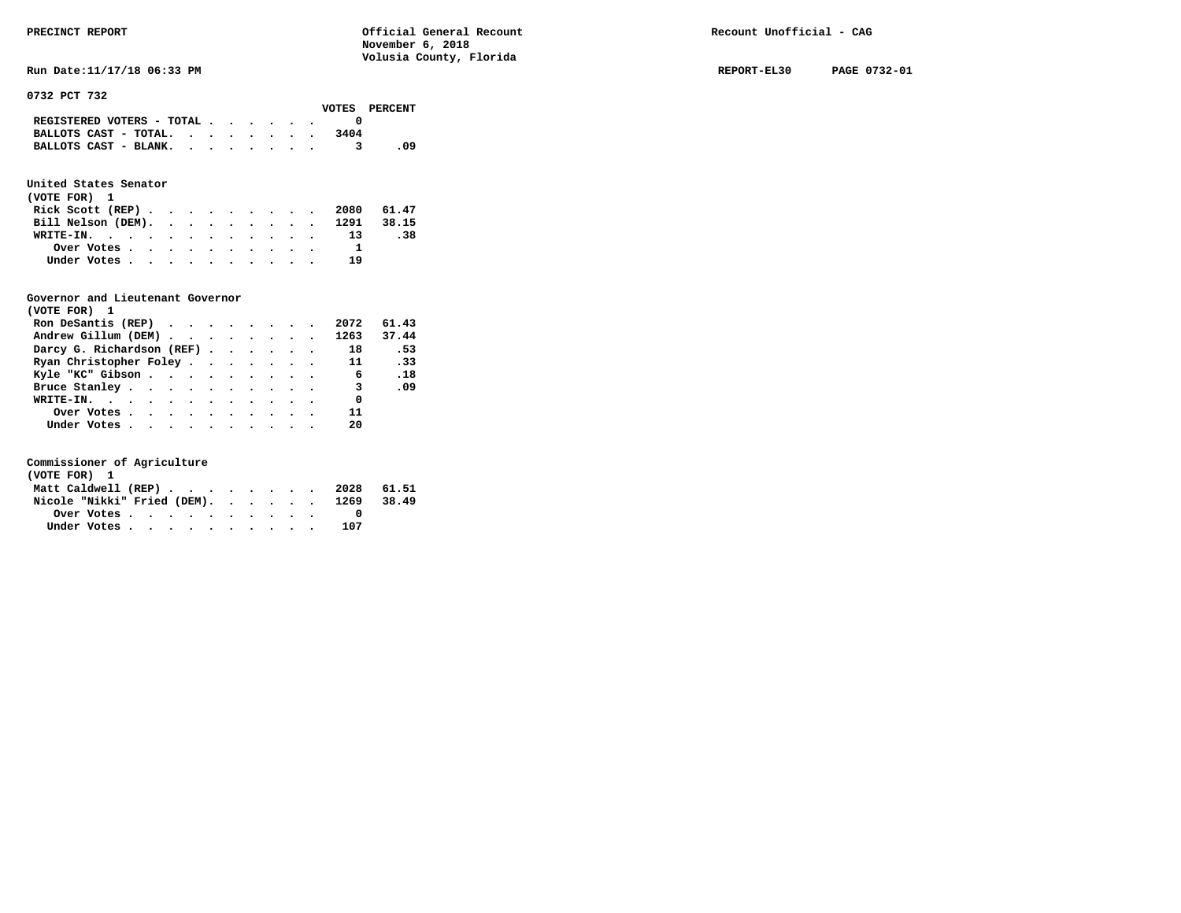**Run Date:11/17/18 06:33 PM REPORT-EL30 PAGE 0732-01** 

**0732 PCT 732** 

|                                                                           |  |  |  |      | VOTES PERCENT |
|---------------------------------------------------------------------------|--|--|--|------|---------------|
| REGISTERED VOTERS - TOTAL $\cdot$ $\cdot$ $\cdot$ $\cdot$ $\cdot$ $\cdot$ |  |  |  |      |               |
| BALLOTS CAST - TOTAL. $\cdot$                                             |  |  |  | 3404 |               |
| BALLOTS CAST - BLANK.                                                     |  |  |  |      | - 09          |
|                                                                           |  |  |  |      |               |

# **United States Senator**

| (VOTE FOR) 1                  |  |  |  |  |      |     |
|-------------------------------|--|--|--|--|------|-----|
| Rick Scott (REP) 2080 61.47   |  |  |  |  |      |     |
| Bill Nelson (DEM). 1291 38.15 |  |  |  |  |      |     |
| WRITE-IN. 13                  |  |  |  |  |      | .38 |
| Over Votes                    |  |  |  |  |      |     |
| Under Votes                   |  |  |  |  | - 19 |     |

## **Governor and Lieutenant Governor**

| (VOTE FOR) 1                   |  |  |  |                          |       |
|--------------------------------|--|--|--|--------------------------|-------|
| Ron DeSantis (REP)             |  |  |  | 2072                     | 61.43 |
| Andrew Gillum (DEM) 1263 37.44 |  |  |  |                          |       |
| Darcy G. Richardson (REF) 18   |  |  |  |                          | .53   |
| Ryan Christopher Foley 11      |  |  |  |                          | .33   |
| Kyle "KC" Gibson 6             |  |  |  |                          | .18   |
| Bruce Stanley                  |  |  |  | $\overline{\phantom{a}}$ | .09   |
| WRITE-IN.                      |  |  |  | $\overline{\phantom{0}}$ |       |
| Over Votes                     |  |  |  | 11                       |       |
| Under Votes                    |  |  |  | 20                       |       |

| (VOTE FOR) 1 |  |  |  |  |  |                                        |  |
|--------------|--|--|--|--|--|----------------------------------------|--|
|              |  |  |  |  |  | Matt Caldwell (REP) 2028 61.51         |  |
|              |  |  |  |  |  | Nicole "Nikki" Fried (DEM). 1269 38.49 |  |
| Over Votes   |  |  |  |  |  |                                        |  |
| Under Votes  |  |  |  |  |  | 107                                    |  |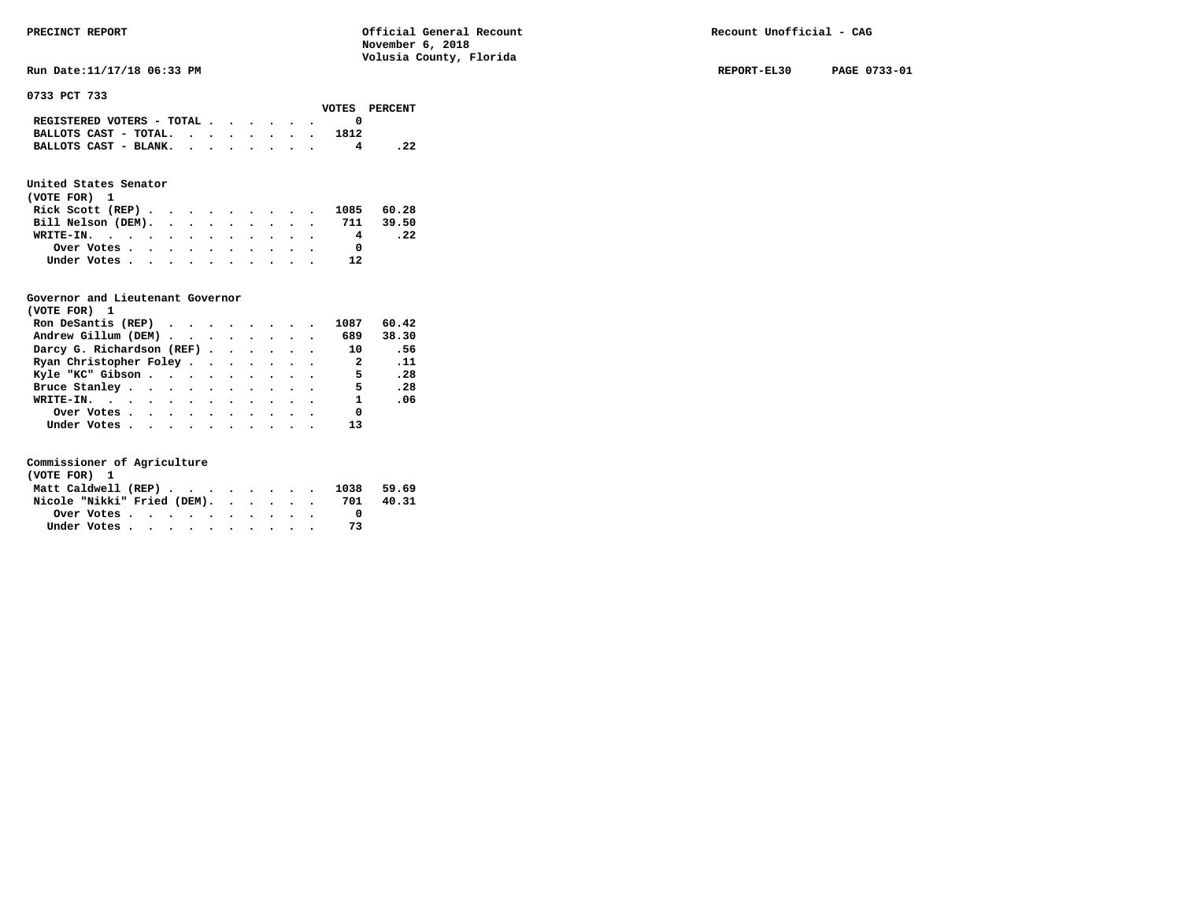**Run Date:11/17/18 06:33 PM REPORT-EL30 PAGE 0733-01** 

**0733 PCT 733** 

|                                             |  |  |  |      | VOTES PERCENT |
|---------------------------------------------|--|--|--|------|---------------|
| REGISTERED VOTERS - TOTAL $\cdot$ , , , , . |  |  |  |      |               |
| BALLOTS CAST - TOTAL. $\cdot$               |  |  |  | 1812 |               |
| BALLOTS CAST - BLANK. $\cdot$ , , , , , .   |  |  |  |      |               |

### **United States Senator**

| (VOTE FOR) 1                 |  |  |  |  |  |    |      |
|------------------------------|--|--|--|--|--|----|------|
| Rick Scott (REP) 1085 60.28  |  |  |  |  |  |    |      |
| Bill Nelson (DEM). 711 39.50 |  |  |  |  |  |    |      |
| WRITE-IN.                    |  |  |  |  |  | 4  | . 22 |
| Over Votes                   |  |  |  |  |  |    |      |
| Under Votes                  |  |  |  |  |  | 12 |      |

#### **Governor and Lieutenant Governor**

| (VOTE FOR) 1                                  |  |  |  |                          |                 |
|-----------------------------------------------|--|--|--|--------------------------|-----------------|
| Ron DeSantis (REP) $\cdots$ $\cdots$ $\cdots$ |  |  |  | 1087                     | 60.42           |
| Andrew Gillum (DEM)                           |  |  |  | 689                      | 38.30           |
| Darcy G. Richardson (REF)                     |  |  |  | 10                       | .56             |
| Ryan Christopher Foley                        |  |  |  | $\overline{\phantom{a}}$ | $\overline{11}$ |
| Kyle "KC" Gibson                              |  |  |  | 5 <sub>5</sub>           | .28             |
| Bruce Stanley                                 |  |  |  | 5                        | .28             |
| WRITE-IN.                                     |  |  |  | $\mathbf{1}$             | .06             |
| Over Votes                                    |  |  |  | 0                        |                 |
| Under Votes                                   |  |  |  | 13                       |                 |

| (VOTE FOR) 1                                                               |  |  |  |  |  |     |       |
|----------------------------------------------------------------------------|--|--|--|--|--|-----|-------|
| Matt Caldwell (REP) $\cdot \cdot \cdot \cdot \cdot \cdot \cdot \cdot 1038$ |  |  |  |  |  |     | 59.69 |
| Nicole "Nikki" Fried (DEM).                                                |  |  |  |  |  | 701 | 40.31 |
|                                                                            |  |  |  |  |  |     |       |
| Under Votes                                                                |  |  |  |  |  |     |       |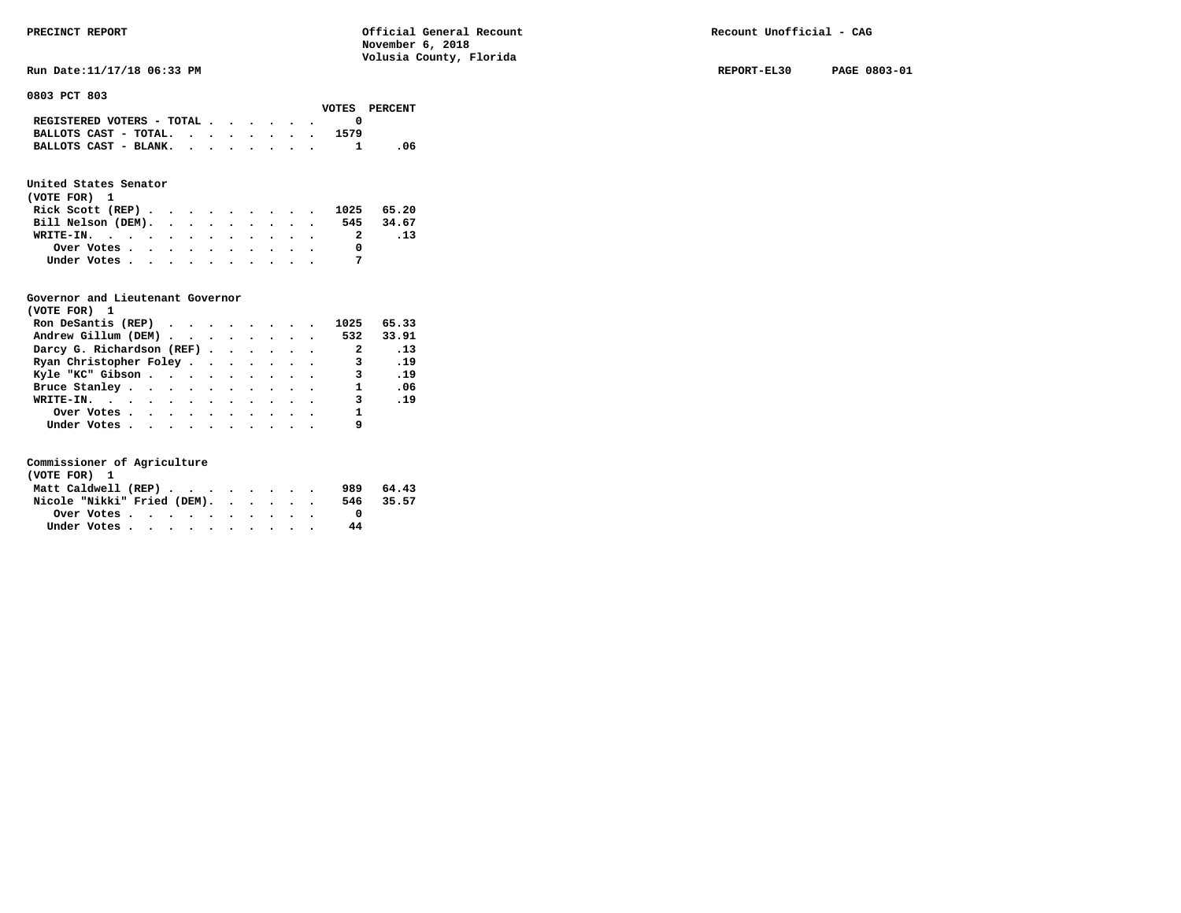**Run Date:11/17/18 06:33 PM REPORT-EL30 PAGE 0803-01** 

**0803 PCT 803** 

|                                                                 |  |  |  |      | VOTES PERCENT |
|-----------------------------------------------------------------|--|--|--|------|---------------|
| REGISTERED VOTERS - TOTAL $\cdot$ , $\cdot$ , $\cdot$ , $\cdot$ |  |  |  |      |               |
| BALLOTS CAST - TOTAL. $\cdot$ , $\cdot$ , $\cdot$ , $\cdot$     |  |  |  | 1579 |               |
| BALLOTS CAST - BLANK.                                           |  |  |  |      | -06           |

### **United States Senator**

| (VOTE FOR) 1                |  |  |  |  |                          |     |
|-----------------------------|--|--|--|--|--------------------------|-----|
| Rick Scott (REP) 1025 65.20 |  |  |  |  |                          |     |
| Bill Nelson (DEM).          |  |  |  |  | 545 34.67                |     |
| WRITE-IN.                   |  |  |  |  | $\overline{\phantom{a}}$ | .13 |
| Over Votes                  |  |  |  |  |                          |     |
| Under Votes                 |  |  |  |  |                          |     |

#### **Governor and Lieutenant Governor**

| (VOTE FOR) 1                  |  |  |  |                         |                 |
|-------------------------------|--|--|--|-------------------------|-----------------|
| Ron DeSantis (REP)            |  |  |  | 1025                    | 65.33           |
| Andrew Gillum (DEM) 532 33.91 |  |  |  |                         |                 |
| Darcy G. Richardson (REF)     |  |  |  | $\overline{\mathbf{2}}$ | $\overline{13}$ |
| Ryan Christopher Foley        |  |  |  | 3                       | .19             |
| Kyle "KC" Gibson              |  |  |  | $\overline{\mathbf{3}}$ | .19             |
| Bruce Stanley                 |  |  |  | $\mathbf{1}$            | .06             |
| WRITE-IN.                     |  |  |  | $\overline{3}$ . 19     |                 |
| Over Votes                    |  |  |  | $\overline{\mathbf{1}}$ |                 |
| Under Votes                   |  |  |  |                         |                 |

| (VOTE FOR) 1                |  |  |  |  |     |           |
|-----------------------------|--|--|--|--|-----|-----------|
| Matt Caldwell (REP)         |  |  |  |  | 989 | 64.43     |
| Nicole "Nikki" Fried (DEM). |  |  |  |  |     | 546 35.57 |
| Over Votes.                 |  |  |  |  |     |           |
| Under Votes                 |  |  |  |  | 44  |           |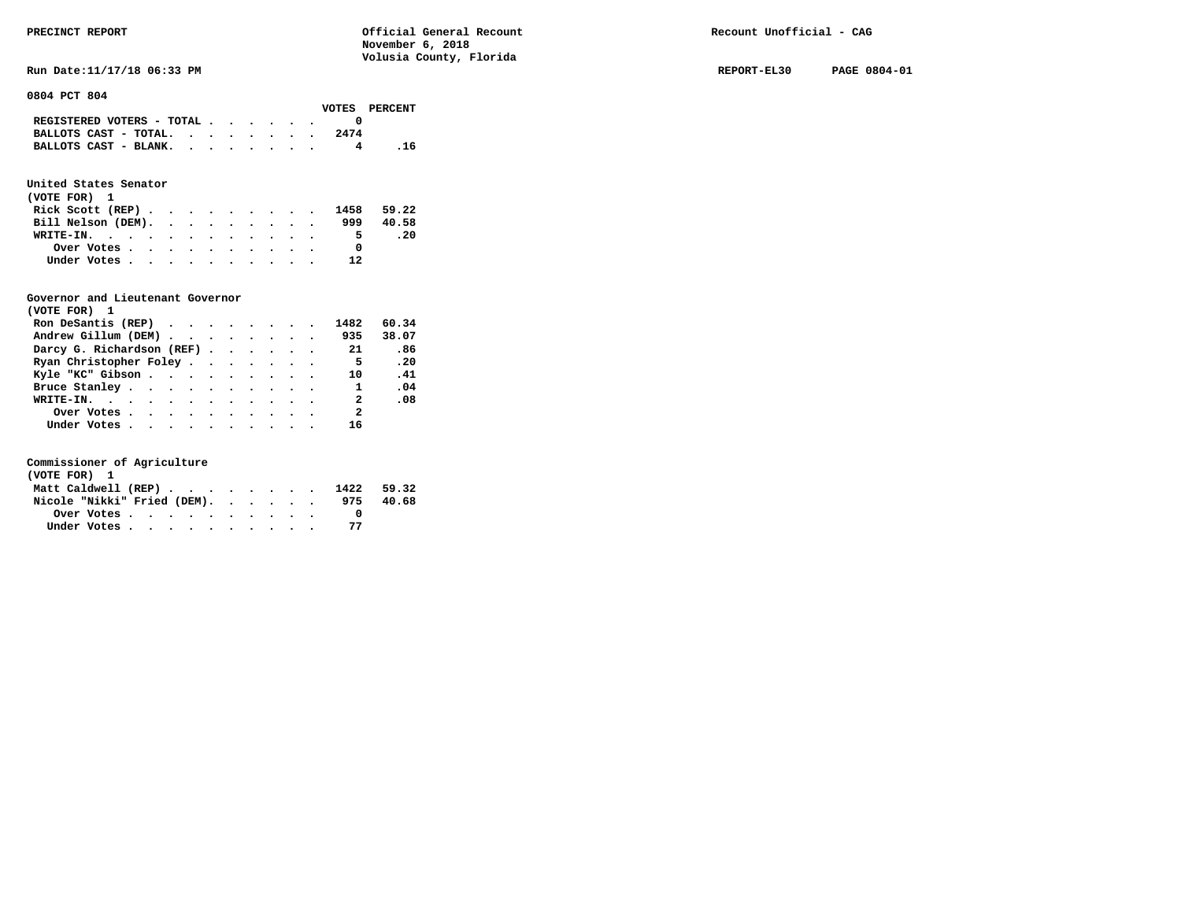**Run Date:11/17/18 06:33 PM REPORT-EL30 PAGE 0804-01** 

**0804 PCT 804** 

|                                                             |  |  |  |      | VOTES PERCENT |
|-------------------------------------------------------------|--|--|--|------|---------------|
| REGISTERED VOTERS - TOTAL $\cdot$ , , , , ,                 |  |  |  |      |               |
| BALLOTS CAST - TOTAL. $\cdot$ , $\cdot$ , $\cdot$ , $\cdot$ |  |  |  | 2474 |               |
| BALLOTS CAST - BLANK.                                       |  |  |  |      | . 16          |

# **United States Senator**

| (VOTE FOR) 1       |  |  |  |  |  |                                                                         |       |
|--------------------|--|--|--|--|--|-------------------------------------------------------------------------|-------|
|                    |  |  |  |  |  | Rick Scott (REP) $\cdot \cdot \cdot \cdot \cdot \cdot \cdot \cdot 1458$ | 59.22 |
| Bill Nelson (DEM). |  |  |  |  |  | 999                                                                     | 40.58 |
| WRITE-IN.          |  |  |  |  |  | 5.                                                                      | . 20  |
| Over Votes         |  |  |  |  |  | <sup>0</sup>                                                            |       |
| Under Votes        |  |  |  |  |  | 12                                                                      |       |

## **Governor and Lieutenant Governor**

| (VOTE FOR) 1                                  |  |  |  |                          |       |
|-----------------------------------------------|--|--|--|--------------------------|-------|
| Ron DeSantis (REP) $\cdots$ $\cdots$ $\cdots$ |  |  |  | 1482                     | 60.34 |
| Andrew Gillum (DEM) 935                       |  |  |  |                          | 38.07 |
| Darcy G. Richardson (REF)                     |  |  |  | 21                       | .86   |
| Ryan Christopher Foley                        |  |  |  | - 5                      | .20   |
| Kyle "KC" Gibson                              |  |  |  | 10                       | .41   |
| Bruce Stanley.                                |  |  |  | $\mathbf{1}$             | .04   |
| WRITE-IN.                                     |  |  |  | $\overline{\phantom{a}}$ | .08   |
| Over Votes                                    |  |  |  | $\overline{\mathbf{2}}$  |       |
| Under Votes, , , , , , , , , , ,              |  |  |  | 16                       |       |

| (VOTE FOR) 1                   |  |  |  |  |  |     |       |
|--------------------------------|--|--|--|--|--|-----|-------|
| Matt Caldwell (REP) 1422 59.32 |  |  |  |  |  |     |       |
| Nicole "Nikki" Fried (DEM).    |  |  |  |  |  | 975 | 40.68 |
| Over Votes                     |  |  |  |  |  |     |       |
| Under Votes                    |  |  |  |  |  |     |       |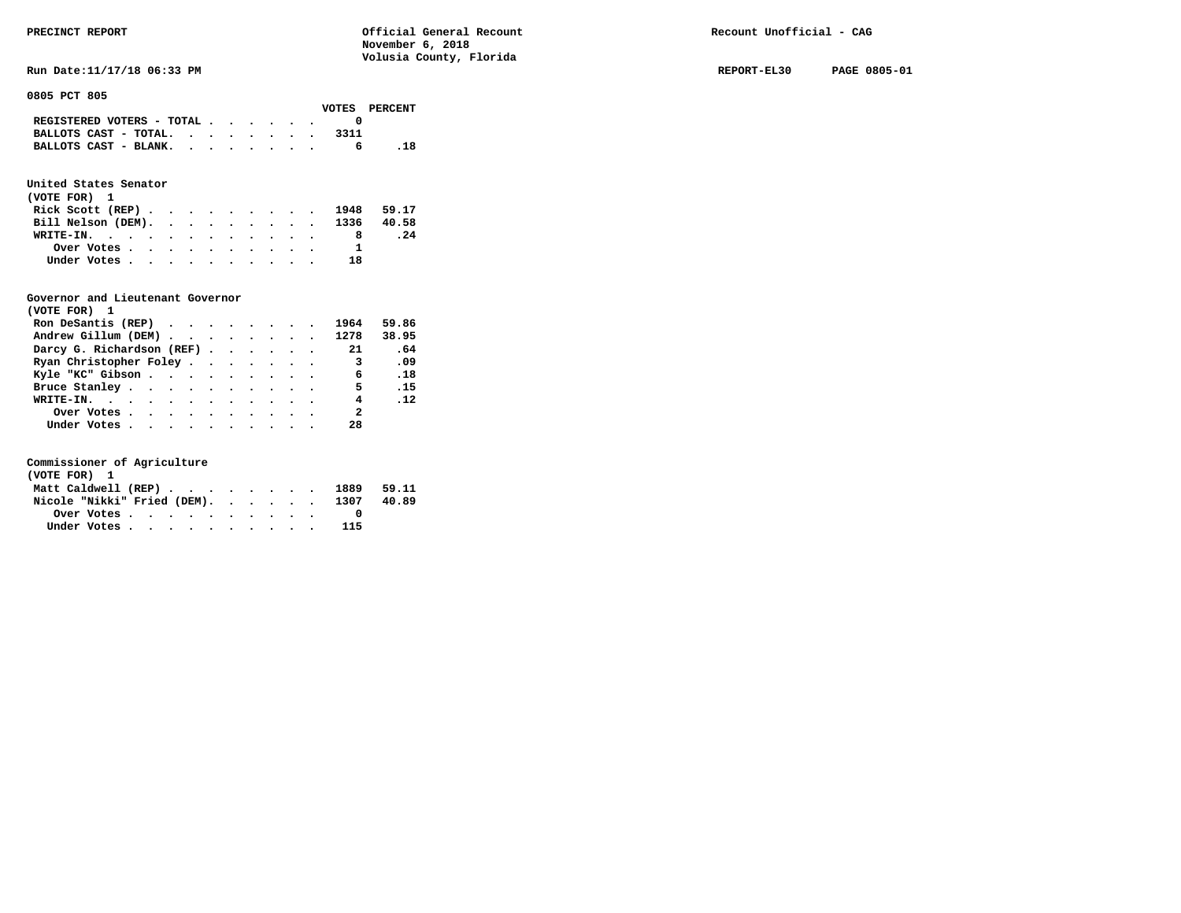**Run Date:11/17/18 06:33 PM REPORT-EL30 PAGE 0805-01** 

**0805 PCT 805** 

|                                                                           | VOTES PERCENT |
|---------------------------------------------------------------------------|---------------|
| REGISTERED VOTERS - TOTAL $\cdot$ $\cdot$ $\cdot$ $\cdot$ $\cdot$ $\cdot$ |               |
| BALLOTS CAST - TOTAL.                                                     |               |
| BALLOTS CAST - BLANK.                                                     |               |
|                                                                           |               |

# **United States Senator**

| (VOTE FOR) 1 |             |  |  |  |  |  |                               |     |
|--------------|-------------|--|--|--|--|--|-------------------------------|-----|
|              |             |  |  |  |  |  | Rick Scott (REP) 1948 59.17   |     |
|              |             |  |  |  |  |  | Bill Nelson (DEM). 1336 40.58 |     |
| WRITE-IN.    |             |  |  |  |  |  | 8                             | .24 |
|              | Over Votes  |  |  |  |  |  |                               |     |
|              | Under Votes |  |  |  |  |  | 18                            |     |

## **Governor and Lieutenant Governor**

| (VOTE FOR) 1                                  |  |  |  |                            |       |
|-----------------------------------------------|--|--|--|----------------------------|-------|
| Ron DeSantis (REP) $\cdots$ $\cdots$ $\cdots$ |  |  |  | 1964                       | 59.86 |
| Andrew Gillum (DEM) 1278                      |  |  |  |                            | 38.95 |
| Darcy G. Richardson (REF)                     |  |  |  | 21                         | .64   |
| Ryan Christopher Foley                        |  |  |  | $\overline{\phantom{a}}$ 3 | .09   |
| Kyle "KC" Gibson                              |  |  |  | $\sim$ 6                   | .18   |
| Bruce Stanley                                 |  |  |  | 5 <sub>5</sub>             | .15   |
| WRITE-IN.                                     |  |  |  |                            | 4.12  |
| Over Votes                                    |  |  |  | $\overline{\mathbf{2}}$    |       |
| Under Votes                                   |  |  |  | 28                         |       |

| (VOTE FOR) 1 |  |  |  |  |  |                                        |  |
|--------------|--|--|--|--|--|----------------------------------------|--|
|              |  |  |  |  |  | Matt Caldwell (REP) 1889 59.11         |  |
|              |  |  |  |  |  | Nicole "Nikki" Fried (DEM). 1307 40.89 |  |
|              |  |  |  |  |  |                                        |  |
| Under Votes  |  |  |  |  |  | 115                                    |  |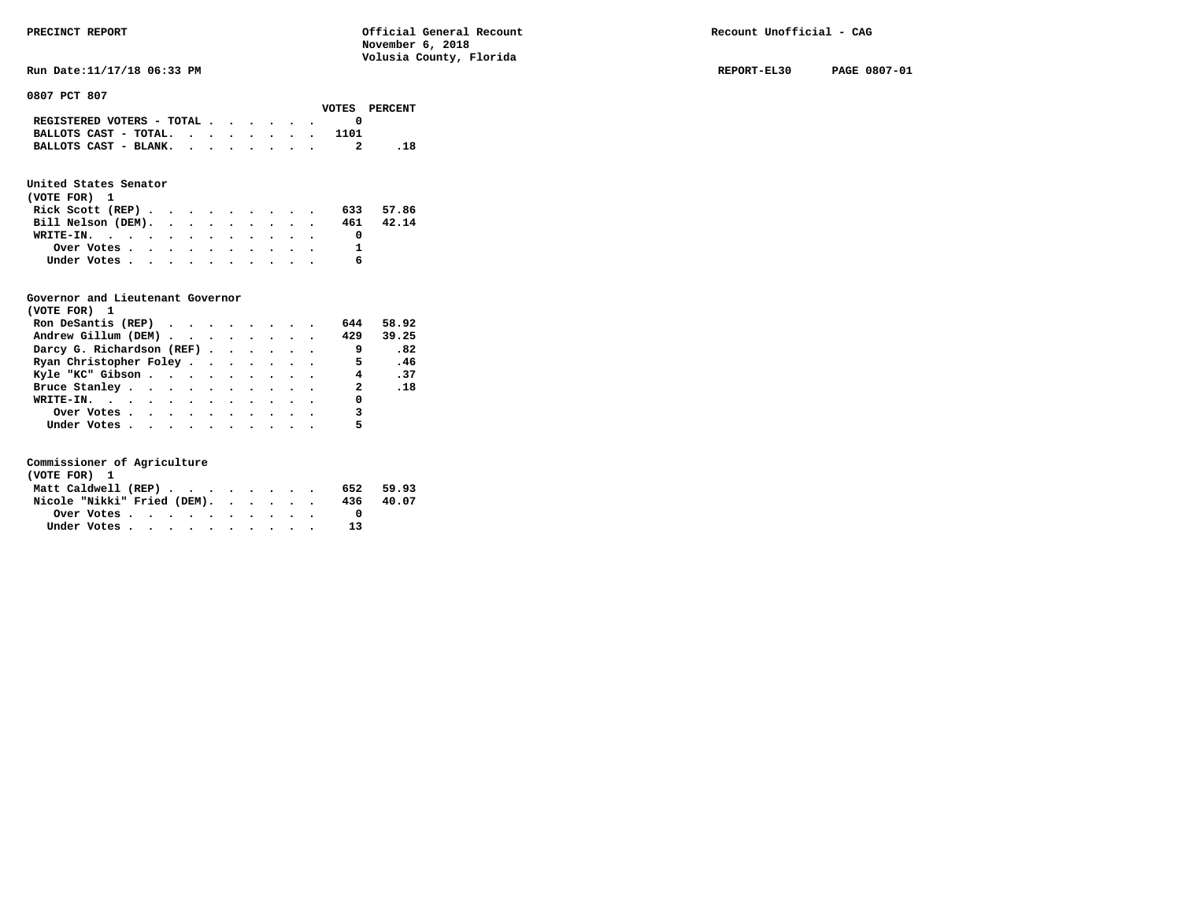**Run Date:11/17/18 06:33 PM REPORT-EL30 PAGE 0807-01** 

**0807 PCT 807** 

|  |  |  |      | VOTES PERCENT                                                                                                               |
|--|--|--|------|-----------------------------------------------------------------------------------------------------------------------------|
|  |  |  |      |                                                                                                                             |
|  |  |  | 1101 |                                                                                                                             |
|  |  |  |      |                                                                                                                             |
|  |  |  |      | REGISTERED VOTERS - TOTAL $\cdot$ $\cdot$ $\cdot$ $\cdot$ $\cdot$ $\cdot$<br>BALLOTS CAST - TOTAL.<br>BALLOTS CAST - BLANK. |

# **United States Senator**

| (VOTE FOR) 1                                |  |  |  |  |           |       |
|---------------------------------------------|--|--|--|--|-----------|-------|
| Rick Scott (REP) $\cdots$ $\cdots$ $\cdots$ |  |  |  |  | 633 57.86 |       |
| Bill Nelson (DEM).                          |  |  |  |  | 461       | 42.14 |
| WRITE-IN.                                   |  |  |  |  |           |       |
| Over Votes                                  |  |  |  |  |           |       |
| Under Votes                                 |  |  |  |  | 6         |       |

## **Governor and Lieutenant Governor**

| (VOTE FOR) 1                                  |  |  |  |                          |       |
|-----------------------------------------------|--|--|--|--------------------------|-------|
| Ron DeSantis (REP) $\cdots$ $\cdots$ $\cdots$ |  |  |  | 644                      | 58.92 |
| Andrew Gillum (DEM)                           |  |  |  | 429                      | 39.25 |
| Darcy G. Richardson (REF)                     |  |  |  | و ۔                      | .82   |
| Ryan Christopher Foley                        |  |  |  | $\overline{\phantom{0}}$ | .46   |
| Kyle "KC" Gibson                              |  |  |  | 4.37                     |       |
| Bruce Stanley                                 |  |  |  | $\overline{2}$           | .18   |
| WRITE-IN.                                     |  |  |  | 0                        |       |
| Over Votes                                    |  |  |  | 3                        |       |
| Under Votes                                   |  |  |  | 5                        |       |

| (VOTE FOR) 1                |  |  |  |  |     |       |
|-----------------------------|--|--|--|--|-----|-------|
| Matt Caldwell (REP)         |  |  |  |  | 652 | 59.93 |
| Nicole "Nikki" Fried (DEM). |  |  |  |  | 436 | 40.07 |
| Over Votes.                 |  |  |  |  |     |       |
| Under Votes                 |  |  |  |  | 13  |       |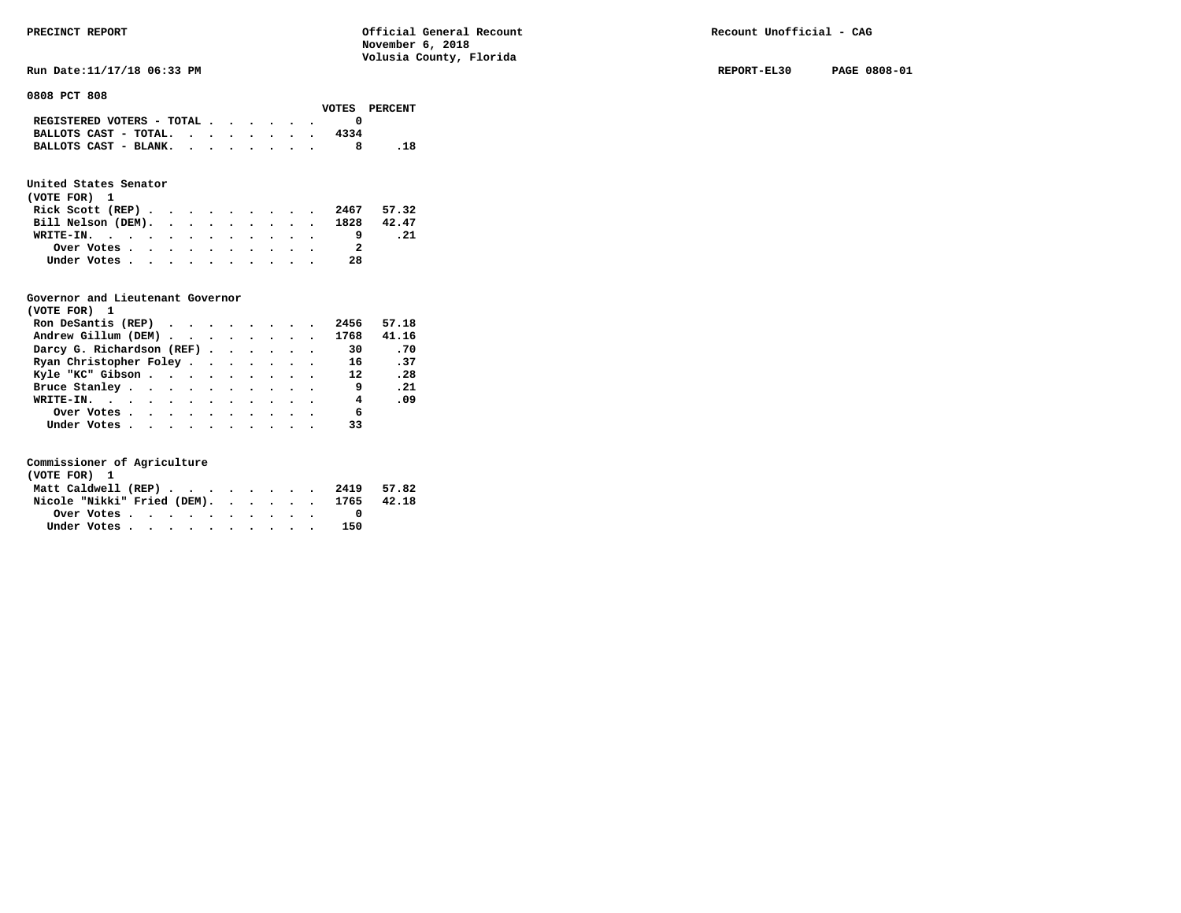**Run Date:11/17/18 06:33 PM REPORT-EL30 PAGE 0808-01** 

**0808 PCT 808** 

|                                                                           |  |  |  |      | VOTES PERCENT |
|---------------------------------------------------------------------------|--|--|--|------|---------------|
| REGISTERED VOTERS - TOTAL $\cdot$ $\cdot$ $\cdot$ $\cdot$ $\cdot$ $\cdot$ |  |  |  |      |               |
| BALLOTS CAST - TOTAL.                                                     |  |  |  | 4334 |               |
| BALLOTS CAST - BLANK.                                                     |  |  |  |      |               |

# **United States Senator**

| (VOTE FOR) 1                  |  |  |  |  |    |      |
|-------------------------------|--|--|--|--|----|------|
| Rick Scott (REP) 2467 57.32   |  |  |  |  |    |      |
| Bill Nelson (DEM). 1828 42.47 |  |  |  |  |    |      |
| WRITE-IN.                     |  |  |  |  |    | . 21 |
| Over Votes                    |  |  |  |  | 2  |      |
| Under Votes                   |  |  |  |  | 28 |      |

## **Governor and Lieutenant Governor**

| (VOTE FOR) 1                                  |  |  |  |      |       |  |
|-----------------------------------------------|--|--|--|------|-------|--|
| Ron DeSantis (REP) $\cdots$ $\cdots$ $\cdots$ |  |  |  | 2456 | 57.18 |  |
| Andrew Gillum (DEM)                           |  |  |  | 1768 | 41.16 |  |
| Darcy G. Richardson (REF)                     |  |  |  | 30   | .70   |  |
| Ryan Christopher Foley                        |  |  |  | 16   | .37   |  |
| Kyle "KC" Gibson                              |  |  |  | 12   | .28   |  |
| Bruce Stanley                                 |  |  |  | -9   | .21   |  |
| WRITE-IN.                                     |  |  |  | 4    | .09   |  |
| Over Votes                                    |  |  |  | 6    |       |  |
| Under Votes                                   |  |  |  | 33   |       |  |

| (VOTE FOR) 1 |  |  |  |  |  |                                        |  |
|--------------|--|--|--|--|--|----------------------------------------|--|
|              |  |  |  |  |  | Matt Caldwell (REP) 2419 57.82         |  |
|              |  |  |  |  |  | Nicole "Nikki" Fried (DEM). 1765 42.18 |  |
|              |  |  |  |  |  |                                        |  |
| Under Votes  |  |  |  |  |  | 150                                    |  |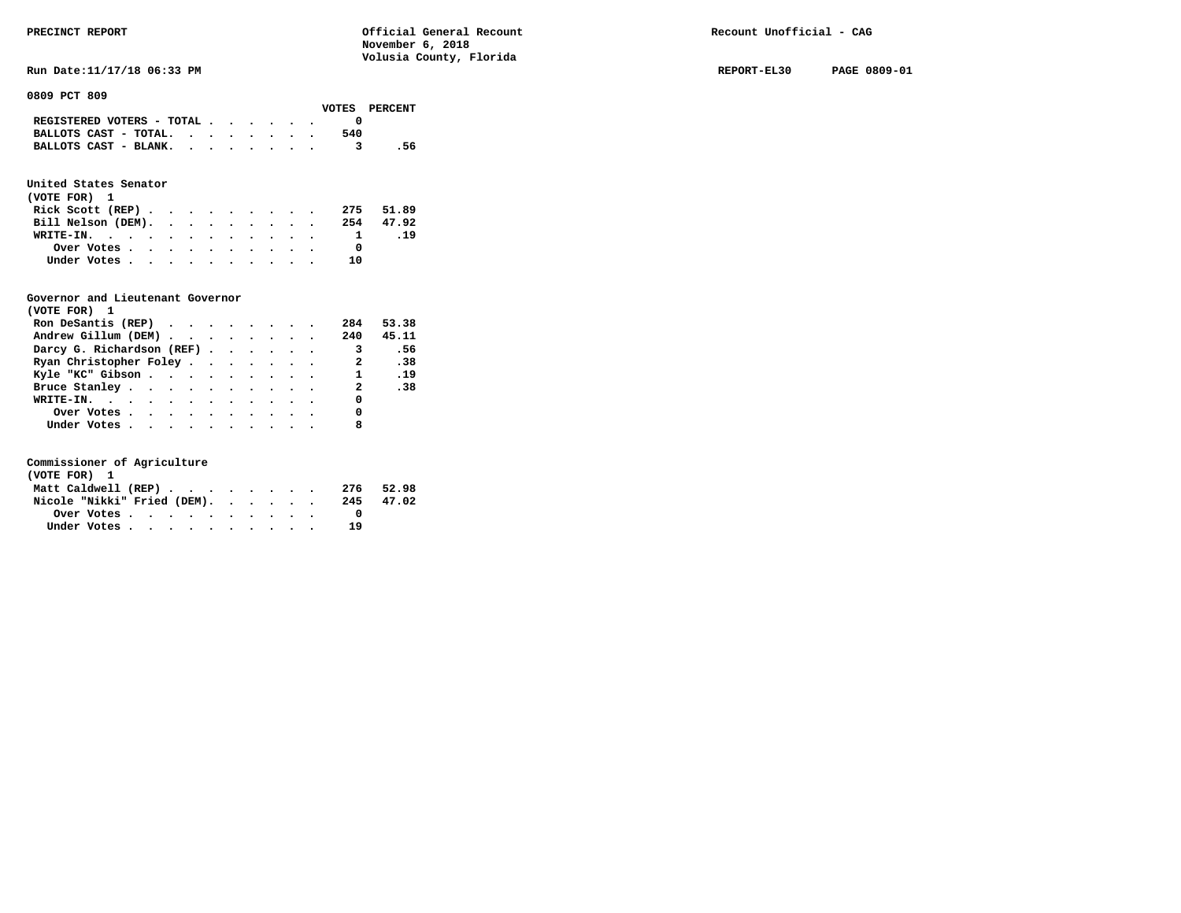**Run Date:11/17/18 06:33 PM REPORT-EL30 PAGE 0809-01** 

**0809 PCT 809** 

|                           |  |  |  |     | VOTES PERCENT |
|---------------------------|--|--|--|-----|---------------|
| REGISTERED VOTERS - TOTAL |  |  |  |     |               |
| BALLOTS CAST - TOTAL.     |  |  |  | 540 |               |
| BALLOTS CAST - BLANK.     |  |  |  |     | .56           |
|                           |  |  |  |     |               |

# **United States Senator**

| (VOTE FOR) 1       |  |  |  |  |     |           |
|--------------------|--|--|--|--|-----|-----------|
| Rick Scott (REP)   |  |  |  |  |     | 275 51.89 |
| Bill Nelson (DEM). |  |  |  |  |     | 254 47.92 |
| WRITE-IN.          |  |  |  |  |     | .19       |
| Over Votes         |  |  |  |  |     |           |
| Under Votes        |  |  |  |  | າ ດ |           |

## **Governor and Lieutenant Governor**

| (VOTE FOR) 1                                  |  |  |  |                            |       |
|-----------------------------------------------|--|--|--|----------------------------|-------|
| Ron DeSantis (REP) $\cdots$ $\cdots$ $\cdots$ |  |  |  | 284                        | 53.38 |
| Andrew Gillum (DEM)                           |  |  |  | 240                        | 45.11 |
| Darcy G. Richardson (REF)                     |  |  |  | $\overline{\phantom{a}}$ 3 | .56   |
| Ryan Christopher Foley                        |  |  |  | $\overline{2}$             | .38   |
| Kyle "KC" Gibson                              |  |  |  | 1 .19                      |       |
| Bruce Stanley.                                |  |  |  | $\mathbf{2}$               | .38   |
| WRITE-IN.                                     |  |  |  | 0                          |       |
| Over Votes                                    |  |  |  | 0                          |       |
| Under Votes                                   |  |  |  | 8                          |       |

| (VOTE FOR) 1                |  |  |  |  |  |    |           |
|-----------------------------|--|--|--|--|--|----|-----------|
| Matt Caldwell (REP)         |  |  |  |  |  |    | 276 52.98 |
| Nicole "Nikki" Fried (DEM). |  |  |  |  |  |    | 245 47.02 |
|                             |  |  |  |  |  |    |           |
| Under Votes                 |  |  |  |  |  | 19 |           |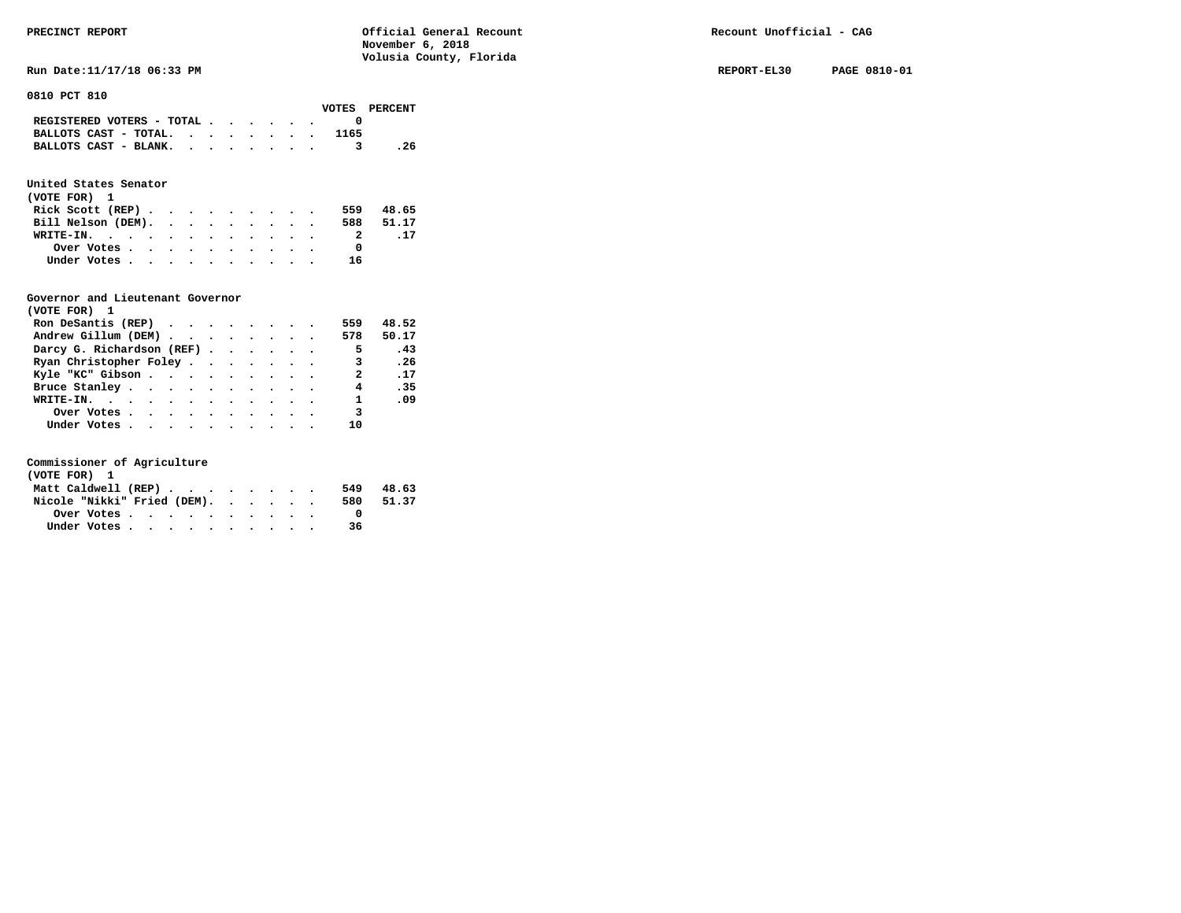**Run Date:11/17/18 06:33 PM REPORT-EL30 PAGE 0810-01 REPORT-EL30 PAGE 0810-01** 

**0810 PCT 810** 

| VOTES PERCENT                 |
|-------------------------------|
|                               |
| BALLOTS CAST - TOTAL.<br>1165 |
| BALLOTS CAST - BLANK.<br>. 26 |
|                               |

# **United States Senator**

| (VOTE FOR) 1       |  |  |  |  |  |     |           |
|--------------------|--|--|--|--|--|-----|-----------|
| Rick Scott $(REP)$ |  |  |  |  |  | 559 | 48.65     |
| Bill Nelson (DEM). |  |  |  |  |  |     | 588 51.17 |
| WRITE-IN.          |  |  |  |  |  | 2   | .17       |
| Over Votes         |  |  |  |  |  |     |           |
| Under Votes        |  |  |  |  |  | 16  |           |

## **Governor and Lieutenant Governor**

| (VOTE FOR) 1                                                   |  |  |  |                          |       |
|----------------------------------------------------------------|--|--|--|--------------------------|-------|
| Ron DeSantis (REP) $\cdot \cdot \cdot \cdot \cdot \cdot \cdot$ |  |  |  | 559                      | 48.52 |
| Andrew Gillum (DEM)                                            |  |  |  | 578                      | 50.17 |
| Darcy G. Richardson (REF)                                      |  |  |  | $\overline{\phantom{0}}$ | .43   |
| Ryan Christopher Foley                                         |  |  |  | 3                        | .26   |
| Kyle "KC" Gibson                                               |  |  |  | $\mathbf{2}$             | .17   |
| Bruce Stanley.                                                 |  |  |  | $\overline{4}$           | .35   |
| WRITE-IN.                                                      |  |  |  | $\mathbf{1}$             | .09   |
| Over Votes                                                     |  |  |  | 3                        |       |
| Under Votes, , , , , , , , , , ,                               |  |  |  | 10                       |       |

| (VOTE FOR) 1                |  |  |  |  |     |       |
|-----------------------------|--|--|--|--|-----|-------|
| Matt Caldwell (REP)         |  |  |  |  | 549 | 48.63 |
| Nicole "Nikki" Fried (DEM). |  |  |  |  | 580 | 51.37 |
|                             |  |  |  |  |     |       |
| Under Votes                 |  |  |  |  | 36  |       |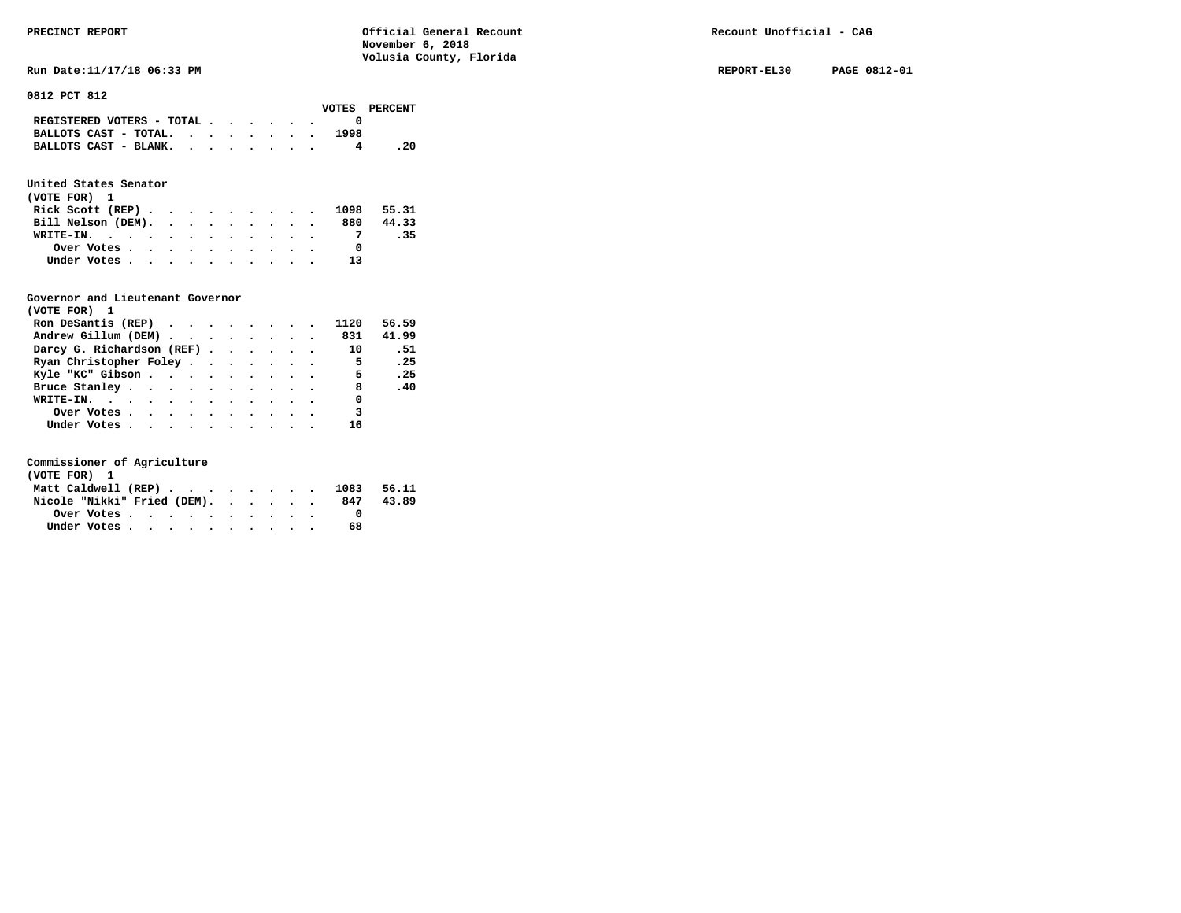**Run Date:11/17/18 06:33 PM REPORT-EL30 PAGE 0812-01** 

**0812 PCT 812** 

|                                                                           |  |  |  |      | VOTES PERCENT |
|---------------------------------------------------------------------------|--|--|--|------|---------------|
| REGISTERED VOTERS - TOTAL $\cdot$ $\cdot$ $\cdot$ $\cdot$ $\cdot$ $\cdot$ |  |  |  |      |               |
| BALLOTS CAST - TOTAL. $\cdot$ , $\cdot$ , $\cdot$ , $\cdot$               |  |  |  | 1998 |               |
| BALLOTS CAST - BLANK.                                                     |  |  |  |      | - 20          |

# **United States Senator**

| (VOTE FOR) 1 |                                                         |  |  |  |  |  |                             |       |
|--------------|---------------------------------------------------------|--|--|--|--|--|-----------------------------|-------|
|              |                                                         |  |  |  |  |  | Rick Scott (REP) 1098 55.31 |       |
|              | Bill Nelson (DEM).                                      |  |  |  |  |  | 880                         | 44.33 |
|              | WRITE-IN.                                               |  |  |  |  |  |                             | .35   |
|              | Over Votes $\cdots$ $\cdots$ $\cdots$ $\cdots$ $\cdots$ |  |  |  |  |  |                             |       |
|              | Under Votes                                             |  |  |  |  |  | 13                          |       |

## **Governor and Lieutenant Governor**

| (VOTE FOR) 1                                  |  |  |  |                          |                              |
|-----------------------------------------------|--|--|--|--------------------------|------------------------------|
| Ron DeSantis (REP) $\cdots$ $\cdots$ $\cdots$ |  |  |  | 1120                     | 56.59                        |
| Andrew Gillum (DEM) 831                       |  |  |  |                          | 41.99                        |
| Darcy G. Richardson (REF) 10                  |  |  |  |                          | .51                          |
| Ryan Christopher Foley                        |  |  |  | $\overline{5}$           | .25                          |
| Kyle "KC" Gibson                              |  |  |  | $\overline{\phantom{0}}$ | $\overline{\phantom{0}}$ .25 |
| Bruce Stanley.                                |  |  |  | 8                        | .40                          |
| WRITE-IN.                                     |  |  |  | $\overline{\phantom{0}}$ |                              |
| Over Votes                                    |  |  |  | $\overline{\phantom{a}}$ |                              |
| Under Votes                                   |  |  |  | 16                       |                              |

| (VOTE FOR) 1                |  |  |  |  |  |                                |       |
|-----------------------------|--|--|--|--|--|--------------------------------|-------|
|                             |  |  |  |  |  | Matt Caldwell (REP) 1083 56.11 |       |
| Nicole "Nikki" Fried (DEM). |  |  |  |  |  | 847                            | 43.89 |
|                             |  |  |  |  |  |                                |       |
| Under Votes                 |  |  |  |  |  | 68                             |       |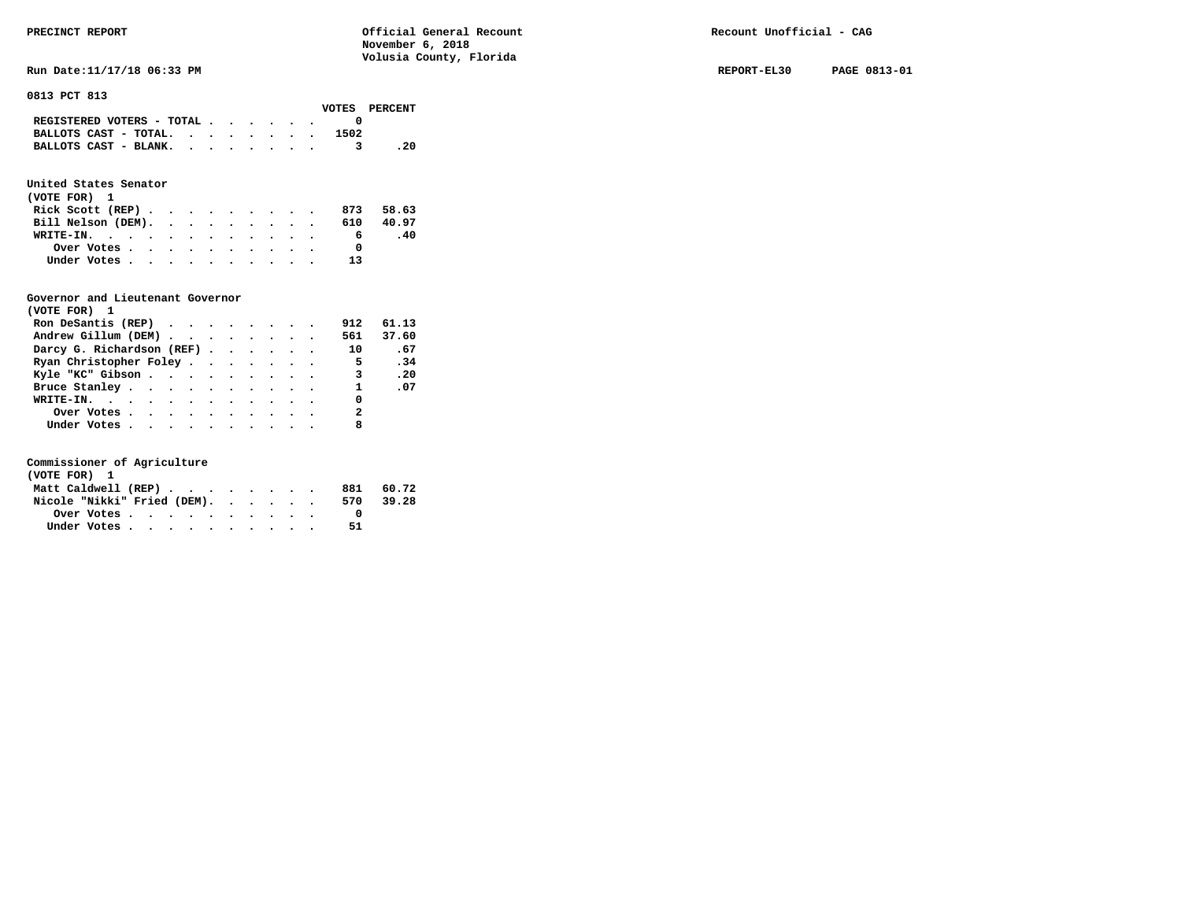**Run Date:11/17/18 06:33 PM REPORT-EL30 PAGE 0813-01** 

**0813 PCT 813** 

|                                                                           |  |  |  |      | VOTES PERCENT |
|---------------------------------------------------------------------------|--|--|--|------|---------------|
| REGISTERED VOTERS - TOTAL $\cdot$ $\cdot$ $\cdot$ $\cdot$ $\cdot$ $\cdot$ |  |  |  |      |               |
| BALLOTS CAST - TOTAL. $\cdot$                                             |  |  |  | 1502 |               |
| BALLOTS CAST - BLANK.                                                     |  |  |  |      | - 20          |
|                                                                           |  |  |  |      |               |

# **United States Senator**

| (VOTE FOR) 1     |  |  |  |  |  |                              |           |
|------------------|--|--|--|--|--|------------------------------|-----------|
| Rick Scott (REP) |  |  |  |  |  |                              | 873 58.63 |
|                  |  |  |  |  |  | Bill Nelson (DEM). 610 40.97 |           |
| WRITE-IN.        |  |  |  |  |  | 6                            | -40       |
| Over Votes       |  |  |  |  |  |                              |           |
| Under Votes      |  |  |  |  |  | 13                           |           |

# **Governor and Lieutenant Governor**

| (VOTE FOR) 1                 |  |  |  |                          |       |
|------------------------------|--|--|--|--------------------------|-------|
| Ron DeSantis (REP)           |  |  |  | 912                      | 61.13 |
| Andrew Gillum (DEM)          |  |  |  | 561                      | 37.60 |
| Darcy G. Richardson (REF) 10 |  |  |  |                          | .67   |
| Ryan Christopher Foley       |  |  |  | $\overline{\phantom{0}}$ | .34   |
| Kyle "KC" Gibson             |  |  |  |                          | 3.20  |
| Bruce Stanley.               |  |  |  | $\mathbf{1}$             | .07   |
| WRITE-IN.                    |  |  |  | $\Omega$                 |       |
| Over Votes                   |  |  |  | $\overline{2}$           |       |
| Under Votes                  |  |  |  | 8                        |       |

| (VOTE FOR) 1                |  |  |  |  |      |           |
|-----------------------------|--|--|--|--|------|-----------|
| Matt Caldwell (REP)         |  |  |  |  |      | 881 60.72 |
| Nicole "Nikki" Fried (DEM). |  |  |  |  | 570. | 39.28     |
| Over Votes                  |  |  |  |  |      |           |
| Under Votes                 |  |  |  |  | 51   |           |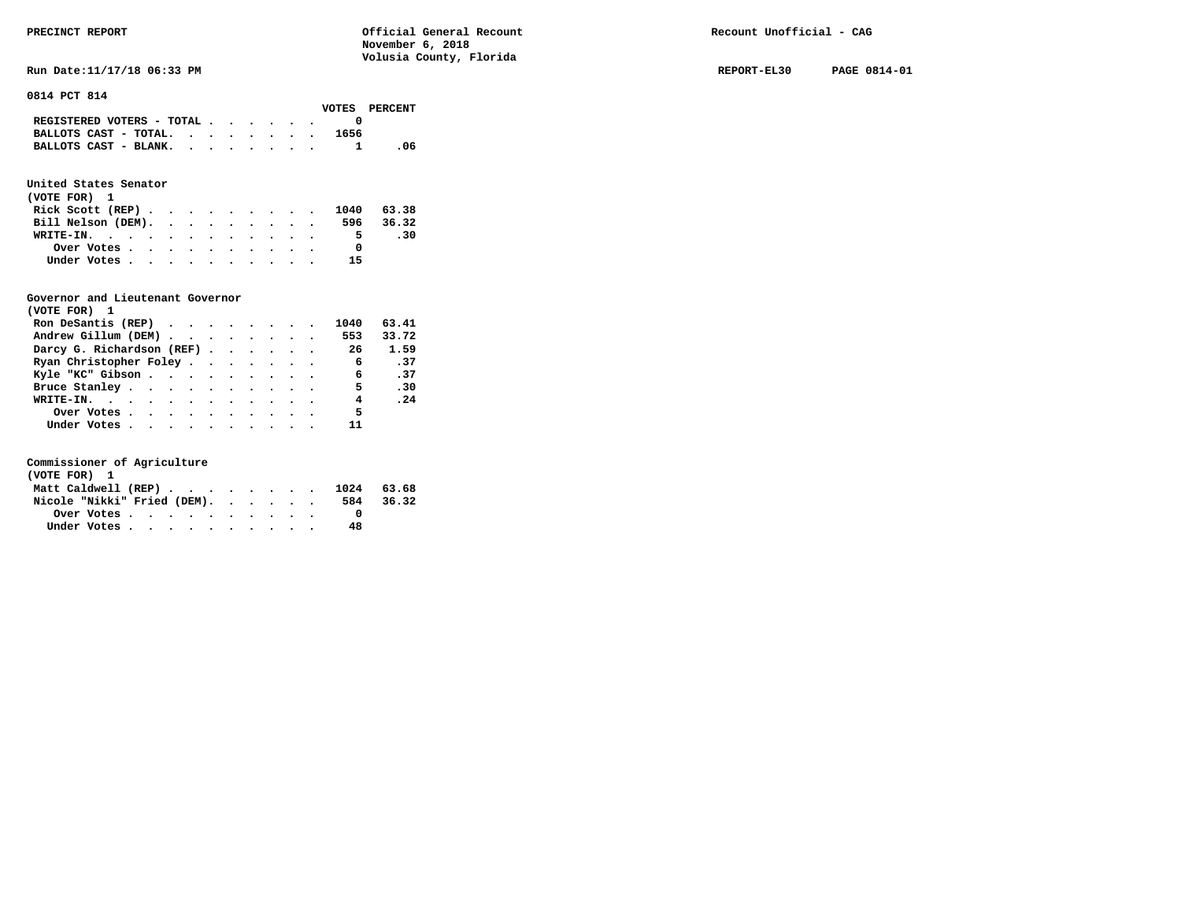**Run Date:11/17/18 06:33 PM REPORT-EL30 PAGE 0814-01 REPORT-EL30 PAGE 0814-01** 

**0814 PCT 814** 

|                                                                           |  |  |  |      | VOTES PERCENT |
|---------------------------------------------------------------------------|--|--|--|------|---------------|
| REGISTERED VOTERS - TOTAL $\cdot$ $\cdot$ $\cdot$ $\cdot$ $\cdot$ $\cdot$ |  |  |  |      |               |
| BALLOTS CAST - TOTAL. $\cdot$                                             |  |  |  | 1656 |               |
| BALLOTS CAST - BLANK. 1                                                   |  |  |  |      | -06           |

# **United States Senator**

| (VOTE FOR) 1       |  |  |  |  |  |                             |           |
|--------------------|--|--|--|--|--|-----------------------------|-----------|
|                    |  |  |  |  |  | Rick Scott (REP) 1040 63.38 |           |
| Bill Nelson (DEM). |  |  |  |  |  |                             | 596 36.32 |
| WRITE-IN.          |  |  |  |  |  | 5.                          | .30       |
| Over Votes         |  |  |  |  |  |                             |           |
| Under Votes        |  |  |  |  |  | 15                          |           |

## **Governor and Lieutenant Governor**

| (VOTE FOR) 1                                  |  |  |  |                |                              |
|-----------------------------------------------|--|--|--|----------------|------------------------------|
| Ron DeSantis (REP) $\cdots$ $\cdots$ $\cdots$ |  |  |  | 1040           | 63.41                        |
| Andrew Gillum (DEM) 553                       |  |  |  |                | 33.72                        |
| Darcy G. Richardson (REF) 26                  |  |  |  |                | 1.59                         |
| Ryan Christopher Foley                        |  |  |  | 6              | .37                          |
| Kyle "KC" Gibson                              |  |  |  | 6 <sup>6</sup> | $\cdot$ 37                   |
| Bruce Stanley                                 |  |  |  | 5.             | .30                          |
| WRITE-IN.                                     |  |  |  | 4              | $\overline{\phantom{0}}$ .24 |
| Over Votes                                    |  |  |  | 5              |                              |
| Under Votes                                   |  |  |  | 11             |                              |

| (VOTE FOR) 1                |  |  |  |  |  |                                |           |
|-----------------------------|--|--|--|--|--|--------------------------------|-----------|
|                             |  |  |  |  |  | Matt Caldwell (REP) 1024 63.68 |           |
| Nicole "Nikki" Fried (DEM). |  |  |  |  |  |                                | 584 36.32 |
|                             |  |  |  |  |  |                                |           |
| Under Votes                 |  |  |  |  |  | 48                             |           |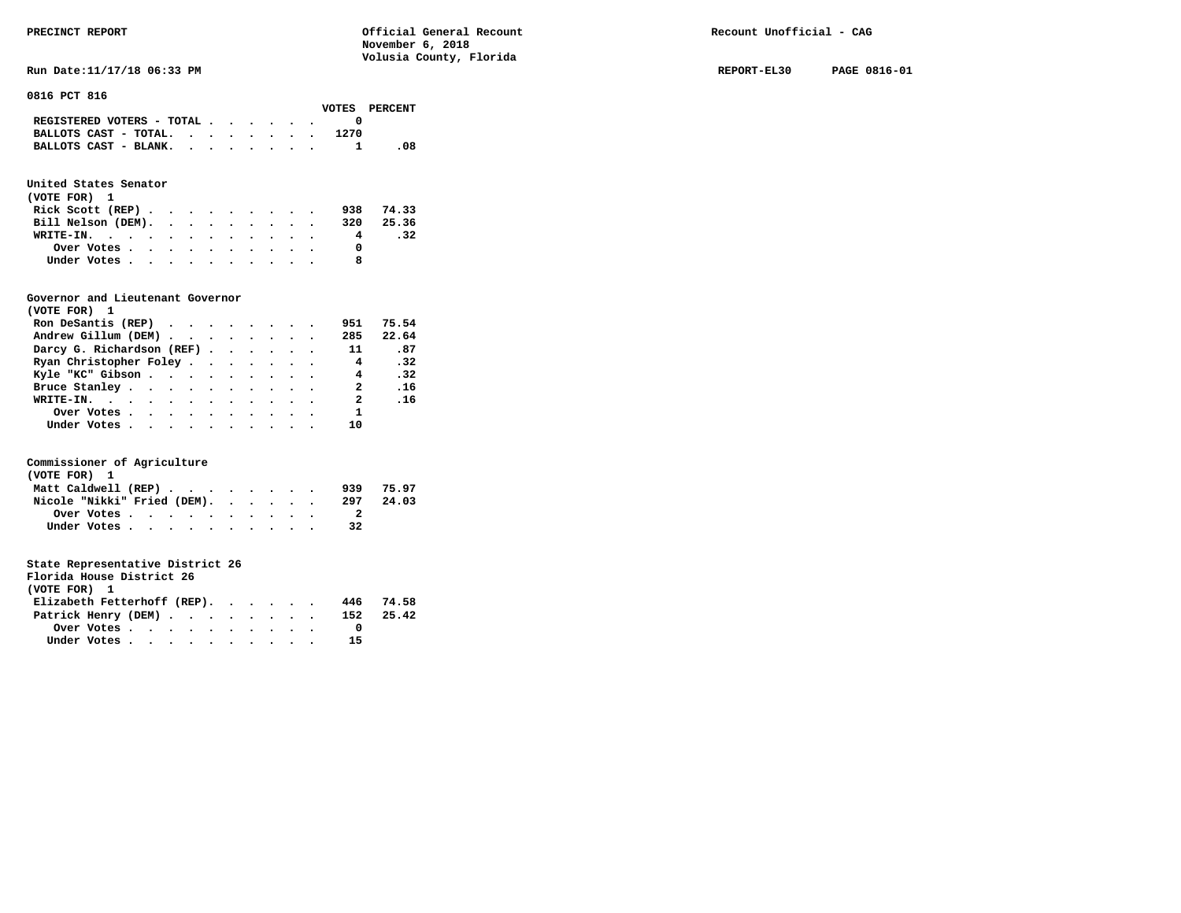**Run Date:11/17/18 06:33 PM REPORT-EL30 PAGE 0816-01 REPORT-EL30 PAGE 0816-01** 

**0816 PCT 816** 

|                           |  |  |  |      | VOTES PERCENT |
|---------------------------|--|--|--|------|---------------|
| REGISTERED VOTERS - TOTAL |  |  |  |      |               |
| BALLOTS CAST - TOTAL.     |  |  |  | 1270 |               |
| BALLOTS CAST - BLANK.     |  |  |  |      | -08           |

# **United States Senator**

| (VOTE FOR) 1                                |  |  |  |  |     |       |
|---------------------------------------------|--|--|--|--|-----|-------|
| Rick Scott (REP) $\cdots$ $\cdots$ $\cdots$ |  |  |  |  | 938 | 74.33 |
| Bill Nelson (DEM). 320 25.36                |  |  |  |  |     |       |
| WRITE-IN.                                   |  |  |  |  | 4   | .32   |
| Over Votes.                                 |  |  |  |  |     |       |
| Under Votes                                 |  |  |  |  |     |       |

## **Governor and Lieutenant Governor**

| (VOTE FOR) 1                                  |  |  |  |                |       |
|-----------------------------------------------|--|--|--|----------------|-------|
| Ron DeSantis (REP) $\cdots$ $\cdots$ $\cdots$ |  |  |  | 951            | 75.54 |
| Andrew Gillum (DEM)                           |  |  |  | 285            | 22.64 |
| Darcy G. Richardson (REF)                     |  |  |  | 11             | .87   |
| Ryan Christopher Foley                        |  |  |  | $\overline{4}$ | .32   |
| Kyle "KC" Gibson                              |  |  |  | $\overline{4}$ | .32   |
| Bruce Stanley                                 |  |  |  | 2              | .16   |
| WRITE-IN.                                     |  |  |  | 2              | .16   |
| Over Votes                                    |  |  |  | $\mathbf{1}$   |       |
| Under Votes, , , , , , , , , , ,              |  |  |  | 10             |       |

## **Commissioner of Agriculture**

| (VOTE FOR) 1                |  |  |  |  |  |     |       |
|-----------------------------|--|--|--|--|--|-----|-------|
| Matt Caldwell (REP)         |  |  |  |  |  | 939 | 75.97 |
| Nicole "Nikki" Fried (DEM). |  |  |  |  |  | 297 | 24.03 |
| Over Votes.                 |  |  |  |  |  |     |       |
| Under Votes                 |  |  |  |  |  | 32  |       |

## **State Representative District 26**

| Florida House District 26   |  |  |     |       |
|-----------------------------|--|--|-----|-------|
| (VOTE FOR) 1                |  |  |     |       |
| Elizabeth Fetterhoff (REP). |  |  | 446 | 74.58 |

| Patrick Henry (DEM) |  |  |  |  |  | 152 25.42 |  |
|---------------------|--|--|--|--|--|-----------|--|
| Over Votes          |  |  |  |  |  |           |  |
| Under Votes         |  |  |  |  |  | 15        |  |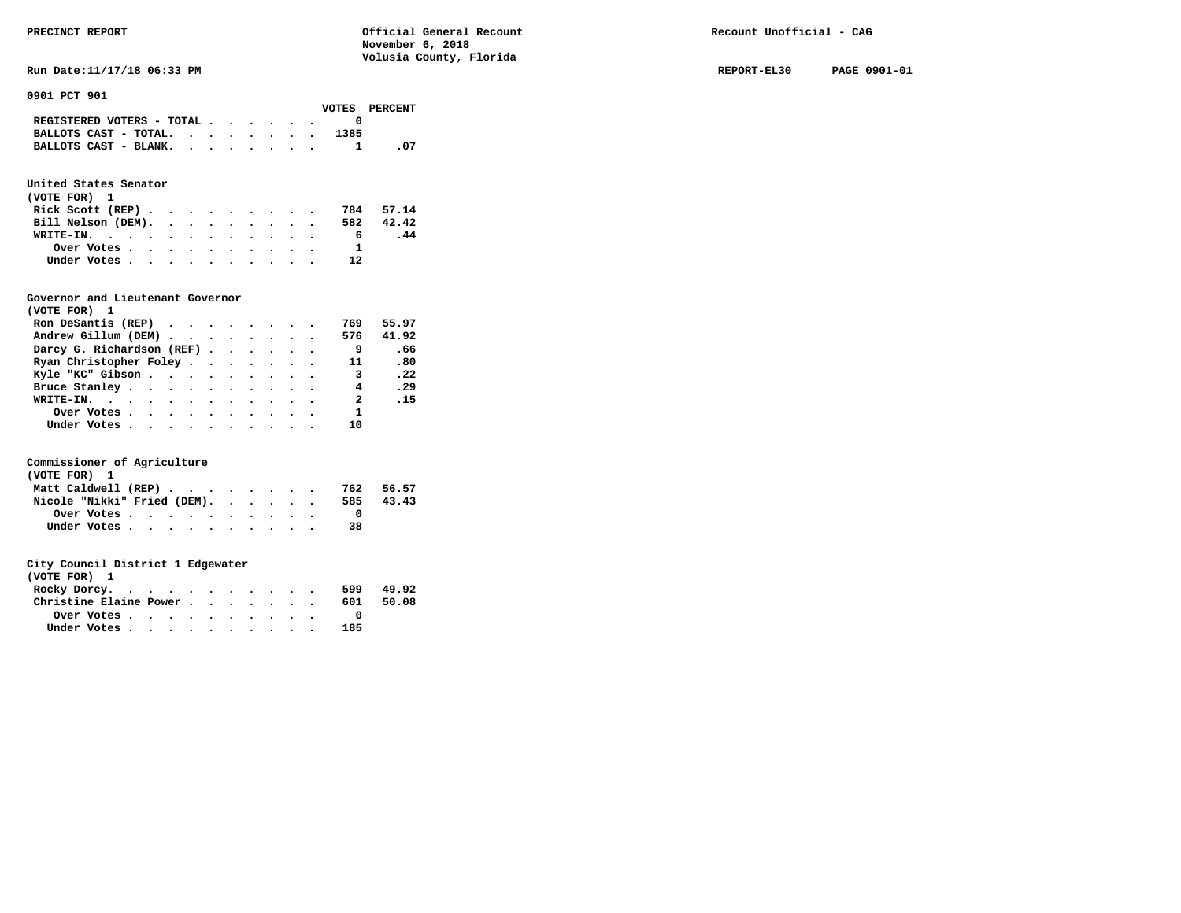**Run Date:11/17/18 06:33 PM REPORT-EL30 PAGE 0901-01** 

**0901 PCT 901** 

|                                                                           |  |  |  |      | VOTES PERCENT |
|---------------------------------------------------------------------------|--|--|--|------|---------------|
| REGISTERED VOTERS - TOTAL $\cdot$ $\cdot$ $\cdot$ $\cdot$ $\cdot$ $\cdot$ |  |  |  |      |               |
| BALLOTS CAST - TOTAL.                                                     |  |  |  | 1385 |               |
| BALLOTS CAST - BLANK.                                                     |  |  |  |      | - 07          |

# **United States Senator**

| (VOTE FOR) 1                                |  |  |  |  |    |           |
|---------------------------------------------|--|--|--|--|----|-----------|
| Rick Scott (REP) $\cdots$ $\cdots$ $\cdots$ |  |  |  |  |    | 784 57.14 |
| Bill Nelson (DEM).                          |  |  |  |  |    | 582 42.42 |
| WRITE-IN.                                   |  |  |  |  | 6. | .44       |
| Over Votes                                  |  |  |  |  |    |           |
| Under Votes                                 |  |  |  |  | 12 |           |

## **Governor and Lieutenant Governor**

| (VOTE FOR) 1                                  |  |  |  |                         |       |
|-----------------------------------------------|--|--|--|-------------------------|-------|
| Ron DeSantis (REP) $\cdots$ $\cdots$ $\cdots$ |  |  |  | 769                     | 55.97 |
| Andrew Gillum (DEM)                           |  |  |  | 576                     | 41.92 |
| Darcy G. Richardson (REF)                     |  |  |  | - 9                     | .66   |
| Ryan Christopher Foley                        |  |  |  | 11                      | .80   |
| Kyle "KC" Gibson                              |  |  |  | $\overline{\mathbf{3}}$ | .22   |
| Bruce Stanley                                 |  |  |  | 4                       | .29   |
| WRITE-IN.                                     |  |  |  | $\overline{\mathbf{2}}$ | .15   |
| Over Votes.                                   |  |  |  | $\mathbf{1}$            |       |
| Under Votes, , , , , , , , , , ,              |  |  |  | 10                      |       |

## **Commissioner of Agriculture**

| (VOTE FOR) 1                |  |  |  |  |  |     |       |
|-----------------------------|--|--|--|--|--|-----|-------|
| Matt Caldwell (REP)         |  |  |  |  |  | 762 | 56.57 |
| Nicole "Nikki" Fried (DEM). |  |  |  |  |  | 585 | 43.43 |
| Over Votes                  |  |  |  |  |  |     |       |
| Under Votes                 |  |  |  |  |  | 38  |       |

| (VOTE FOR) 1           |  |  |  |  |     |       |
|------------------------|--|--|--|--|-----|-------|
| Rocky Dorcy.           |  |  |  |  | 599 | 49.92 |
| Christine Elaine Power |  |  |  |  | 601 | 50.08 |
| Over Votes             |  |  |  |  |     |       |
| Under Votes            |  |  |  |  | 185 |       |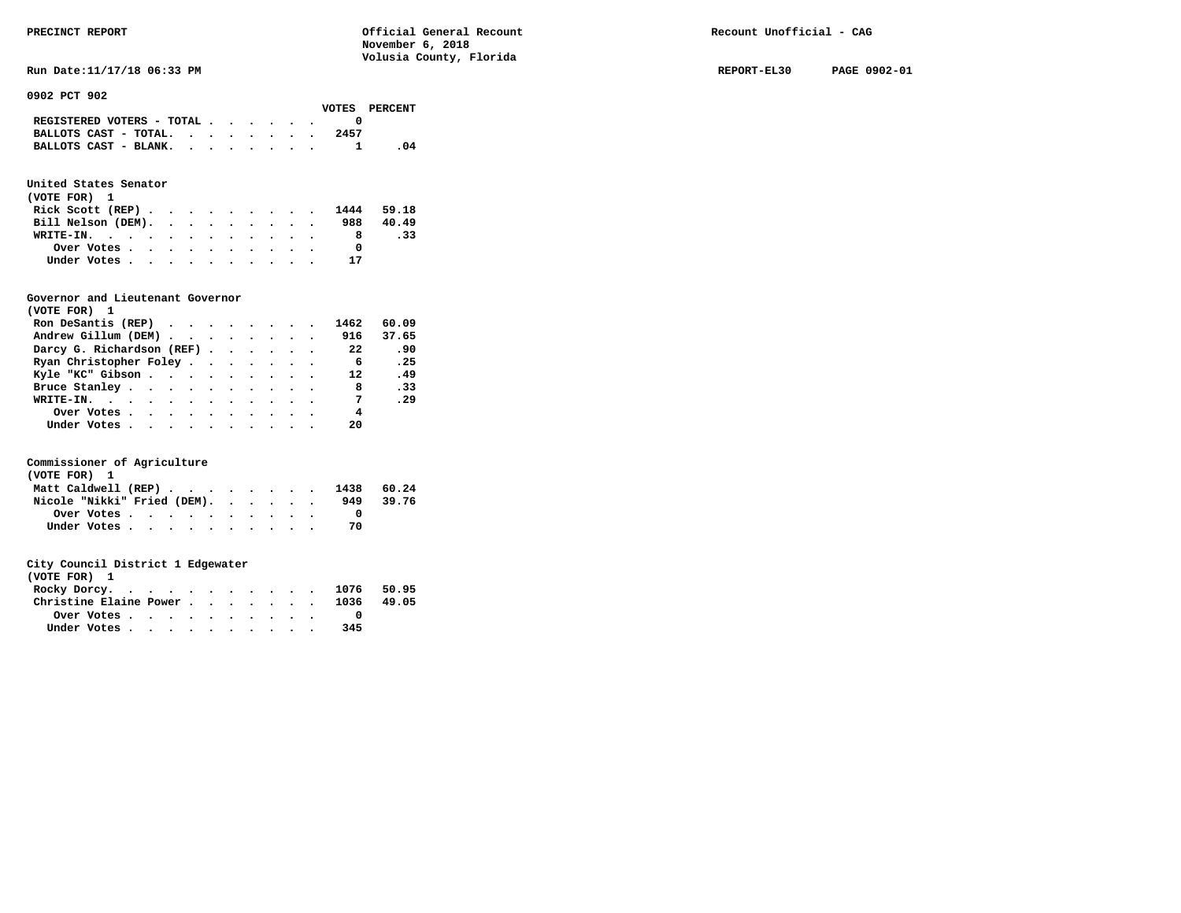**Run Date:11/17/18 06:33 PM REPORT-EL30 PAGE 0902-01** 

**0902 PCT 902** 

|                                                                           |  |  |  |      | VOTES PERCENT |
|---------------------------------------------------------------------------|--|--|--|------|---------------|
| REGISTERED VOTERS - TOTAL $\cdot$ $\cdot$ $\cdot$ $\cdot$ $\cdot$ $\cdot$ |  |  |  |      |               |
| BALLOTS CAST - TOTAL. $\cdot$ , $\cdot$ , $\cdot$ , $\cdot$               |  |  |  | 2457 |               |
| BALLOTS CAST - BLANK.                                                     |  |  |  |      | - 04          |

# **United States Senator**

| (VOTE FOR) 1                |  |  |  |  |    |           |
|-----------------------------|--|--|--|--|----|-----------|
| Rick Scott (REP) 1444 59.18 |  |  |  |  |    |           |
| Bill Nelson (DEM).          |  |  |  |  |    | 988 40.49 |
| WRITE-IN.                   |  |  |  |  |    | .33       |
| Over Votes                  |  |  |  |  |    |           |
| Under Votes                 |  |  |  |  | 17 |           |

## **Governor and Lieutenant Governor**

| (VOTE FOR) 1                                  |  |  |  |                |       |
|-----------------------------------------------|--|--|--|----------------|-------|
| Ron DeSantis (REP) $\cdots$ $\cdots$ $\cdots$ |  |  |  | 1462           | 60.09 |
| Andrew Gillum (DEM)                           |  |  |  | 916            | 37.65 |
| Darcy G. Richardson (REF)                     |  |  |  | 22             | .90   |
| Ryan Christopher Foley                        |  |  |  | 6              | .25   |
| Kyle "KC" Gibson                              |  |  |  | 12             | .49   |
| Bruce Stanley                                 |  |  |  | 8              | .33   |
| WRITE-IN.                                     |  |  |  | $\overline{7}$ | .29   |
| Over Votes.                                   |  |  |  | 4              |       |
| Under Votes, , , , , , , , , , ,              |  |  |  | 20             |       |

## **Commissioner of Agriculture**

| (VOTE FOR) 1                   |  |  |  |  |  |     |       |
|--------------------------------|--|--|--|--|--|-----|-------|
| Matt Caldwell (REP) 1438 60.24 |  |  |  |  |  |     |       |
| Nicole "Nikki" Fried (DEM).    |  |  |  |  |  | 949 | 39.76 |
| Over Votes                     |  |  |  |  |  |     |       |
| Under Votes                    |  |  |  |  |  | 70  |       |

| (VOTE FOR) 1                                            |  |  |  |  |     |  |
|---------------------------------------------------------|--|--|--|--|-----|--|
| Rocky Dorcy. 1076 50.95                                 |  |  |  |  |     |  |
| Christine Elaine Power 1036 49.05                       |  |  |  |  |     |  |
| Over Votes $\cdots$ $\cdots$ $\cdots$ $\cdots$ $\cdots$ |  |  |  |  |     |  |
| Under Votes                                             |  |  |  |  | 345 |  |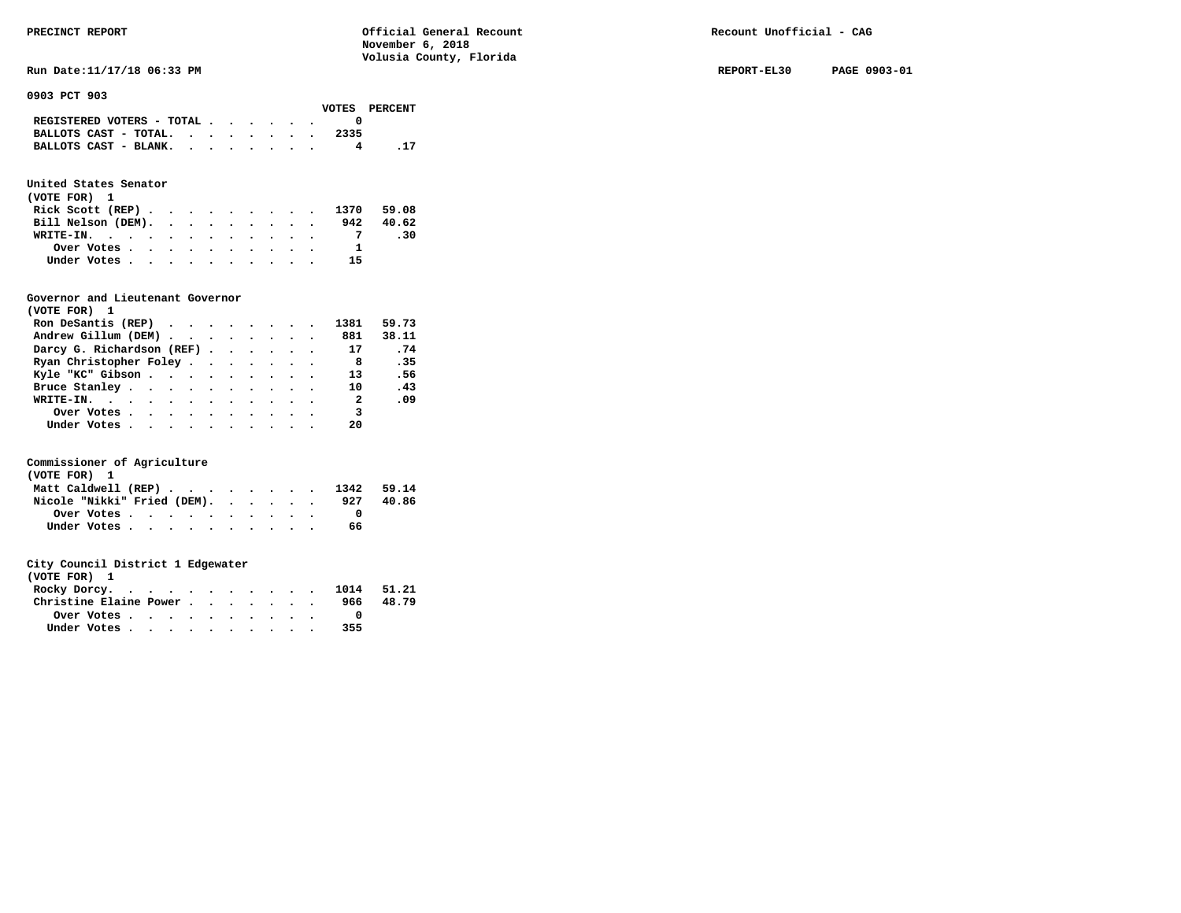**Run Date:11/17/18 06:33 PM REPORT-EL30 PAGE 0903-01** 

**0903 PCT 903** 

|                                             |  |  |  |      | VOTES PERCENT |
|---------------------------------------------|--|--|--|------|---------------|
| REGISTERED VOTERS - TOTAL $\cdot$ , , , , . |  |  |  |      |               |
| BALLOTS CAST - TOTAL.                       |  |  |  | 2335 |               |
| BALLOTS CAST - BLANK.                       |  |  |  |      |               |

# **United States Senator**

| (VOTE FOR) 1                |  |  |  |  |    |           |
|-----------------------------|--|--|--|--|----|-----------|
| Rick Scott (REP) 1370 59.08 |  |  |  |  |    |           |
| Bill Nelson (DEM).          |  |  |  |  |    | 942 40.62 |
| WRITE-IN.                   |  |  |  |  |    | .30       |
| Over Votes                  |  |  |  |  | 1  |           |
| Under Votes                 |  |  |  |  | 15 |           |

## **Governor and Lieutenant Governor**

| (VOTE FOR) 1                                  |  |  |  |                          |       |
|-----------------------------------------------|--|--|--|--------------------------|-------|
| Ron DeSantis (REP) $\cdots$ $\cdots$ $\cdots$ |  |  |  | 1381                     | 59.73 |
| Andrew Gillum (DEM)                           |  |  |  | 881                      | 38.11 |
| Darcy G. Richardson (REF)                     |  |  |  | 17                       | .74   |
| Ryan Christopher Foley                        |  |  |  | - 8                      | .35   |
| Kyle "KC" Gibson                              |  |  |  | 13                       | .56   |
| Bruce Stanley                                 |  |  |  | <b>10</b>                | .43   |
| WRITE-IN.                                     |  |  |  | $\overline{\phantom{a}}$ | .09   |
| Over Votes                                    |  |  |  | $\overline{\mathbf{3}}$  |       |
| Under Votes                                   |  |  |  | 20                       |       |

## **Commissioner of Agriculture**

| (VOTE FOR) 1                   |  |  |  |  |  |     |       |
|--------------------------------|--|--|--|--|--|-----|-------|
| Matt Caldwell (REP) 1342 59.14 |  |  |  |  |  |     |       |
| Nicole "Nikki" Fried (DEM).    |  |  |  |  |  | 927 | 40.86 |
| Over Votes                     |  |  |  |  |  |     |       |
| Under Votes                    |  |  |  |  |  | 66  |       |

| (VOTE FOR) 1           |  |  |  |  |     |            |
|------------------------|--|--|--|--|-----|------------|
| Rocky Dorcy.           |  |  |  |  |     | 1014 51.21 |
| Christine Elaine Power |  |  |  |  | 966 | 48.79      |
| Over Votes             |  |  |  |  |     |            |
| Under Votes            |  |  |  |  | 355 |            |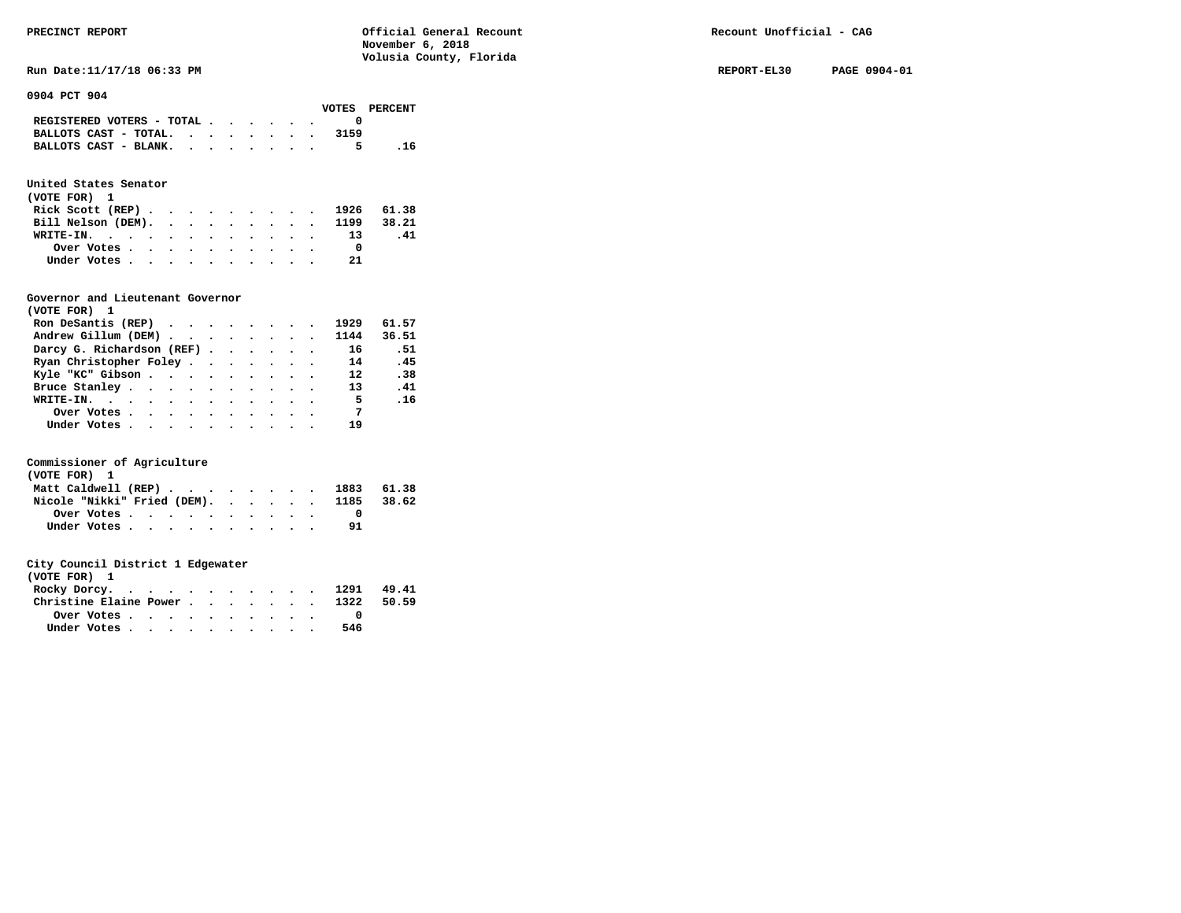**Run Date:11/17/18 06:33 PM REPORT-EL30 PAGE 0904-01** 

**0904 PCT 904** 

|                                             |  |  |  |      | VOTES PERCENT |
|---------------------------------------------|--|--|--|------|---------------|
| REGISTERED VOTERS - TOTAL $\cdot$ , , , , . |  |  |  |      |               |
| BALLOTS CAST - TOTAL. $\cdot$               |  |  |  | 3159 |               |
| BALLOTS CAST - BLANK.                       |  |  |  |      | - 16          |

# **United States Senator**

| (VOTE FOR) 1 |  |  |  |  |  |                               |     |
|--------------|--|--|--|--|--|-------------------------------|-----|
|              |  |  |  |  |  | Rick Scott (REP) 1926 61.38   |     |
|              |  |  |  |  |  | Bill Nelson (DEM). 1199 38.21 |     |
| WRITE-IN. 13 |  |  |  |  |  |                               | .41 |
| Over Votes   |  |  |  |  |  |                               |     |
| Under Votes  |  |  |  |  |  | -21                           |     |

## **Governor and Lieutenant Governor**

| (VOTE FOR) 1                                  |  |  |  |                |       |
|-----------------------------------------------|--|--|--|----------------|-------|
| Ron DeSantis (REP) $\cdots$ $\cdots$ $\cdots$ |  |  |  | 1929           | 61.57 |
| Andrew Gillum (DEM)                           |  |  |  | 1144           | 36.51 |
| Darcy G. Richardson (REF)                     |  |  |  | 16             | . 51  |
| Ryan Christopher Foley                        |  |  |  | 14             | .45   |
| Kyle "KC" Gibson                              |  |  |  | $12^{\circ}$   | .38   |
| Bruce Stanley                                 |  |  |  | 13             | .41   |
| WRITE-IN.                                     |  |  |  | - 5            | .16   |
| Over Votes                                    |  |  |  | $\overline{7}$ |       |
| Under Votes                                   |  |  |  | 19             |       |

## **Commissioner of Agriculture**

| (VOTE FOR) 1 |  |  |  |  |  |                                        |  |
|--------------|--|--|--|--|--|----------------------------------------|--|
|              |  |  |  |  |  | Matt Caldwell (REP) 1883 61.38         |  |
|              |  |  |  |  |  | Nicole "Nikki" Fried (DEM). 1185 38.62 |  |
|              |  |  |  |  |  |                                        |  |
| Under Votes  |  |  |  |  |  |                                        |  |

| (VOTE FOR) 1                                            |  |  |  |  |     |       |
|---------------------------------------------------------|--|--|--|--|-----|-------|
| Rocky Dorcy. 1291 49.41                                 |  |  |  |  |     |       |
| Christine Elaine Power 1322                             |  |  |  |  |     | 50.59 |
| Over Votes $\cdots$ $\cdots$ $\cdots$ $\cdots$ $\cdots$ |  |  |  |  |     |       |
| Under Votes                                             |  |  |  |  | 546 |       |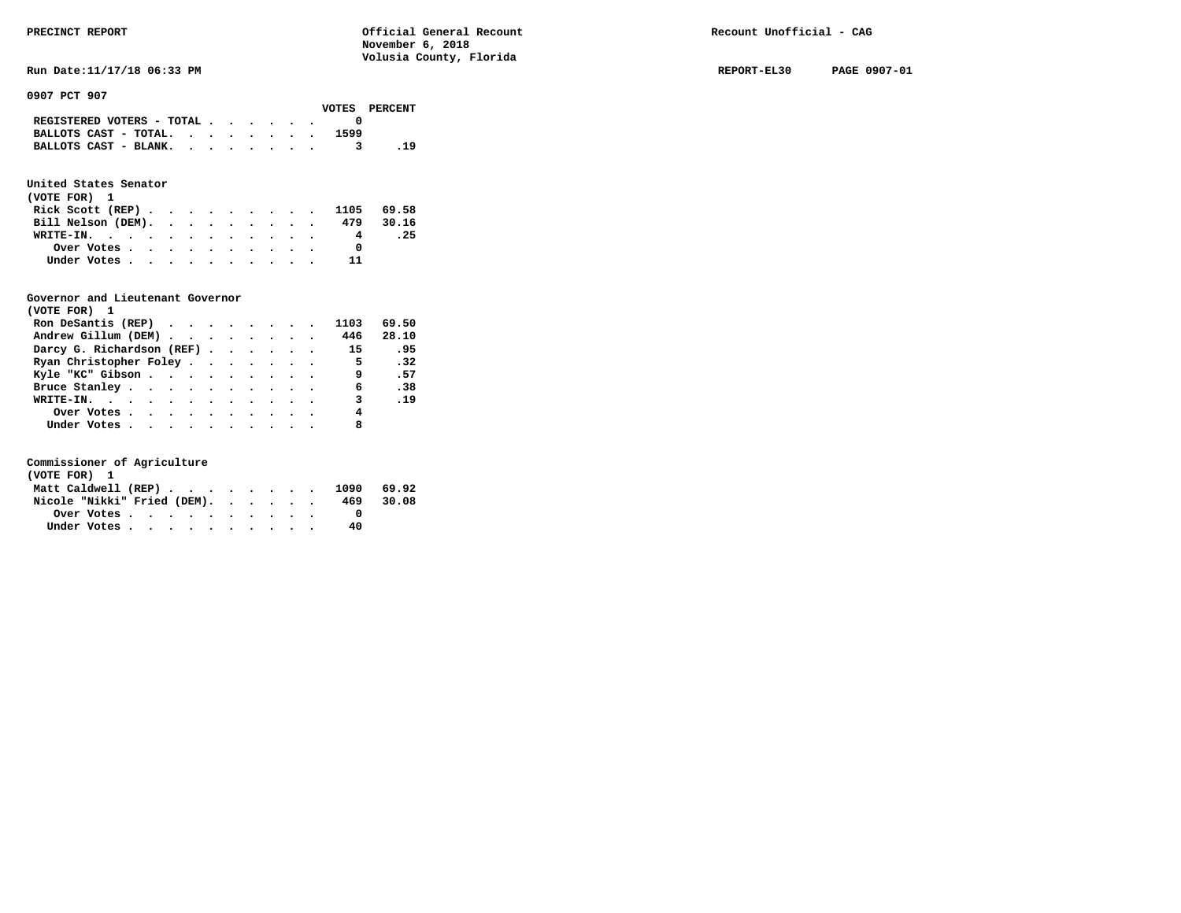**Run Date:11/17/18 06:33 PM REPORT-EL30 PAGE 0907-01** 

**0907 PCT 907** 

|                                                                           |  |  |  |      | VOTES PERCENT |
|---------------------------------------------------------------------------|--|--|--|------|---------------|
| REGISTERED VOTERS - TOTAL $\cdot$ $\cdot$ $\cdot$ $\cdot$ $\cdot$ $\cdot$ |  |  |  |      |               |
| BALLOTS CAST - TOTAL. $\cdot$ , , , , , .                                 |  |  |  | 1599 |               |
| BALLOTS CAST - BLANK.                                                     |  |  |  |      | . 19          |

# **United States Senator**

| (VOTE FOR) 1                                            |  |  |  |  |           |      |
|---------------------------------------------------------|--|--|--|--|-----------|------|
| Rick Scott (REP) 1105 69.58                             |  |  |  |  |           |      |
| Bill Nelson (DEM).                                      |  |  |  |  | 479 30.16 |      |
| WRITE-IN.                                               |  |  |  |  | 4         | . 25 |
| Over Votes $\cdots$ $\cdots$ $\cdots$ $\cdots$ $\cdots$ |  |  |  |  | $\Omega$  |      |
| Under Votes                                             |  |  |  |  |           |      |

# **Governor and Lieutenant Governor**

| (VOTE FOR) 1              |  |  |  |          |       |
|---------------------------|--|--|--|----------|-------|
| Ron DeSantis (REP)        |  |  |  | 1103     | 69.50 |
| Andrew Gillum (DEM)       |  |  |  | 446      | 28.10 |
| Darcy G. Richardson (REF) |  |  |  | 15       | .95   |
| Ryan Christopher Foley    |  |  |  | $\sim$ 5 | .32   |
| Kyle "KC" Gibson          |  |  |  | 9        | .57   |
| Bruce Stanley             |  |  |  | 6        | .38   |
| WRITE-IN.                 |  |  |  | 3        | .19   |
| Over Votes                |  |  |  | 4        |       |
| Under Votes               |  |  |  | 8        |       |

| (VOTE FOR) 1                   |  |  |  |  |  |     |       |
|--------------------------------|--|--|--|--|--|-----|-------|
| Matt Caldwell (REP) 1090 69.92 |  |  |  |  |  |     |       |
| Nicole "Nikki" Fried (DEM).    |  |  |  |  |  | 469 | 30.08 |
| Over Votes.                    |  |  |  |  |  |     |       |
| Under Votes                    |  |  |  |  |  | 40  |       |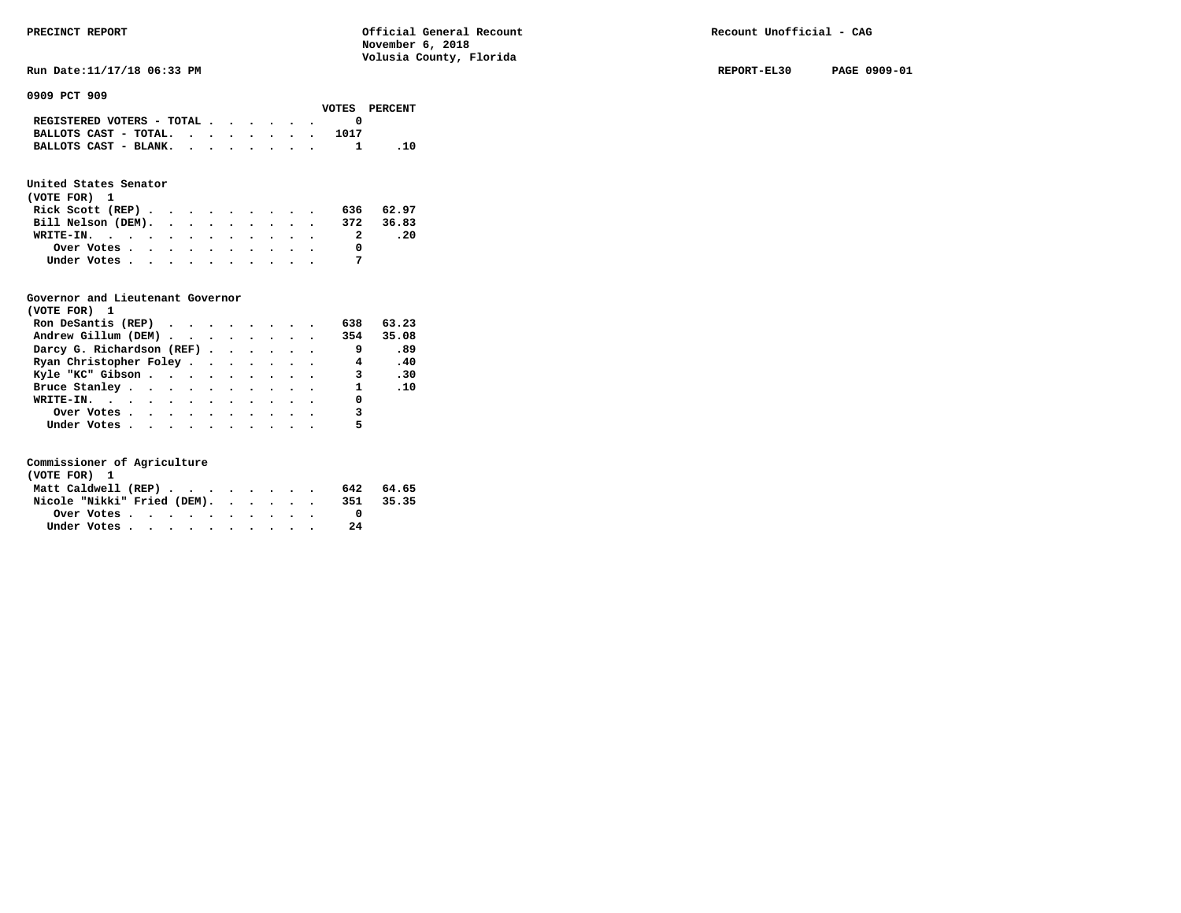**Run Date:11/17/18 06:33 PM REPORT-EL30 PAGE 0909-01** 

**0909 PCT 909** 

|  |  |  |      | VOTES PERCENT                                                                                                               |
|--|--|--|------|-----------------------------------------------------------------------------------------------------------------------------|
|  |  |  |      |                                                                                                                             |
|  |  |  | 1017 |                                                                                                                             |
|  |  |  |      | .10                                                                                                                         |
|  |  |  |      | REGISTERED VOTERS - TOTAL $\cdot$ $\cdot$ $\cdot$ $\cdot$ $\cdot$ $\cdot$<br>BALLOTS CAST - TOTAL.<br>BALLOTS CAST - BLANK. |

# **United States Senator**

| (VOTE FOR) 1                 |  |  |  |  |  |  |   |           |  |
|------------------------------|--|--|--|--|--|--|---|-----------|--|
| Rick Scott (REP)             |  |  |  |  |  |  |   | 636 62.97 |  |
| Bill Nelson (DEM). 372 36.83 |  |  |  |  |  |  |   |           |  |
| WRITE-IN.                    |  |  |  |  |  |  | 2 | . 20      |  |
| Over Votes                   |  |  |  |  |  |  |   |           |  |
| Under Votes                  |  |  |  |  |  |  |   |           |  |

# **Governor and Lieutenant Governor**

| (VOTE FOR) 1                                  |  |  |  |                            |               |
|-----------------------------------------------|--|--|--|----------------------------|---------------|
| Ron DeSantis (REP) $\cdots$ $\cdots$ $\cdots$ |  |  |  | 638                        | 63.23         |
| Andrew Gillum (DEM)                           |  |  |  |                            | 354 35.08     |
| Darcy G. Richardson (REF)                     |  |  |  | - 9                        | .89           |
| Ryan Christopher Foley                        |  |  |  | $\overline{4}$             | .40           |
| Kyle "KC" Gibson                              |  |  |  | 3.30                       |               |
| Bruce Stanley.                                |  |  |  |                            | $1 \quad .10$ |
| WRITE-IN.                                     |  |  |  | 0                          |               |
| Over Votes.                                   |  |  |  | $\overline{\phantom{a}}$ 3 |               |
| Under Votes                                   |  |  |  | 5                          |               |

| (VOTE FOR) 1                |  |  |  |  |  |     |           |
|-----------------------------|--|--|--|--|--|-----|-----------|
| Matt Caldwell (REP)         |  |  |  |  |  |     | 642 64.65 |
| Nicole "Nikki" Fried (DEM). |  |  |  |  |  | 351 | 35.35     |
|                             |  |  |  |  |  |     |           |
| Under Votes                 |  |  |  |  |  | 2.4 |           |